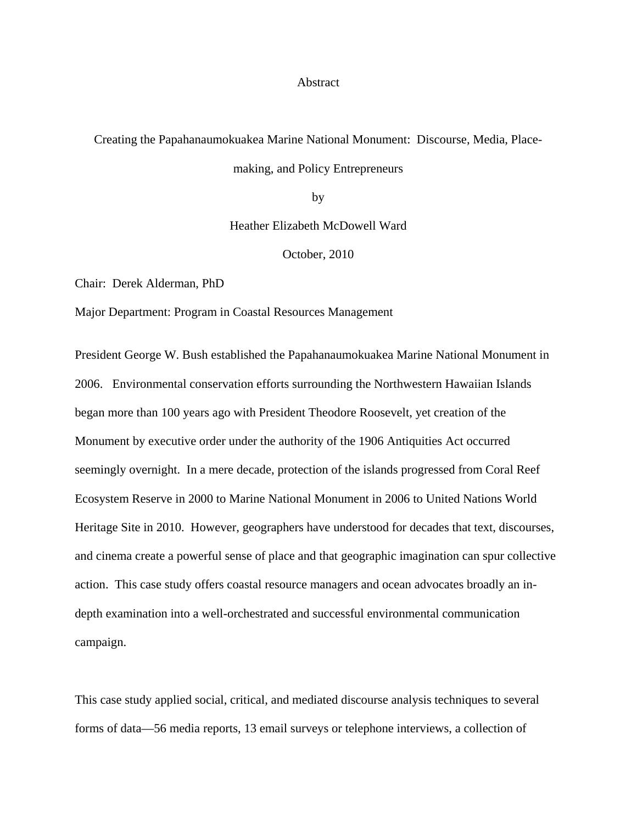#### Abstract

# Creating the Papahanaumokuakea Marine National Monument: Discourse, Media, Placemaking, and Policy Entrepreneurs

by

Heather Elizabeth McDowell Ward

October, 2010

Chair: Derek Alderman, PhD

Major Department: Program in Coastal Resources Management

President George W. Bush established the Papahanaumokuakea Marine National Monument in 2006. Environmental conservation efforts surrounding the Northwestern Hawaiian Islands began more than 100 years ago with President Theodore Roosevelt, yet creation of the Monument by executive order under the authority of the 1906 Antiquities Act occurred seemingly overnight. In a mere decade, protection of the islands progressed from Coral Reef Ecosystem Reserve in 2000 to Marine National Monument in 2006 to United Nations World Heritage Site in 2010. However, geographers have understood for decades that text, discourses, and cinema create a powerful sense of place and that geographic imagination can spur collective action. This case study offers coastal resource managers and ocean advocates broadly an indepth examination into a well-orchestrated and successful environmental communication campaign.

This case study applied social, critical, and mediated discourse analysis techniques to several forms of data—56 media reports, 13 email surveys or telephone interviews, a collection of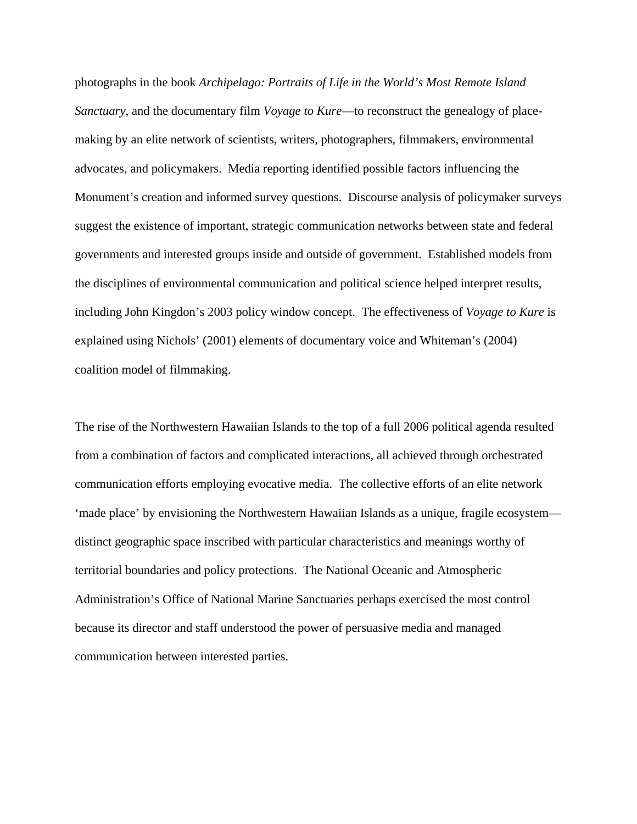photographs in the book *Archipelago: Portraits of Life in the World's Most Remote Island Sanctuary*, and the documentary film *Voyage to Kure*—to reconstruct the genealogy of placemaking by an elite network of scientists, writers, photographers, filmmakers, environmental advocates, and policymakers. Media reporting identified possible factors influencing the Monument's creation and informed survey questions. Discourse analysis of policymaker surveys suggest the existence of important, strategic communication networks between state and federal governments and interested groups inside and outside of government. Established models from the disciplines of environmental communication and political science helped interpret results, including John Kingdon's 2003 policy window concept. The effectiveness of *Voyage to Kure* is explained using Nichols' (2001) elements of documentary voice and Whiteman's (2004) coalition model of filmmaking.

The rise of the Northwestern Hawaiian Islands to the top of a full 2006 political agenda resulted from a combination of factors and complicated interactions, all achieved through orchestrated communication efforts employing evocative media. The collective efforts of an elite network 'made place' by envisioning the Northwestern Hawaiian Islands as a unique, fragile ecosystem distinct geographic space inscribed with particular characteristics and meanings worthy of territorial boundaries and policy protections. The National Oceanic and Atmospheric Administration's Office of National Marine Sanctuaries perhaps exercised the most control because its director and staff understood the power of persuasive media and managed communication between interested parties.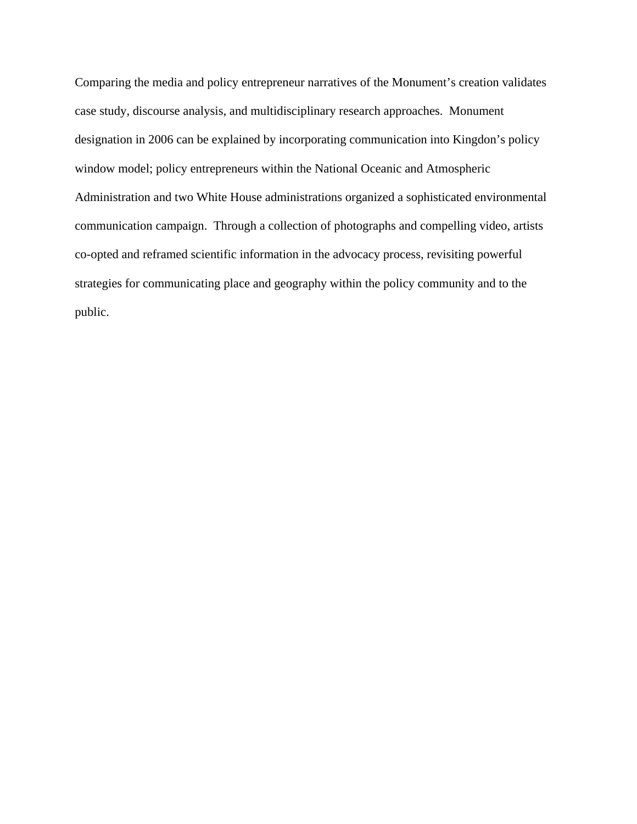Comparing the media and policy entrepreneur narratives of the Monument's creation validates case study, discourse analysis, and multidisciplinary research approaches. Monument designation in 2006 can be explained by incorporating communication into Kingdon's policy window model; policy entrepreneurs within the National Oceanic and Atmospheric Administration and two White House administrations organized a sophisticated environmental communication campaign. Through a collection of photographs and compelling video, artists co-opted and reframed scientific information in the advocacy process, revisiting powerful strategies for communicating place and geography within the policy community and to the public.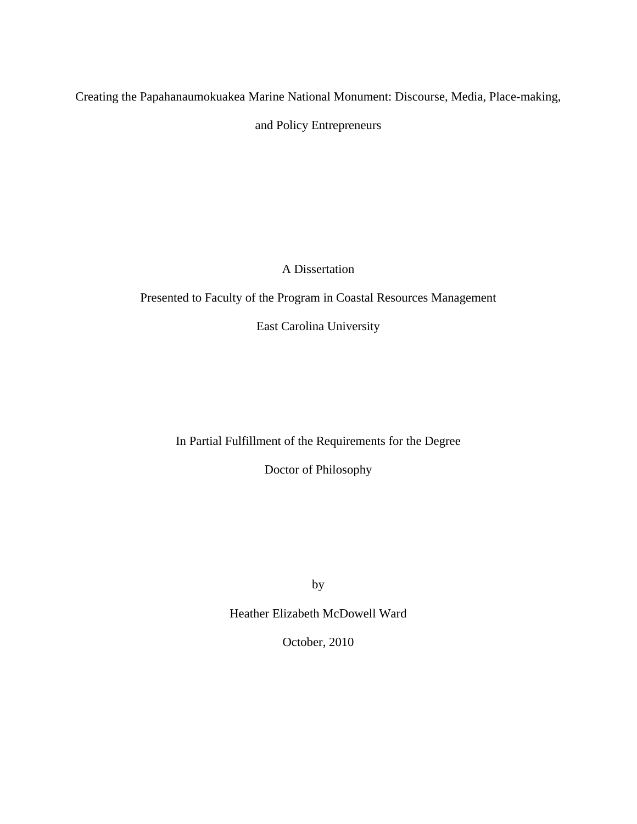Creating the Papahanaumokuakea Marine National Monument: Discourse, Media, Place-making, and Policy Entrepreneurs

A Dissertation

Presented to Faculty of the Program in Coastal Resources Management

East Carolina University

In Partial Fulfillment of the Requirements for the Degree

Doctor of Philosophy

by

Heather Elizabeth McDowell Ward

October, 2010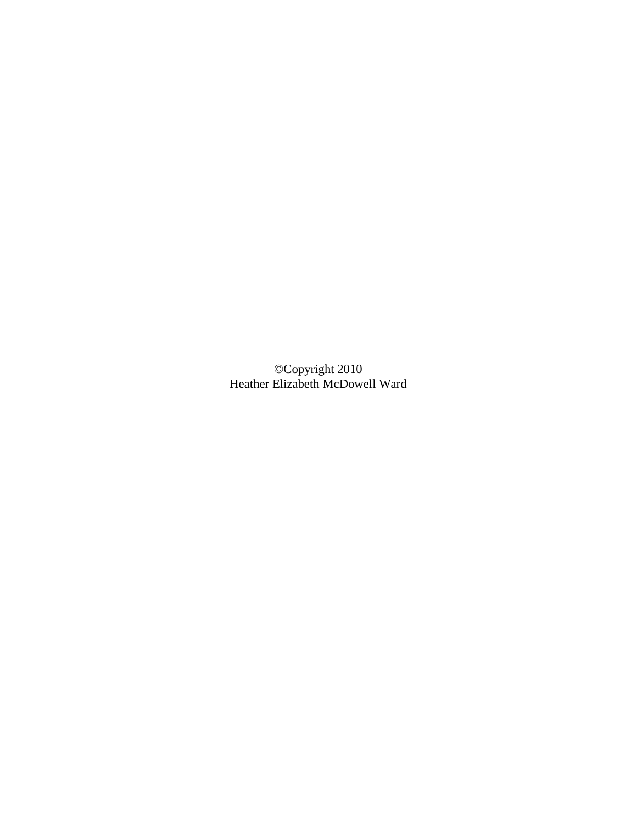©Copyright 2010 Heather Elizabeth McDowell Ward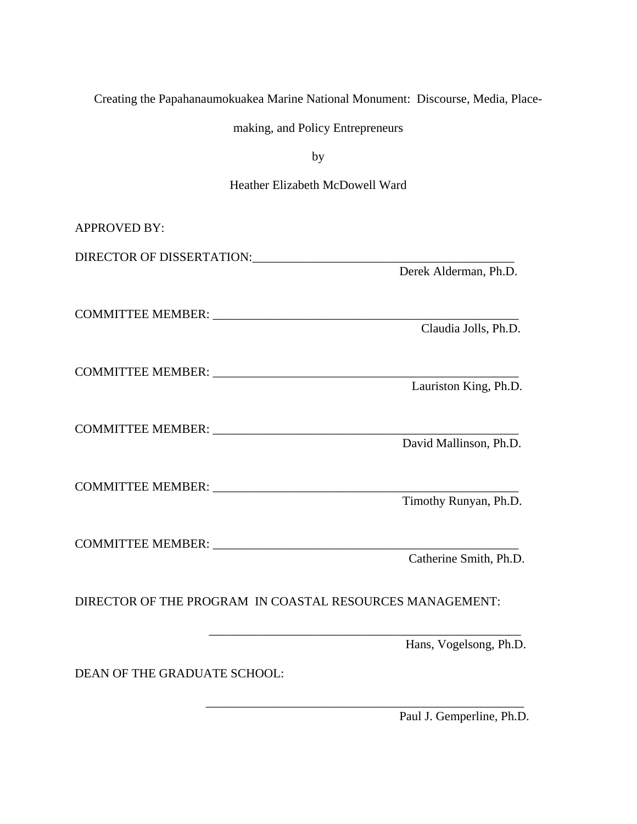| Creating the Papahanaumokuakea Marine National Monument: Discourse, Media, Place- |  |  |
|-----------------------------------------------------------------------------------|--|--|
|-----------------------------------------------------------------------------------|--|--|

making, and Policy Entrepreneurs

by

### Heather Elizabeth McDowell Ward

| <b>APPROVED BY:</b>          |                                                                                 |
|------------------------------|---------------------------------------------------------------------------------|
|                              | DIRECTOR OF DISSERTATION: THE RESERVE OF DISSERTATION.<br>Derek Alderman, Ph.D. |
|                              | Claudia Jolls, Ph.D.                                                            |
|                              | Lauriston King, Ph.D.                                                           |
|                              | COMMITTEE MEMBER: University of the COMMITTEE MEMBER:<br>David Mallinson, Ph.D. |
|                              | Timothy Runyan, Ph.D.                                                           |
|                              | Catherine Smith, Ph.D.                                                          |
|                              | DIRECTOR OF THE PROGRAM IN COASTAL RESOURCES MANAGEMENT:                        |
| DEAN OF THE GRADUATE SCHOOL: | Hans, Vogelsong, Ph.D.                                                          |

 \_\_\_\_\_\_\_\_\_\_\_\_\_\_\_\_\_\_\_\_\_\_\_\_\_\_\_\_\_\_\_\_\_\_\_\_\_\_\_\_\_\_\_\_\_\_\_\_\_\_\_ Paul J. Gemperline, Ph.D.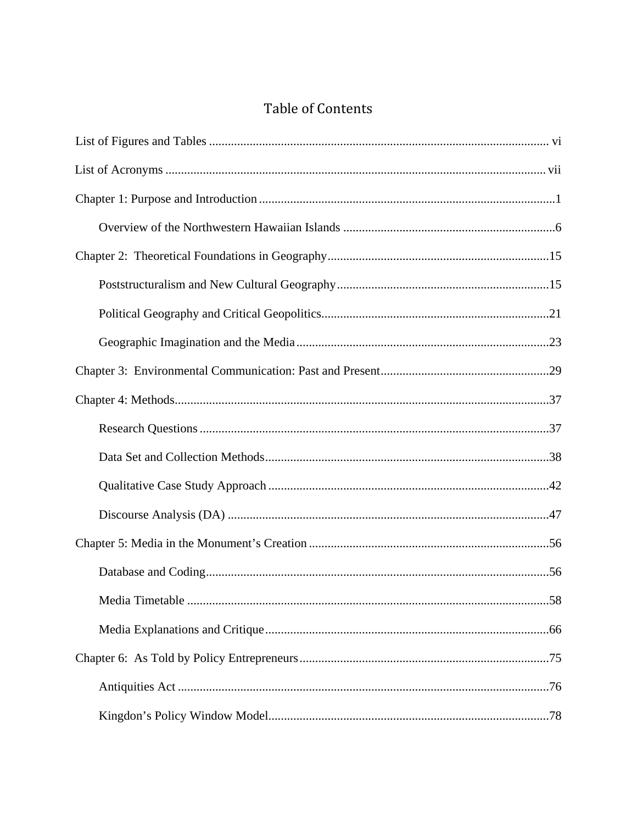### **Table of Contents**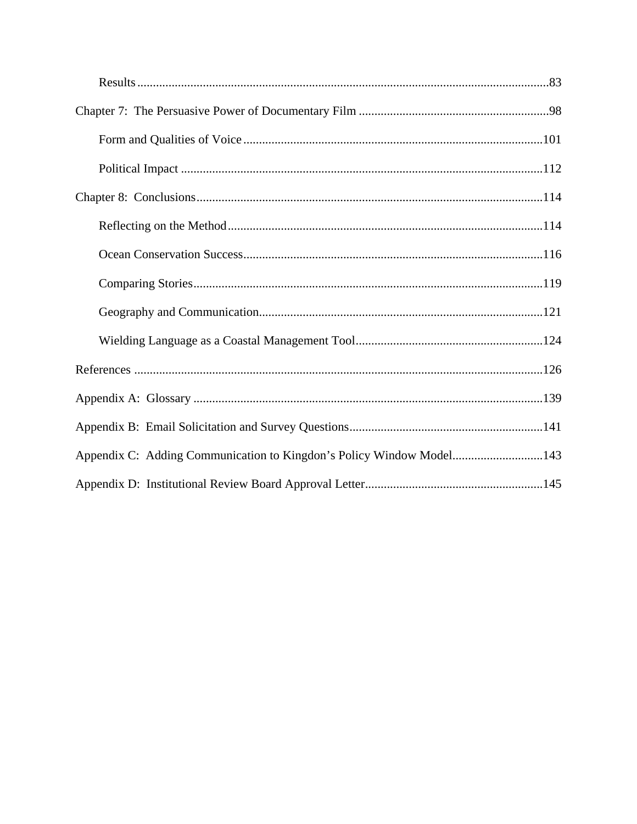| Appendix C: Adding Communication to Kingdon's Policy Window Model143 |  |
|----------------------------------------------------------------------|--|
|                                                                      |  |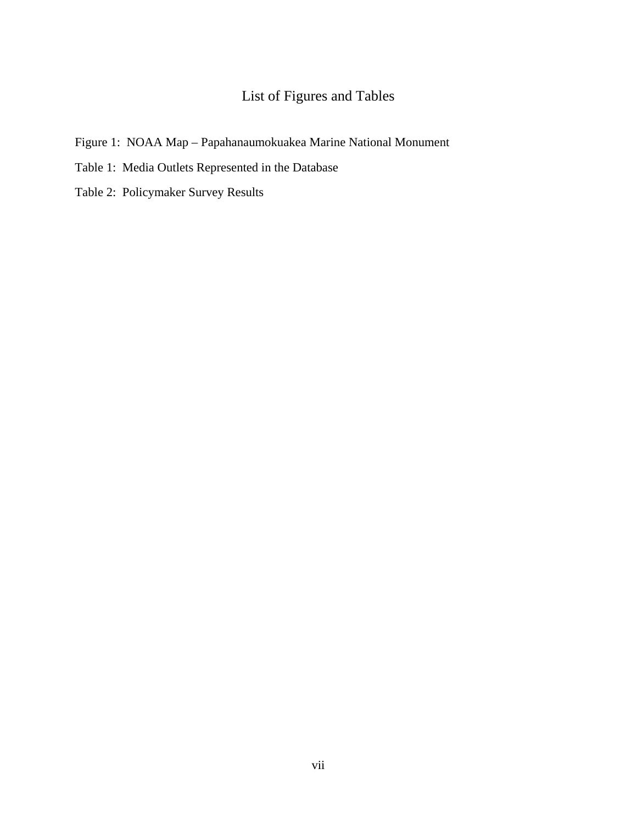## List of Figures and Tables

- <span id="page-9-0"></span>Figure 1: NOAA Map – Papahanaumokuakea Marine National Monument
- Table 1: Media Outlets Represented in the Database
- Table 2: Policymaker Survey Results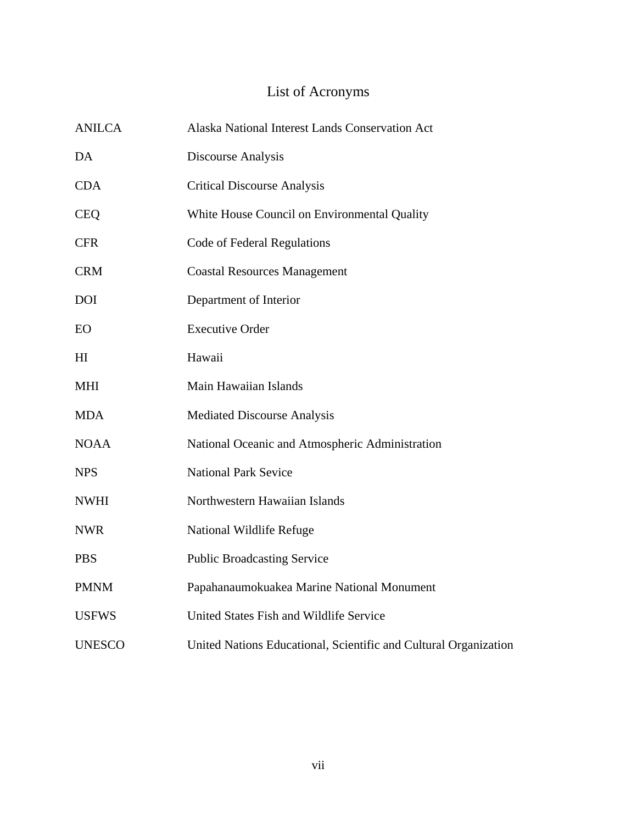# List of Acronyms

| <b>ANILCA</b>  | Alaska National Interest Lands Conservation Act                  |
|----------------|------------------------------------------------------------------|
| DA             | Discourse Analysis                                               |
| <b>CDA</b>     | <b>Critical Discourse Analysis</b>                               |
| <b>CEQ</b>     | White House Council on Environmental Quality                     |
| <b>CFR</b>     | Code of Federal Regulations                                      |
| <b>CRM</b>     | <b>Coastal Resources Management</b>                              |
| <b>DOI</b>     | Department of Interior                                           |
| EO             | <b>Executive Order</b>                                           |
| H <sub>I</sub> | Hawaii                                                           |
| <b>MHI</b>     | Main Hawaiian Islands                                            |
| <b>MDA</b>     | <b>Mediated Discourse Analysis</b>                               |
| <b>NOAA</b>    | National Oceanic and Atmospheric Administration                  |
| <b>NPS</b>     | <b>National Park Sevice</b>                                      |
| <b>NWHI</b>    | Northwestern Hawaiian Islands                                    |
| <b>NWR</b>     | National Wildlife Refuge                                         |
| <b>PBS</b>     | <b>Public Broadcasting Service</b>                               |
| <b>PMNM</b>    | Papahanaumokuakea Marine National Monument                       |
| <b>USFWS</b>   | United States Fish and Wildlife Service                          |
| <b>UNESCO</b>  | United Nations Educational, Scientific and Cultural Organization |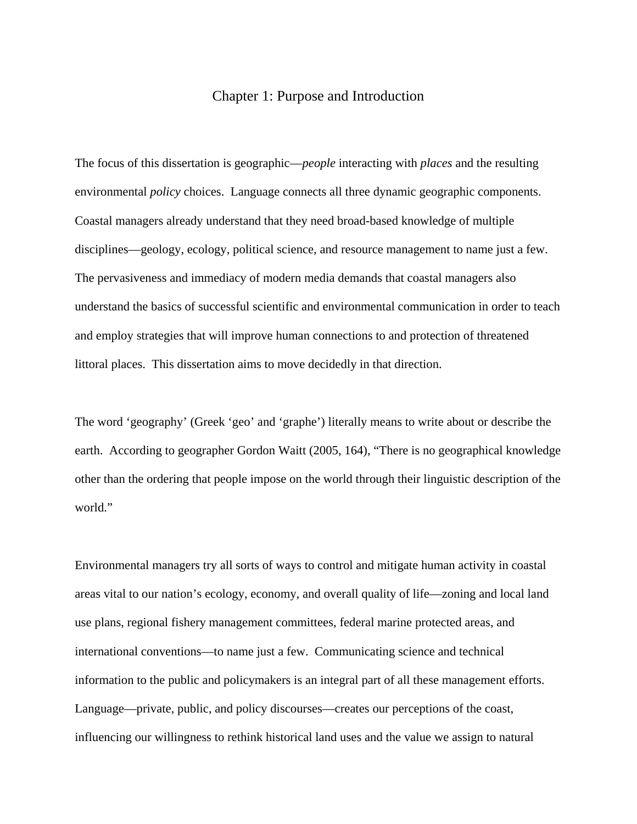### Chapter 1: Purpose and Introduction

<span id="page-11-0"></span>The focus of this dissertation is geographic—*people* interacting with *places* and the resulting environmental *policy* choices. Language connects all three dynamic geographic components. Coastal managers already understand that they need broad-based knowledge of multiple disciplines—geology, ecology, political science, and resource management to name just a few. The pervasiveness and immediacy of modern media demands that coastal managers also understand the basics of successful scientific and environmental communication in order to teach and employ strategies that will improve human connections to and protection of threatened littoral places. This dissertation aims to move decidedly in that direction.

The word 'geography' (Greek 'geo' and 'graphe') literally means to write about or describe the earth. According to geographer Gordon Waitt (2005, 164), "There is no geographical knowledge other than the ordering that people impose on the world through their linguistic description of the world."

Environmental managers try all sorts of ways to control and mitigate human activity in coastal areas vital to our nation's ecology, economy, and overall quality of life—zoning and local land use plans, regional fishery management committees, federal marine protected areas, and international conventions—to name just a few. Communicating science and technical information to the public and policymakers is an integral part of all these management efforts. Language—private, public, and policy discourses—creates our perceptions of the coast, influencing our willingness to rethink historical land uses and the value we assign to natural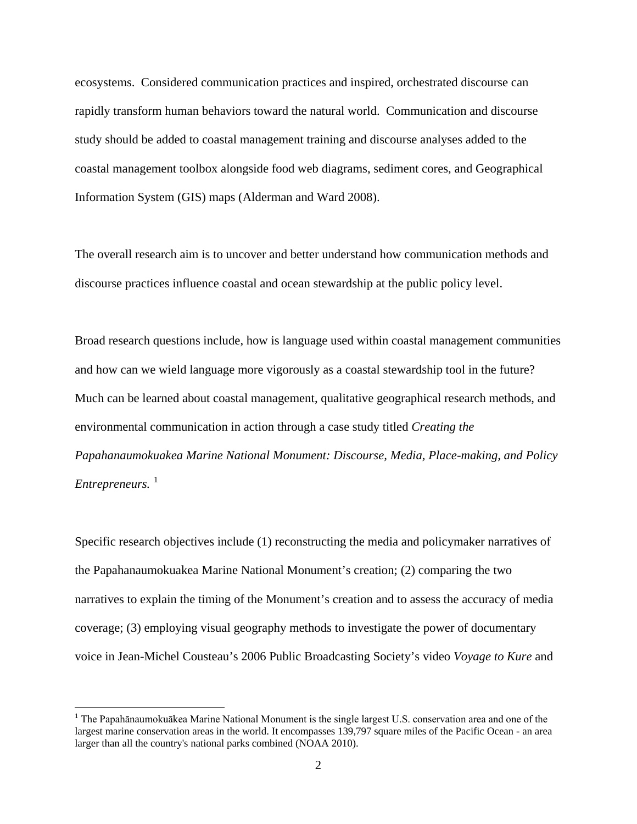ecosystems. Considered communication practices and inspired, orchestrated discourse can rapidly transform human behaviors toward the natural world. Communication and discourse study should be added to coastal management training and discourse analyses added to the coastal management toolbox alongside food web diagrams, sediment cores, and Geographical Information System (GIS) maps (Alderman and Ward 2008).

The overall research aim is to uncover and better understand how communication methods and discourse practices influence coastal and ocean stewardship at the public policy level.

Broad research questions include, how is language used within coastal management communities and how can we wield language more vigorously as a coastal stewardship tool in the future? Much can be learned about coastal management, qualitative geographical research methods, and environmental communication in action through a case study titled *Creating the Papahanaumokuakea Marine National Monument: Discourse, Media, Place-making, and Policy Entrepreneurs.*<sup>[1](#page-12-0)</sup>

Specific research objectives include (1) reconstructing the media and policymaker narratives of the Papahanaumokuakea Marine National Monument's creation; (2) comparing the two narratives to explain the timing of the Monument's creation and to assess the accuracy of media coverage; (3) employing visual geography methods to investigate the power of documentary voice in Jean-Michel Cousteau's 2006 Public Broadcasting Society's video *Voyage to Kure* and

<span id="page-12-0"></span><sup>&</sup>lt;sup>1</sup> The Papahānaumokuākea Marine National Monument is the single largest U.S. conservation area and one of the largest marine conservation areas in the world. It encompasses 139,797 square miles of the Pacific Ocean - an area larger than all the country's national parks combined (NOAA 2010).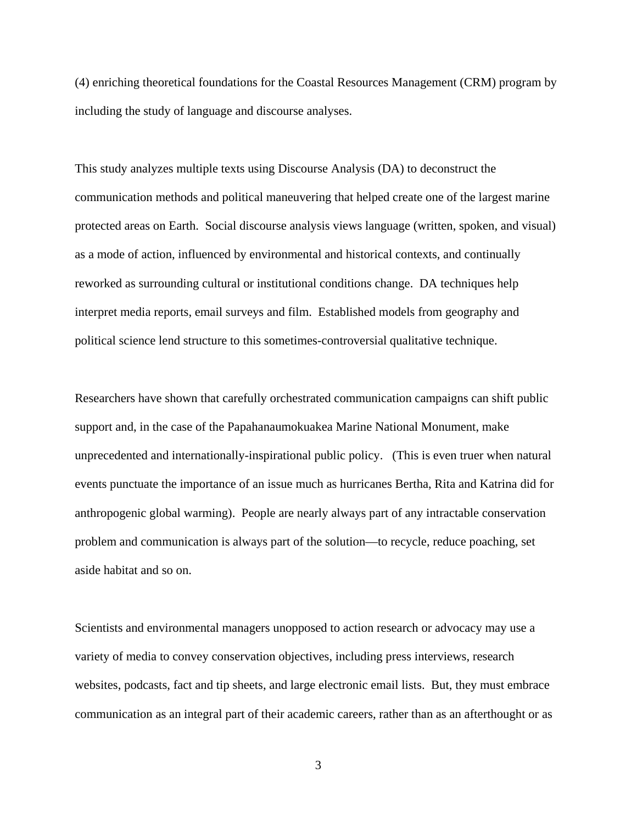(4) enriching theoretical foundations for the Coastal Resources Management (CRM) program by including the study of language and discourse analyses.

This study analyzes multiple texts using Discourse Analysis (DA) to deconstruct the communication methods and political maneuvering that helped create one of the largest marine protected areas on Earth. Social discourse analysis views language (written, spoken, and visual) as a mode of action, influenced by environmental and historical contexts, and continually reworked as surrounding cultural or institutional conditions change. DA techniques help interpret media reports, email surveys and film. Established models from geography and political science lend structure to this sometimes-controversial qualitative technique.

Researchers have shown that carefully orchestrated communication campaigns can shift public support and, in the case of the Papahanaumokuakea Marine National Monument, make unprecedented and internationally-inspirational public policy. (This is even truer when natural events punctuate the importance of an issue much as hurricanes Bertha, Rita and Katrina did for anthropogenic global warming). People are nearly always part of any intractable conservation problem and communication is always part of the solution—to recycle, reduce poaching, set aside habitat and so on.

Scientists and environmental managers unopposed to action research or advocacy may use a variety of media to convey conservation objectives, including press interviews, research websites, podcasts, fact and tip sheets, and large electronic email lists. But, they must embrace communication as an integral part of their academic careers, rather than as an afterthought or as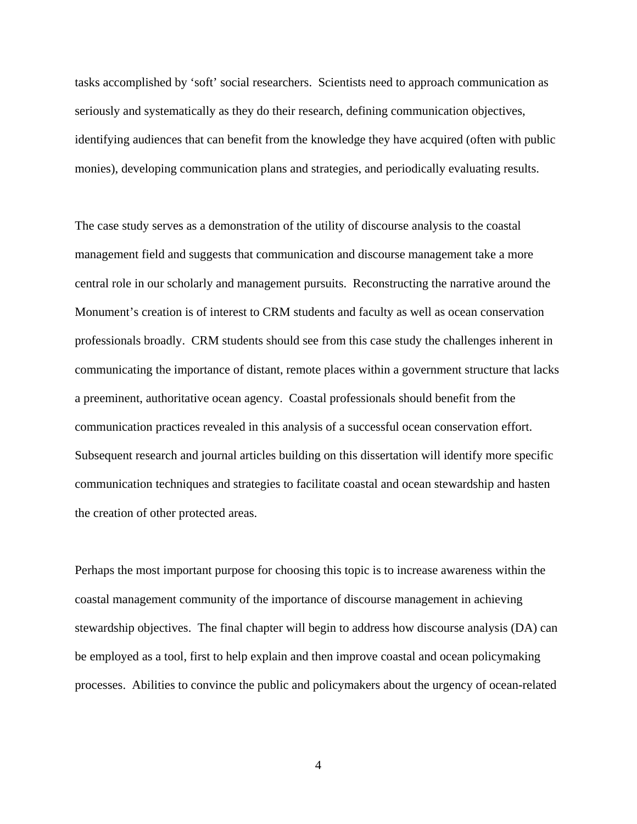tasks accomplished by 'soft' social researchers. Scientists need to approach communication as seriously and systematically as they do their research, defining communication objectives, identifying audiences that can benefit from the knowledge they have acquired (often with public monies), developing communication plans and strategies, and periodically evaluating results.

The case study serves as a demonstration of the utility of discourse analysis to the coastal management field and suggests that communication and discourse management take a more central role in our scholarly and management pursuits. Reconstructing the narrative around the Monument's creation is of interest to CRM students and faculty as well as ocean conservation professionals broadly. CRM students should see from this case study the challenges inherent in communicating the importance of distant, remote places within a government structure that lacks a preeminent, authoritative ocean agency. Coastal professionals should benefit from the communication practices revealed in this analysis of a successful ocean conservation effort. Subsequent research and journal articles building on this dissertation will identify more specific communication techniques and strategies to facilitate coastal and ocean stewardship and hasten the creation of other protected areas.

Perhaps the most important purpose for choosing this topic is to increase awareness within the coastal management community of the importance of discourse management in achieving stewardship objectives. The final chapter will begin to address how discourse analysis (DA) can be employed as a tool, first to help explain and then improve coastal and ocean policymaking processes. Abilities to convince the public and policymakers about the urgency of ocean-related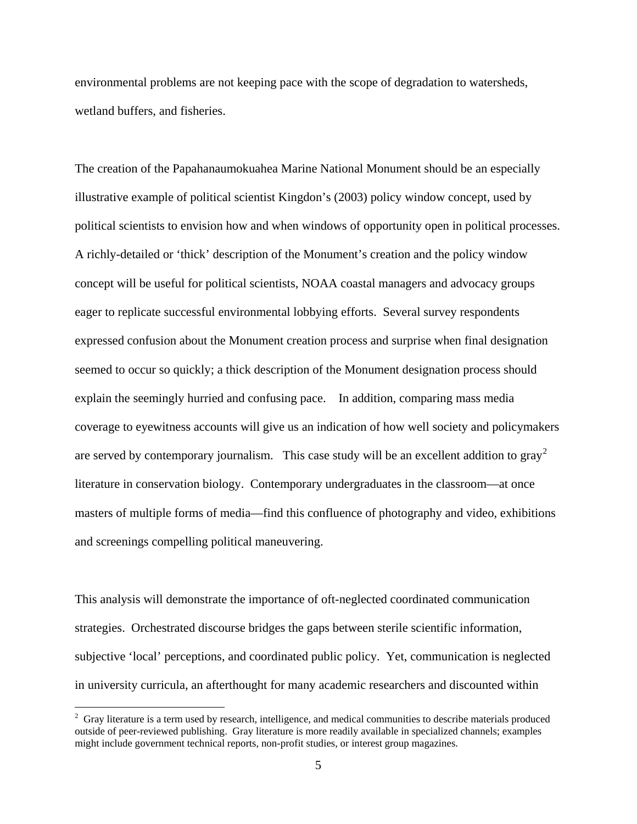environmental problems are not keeping pace with the scope of degradation to watersheds, wetland buffers, and fisheries.

The creation of the Papahanaumokuahea Marine National Monument should be an especially illustrative example of political scientist Kingdon's (2003) policy window concept, used by political scientists to envision how and when windows of opportunity open in political processes. A richly-detailed or 'thick' description of the Monument's creation and the policy window concept will be useful for political scientists, NOAA coastal managers and advocacy groups eager to replicate successful environmental lobbying efforts. Several survey respondents expressed confusion about the Monument creation process and surprise when final designation seemed to occur so quickly; a thick description of the Monument designation process should explain the seemingly hurried and confusing pace. In addition, comparing mass media coverage to eyewitness accounts will give us an indication of how well society and policymakers are served by contemporary journalism. This case study will be an excellent addition to  $\text{gray}^2$  $\text{gray}^2$ literature in conservation biology. Contemporary undergraduates in the classroom—at once masters of multiple forms of media—find this confluence of photography and video, exhibitions and screenings compelling political maneuvering.

This analysis will demonstrate the importance of oft-neglected coordinated communication strategies. Orchestrated discourse bridges the gaps between sterile scientific information, subjective 'local' perceptions, and coordinated public policy. Yet, communication is neglected in university curricula, an afterthought for many academic researchers and discounted within

<span id="page-15-0"></span> $\frac{1}{2}$ <sup>2</sup> Gray literature is a term used by research, intelligence, and medical communities to describe materials produced outside of peer-reviewed publishing. Gray literature is more readily available in specialized channels; examples might include government technical reports, non-profit studies, or interest group magazines.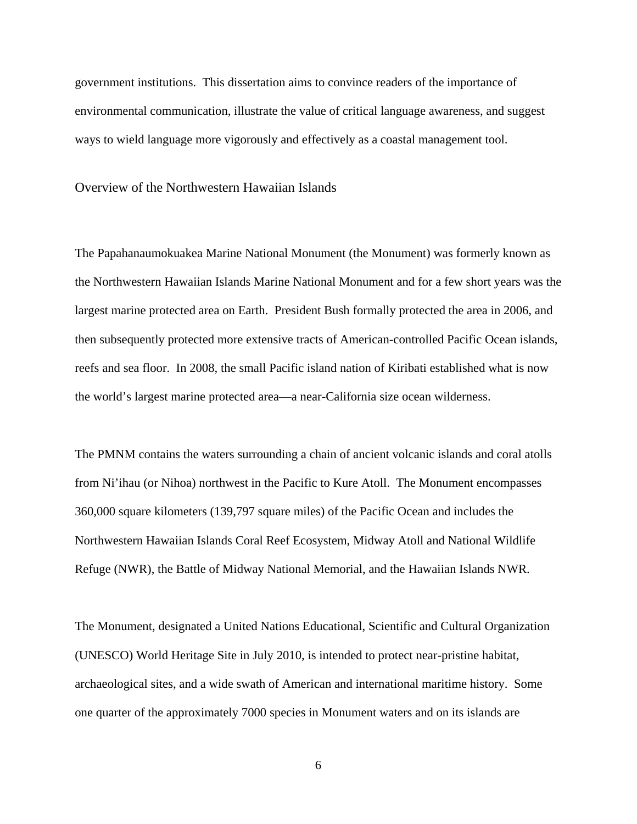government institutions. This dissertation aims to convince readers of the importance of environmental communication, illustrate the value of critical language awareness, and suggest ways to wield language more vigorously and effectively as a coastal management tool.

<span id="page-16-0"></span>Overview of the Northwestern Hawaiian Islands

The Papahanaumokuakea Marine National Monument (the Monument) was formerly known as the Northwestern Hawaiian Islands Marine National Monument and for a few short years was the largest marine protected area on Earth. President Bush formally protected the area in 2006, and then subsequently protected more extensive tracts of American-controlled Pacific Ocean islands, reefs and sea floor. In 2008, the small Pacific island nation of Kiribati established what is now the world's largest marine protected area—a near-California size ocean wilderness.

The PMNM contains the waters surrounding a chain of ancient volcanic islands and coral atolls from Ni'ihau (or Nihoa) northwest in the Pacific to Kure Atoll. The Monument encompasses 360,000 square kilometers (139,797 square miles) of the Pacific Ocean and includes the Northwestern Hawaiian Islands Coral Reef Ecosystem, Midway Atoll and National Wildlife Refuge (NWR), the Battle of Midway National Memorial, and the Hawaiian Islands NWR.

The Monument, designated a United Nations Educational, Scientific and Cultural Organization (UNESCO) World Heritage Site in July 2010, is intended to protect near-pristine habitat, archaeological sites, and a wide swath of American and international maritime history. Some one quarter of the approximately 7000 species in Monument waters and on its islands are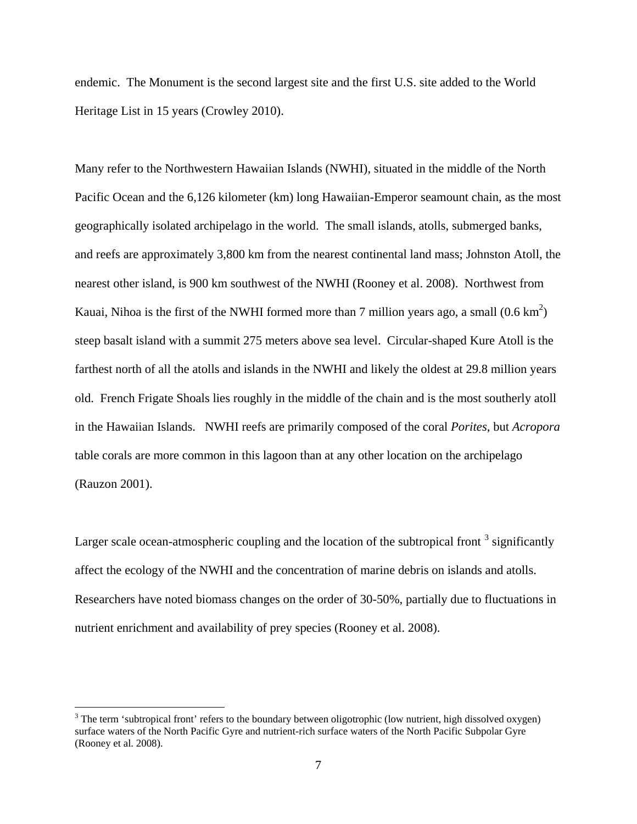endemic. The Monument is the second largest site and the first U.S. site added to the World Heritage List in 15 years (Crowley 2010).

Many refer to the Northwestern Hawaiian Islands (NWHI), situated in the middle of the North Pacific Ocean and the 6,126 kilometer (km) long Hawaiian-Emperor seamount chain, as the most geographically isolated archipelago in the world. The small islands, atolls, submerged banks, and reefs are approximately 3,800 km from the nearest continental land mass; Johnston Atoll, the nearest other island, is 900 km southwest of the NWHI (Rooney et al. 2008). Northwest from Kauai, Nihoa is the first of the NWHI formed more than 7 million years ago, a small  $(0.6 \text{ km}^2)$ steep basalt island with a summit 275 meters above sea level. Circular-shaped Kure Atoll is the farthest north of all the atolls and islands in the NWHI and likely the oldest at 29.8 million years old. French Frigate Shoals lies roughly in the middle of the chain and is the most southerly atoll in the Hawaiian Islands. NWHI reefs are primarily composed of the coral *Porites*, but *Acropora* table corals are more common in this lagoon than at any other location on the archipelago (Rauzon 2001).

Larger scale ocean-atmospheric coupling and the location of the subtropical front  $3$  significantly affect the ecology of the NWHI and the concentration of marine debris on islands and atolls. Researchers have noted biomass changes on the order of 30-50%, partially due to fluctuations in nutrient enrichment and availability of prey species (Rooney et al. 2008).

<span id="page-17-0"></span><sup>&</sup>lt;sup>3</sup> The term 'subtropical front' refers to the boundary between oligotrophic (low nutrient, high dissolved oxygen) surface waters of the North Pacific Gyre and nutrient-rich surface waters of the North Pacific Subpolar Gyre (Rooney et al. 2008).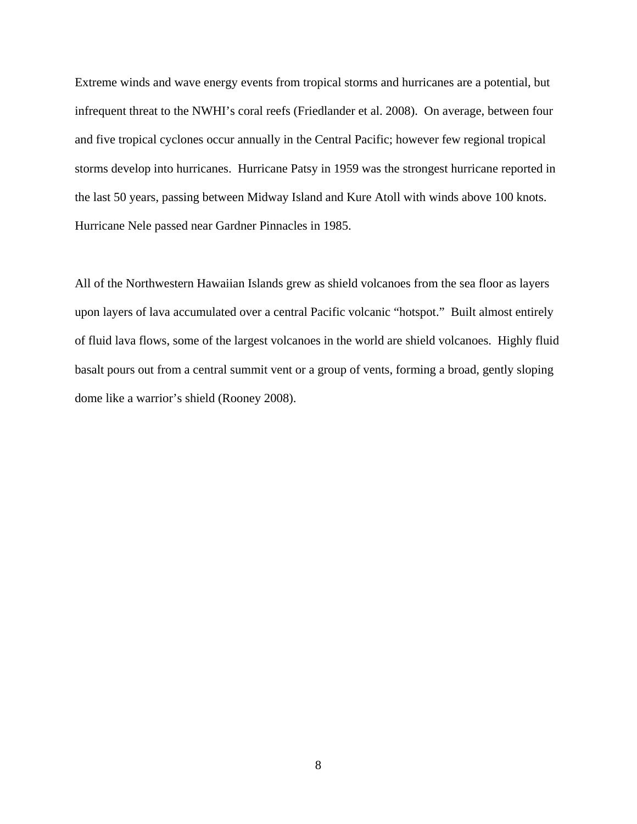Extreme winds and wave energy events from tropical storms and hurricanes are a potential, but infrequent threat to the NWHI's coral reefs (Friedlander et al. 2008). On average, between four and five tropical cyclones occur annually in the Central Pacific; however few regional tropical storms develop into hurricanes. Hurricane Patsy in 1959 was the strongest hurricane reported in the last 50 years, passing between Midway Island and Kure Atoll with winds above 100 knots. Hurricane Nele passed near Gardner Pinnacles in 1985.

All of the Northwestern Hawaiian Islands grew as shield volcanoes from the sea floor as layers upon layers of lava accumulated over a central Pacific volcanic "hotspot." Built almost entirely of fluid lava flows, some of the largest volcanoes in the world are shield volcanoes. Highly fluid basalt pours out from a central summit vent or a group of vents, forming a broad, gently sloping dome like a warrior's shield (Rooney 2008).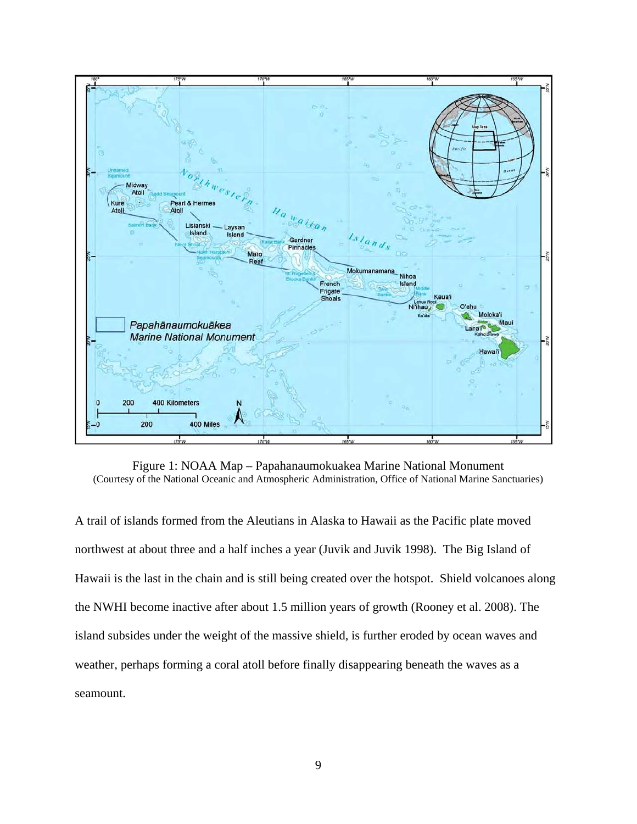

Figure 1: NOAA Map – Papahanaumokuakea Marine National Monument (Courtesy of the National Oceanic and Atmospheric Administration, Office of National Marine Sanctuaries)

A trail of islands formed from the Aleutians in Alaska to Hawaii as the Pacific plate moved northwest at about three and a half inches a year (Juvik and Juvik 1998). The Big Island of Hawaii is the last in the chain and is still being created over the hotspot. Shield volcanoes along the NWHI become inactive after about 1.5 million years of growth (Rooney et al. 2008). The island subsides under the weight of the massive shield, is further eroded by ocean waves and weather, perhaps forming a coral atoll before finally disappearing beneath the waves as a seamount.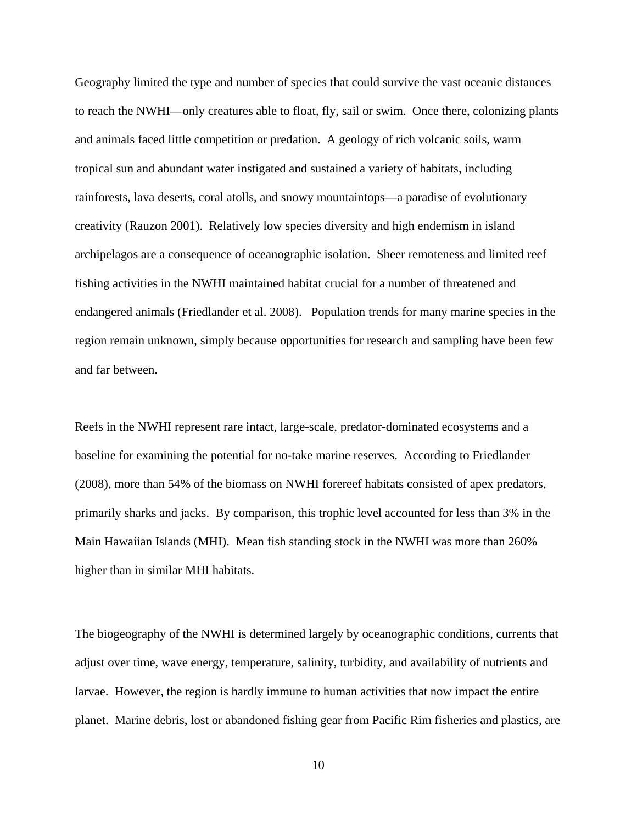Geography limited the type and number of species that could survive the vast oceanic distances to reach the NWHI—only creatures able to float, fly, sail or swim. Once there, colonizing plants and animals faced little competition or predation. A geology of rich volcanic soils, warm tropical sun and abundant water instigated and sustained a variety of habitats, including rainforests, lava deserts, coral atolls, and snowy mountaintops—a paradise of evolutionary creativity (Rauzon 2001). Relatively low species diversity and high endemism in island archipelagos are a consequence of oceanographic isolation. Sheer remoteness and limited reef fishing activities in the NWHI maintained habitat crucial for a number of threatened and endangered animals (Friedlander et al. 2008). Population trends for many marine species in the region remain unknown, simply because opportunities for research and sampling have been few and far between.

Reefs in the NWHI represent rare intact, large-scale, predator-dominated ecosystems and a baseline for examining the potential for no-take marine reserves. According to Friedlander (2008), more than 54% of the biomass on NWHI forereef habitats consisted of apex predators, primarily sharks and jacks. By comparison, this trophic level accounted for less than 3% in the Main Hawaiian Islands (MHI). Mean fish standing stock in the NWHI was more than 260% higher than in similar MHI habitats.

The biogeography of the NWHI is determined largely by oceanographic conditions, currents that adjust over time, wave energy, temperature, salinity, turbidity, and availability of nutrients and larvae. However, the region is hardly immune to human activities that now impact the entire planet. Marine debris, lost or abandoned fishing gear from Pacific Rim fisheries and plastics, are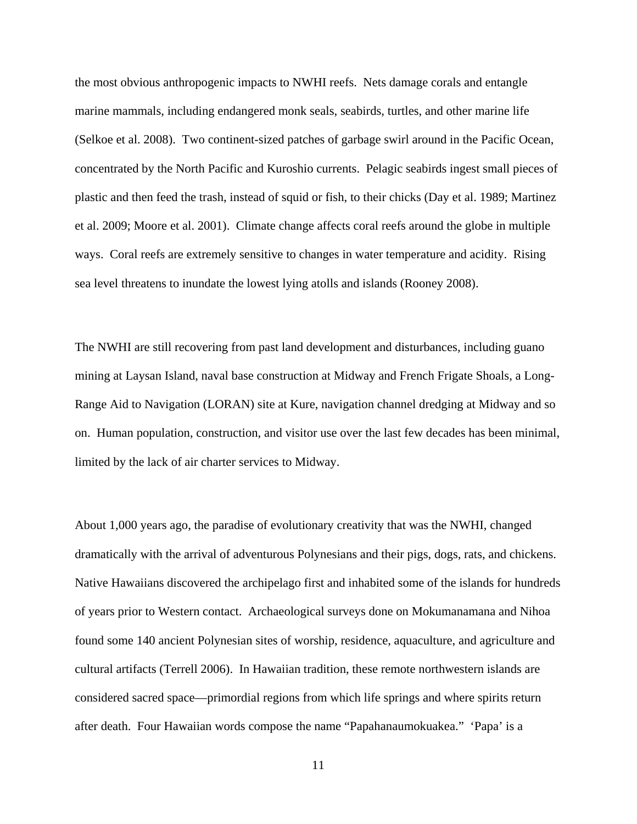the most obvious anthropogenic impacts to NWHI reefs. Nets damage corals and entangle marine mammals, including endangered monk seals, seabirds, turtles, and other marine life (Selkoe et al. 2008). Two continent-sized patches of garbage swirl around in the Pacific Ocean, concentrated by the North Pacific and Kuroshio currents. Pelagic seabirds ingest small pieces of plastic and then feed the trash, instead of squid or fish, to their chicks (Day et al. 1989; Martinez et al. 2009; Moore et al. 2001). Climate change affects coral reefs around the globe in multiple ways. Coral reefs are extremely sensitive to changes in water temperature and acidity. Rising sea level threatens to inundate the lowest lying atolls and islands (Rooney 2008).

The NWHI are still recovering from past land development and disturbances, including guano mining at Laysan Island, naval base construction at Midway and French Frigate Shoals, a Long-Range Aid to Navigation (LORAN) site at Kure, navigation channel dredging at Midway and so on. Human population, construction, and visitor use over the last few decades has been minimal, limited by the lack of air charter services to Midway.

About 1,000 years ago, the paradise of evolutionary creativity that was the NWHI, changed dramatically with the arrival of adventurous Polynesians and their pigs, dogs, rats, and chickens. Native Hawaiians discovered the archipelago first and inhabited some of the islands for hundreds of years prior to Western contact. Archaeological surveys done on Mokumanamana and Nihoa found some 140 ancient Polynesian sites of worship, residence, aquaculture, and agriculture and cultural artifacts (Terrell 2006). In Hawaiian tradition, these remote northwestern islands are considered sacred space—primordial regions from which life springs and where spirits return after death. Four Hawaiian words compose the name "Papahanaumokuakea." 'Papa' is a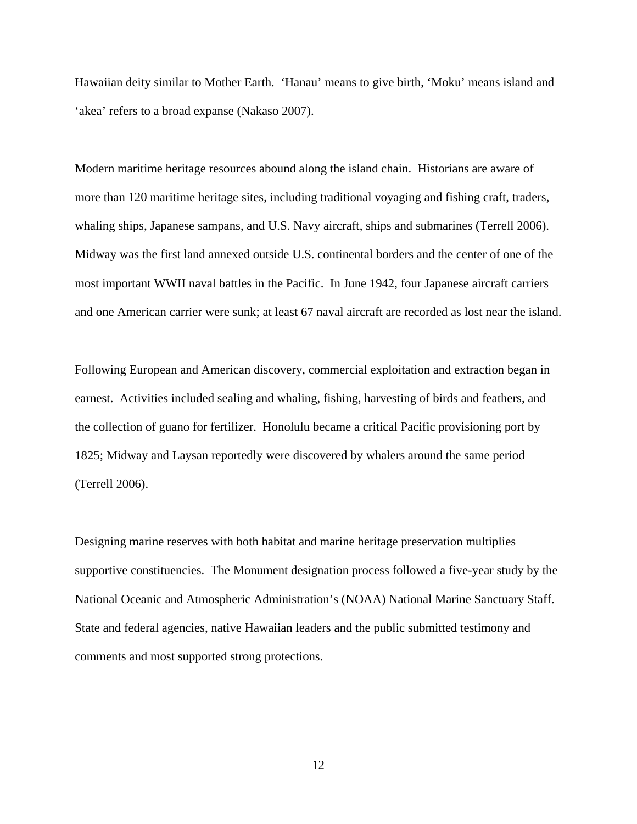Hawaiian deity similar to Mother Earth. 'Hanau' means to give birth, 'Moku' means island and 'akea' refers to a broad expanse (Nakaso 2007).

Modern maritime heritage resources abound along the island chain. Historians are aware of more than 120 maritime heritage sites, including traditional voyaging and fishing craft, traders, whaling ships, Japanese sampans, and U.S. Navy aircraft, ships and submarines (Terrell 2006). Midway was the first land annexed outside U.S. continental borders and the center of one of the most important WWII naval battles in the Pacific. In June 1942, four Japanese aircraft carriers and one American carrier were sunk; at least 67 naval aircraft are recorded as lost near the island.

Following European and American discovery, commercial exploitation and extraction began in earnest. Activities included sealing and whaling, fishing, harvesting of birds and feathers, and the collection of guano for fertilizer. Honolulu became a critical Pacific provisioning port by 1825; Midway and Laysan reportedly were discovered by whalers around the same period (Terrell 2006).

Designing marine reserves with both habitat and marine heritage preservation multiplies supportive constituencies. The Monument designation process followed a five-year study by the National Oceanic and Atmospheric Administration's (NOAA) National Marine Sanctuary Staff. State and federal agencies, native Hawaiian leaders and the public submitted testimony and comments and most supported strong protections.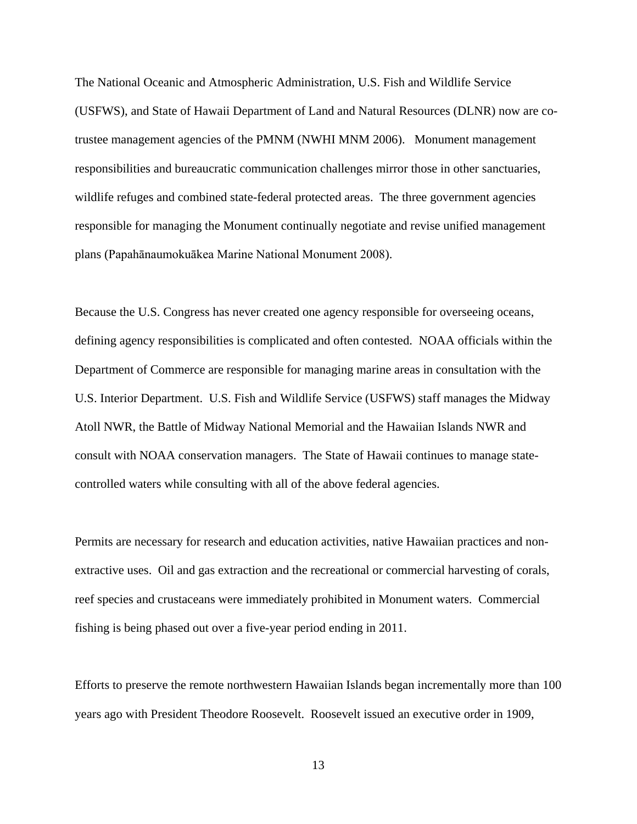The National Oceanic and Atmospheric Administration, U.S. Fish and Wildlife Service (USFWS), and State of Hawaii Department of Land and Natural Resources (DLNR) now are cotrustee management agencies of the PMNM (NWHI MNM 2006). Monument management responsibilities and bureaucratic communication challenges mirror those in other sanctuaries, wildlife refuges and combined state-federal protected areas. The three government agencies responsible for managing the Monument continually negotiate and revise unified management plans (Papahānaumokuākea Marine National Monument 2008).

Because the U.S. Congress has never created one agency responsible for overseeing oceans, defining agency responsibilities is complicated and often contested. NOAA officials within the Department of Commerce are responsible for managing marine areas in consultation with the U.S. Interior Department. U.S. Fish and Wildlife Service (USFWS) staff manages the Midway Atoll NWR, the Battle of Midway National Memorial and the Hawaiian Islands NWR and consult with NOAA conservation managers. The State of Hawaii continues to manage statecontrolled waters while consulting with all of the above federal agencies.

Permits are necessary for research and education activities, native Hawaiian practices and nonextractive uses. Oil and gas extraction and the recreational or commercial harvesting of corals, reef species and crustaceans were immediately prohibited in Monument waters. Commercial fishing is being phased out over a five-year period ending in 2011.

Efforts to preserve the remote northwestern Hawaiian Islands began incrementally more than 100 years ago with President Theodore Roosevelt. Roosevelt issued an executive order in 1909,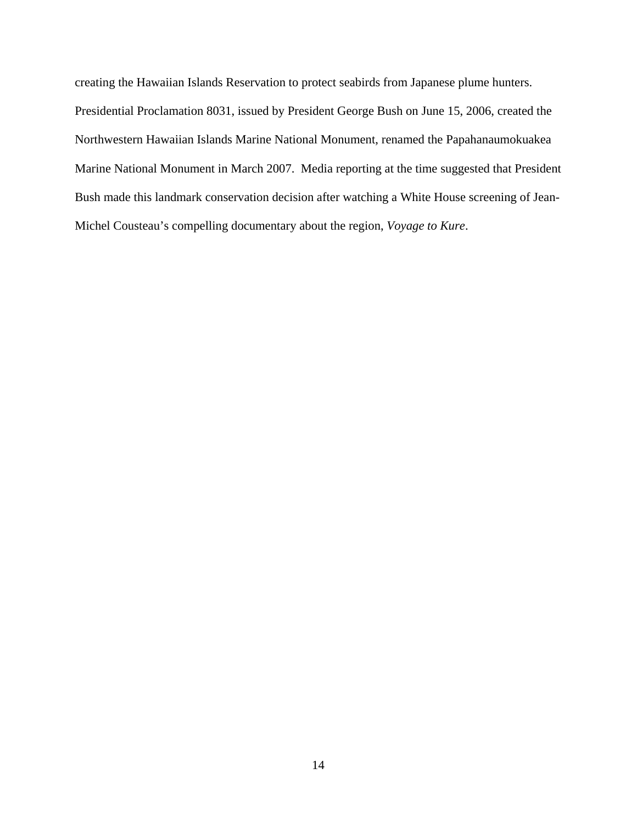creating the Hawaiian Islands Reservation to protect seabirds from Japanese plume hunters. Presidential Proclamation 8031, issued by President George Bush on June 15, 2006, created the Northwestern Hawaiian Islands Marine National Monument, renamed the Papahanaumokuakea Marine National Monument in March 2007. Media reporting at the time suggested that President Bush made this landmark conservation decision after watching a White House screening of Jean-Michel Cousteau's compelling documentary about the region, *Voyage to Kure*.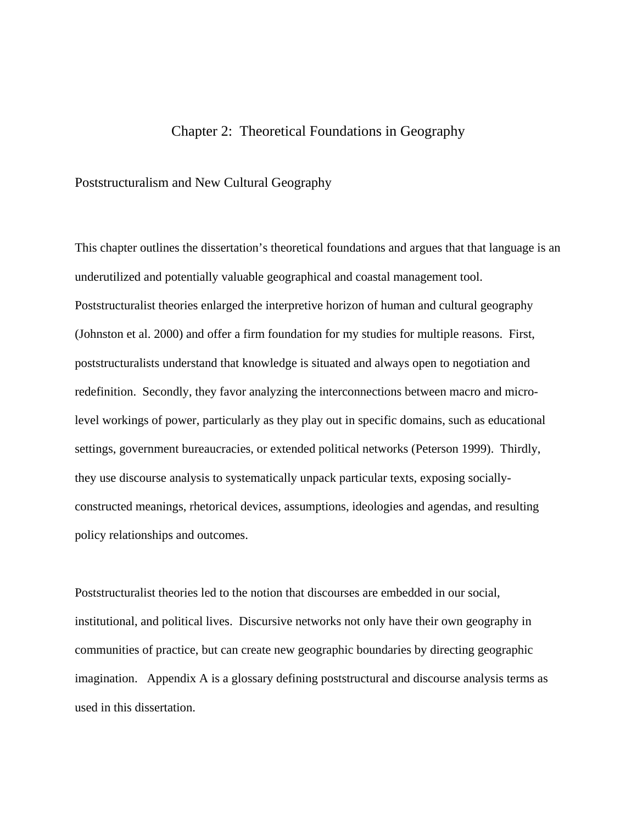### Chapter 2: Theoretical Foundations in Geography

#### <span id="page-25-1"></span><span id="page-25-0"></span>Poststructuralism and New Cultural Geography

This chapter outlines the dissertation's theoretical foundations and argues that that language is an underutilized and potentially valuable geographical and coastal management tool. Poststructuralist theories enlarged the interpretive horizon of human and cultural geography (Johnston et al. 2000) and offer a firm foundation for my studies for multiple reasons. First, poststructuralists understand that knowledge is situated and always open to negotiation and redefinition. Secondly, they favor analyzing the interconnections between macro and microlevel workings of power, particularly as they play out in specific domains, such as educational settings, government bureaucracies, or extended political networks (Peterson 1999). Thirdly, they use discourse analysis to systematically unpack particular texts, exposing sociallyconstructed meanings, rhetorical devices, assumptions, ideologies and agendas, and resulting policy relationships and outcomes.

Poststructuralist theories led to the notion that discourses are embedded in our social, institutional, and political lives. Discursive networks not only have their own geography in communities of practice, but can create new geographic boundaries by directing geographic imagination. Appendix A is a glossary defining poststructural and discourse analysis terms as used in this dissertation.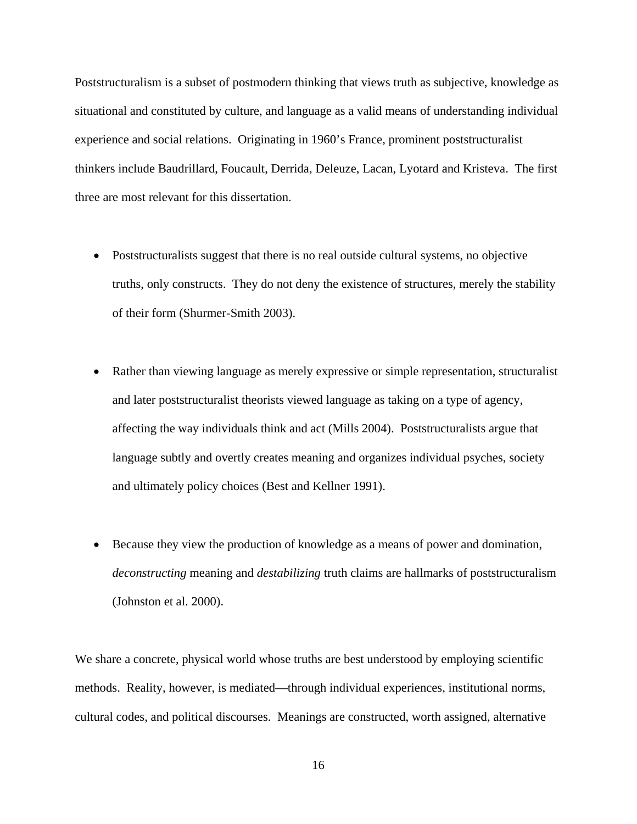Poststructuralism is a subset of postmodern thinking that views truth as subjective, knowledge as situational and constituted by culture, and language as a valid means of understanding individual experience and social relations. Originating in 1960's France, prominent poststructuralist thinkers include Baudrillard, Foucault, Derrida, Deleuze, Lacan, Lyotard and Kristeva. The first three are most relevant for this dissertation.

- Poststructuralists suggest that there is no real outside cultural systems, no objective truths, only constructs. They do not deny the existence of structures, merely the stability of their form (Shurmer-Smith 2003).
- Rather than viewing language as merely expressive or simple representation, structuralist and later poststructuralist theorists viewed language as taking on a type of agency, affecting the way individuals think and act (Mills 2004). Poststructuralists argue that language subtly and overtly creates meaning and organizes individual psyches, society and ultimately policy choices (Best and Kellner 1991).
- Because they view the production of knowledge as a means of power and domination, *deconstructing* meaning and *destabilizing* truth claims are hallmarks of poststructuralism (Johnston et al. 2000).

We share a concrete, physical world whose truths are best understood by employing scientific methods. Reality, however, is mediated—through individual experiences, institutional norms, cultural codes, and political discourses. Meanings are constructed, worth assigned, alternative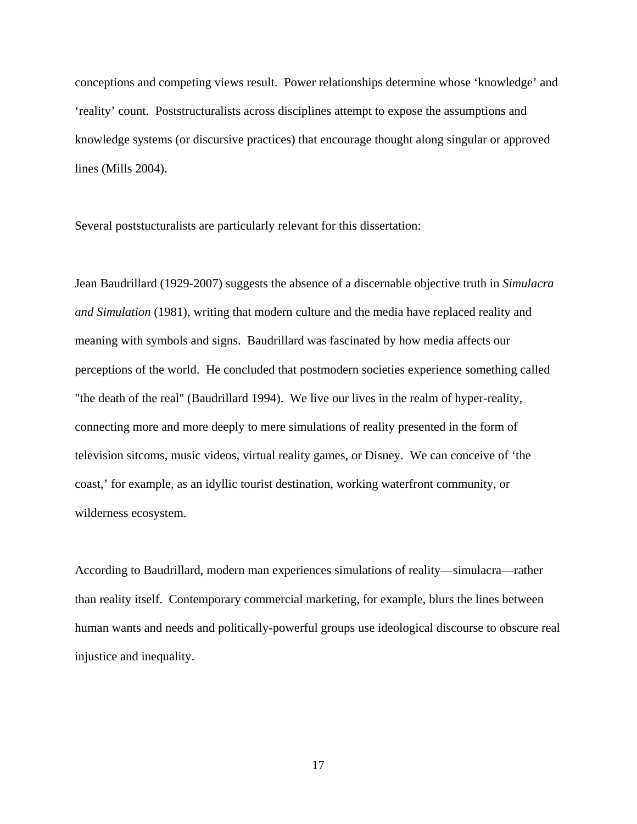conceptions and competing views result. Power relationships determine whose 'knowledge' and 'reality' count. Poststructuralists across disciplines attempt to expose the assumptions and knowledge systems (or discursive practices) that encourage thought along singular or approved lines (Mills 2004).

Several poststucturalists are particularly relevant for this dissertation:

Jean Baudrillard (1929-2007) suggests the absence of a discernable objective truth in *Simulacra and Simulation* (1981), writing that modern culture and the media have replaced reality and meaning with symbols and signs. Baudrillard was fascinated by how media affects our perceptions of the world. He concluded that postmodern societies experience something called "the death of the real" (Baudrillard 1994). We live our lives in the realm of hyper-reality, connecting more and more deeply to mere simulations of reality presented in the form of television sitcoms, music videos, virtual reality games, or Disney. We can conceive of 'the coast,' for example, as an idyllic tourist destination, working waterfront community, or wilderness ecosystem.

According to Baudrillard, modern man experiences simulations of reality—simulacra—rather than reality itself. Contemporary commercial marketing, for example, blurs the lines between human wants and needs and politically-powerful groups use ideological discourse to obscure real injustice and inequality.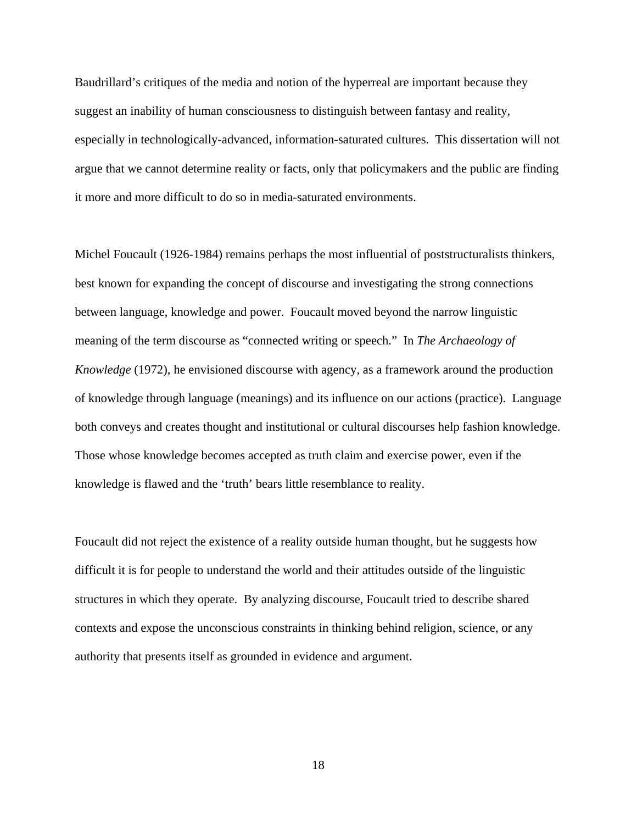Baudrillard's critiques of the media and notion of the hyperreal are important because they suggest an inability of human consciousness to distinguish between fantasy and reality, especially in technologically-advanced, information-saturated cultures. This dissertation will not argue that we cannot determine reality or facts, only that policymakers and the public are finding it more and more difficult to do so in media-saturated environments.

Michel Foucault (1926-1984) remains perhaps the most influential of poststructuralists thinkers, best known for expanding the concept of discourse and investigating the strong connections between language, knowledge and power. Foucault moved beyond the narrow linguistic meaning of the term discourse as "connected writing or speech." In *The Archaeology of Knowledge* (1972), he envisioned discourse with agency, as a framework around the production of knowledge through language (meanings) and its influence on our actions (practice). Language both conveys and creates thought and institutional or cultural discourses help fashion knowledge. Those whose knowledge becomes accepted as truth claim and exercise power, even if the knowledge is flawed and the 'truth' bears little resemblance to reality.

Foucault did not reject the existence of a reality outside human thought, but he suggests how difficult it is for people to understand the world and their attitudes outside of the linguistic structures in which they operate. By analyzing discourse, Foucault tried to describe shared contexts and expose the unconscious constraints in thinking behind religion, science, or any authority that presents itself as grounded in evidence and argument.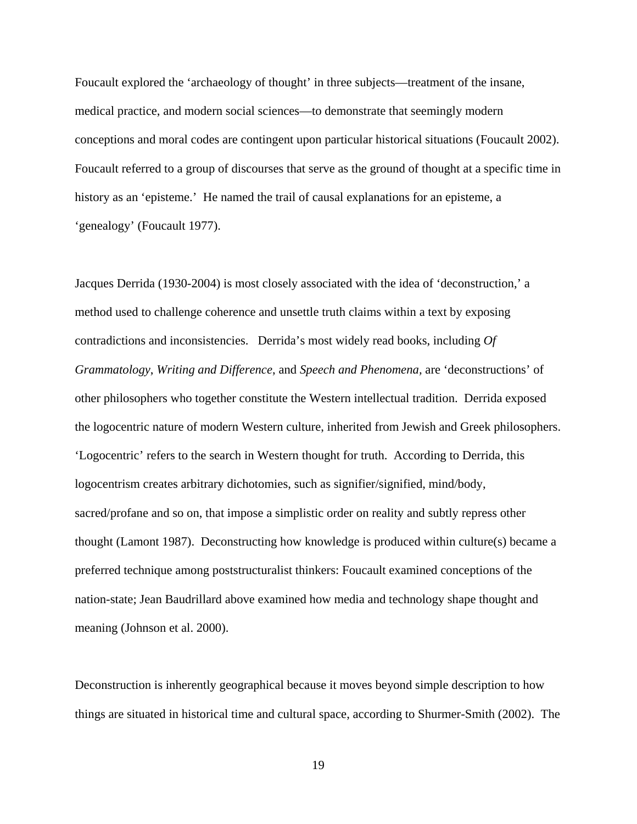Foucault explored the 'archaeology of thought' in three subjects—treatment of the insane, medical practice, and modern social sciences—to demonstrate that seemingly modern conceptions and moral codes are contingent upon particular historical situations (Foucault 2002). Foucault referred to a group of discourses that serve as the ground of thought at a specific time in history as an 'episteme.' He named the trail of causal explanations for an episteme, a 'genealogy' (Foucault 1977).

Jacques Derrida (1930-2004) is most closely associated with the idea of 'deconstruction,' a method used to challenge coherence and unsettle truth claims within a text by exposing contradictions and inconsistencies. Derrida's most widely read books, including *Of Grammatology*, *Writing and Difference*, and *Speech and Phenomena,* are 'deconstructions' of other philosophers who together constitute the Western intellectual tradition. Derrida exposed the logocentric nature of modern Western culture, inherited from Jewish and Greek philosophers. 'Logocentric' refers to the search in Western thought for truth. According to Derrida, this logocentrism creates arbitrary dichotomies, such as signifier/signified, mind/body, sacred/profane and so on, that impose a simplistic order on reality and subtly repress other thought (Lamont 1987). Deconstructing how knowledge is produced within culture(s) became a preferred technique among poststructuralist thinkers: Foucault examined conceptions of the nation-state; Jean Baudrillard above examined how media and technology shape thought and meaning (Johnson et al. 2000).

Deconstruction is inherently geographical because it moves beyond simple description to how things are situated in historical time and cultural space, according to Shurmer-Smith (2002). The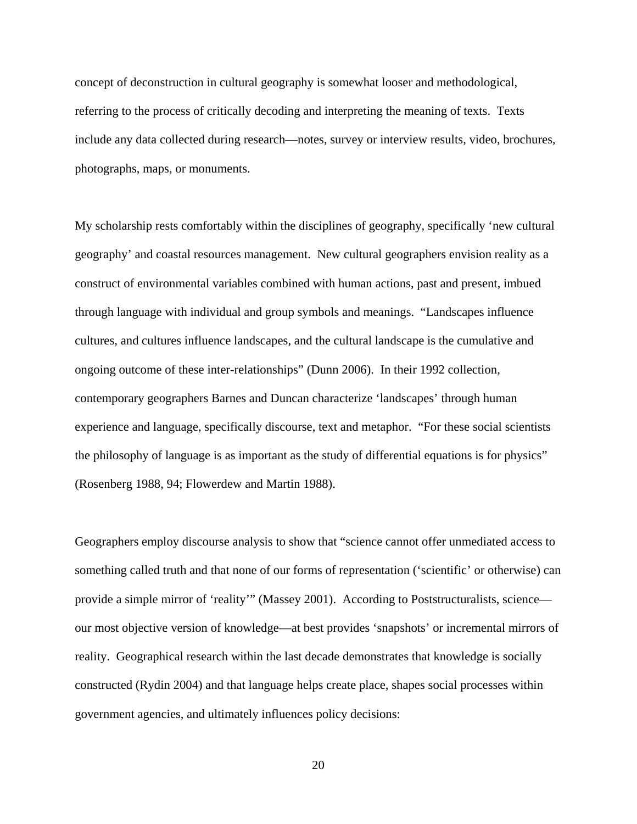concept of deconstruction in cultural geography is somewhat looser and methodological, referring to the process of critically decoding and interpreting the meaning of texts. Texts include any data collected during research—notes, survey or interview results, video, brochures, photographs, maps, or monuments.

My scholarship rests comfortably within the disciplines of geography, specifically 'new cultural geography' and coastal resources management. New cultural geographers envision reality as a construct of environmental variables combined with human actions, past and present, imbued through language with individual and group symbols and meanings. "Landscapes influence cultures, and cultures influence landscapes, and the cultural landscape is the cumulative and ongoing outcome of these inter-relationships" (Dunn 2006). In their 1992 collection, contemporary geographers Barnes and Duncan characterize 'landscapes' through human experience and language, specifically discourse, text and metaphor. "For these social scientists the philosophy of language is as important as the study of differential equations is for physics" (Rosenberg 1988, 94; Flowerdew and Martin 1988).

Geographers employ discourse analysis to show that "science cannot offer unmediated access to something called truth and that none of our forms of representation ('scientific' or otherwise) can provide a simple mirror of 'reality'" (Massey 2001). According to Poststructuralists, science our most objective version of knowledge—at best provides 'snapshots' or incremental mirrors of reality. Geographical research within the last decade demonstrates that knowledge is socially constructed (Rydin 2004) and that language helps create place, shapes social processes within government agencies, and ultimately influences policy decisions: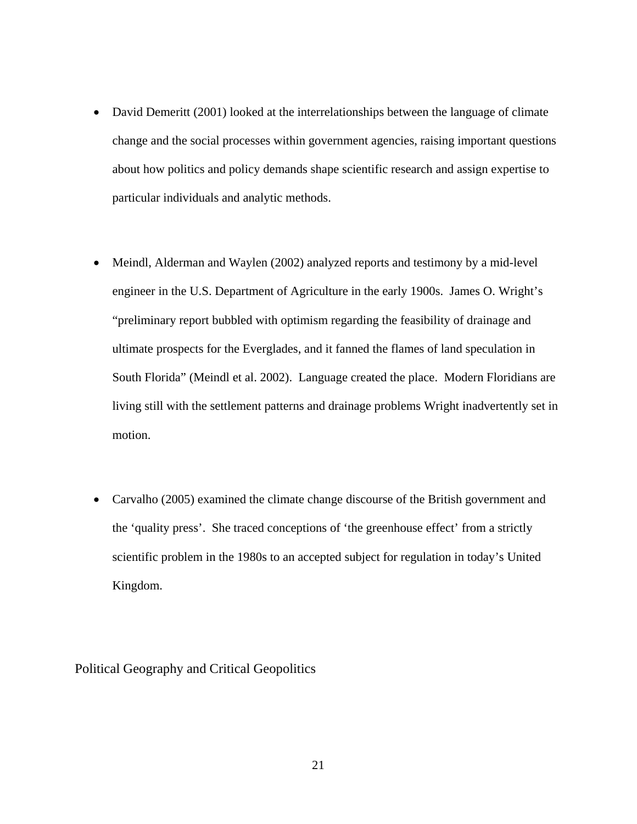- David Demeritt (2001) looked at the interrelationships between the language of climate change and the social processes within government agencies, raising important questions about how politics and policy demands shape scientific research and assign expertise to particular individuals and analytic methods.
- Meindl, Alderman and Waylen (2002) analyzed reports and testimony by a mid-level engineer in the U.S. Department of Agriculture in the early 1900s. James O. Wright's "preliminary report bubbled with optimism regarding the feasibility of drainage and ultimate prospects for the Everglades, and it fanned the flames of land speculation in South Florida" (Meindl et al. 2002). Language created the place. Modern Floridians are living still with the settlement patterns and drainage problems Wright inadvertently set in motion.
- Carvalho (2005) examined the climate change discourse of the British government and the 'quality press'. She traced conceptions of 'the greenhouse effect' from a strictly scientific problem in the 1980s to an accepted subject for regulation in today's United Kingdom.

<span id="page-31-0"></span>Political Geography and Critical Geopolitics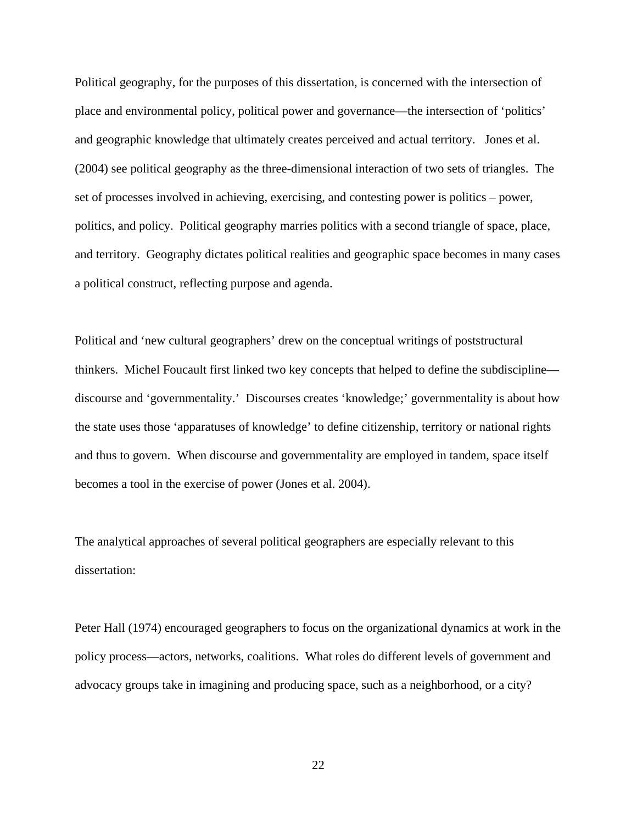Political geography, for the purposes of this dissertation, is concerned with the intersection of place and environmental policy, political power and governance—the intersection of 'politics' and geographic knowledge that ultimately creates perceived and actual territory. Jones et al. (2004) see political geography as the three-dimensional interaction of two sets of triangles. The set of processes involved in achieving, exercising, and contesting power is politics – power, politics, and policy. Political geography marries politics with a second triangle of space, place, and territory. Geography dictates political realities and geographic space becomes in many cases a political construct, reflecting purpose and agenda.

Political and 'new cultural geographers' drew on the conceptual writings of poststructural thinkers. Michel Foucault first linked two key concepts that helped to define the subdiscipline discourse and 'governmentality.' Discourses creates 'knowledge;' governmentality is about how the state uses those 'apparatuses of knowledge' to define citizenship, territory or national rights and thus to govern. When discourse and governmentality are employed in tandem, space itself becomes a tool in the exercise of power (Jones et al. 2004).

The analytical approaches of several political geographers are especially relevant to this dissertation:

Peter Hall (1974) encouraged geographers to focus on the organizational dynamics at work in the policy process—actors, networks, coalitions. What roles do different levels of government and advocacy groups take in imagining and producing space, such as a neighborhood, or a city?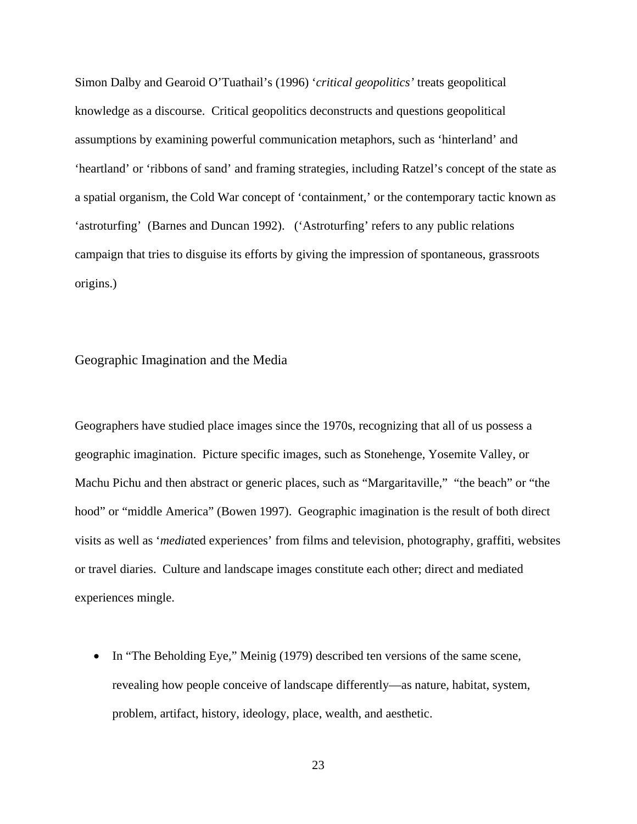Simon Dalby and Gearoid O'Tuathail's (1996) '*critical geopolitics'* treats geopolitical knowledge as a discourse. Critical geopolitics deconstructs and questions geopolitical assumptions by examining powerful communication metaphors, such as 'hinterland' and 'heartland' or 'ribbons of sand' and framing strategies, including Ratzel's concept of the state as a spatial organism, the Cold War concept of 'containment,' or the contemporary tactic known as 'astroturfing' (Barnes and Duncan 1992). ('Astroturfing' refers to any public relations campaign that tries to disguise its efforts by giving the impression of spontaneous, grassroots origins.)

### <span id="page-33-0"></span>Geographic Imagination and the Media

Geographers have studied place images since the 1970s, recognizing that all of us possess a geographic imagination. Picture specific images, such as Stonehenge, Yosemite Valley, or Machu Pichu and then abstract or generic places, such as "Margaritaville," "the beach" or "the hood" or "middle America" (Bowen 1997). Geographic imagination is the result of both direct visits as well as '*media*ted experiences' from films and television, photography, graffiti, websites or travel diaries. Culture and landscape images constitute each other; direct and mediated experiences mingle.

• In "The Beholding Eye," Meinig (1979) described ten versions of the same scene, revealing how people conceive of landscape differently—as nature, habitat, system, problem, artifact, history, ideology, place, wealth, and aesthetic.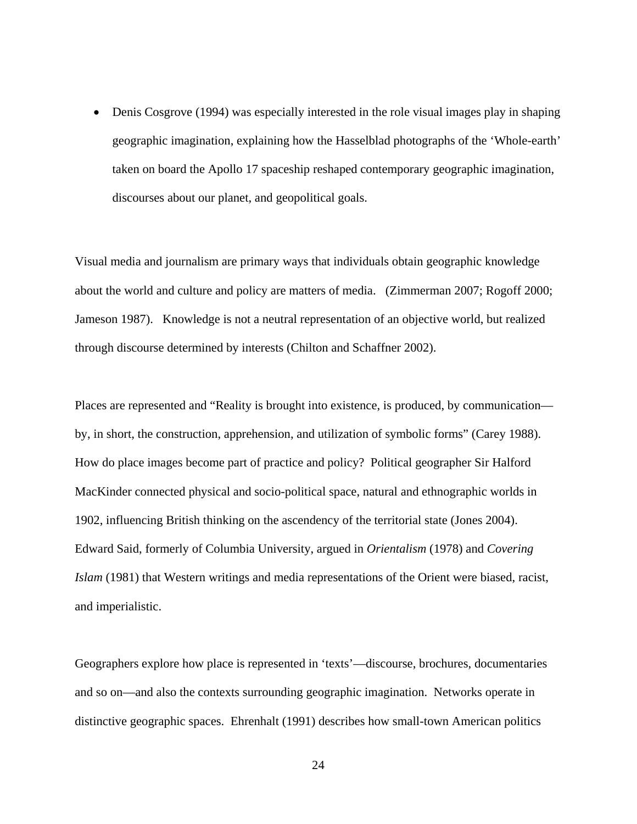• Denis Cosgrove (1994) was especially interested in the role visual images play in shaping geographic imagination, explaining how the Hasselblad photographs of the 'Whole-earth' taken on board the Apollo 17 spaceship reshaped contemporary geographic imagination, discourses about our planet, and geopolitical goals.

Visual media and journalism are primary ways that individuals obtain geographic knowledge about the world and culture and policy are matters of media. (Zimmerman 2007; Rogoff 2000; Jameson 1987). Knowledge is not a neutral representation of an objective world, but realized through discourse determined by interests (Chilton and Schaffner 2002).

Places are represented and "Reality is brought into existence, is produced, by communication by, in short, the construction, apprehension, and utilization of symbolic forms" (Carey 1988). How do place images become part of practice and policy? Political geographer Sir Halford MacKinder connected physical and socio-political space, natural and ethnographic worlds in 1902, influencing British thinking on the ascendency of the territorial state (Jones 2004). Edward Said, formerly of Columbia University, argued in *Orientalism* (1978) and *Covering Islam* (1981) that Western writings and media representations of the Orient were biased, racist, and imperialistic.

Geographers explore how place is represented in 'texts'—discourse, brochures, documentaries and so on—and also the contexts surrounding geographic imagination. Networks operate in distinctive geographic spaces. Ehrenhalt (1991) describes how small-town American politics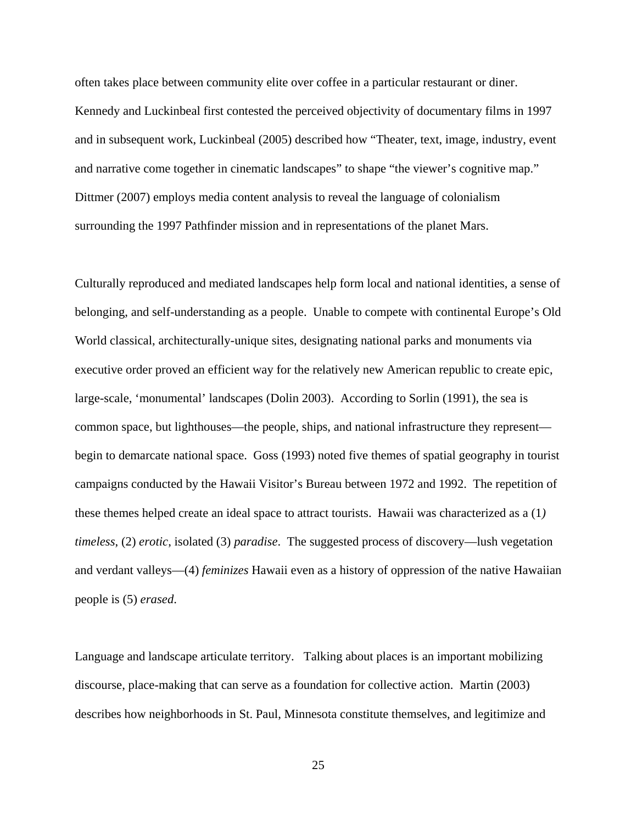often takes place between community elite over coffee in a particular restaurant or diner. Kennedy and Luckinbeal first contested the perceived objectivity of documentary films in 1997 and in subsequent work, Luckinbeal (2005) described how "Theater, text, image, industry, event and narrative come together in cinematic landscapes" to shape "the viewer's cognitive map." Dittmer (2007) employs media content analysis to reveal the language of colonialism surrounding the 1997 Pathfinder mission and in representations of the planet Mars.

Culturally reproduced and mediated landscapes help form local and national identities, a sense of belonging, and self-understanding as a people. Unable to compete with continental Europe's Old World classical, architecturally-unique sites, designating national parks and monuments via executive order proved an efficient way for the relatively new American republic to create epic, large-scale, 'monumental' landscapes (Dolin 2003). According to Sorlin (1991), the sea is common space, but lighthouses—the people, ships, and national infrastructure they represent begin to demarcate national space. Goss (1993) noted five themes of spatial geography in tourist campaigns conducted by the Hawaii Visitor's Bureau between 1972 and 1992. The repetition of these themes helped create an ideal space to attract tourists. Hawaii was characterized as a (1*) timeless*, (2) *erotic*, isolated (3) *paradise*. The suggested process of discovery—lush vegetation and verdant valleys—(4) *feminizes* Hawaii even as a history of oppression of the native Hawaiian people is (5) *erased*.

Language and landscape articulate territory. Talking about places is an important mobilizing discourse, place-making that can serve as a foundation for collective action. Martin (2003) describes how neighborhoods in St. Paul, Minnesota constitute themselves, and legitimize and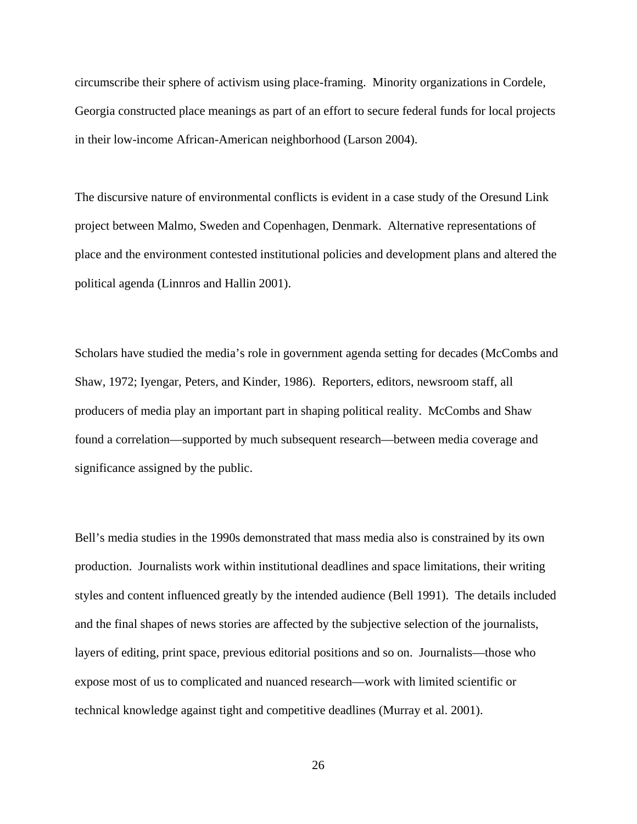circumscribe their sphere of activism using place-framing. Minority organizations in Cordele, Georgia constructed place meanings as part of an effort to secure federal funds for local projects in their low-income African-American neighborhood (Larson 2004).

The discursive nature of environmental conflicts is evident in a case study of the Oresund Link project between Malmo, Sweden and Copenhagen, Denmark. Alternative representations of place and the environment contested institutional policies and development plans and altered the political agenda (Linnros and Hallin 2001).

Scholars have studied the media's role in government agenda setting for decades (McCombs and Shaw, 1972; Iyengar, Peters, and Kinder, 1986). Reporters, editors, newsroom staff, all producers of media play an important part in shaping political reality. McCombs and Shaw found a correlation—supported by much subsequent research—between media coverage and significance assigned by the public.

Bell's media studies in the 1990s demonstrated that mass media also is constrained by its own production. Journalists work within institutional deadlines and space limitations, their writing styles and content influenced greatly by the intended audience (Bell 1991). The details included and the final shapes of news stories are affected by the subjective selection of the journalists, layers of editing, print space, previous editorial positions and so on. Journalists—those who expose most of us to complicated and nuanced research—work with limited scientific or technical knowledge against tight and competitive deadlines (Murray et al. 2001).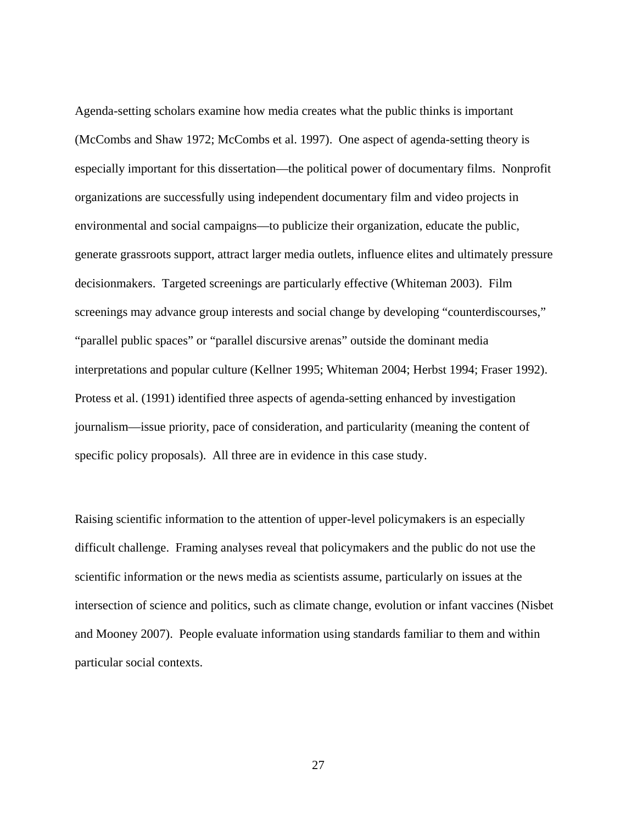Agenda-setting scholars examine how media creates what the public thinks is important (McCombs and Shaw 1972; McCombs et al. 1997). One aspect of agenda-setting theory is especially important for this dissertation—the political power of documentary films. Nonprofit organizations are successfully using independent documentary film and video projects in environmental and social campaigns—to publicize their organization, educate the public, generate grassroots support, attract larger media outlets, influence elites and ultimately pressure decisionmakers. Targeted screenings are particularly effective (Whiteman 2003). Film screenings may advance group interests and social change by developing "counterdiscourses," "parallel public spaces" or "parallel discursive arenas" outside the dominant media interpretations and popular culture (Kellner 1995; Whiteman 2004; Herbst 1994; Fraser 1992). Protess et al. (1991) identified three aspects of agenda-setting enhanced by investigation journalism—issue priority, pace of consideration, and particularity (meaning the content of specific policy proposals). All three are in evidence in this case study.

Raising scientific information to the attention of upper-level policymakers is an especially difficult challenge. Framing analyses reveal that policymakers and the public do not use the scientific information or the news media as scientists assume, particularly on issues at the intersection of science and politics, such as climate change, evolution or infant vaccines (Nisbet and Mooney 2007). People evaluate information using standards familiar to them and within particular social contexts.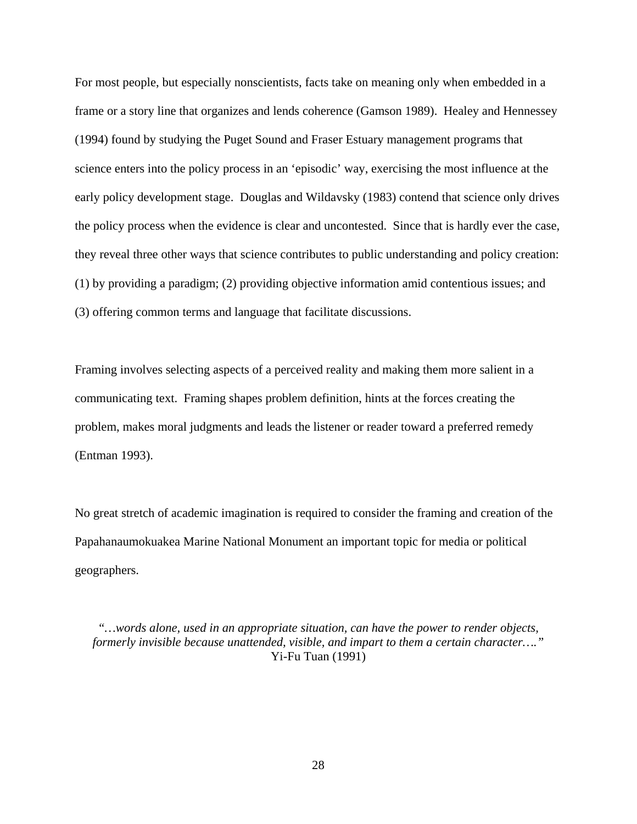For most people, but especially nonscientists, facts take on meaning only when embedded in a frame or a story line that organizes and lends coherence (Gamson 1989). Healey and Hennessey (1994) found by studying the Puget Sound and Fraser Estuary management programs that science enters into the policy process in an 'episodic' way, exercising the most influence at the early policy development stage. Douglas and Wildavsky (1983) contend that science only drives the policy process when the evidence is clear and uncontested. Since that is hardly ever the case, they reveal three other ways that science contributes to public understanding and policy creation: (1) by providing a paradigm; (2) providing objective information amid contentious issues; and (3) offering common terms and language that facilitate discussions.

Framing involves selecting aspects of a perceived reality and making them more salient in a communicating text. Framing shapes problem definition, hints at the forces creating the problem, makes moral judgments and leads the listener or reader toward a preferred remedy (Entman 1993).

No great stretch of academic imagination is required to consider the framing and creation of the Papahanaumokuakea Marine National Monument an important topic for media or political geographers.

*"…words alone, used in an appropriate situation, can have the power to render objects, formerly invisible because unattended, visible, and impart to them a certain character…."* Yi-Fu Tuan (1991)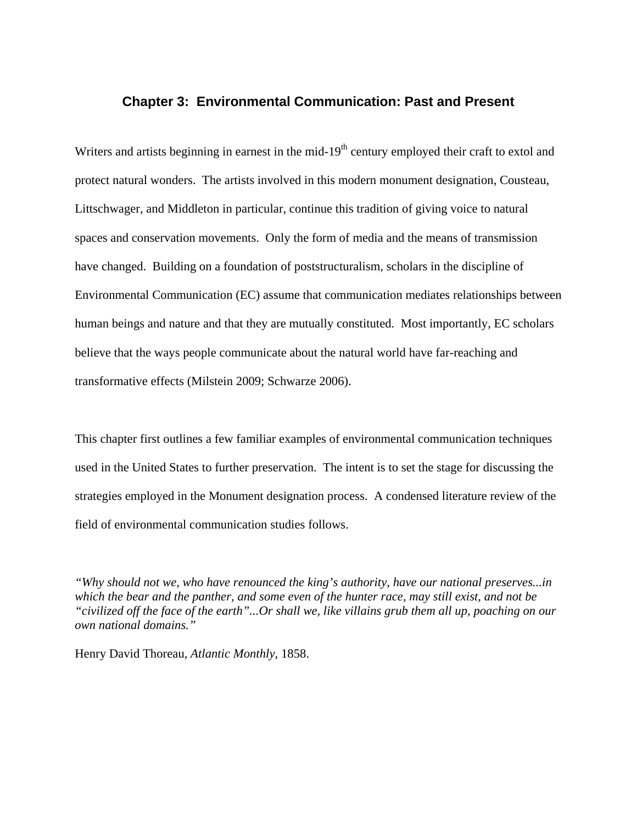# **Chapter 3: Environmental Communication: Past and Present**

Writers and artists beginning in earnest in the mid- $19<sup>th</sup>$  century employed their craft to extol and protect natural wonders. The artists involved in this modern monument designation, Cousteau, Littschwager, and Middleton in particular, continue this tradition of giving voice to natural spaces and conservation movements. Only the form of media and the means of transmission have changed. Building on a foundation of poststructuralism, scholars in the discipline of Environmental Communication (EC) assume that communication mediates relationships between human beings and nature and that they are mutually constituted. Most importantly, EC scholars believe that the ways people communicate about the natural world have far-reaching and transformative effects (Milstein 2009; Schwarze 2006).

This chapter first outlines a few familiar examples of environmental communication techniques used in the United States to further preservation. The intent is to set the stage for discussing the strategies employed in the Monument designation process. A condensed literature review of the field of environmental communication studies follows.

*"Why should not we, who have renounced the king's authority, have our national preserves...in which the bear and the panther, and some even of the hunter race, may still exist, and not be "civilized off the face of the earth"...Or shall we, like villains grub them all up, poaching on our own national domains."* 

Henry David Thoreau, *Atlantic Monthly*, 1858.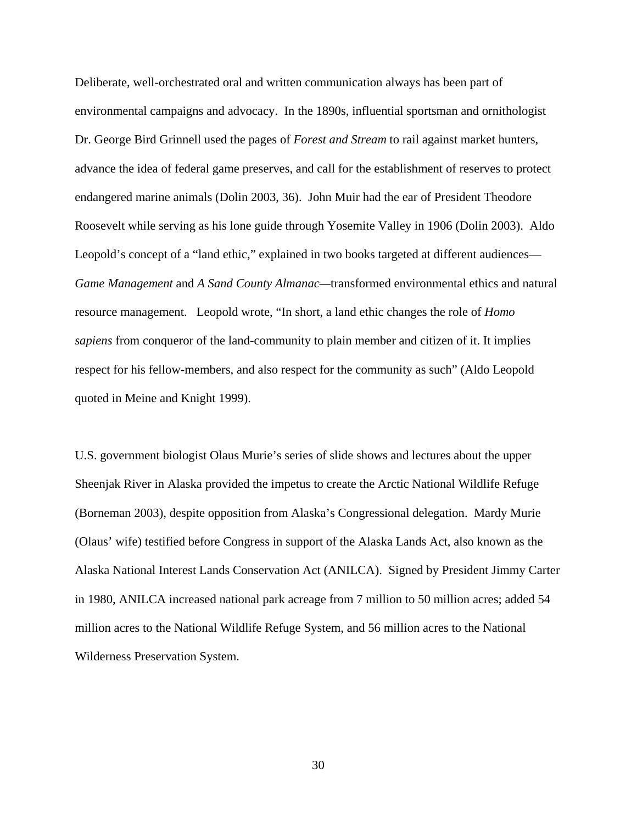Deliberate, well-orchestrated oral and written communication always has been part of environmental campaigns and advocacy. In the 1890s, influential sportsman and ornithologist Dr. George Bird Grinnell used the pages of *Forest and Stream* to rail against market hunters, advance the idea of federal game preserves, and call for the establishment of reserves to protect endangered marine animals (Dolin 2003, 36). John Muir had the ear of President Theodore Roosevelt while serving as his lone guide through Yosemite Valley in 1906 (Dolin 2003). Aldo Leopold's concept of a "land ethic," explained in two books targeted at different audiences— *Game Management* and *A Sand County Almanac—*transformed environmental ethics and natural resource management. Leopold wrote, "In short, a land ethic changes the role of *Homo sapiens* from conqueror of the land-community to plain member and citizen of it. It implies respect for his fellow-members, and also respect for the community as such" (Aldo Leopold quoted in Meine and Knight 1999).

U.S. government biologist Olaus Murie's series of slide shows and lectures about the upper Sheenjak River in Alaska provided the impetus to create the Arctic National Wildlife Refuge (Borneman 2003), despite opposition from Alaska's Congressional delegation. Mardy Murie (Olaus' wife) testified before Congress in support of the Alaska Lands Act, also known as the Alaska National Interest Lands Conservation Act (ANILCA). Signed by President Jimmy Carter in 1980, ANILCA increased national park acreage from 7 million to 50 million acres; added 54 million acres to the National Wildlife Refuge System, and 56 million acres to the National Wilderness Preservation System.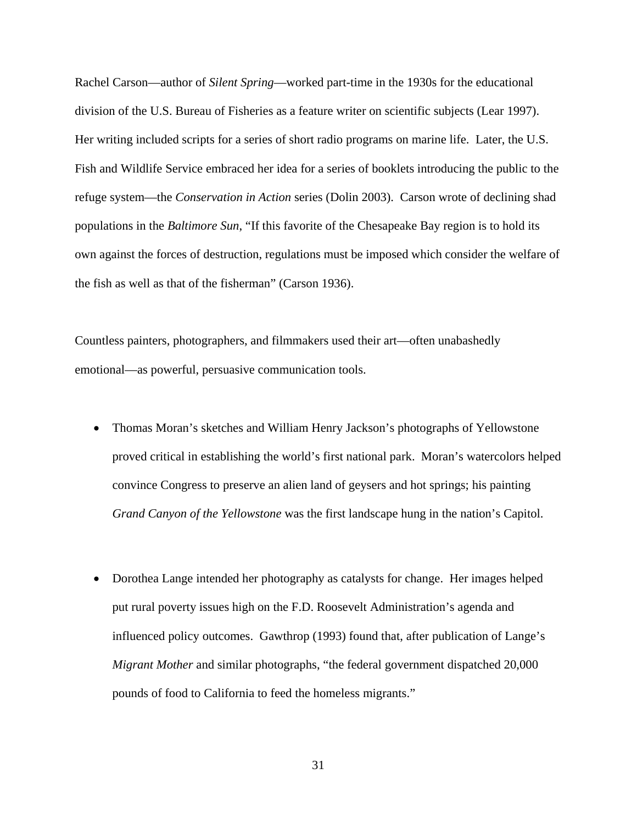Rachel Carson—author of *Silent Spring*—worked part-time in the 1930s for the educational division of the U.S. Bureau of Fisheries as a feature writer on scientific subjects (Lear 1997). Her writing included scripts for a series of short radio programs on marine life. Later, the U.S. Fish and Wildlife Service embraced her idea for a series of booklets introducing the public to the refuge system—the *Conservation in Action* series (Dolin 2003). Carson wrote of declining shad populations in the *Baltimore Sun*, "If this favorite of the Chesapeake Bay region is to hold its own against the forces of destruction, regulations must be imposed which consider the welfare of the fish as well as that of the fisherman" (Carson 1936).

Countless painters, photographers, and filmmakers used their art—often unabashedly emotional—as powerful, persuasive communication tools.

- Thomas Moran's sketches and William Henry Jackson's photographs of Yellowstone proved critical in establishing the world's first national park. Moran's watercolors helped convince Congress to preserve an alien land of geysers and hot springs; his painting *Grand Canyon of the Yellowstone* was the first landscape hung in the nation's Capitol.
- Dorothea Lange intended her photography as catalysts for change. Her images helped put rural poverty issues high on the F.D. Roosevelt Administration's agenda and influenced policy outcomes. Gawthrop (1993) found that, after publication of Lange's *Migrant Mother* and similar photographs, "the federal government dispatched 20,000 pounds of food to California to feed the homeless migrants."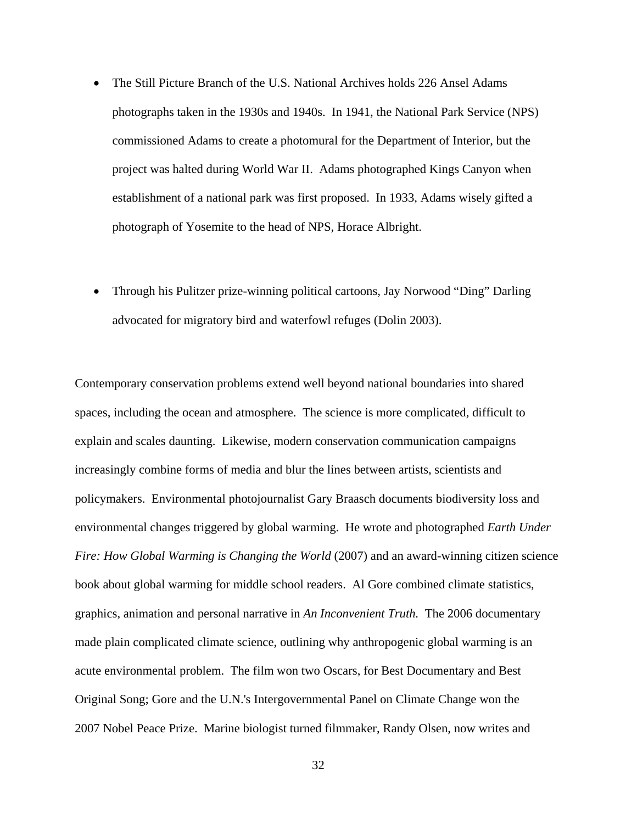- The Still Picture Branch of the U.S. National Archives holds 226 Ansel Adams photographs taken in the 1930s and 1940s. In 1941, the National Park Service (NPS) commissioned Adams to create a photomural for the Department of Interior, but the project was halted during World War II. Adams photographed Kings Canyon when establishment of a national park was first proposed. In 1933, Adams wisely gifted a photograph of Yosemite to the head of NPS, Horace Albright.
- Through his Pulitzer prize-winning political cartoons, Jay Norwood "Ding" Darling advocated for migratory bird and waterfowl refuges (Dolin 2003).

Contemporary conservation problems extend well beyond national boundaries into shared spaces, including the ocean and atmosphere. The science is more complicated, difficult to explain and scales daunting. Likewise, modern conservation communication campaigns increasingly combine forms of media and blur the lines between artists, scientists and policymakers. Environmental photojournalist Gary Braasch documents biodiversity loss and environmental changes triggered by global warming. He wrote and photographed *Earth Under Fire: How Global Warming is Changing the World* (2007) and an award-winning citizen science book about global warming for middle school readers. Al Gore combined climate statistics, graphics, animation and personal narrative in *An Inconvenient Truth.* The 2006 documentary made plain complicated climate science, outlining why anthropogenic global warming is an acute environmental problem. The film won two Oscars, for Best Documentary and Best Original Song; Gore and the U.N.'s Intergovernmental Panel on Climate Change won the 2007 Nobel Peace Prize. Marine biologist turned filmmaker, Randy Olsen, now writes and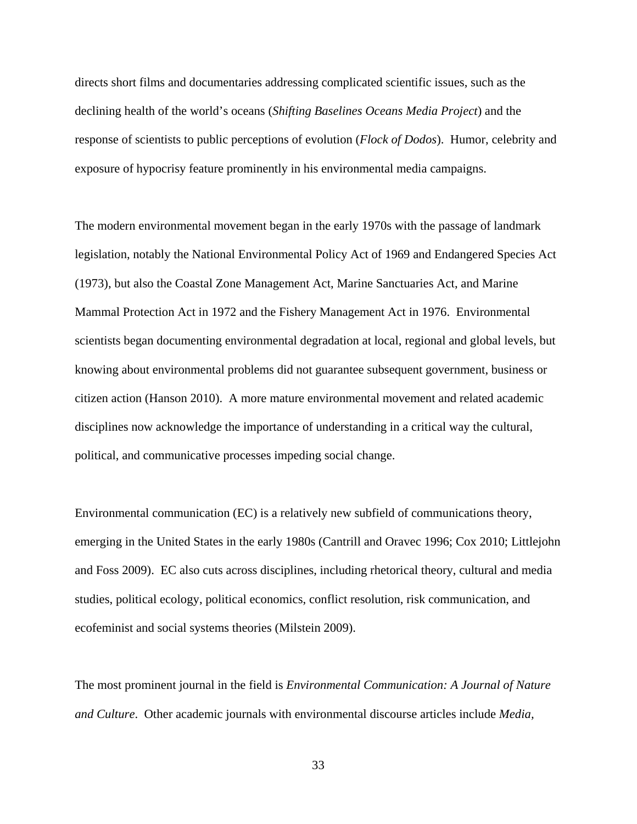directs short films and documentaries addressing complicated scientific issues, such as the declining health of the world's oceans (*Shifting Baselines Oceans Media Project*) and the response of scientists to public perceptions of evolution (*Flock of Dodos*). Humor, celebrity and exposure of hypocrisy feature prominently in his environmental media campaigns.

The modern environmental movement began in the early 1970s with the passage of landmark legislation, notably the National Environmental Policy Act of 1969 and Endangered Species Act (1973), but also the Coastal Zone Management Act, Marine Sanctuaries Act, and Marine Mammal Protection Act in 1972 and the Fishery Management Act in 1976. Environmental scientists began documenting environmental degradation at local, regional and global levels, but knowing about environmental problems did not guarantee subsequent government, business or citizen action (Hanson 2010). A more mature environmental movement and related academic disciplines now acknowledge the importance of understanding in a critical way the cultural, political, and communicative processes impeding social change.

Environmental communication (EC) is a relatively new subfield of communications theory, emerging in the United States in the early 1980s (Cantrill and Oravec 1996; Cox 2010; Littlejohn and Foss 2009). EC also cuts across disciplines, including rhetorical theory, cultural and media studies, political ecology, political economics, conflict resolution, risk communication, and ecofeminist and social systems theories (Milstein 2009).

The most prominent journal in the field is *Environmental Communication: A Journal of Nature and Culture*. Other academic journals with environmental discourse articles include *Media,*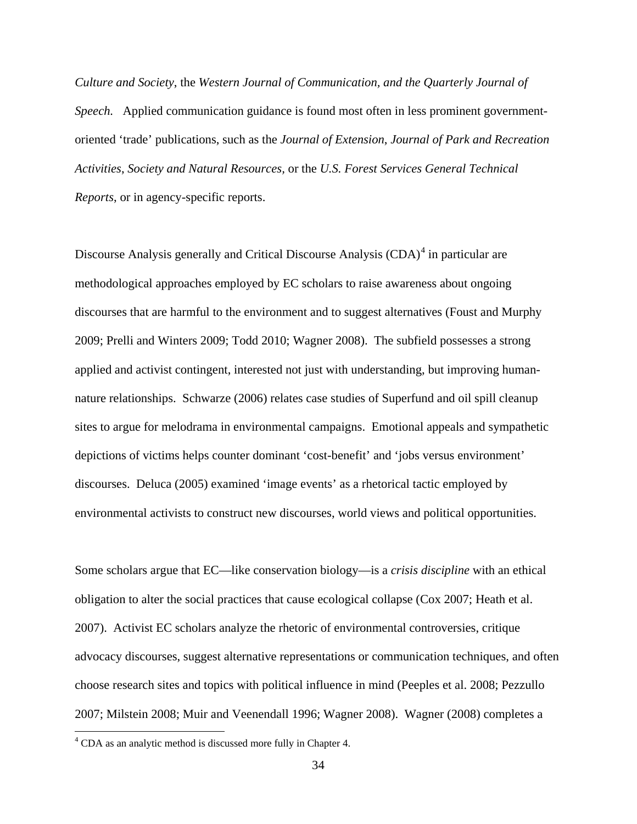*Culture and Society*, the *Western Journal of Communication, and the Quarterly Journal of Speech.* Applied communication guidance is found most often in less prominent governmentoriented 'trade' publications, such as the *Journal of Extension*, *Journal of Park and Recreation Activities*, *Society and Natural Resources,* or the *U.S. Forest Services General Technical Reports*, or in agency-specific reports.

Discourse Analysis generally and Critical Discourse Analysis (CDA)<sup>[4](#page-44-0)</sup> in particular are methodological approaches employed by EC scholars to raise awareness about ongoing discourses that are harmful to the environment and to suggest alternatives (Foust and Murphy 2009; Prelli and Winters 2009; Todd 2010; Wagner 2008). The subfield possesses a strong applied and activist contingent, interested not just with understanding, but improving humannature relationships. Schwarze (2006) relates case studies of Superfund and oil spill cleanup sites to argue for melodrama in environmental campaigns. Emotional appeals and sympathetic depictions of victims helps counter dominant 'cost-benefit' and 'jobs versus environment' discourses. Deluca (2005) examined 'image events' as a rhetorical tactic employed by environmental activists to construct new discourses, world views and political opportunities.

Some scholars argue that EC—like conservation biology—is a *crisis discipline* with an ethical obligation to alter the social practices that cause ecological collapse (Cox 2007; Heath et al. 2007). Activist EC scholars analyze the rhetoric of environmental controversies, critique advocacy discourses, suggest alternative representations or communication techniques, and often choose research sites and topics with political influence in mind (Peeples et al. 2008; Pezzullo 2007; Milstein 2008; Muir and Veenendall 1996; Wagner 2008). Wagner (2008) completes a

<span id="page-44-0"></span> <sup>4</sup> CDA as an analytic method is discussed more fully in Chapter 4.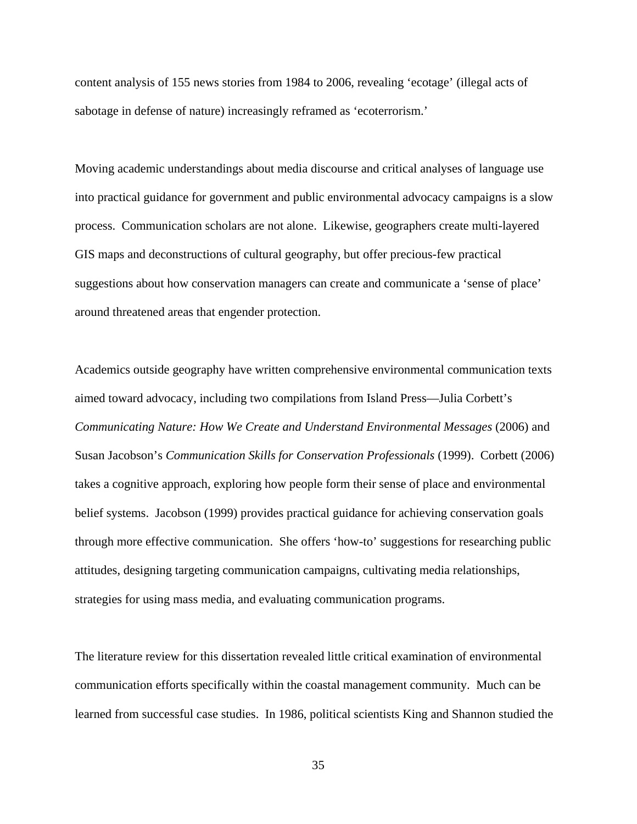content analysis of 155 news stories from 1984 to 2006, revealing 'ecotage' (illegal acts of sabotage in defense of nature) increasingly reframed as 'ecoterrorism.'

Moving academic understandings about media discourse and critical analyses of language use into practical guidance for government and public environmental advocacy campaigns is a slow process. Communication scholars are not alone. Likewise, geographers create multi-layered GIS maps and deconstructions of cultural geography, but offer precious-few practical suggestions about how conservation managers can create and communicate a 'sense of place' around threatened areas that engender protection.

Academics outside geography have written comprehensive environmental communication texts aimed toward advocacy, including two compilations from Island Press—Julia Corbett's *Communicating Nature: How We Create and Understand Environmental Messages* (2006) and Susan Jacobson's *Communication Skills for Conservation Professionals* (1999). Corbett (2006) takes a cognitive approach, exploring how people form their sense of place and environmental belief systems. Jacobson (1999) provides practical guidance for achieving conservation goals through more effective communication. She offers 'how-to' suggestions for researching public attitudes, designing targeting communication campaigns, cultivating media relationships, strategies for using mass media, and evaluating communication programs.

The literature review for this dissertation revealed little critical examination of environmental communication efforts specifically within the coastal management community. Much can be learned from successful case studies. In 1986, political scientists King and Shannon studied the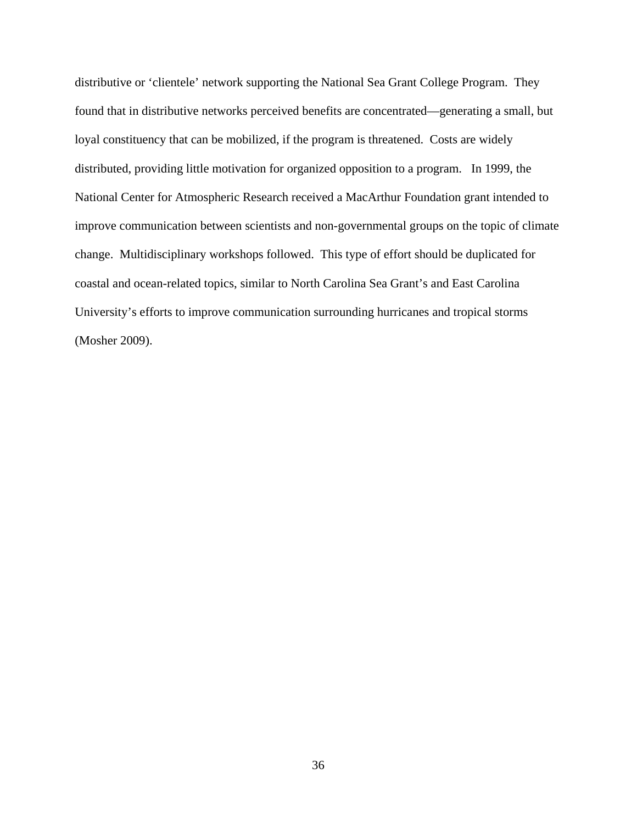distributive or 'clientele' network supporting the National Sea Grant College Program. They found that in distributive networks perceived benefits are concentrated—generating a small, but loyal constituency that can be mobilized, if the program is threatened. Costs are widely distributed, providing little motivation for organized opposition to a program. In 1999, the National Center for Atmospheric Research received a MacArthur Foundation grant intended to improve communication between scientists and non-governmental groups on the topic of climate change. Multidisciplinary workshops followed. This type of effort should be duplicated for coastal and ocean-related topics, similar to North Carolina Sea Grant's and East Carolina University's efforts to improve communication surrounding hurricanes and tropical storms (Mosher 2009).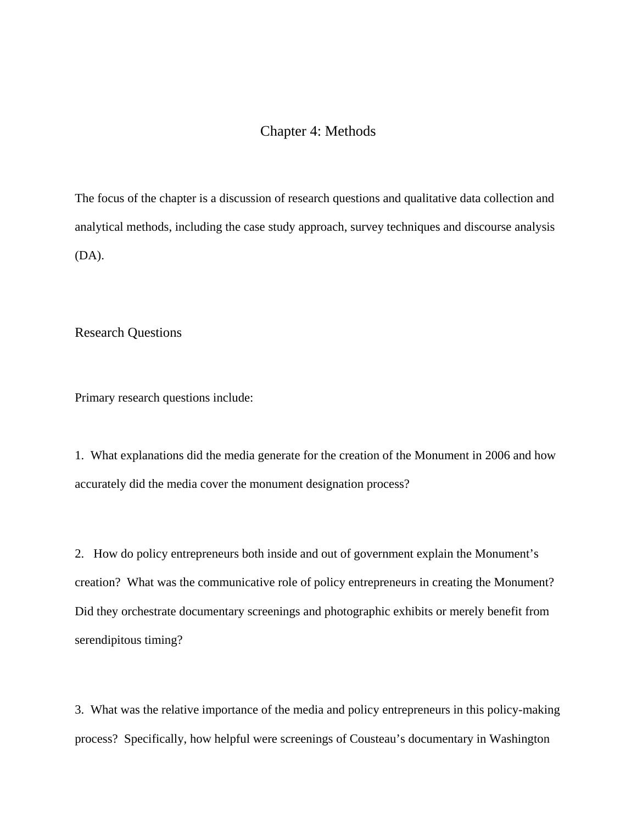# Chapter 4: Methods

The focus of the chapter is a discussion of research questions and qualitative data collection and analytical methods, including the case study approach, survey techniques and discourse analysis (DA).

Research Questions

Primary research questions include:

1. What explanations did the media generate for the creation of the Monument in 2006 and how accurately did the media cover the monument designation process?

2. How do policy entrepreneurs both inside and out of government explain the Monument's creation? What was the communicative role of policy entrepreneurs in creating the Monument? Did they orchestrate documentary screenings and photographic exhibits or merely benefit from serendipitous timing?

3. What was the relative importance of the media and policy entrepreneurs in this policy-making process? Specifically, how helpful were screenings of Cousteau's documentary in Washington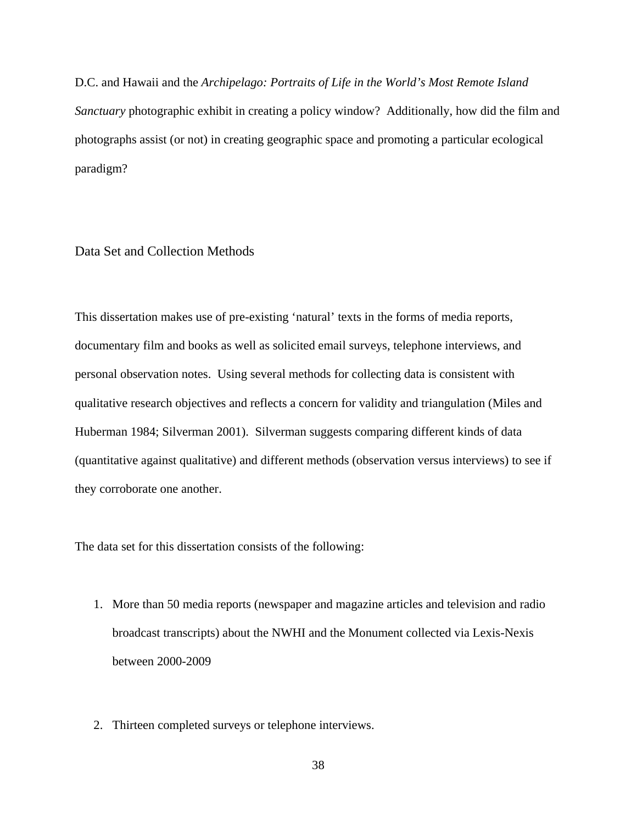D.C. and Hawaii and the *Archipelago: Portraits of Life in the World's Most Remote Island Sanctuary* photographic exhibit in creating a policy window? Additionally, how did the film and photographs assist (or not) in creating geographic space and promoting a particular ecological paradigm?

Data Set and Collection Methods

This dissertation makes use of pre-existing 'natural' texts in the forms of media reports, documentary film and books as well as solicited email surveys, telephone interviews, and personal observation notes. Using several methods for collecting data is consistent with qualitative research objectives and reflects a concern for validity and triangulation (Miles and Huberman 1984; Silverman 2001). Silverman suggests comparing different kinds of data (quantitative against qualitative) and different methods (observation versus interviews) to see if they corroborate one another.

The data set for this dissertation consists of the following:

- 1. More than 50 media reports (newspaper and magazine articles and television and radio broadcast transcripts) about the NWHI and the Monument collected via Lexis-Nexis between 2000-2009
- 2. Thirteen completed surveys or telephone interviews.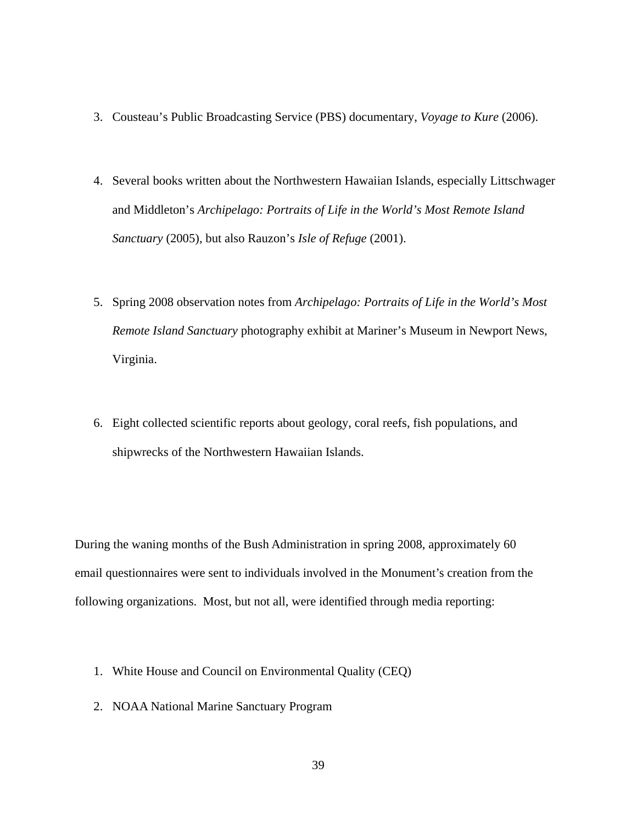- 3. Cousteau's Public Broadcasting Service (PBS) documentary, *Voyage to Kure* (2006).
- 4. Several books written about the Northwestern Hawaiian Islands, especially Littschwager and Middleton's *Archipelago: Portraits of Life in the World's Most Remote Island Sanctuary* (2005), but also Rauzon's *Isle of Refuge* (2001).
- 5. Spring 2008 observation notes from *Archipelago: Portraits of Life in the World's Most Remote Island Sanctuary* photography exhibit at Mariner's Museum in Newport News, Virginia.
- 6. Eight collected scientific reports about geology, coral reefs, fish populations, and shipwrecks of the Northwestern Hawaiian Islands.

During the waning months of the Bush Administration in spring 2008, approximately 60 email questionnaires were sent to individuals involved in the Monument's creation from the following organizations. Most, but not all, were identified through media reporting:

- 1. White House and Council on Environmental Quality (CEQ)
- 2. NOAA National Marine Sanctuary Program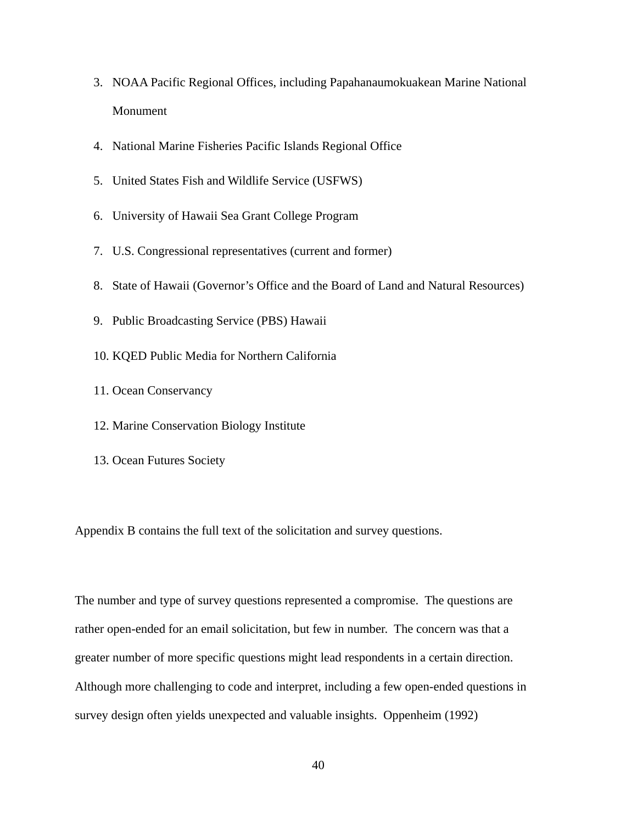- 3. NOAA Pacific Regional Offices, including Papahanaumokuakean Marine National Monument
- 4. National Marine Fisheries Pacific Islands Regional Office
- 5. United States Fish and Wildlife Service (USFWS)
- 6. University of Hawaii Sea Grant College Program
- 7. U.S. Congressional representatives (current and former)
- 8. State of Hawaii (Governor's Office and the Board of Land and Natural Resources)
- 9. Public Broadcasting Service (PBS) Hawaii
- 10. KQED Public Media for Northern California
- 11. Ocean Conservancy
- 12. Marine Conservation Biology Institute
- 13. Ocean Futures Society

Appendix B contains the full text of the solicitation and survey questions.

The number and type of survey questions represented a compromise. The questions are rather open-ended for an email solicitation, but few in number. The concern was that a greater number of more specific questions might lead respondents in a certain direction. Although more challenging to code and interpret, including a few open-ended questions in survey design often yields unexpected and valuable insights. Oppenheim (1992)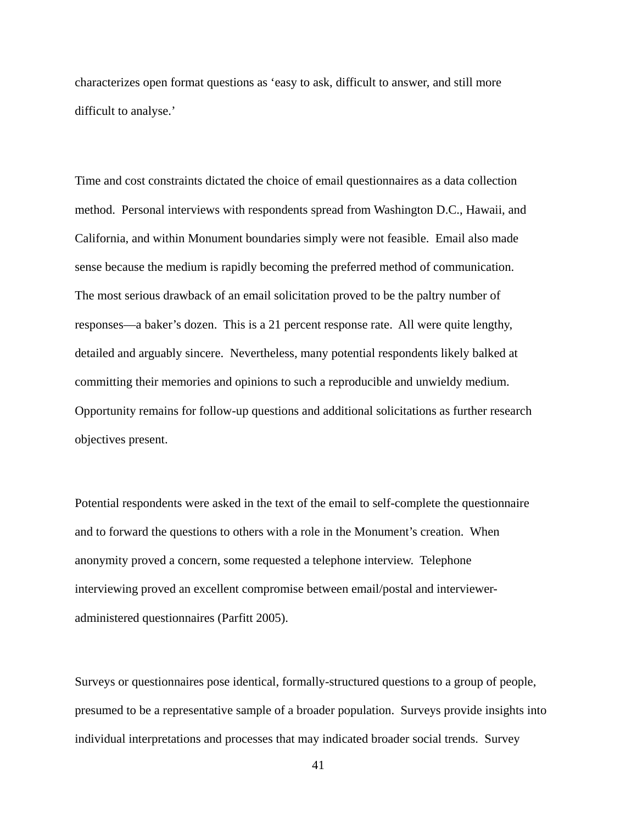characterizes open format questions as 'easy to ask, difficult to answer, and still more difficult to analyse.'

Time and cost constraints dictated the choice of email questionnaires as a data collection method. Personal interviews with respondents spread from Washington D.C., Hawaii, and California, and within Monument boundaries simply were not feasible. Email also made sense because the medium is rapidly becoming the preferred method of communication. The most serious drawback of an email solicitation proved to be the paltry number of responses—a baker's dozen. This is a 21 percent response rate. All were quite lengthy, detailed and arguably sincere. Nevertheless, many potential respondents likely balked at committing their memories and opinions to such a reproducible and unwieldy medium. Opportunity remains for follow-up questions and additional solicitations as further research objectives present.

Potential respondents were asked in the text of the email to self-complete the questionnaire and to forward the questions to others with a role in the Monument's creation. When anonymity proved a concern, some requested a telephone interview. Telephone interviewing proved an excellent compromise between email/postal and intervieweradministered questionnaires (Parfitt 2005).

Surveys or questionnaires pose identical, formally-structured questions to a group of people, presumed to be a representative sample of a broader population. Surveys provide insights into individual interpretations and processes that may indicated broader social trends. Survey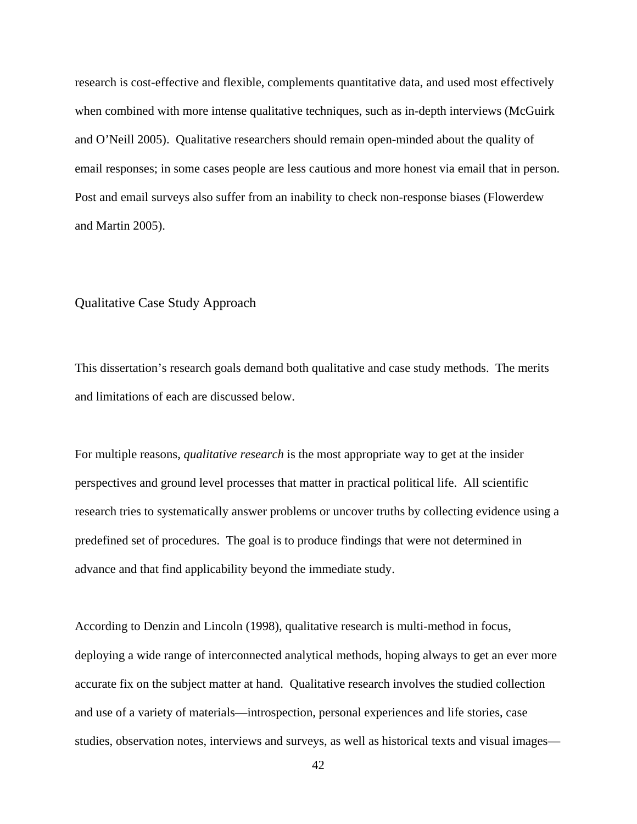research is cost-effective and flexible, complements quantitative data, and used most effectively when combined with more intense qualitative techniques, such as in-depth interviews (McGuirk and O'Neill 2005). Qualitative researchers should remain open-minded about the quality of email responses; in some cases people are less cautious and more honest via email that in person. Post and email surveys also suffer from an inability to check non-response biases (Flowerdew and Martin 2005).

### Qualitative Case Study Approach

This dissertation's research goals demand both qualitative and case study methods. The merits and limitations of each are discussed below.

For multiple reasons, *qualitative research* is the most appropriate way to get at the insider perspectives and ground level processes that matter in practical political life. All scientific research tries to systematically answer problems or uncover truths by collecting evidence using a predefined set of procedures. The goal is to produce findings that were not determined in advance and that find applicability beyond the immediate study.

According to Denzin and Lincoln (1998), qualitative research is multi-method in focus, deploying a wide range of interconnected analytical methods, hoping always to get an ever more accurate fix on the subject matter at hand. Qualitative research involves the studied collection and use of a variety of materials—introspection, personal experiences and life stories, case studies, observation notes, interviews and surveys, as well as historical texts and visual images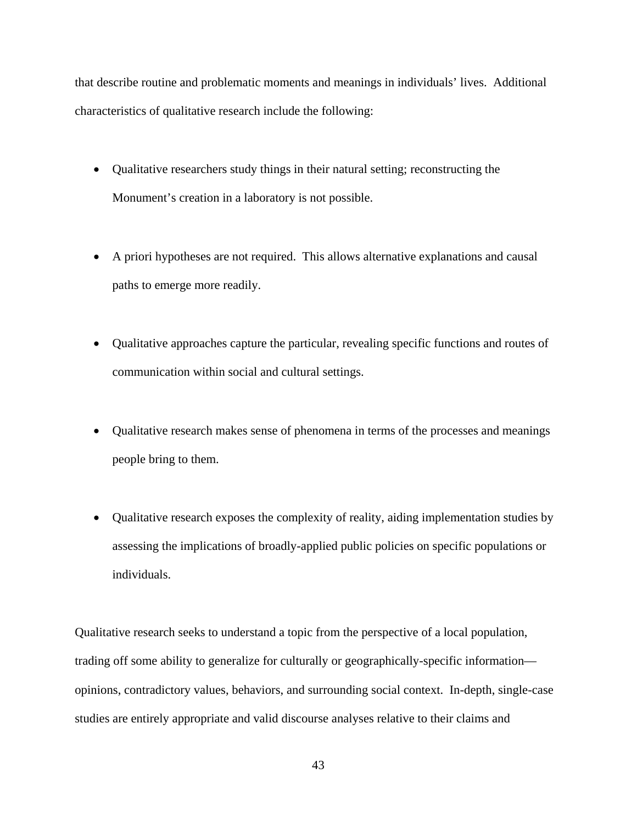that describe routine and problematic moments and meanings in individuals' lives. Additional characteristics of qualitative research include the following:

- Qualitative researchers study things in their natural setting; reconstructing the Monument's creation in a laboratory is not possible.
- A priori hypotheses are not required. This allows alternative explanations and causal paths to emerge more readily.
- Qualitative approaches capture the particular, revealing specific functions and routes of communication within social and cultural settings.
- Qualitative research makes sense of phenomena in terms of the processes and meanings people bring to them.
- Qualitative research exposes the complexity of reality, aiding implementation studies by assessing the implications of broadly-applied public policies on specific populations or individuals.

Qualitative research seeks to understand a topic from the perspective of a local population, trading off some ability to generalize for culturally or geographically-specific information opinions, contradictory values, behaviors, and surrounding social context. In-depth, single-case studies are entirely appropriate and valid discourse analyses relative to their claims and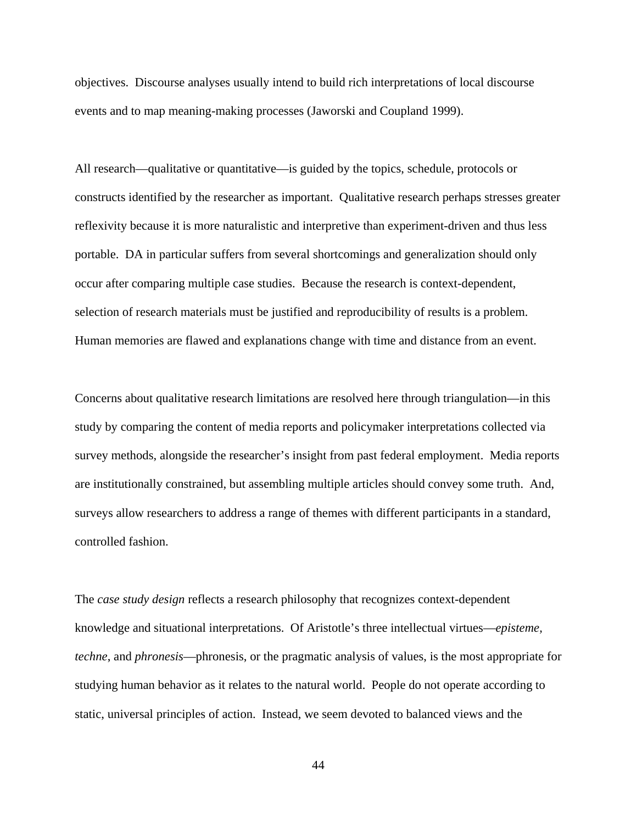objectives. Discourse analyses usually intend to build rich interpretations of local discourse events and to map meaning-making processes (Jaworski and Coupland 1999).

All research—qualitative or quantitative—is guided by the topics, schedule, protocols or constructs identified by the researcher as important. Qualitative research perhaps stresses greater reflexivity because it is more naturalistic and interpretive than experiment-driven and thus less portable. DA in particular suffers from several shortcomings and generalization should only occur after comparing multiple case studies. Because the research is context-dependent, selection of research materials must be justified and reproducibility of results is a problem. Human memories are flawed and explanations change with time and distance from an event.

Concerns about qualitative research limitations are resolved here through triangulation—in this study by comparing the content of media reports and policymaker interpretations collected via survey methods, alongside the researcher's insight from past federal employment. Media reports are institutionally constrained, but assembling multiple articles should convey some truth. And, surveys allow researchers to address a range of themes with different participants in a standard, controlled fashion.

The *case study design* reflects a research philosophy that recognizes context-dependent knowledge and situational interpretations. Of Aristotle's three intellectual virtues—*episteme, techne*, and *phronesis*—phronesis, or the pragmatic analysis of values, is the most appropriate for studying human behavior as it relates to the natural world. People do not operate according to static, universal principles of action. Instead, we seem devoted to balanced views and the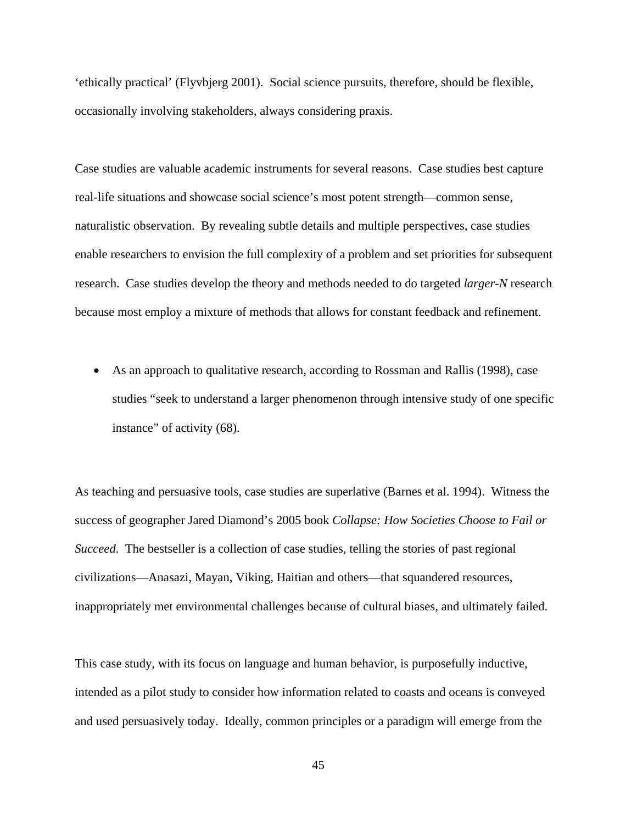'ethically practical' (Flyvbjerg 2001). Social science pursuits, therefore, should be flexible, occasionally involving stakeholders, always considering praxis.

Case studies are valuable academic instruments for several reasons. Case studies best capture real-life situations and showcase social science's most potent strength—common sense, naturalistic observation. By revealing subtle details and multiple perspectives, case studies enable researchers to envision the full complexity of a problem and set priorities for subsequent research. Case studies develop the theory and methods needed to do targeted *larger-N* research because most employ a mixture of methods that allows for constant feedback and refinement.

• As an approach to qualitative research, according to Rossman and Rallis (1998), case studies "seek to understand a larger phenomenon through intensive study of one specific instance" of activity (68).

As teaching and persuasive tools, case studies are superlative (Barnes et al. 1994). Witness the success of geographer Jared Diamond's 2005 book *Collapse: How Societies Choose to Fail or Succeed*. The bestseller is a collection of case studies, telling the stories of past regional civilizations—Anasazi, Mayan, Viking, Haitian and others—that squandered resources, inappropriately met environmental challenges because of cultural biases, and ultimately failed.

This case study, with its focus on language and human behavior, is purposefully inductive, intended as a pilot study to consider how information related to coasts and oceans is conveyed and used persuasively today. Ideally, common principles or a paradigm will emerge from the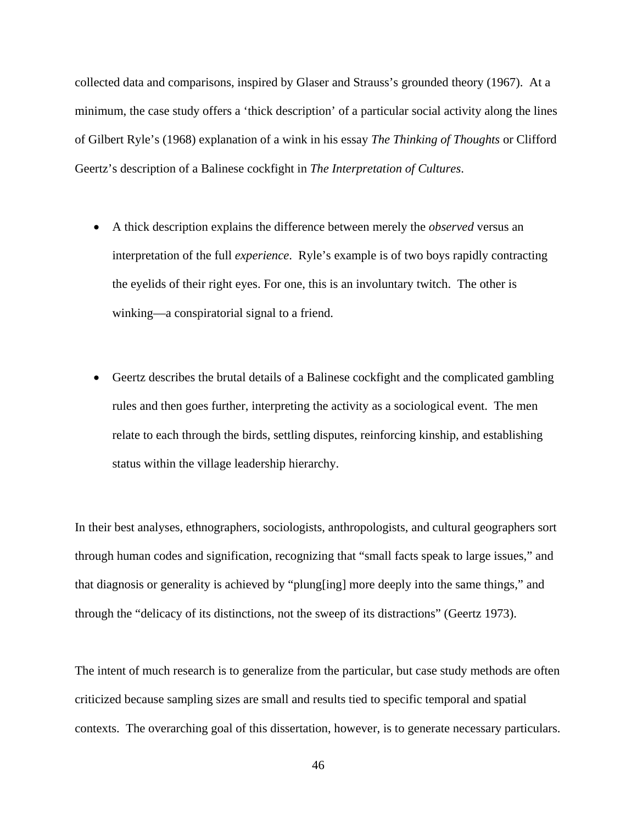collected data and comparisons, inspired by Glaser and Strauss's grounded theory (1967). At a minimum, the case study offers a 'thick description' of a particular social activity along the lines of Gilbert Ryle's (1968) explanation of a wink in his essay *The Thinking of Thoughts* or Clifford Geertz's description of a Balinese cockfight in *The Interpretation of Cultures*.

- A thick description explains the difference between merely the *observed* versus an interpretation of the full *experience*. Ryle's example is of two boys rapidly contracting the eyelids of their right eyes. For one, this is an involuntary twitch. The other is winking—a conspiratorial signal to a friend.
- Geertz describes the brutal details of a Balinese cockfight and the complicated gambling rules and then goes further, interpreting the activity as a sociological event. The men relate to each through the birds, settling disputes, reinforcing kinship, and establishing status within the village leadership hierarchy.

In their best analyses, ethnographers, sociologists, anthropologists, and cultural geographers sort through human codes and signification, recognizing that "small facts speak to large issues," and that diagnosis or generality is achieved by "plung[ing] more deeply into the same things," and through the "delicacy of its distinctions, not the sweep of its distractions" (Geertz 1973).

The intent of much research is to generalize from the particular, but case study methods are often criticized because sampling sizes are small and results tied to specific temporal and spatial contexts. The overarching goal of this dissertation, however, is to generate necessary particulars.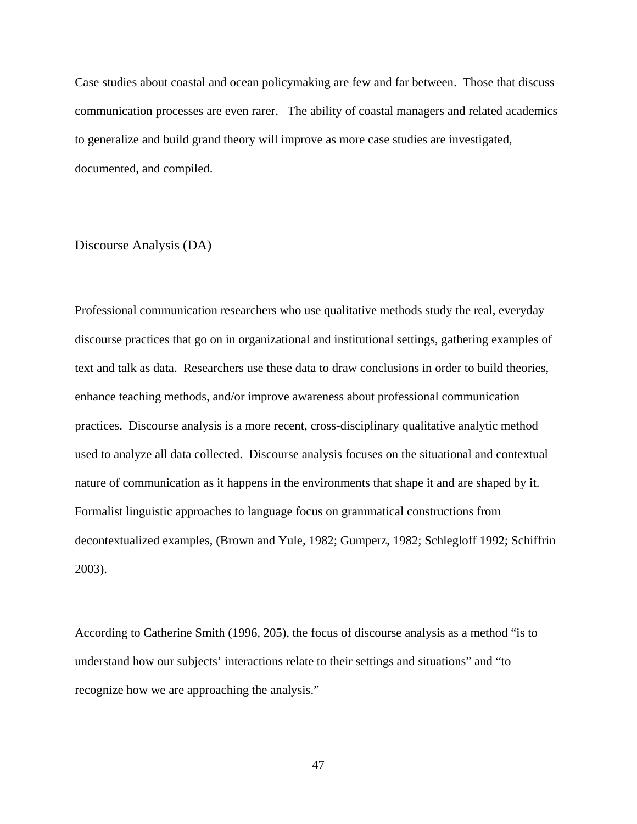Case studies about coastal and ocean policymaking are few and far between. Those that discuss communication processes are even rarer. The ability of coastal managers and related academics to generalize and build grand theory will improve as more case studies are investigated, documented, and compiled.

#### Discourse Analysis (DA)

Professional communication researchers who use qualitative methods study the real, everyday discourse practices that go on in organizational and institutional settings, gathering examples of text and talk as data. Researchers use these data to draw conclusions in order to build theories, enhance teaching methods, and/or improve awareness about professional communication practices. Discourse analysis is a more recent, cross-disciplinary qualitative analytic method used to analyze all data collected. Discourse analysis focuses on the situational and contextual nature of communication as it happens in the environments that shape it and are shaped by it. Formalist linguistic approaches to language focus on grammatical constructions from decontextualized examples, (Brown and Yule, 1982; Gumperz, 1982; Schlegloff 1992; Schiffrin 2003).

According to Catherine Smith (1996, 205), the focus of discourse analysis as a method "is to understand how our subjects' interactions relate to their settings and situations" and "to recognize how we are approaching the analysis."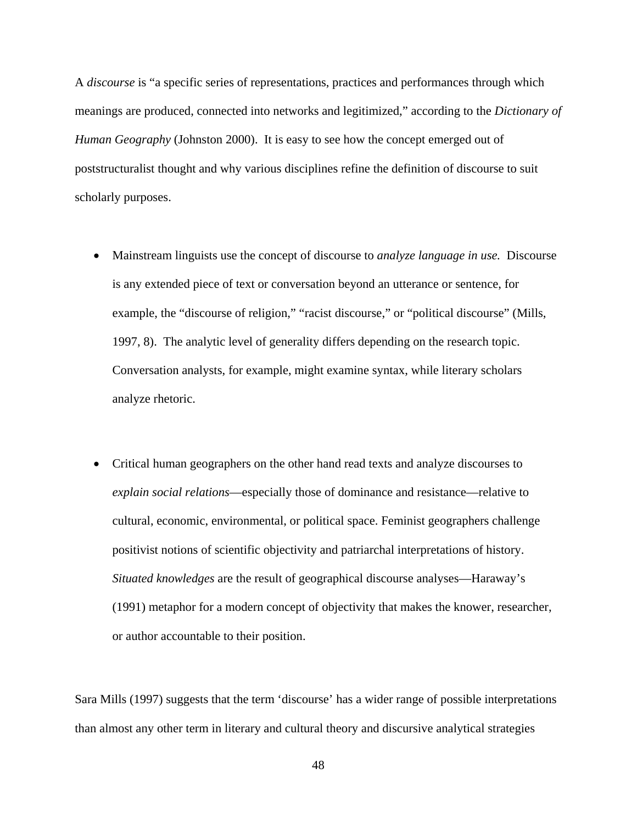A *discourse* is "a specific series of representations, practices and performances through which meanings are produced, connected into networks and legitimized," according to the *Dictionary of Human Geography* (Johnston 2000). It is easy to see how the concept emerged out of poststructuralist thought and why various disciplines refine the definition of discourse to suit scholarly purposes.

- Mainstream linguists use the concept of discourse to *analyze language in use.* Discourse is any extended piece of text or conversation beyond an utterance or sentence, for example, the "discourse of religion," "racist discourse," or "political discourse" (Mills, 1997, 8). The analytic level of generality differs depending on the research topic. Conversation analysts, for example, might examine syntax, while literary scholars analyze rhetoric.
- Critical human geographers on the other hand read texts and analyze discourses to *explain social relations*—especially those of dominance and resistance—relative to cultural, economic, environmental, or political space. Feminist geographers challenge positivist notions of scientific objectivity and patriarchal interpretations of history. *Situated knowledges* are the result of geographical discourse analyses—Haraway's (1991) metaphor for a modern concept of objectivity that makes the knower, researcher, or author accountable to their position.

Sara Mills (1997) suggests that the term 'discourse' has a wider range of possible interpretations than almost any other term in literary and cultural theory and discursive analytical strategies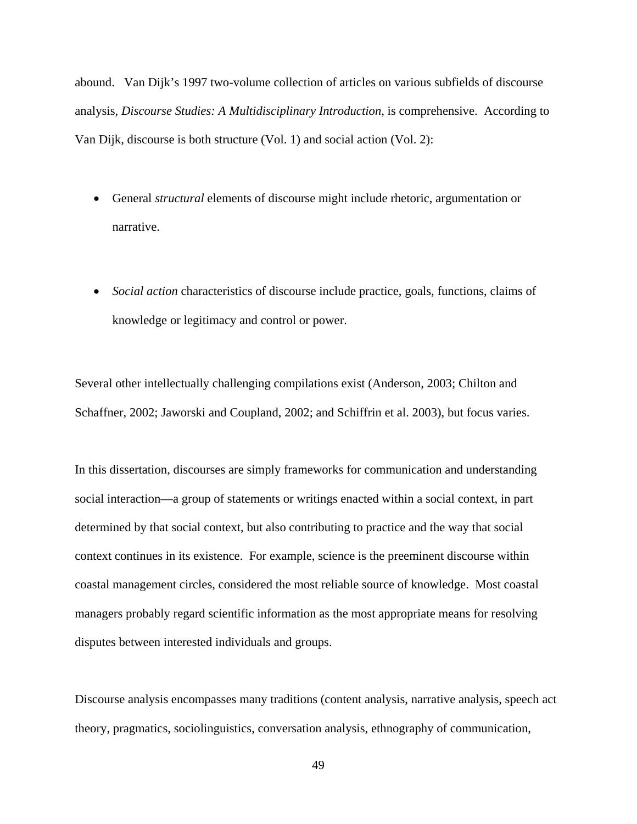abound. Van Dijk's 1997 two-volume collection of articles on various subfields of discourse analysis, *Discourse Studies: A Multidisciplinary Introduction*, is comprehensive. According to Van Dijk, discourse is both structure (Vol. 1) and social action (Vol. 2):

- General *structural* elements of discourse might include rhetoric, argumentation or narrative.
- *Social action* characteristics of discourse include practice, goals, functions, claims of knowledge or legitimacy and control or power.

Several other intellectually challenging compilations exist (Anderson, 2003; Chilton and Schaffner, 2002; Jaworski and Coupland, 2002; and Schiffrin et al. 2003), but focus varies.

In this dissertation, discourses are simply frameworks for communication and understanding social interaction—a group of statements or writings enacted within a social context, in part determined by that social context, but also contributing to practice and the way that social context continues in its existence. For example, science is the preeminent discourse within coastal management circles, considered the most reliable source of knowledge. Most coastal managers probably regard scientific information as the most appropriate means for resolving disputes between interested individuals and groups.

Discourse analysis encompasses many traditions (content analysis, narrative analysis, speech act theory, pragmatics, sociolinguistics, conversation analysis, ethnography of communication,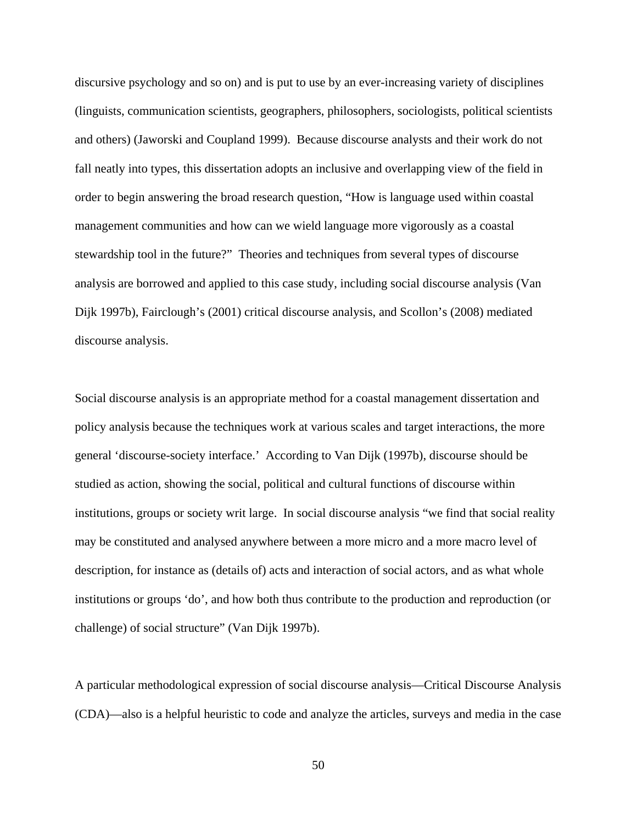discursive psychology and so on) and is put to use by an ever-increasing variety of disciplines (linguists, communication scientists, geographers, philosophers, sociologists, political scientists and others) (Jaworski and Coupland 1999). Because discourse analysts and their work do not fall neatly into types, this dissertation adopts an inclusive and overlapping view of the field in order to begin answering the broad research question, "How is language used within coastal management communities and how can we wield language more vigorously as a coastal stewardship tool in the future?" Theories and techniques from several types of discourse analysis are borrowed and applied to this case study, including social discourse analysis (Van Dijk 1997b), Fairclough's (2001) critical discourse analysis, and Scollon's (2008) mediated discourse analysis.

Social discourse analysis is an appropriate method for a coastal management dissertation and policy analysis because the techniques work at various scales and target interactions, the more general 'discourse-society interface.' According to Van Dijk (1997b), discourse should be studied as action, showing the social, political and cultural functions of discourse within institutions, groups or society writ large. In social discourse analysis "we find that social reality may be constituted and analysed anywhere between a more micro and a more macro level of description, for instance as (details of) acts and interaction of social actors, and as what whole institutions or groups 'do', and how both thus contribute to the production and reproduction (or challenge) of social structure" (Van Dijk 1997b).

A particular methodological expression of social discourse analysis—Critical Discourse Analysis (CDA)—also is a helpful heuristic to code and analyze the articles, surveys and media in the case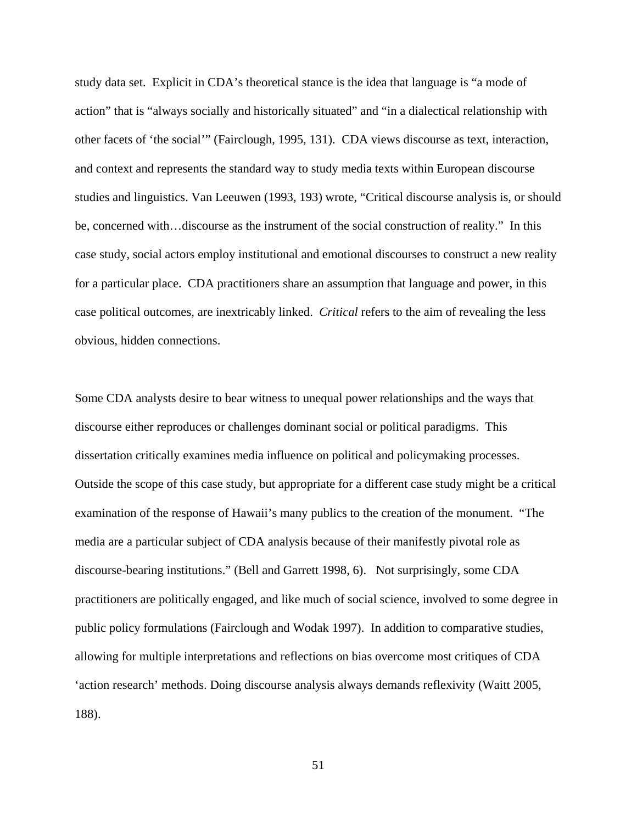study data set. Explicit in CDA's theoretical stance is the idea that language is "a mode of action" that is "always socially and historically situated" and "in a dialectical relationship with other facets of 'the social'" (Fairclough, 1995, 131). CDA views discourse as text, interaction, and context and represents the standard way to study media texts within European discourse studies and linguistics. Van Leeuwen (1993, 193) wrote, "Critical discourse analysis is, or should be, concerned with…discourse as the instrument of the social construction of reality." In this case study, social actors employ institutional and emotional discourses to construct a new reality for a particular place. CDA practitioners share an assumption that language and power, in this case political outcomes, are inextricably linked. *Critical* refers to the aim of revealing the less obvious, hidden connections.

Some CDA analysts desire to bear witness to unequal power relationships and the ways that discourse either reproduces or challenges dominant social or political paradigms. This dissertation critically examines media influence on political and policymaking processes. Outside the scope of this case study, but appropriate for a different case study might be a critical examination of the response of Hawaii's many publics to the creation of the monument. "The media are a particular subject of CDA analysis because of their manifestly pivotal role as discourse-bearing institutions." (Bell and Garrett 1998, 6). Not surprisingly, some CDA practitioners are politically engaged, and like much of social science, involved to some degree in public policy formulations (Fairclough and Wodak 1997). In addition to comparative studies, allowing for multiple interpretations and reflections on bias overcome most critiques of CDA 'action research' methods. Doing discourse analysis always demands reflexivity (Waitt 2005, 188).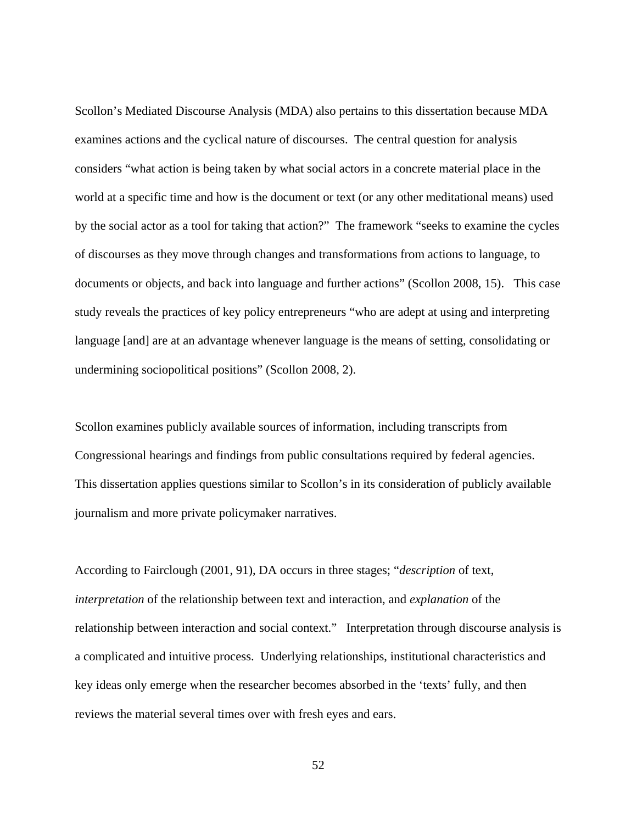Scollon's Mediated Discourse Analysis (MDA) also pertains to this dissertation because MDA examines actions and the cyclical nature of discourses. The central question for analysis considers "what action is being taken by what social actors in a concrete material place in the world at a specific time and how is the document or text (or any other meditational means) used by the social actor as a tool for taking that action?" The framework "seeks to examine the cycles of discourses as they move through changes and transformations from actions to language, to documents or objects, and back into language and further actions" (Scollon 2008, 15). This case study reveals the practices of key policy entrepreneurs "who are adept at using and interpreting language [and] are at an advantage whenever language is the means of setting, consolidating or undermining sociopolitical positions" (Scollon 2008, 2).

Scollon examines publicly available sources of information, including transcripts from Congressional hearings and findings from public consultations required by federal agencies. This dissertation applies questions similar to Scollon's in its consideration of publicly available journalism and more private policymaker narratives.

According to Fairclough (2001, 91), DA occurs in three stages; "*description* of text, *interpretation* of the relationship between text and interaction, and *explanation* of the relationship between interaction and social context." Interpretation through discourse analysis is a complicated and intuitive process. Underlying relationships, institutional characteristics and key ideas only emerge when the researcher becomes absorbed in the 'texts' fully, and then reviews the material several times over with fresh eyes and ears.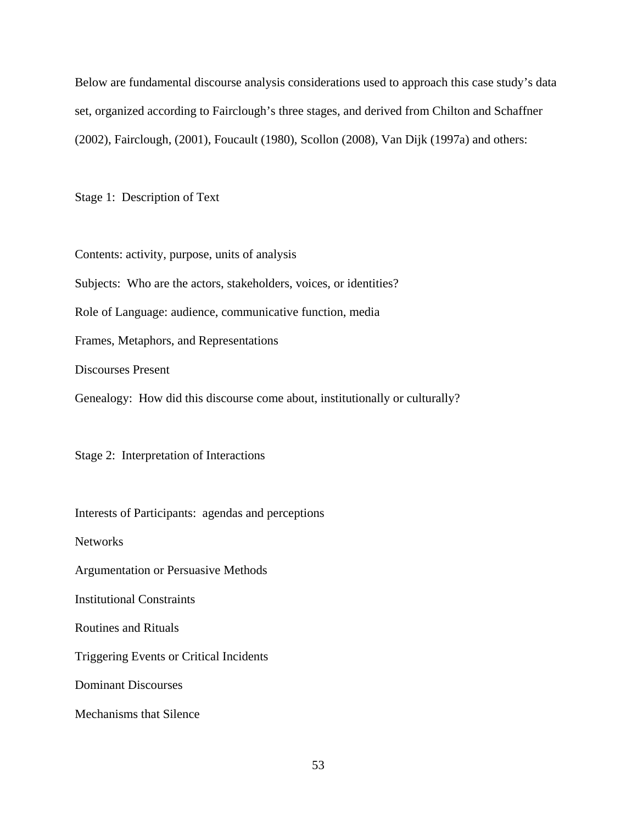Below are fundamental discourse analysis considerations used to approach this case study's data set, organized according to Fairclough's three stages, and derived from Chilton and Schaffner (2002), Fairclough, (2001), Foucault (1980), Scollon (2008), Van Dijk (1997a) and others:

Stage 1: Description of Text

Contents: activity, purpose, units of analysis Subjects: Who are the actors, stakeholders, voices, or identities? Role of Language: audience, communicative function, media Frames, Metaphors, and Representations Discourses Present Genealogy: How did this discourse come about, institutionally or culturally?

Stage 2: Interpretation of Interactions

Interests of Participants: agendas and perceptions

Networks

Argumentation or Persuasive Methods

Institutional Constraints

Routines and Rituals

Triggering Events or Critical Incidents

Dominant Discourses

Mechanisms that Silence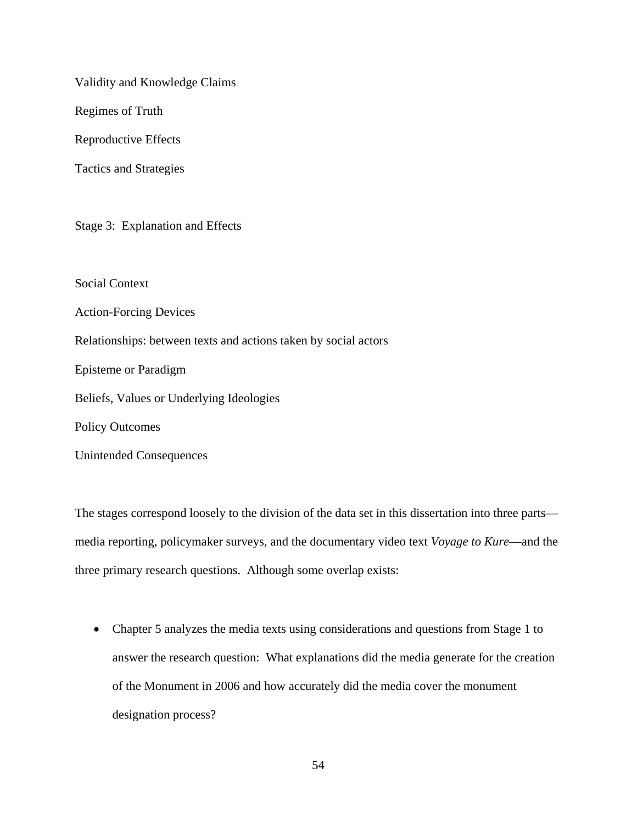Validity and Knowledge Claims

Regimes of Truth

Reproductive Effects

Tactics and Strategies

Stage 3: Explanation and Effects

Social Context

Action-Forcing Devices

Relationships: between texts and actions taken by social actors

Episteme or Paradigm

Beliefs, Values or Underlying Ideologies

Policy Outcomes

Unintended Consequences

The stages correspond loosely to the division of the data set in this dissertation into three parts media reporting, policymaker surveys, and the documentary video text *Voyage to Kure*—and the three primary research questions. Although some overlap exists:

• Chapter 5 analyzes the media texts using considerations and questions from Stage 1 to answer the research question: What explanations did the media generate for the creation of the Monument in 2006 and how accurately did the media cover the monument designation process?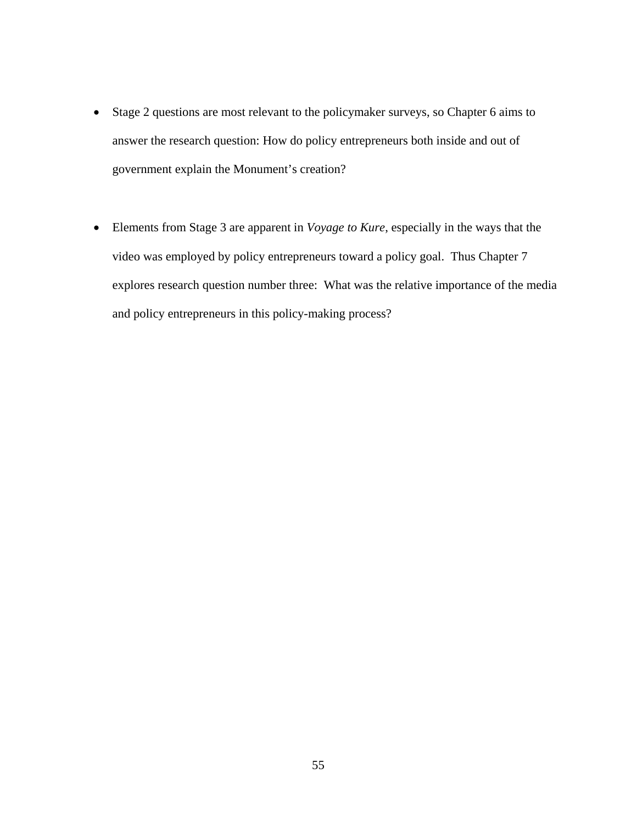- Stage 2 questions are most relevant to the policymaker surveys, so Chapter 6 aims to answer the research question: How do policy entrepreneurs both inside and out of government explain the Monument's creation?
- Elements from Stage 3 are apparent in *Voyage to Kure*, especially in the ways that the video was employed by policy entrepreneurs toward a policy goal. Thus Chapter 7 explores research question number three: What was the relative importance of the media and policy entrepreneurs in this policy-making process?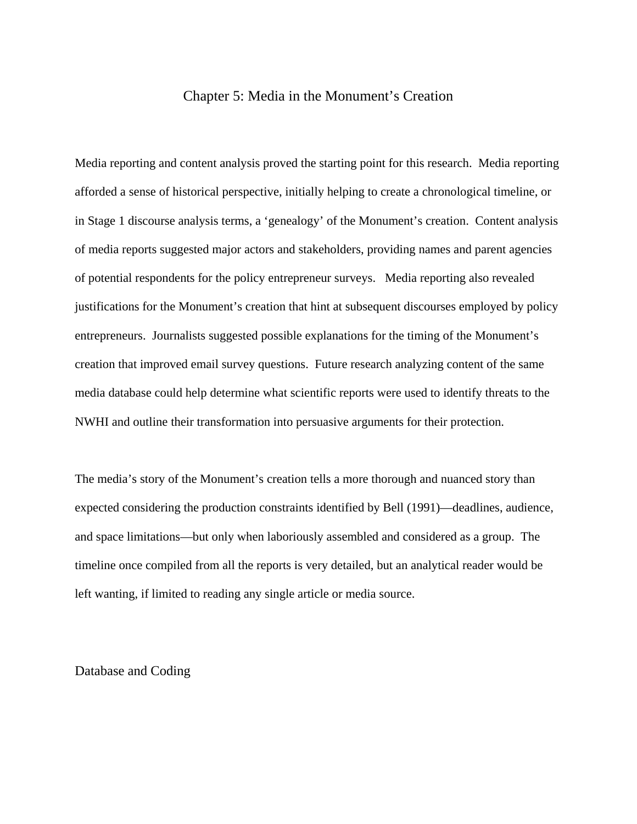## Chapter 5: Media in the Monument's Creation

Media reporting and content analysis proved the starting point for this research. Media reporting afforded a sense of historical perspective, initially helping to create a chronological timeline, or in Stage 1 discourse analysis terms, a 'genealogy' of the Monument's creation. Content analysis of media reports suggested major actors and stakeholders, providing names and parent agencies of potential respondents for the policy entrepreneur surveys. Media reporting also revealed justifications for the Monument's creation that hint at subsequent discourses employed by policy entrepreneurs. Journalists suggested possible explanations for the timing of the Monument's creation that improved email survey questions. Future research analyzing content of the same media database could help determine what scientific reports were used to identify threats to the NWHI and outline their transformation into persuasive arguments for their protection.

The media's story of the Monument's creation tells a more thorough and nuanced story than expected considering the production constraints identified by Bell (1991)—deadlines, audience, and space limitations—but only when laboriously assembled and considered as a group. The timeline once compiled from all the reports is very detailed, but an analytical reader would be left wanting, if limited to reading any single article or media source.

Database and Coding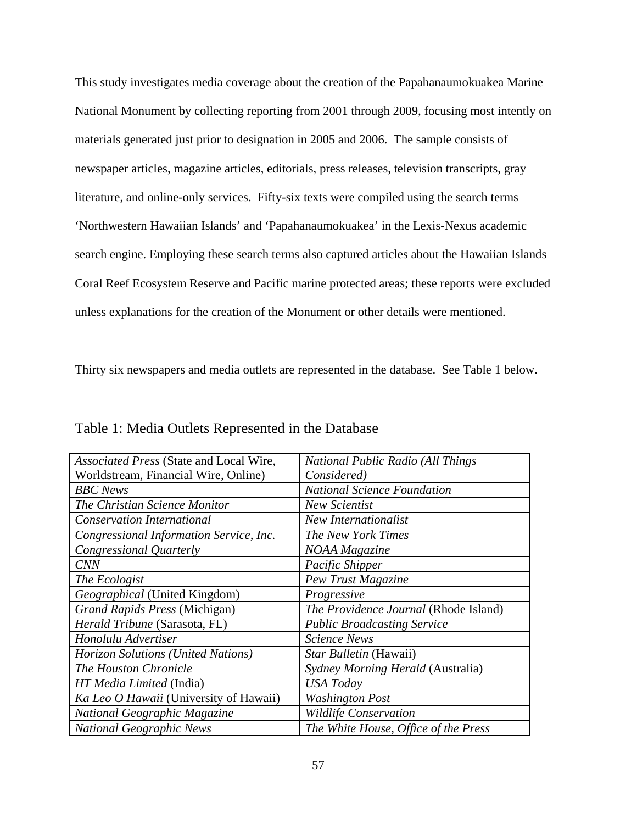This study investigates media coverage about the creation of the Papahanaumokuakea Marine National Monument by collecting reporting from 2001 through 2009, focusing most intently on materials generated just prior to designation in 2005 and 2006. The sample consists of newspaper articles, magazine articles, editorials, press releases, television transcripts, gray literature, and online-only services. Fifty-six texts were compiled using the search terms 'Northwestern Hawaiian Islands' and 'Papahanaumokuakea' in the Lexis-Nexus academic search engine. Employing these search terms also captured articles about the Hawaiian Islands Coral Reef Ecosystem Reserve and Pacific marine protected areas; these reports were excluded unless explanations for the creation of the Monument or other details were mentioned.

Thirty six newspapers and media outlets are represented in the database. See Table 1 below.

| Associated Press (State and Local Wire,   | <b>National Public Radio (All Things)</b> |
|-------------------------------------------|-------------------------------------------|
| Worldstream, Financial Wire, Online)      | Considered)                               |
| <b>BBC</b> News                           | <b>National Science Foundation</b>        |
| The Christian Science Monitor             | <b>New Scientist</b>                      |
| <b>Conservation International</b>         | New Internationalist                      |
| Congressional Information Service, Inc.   | The New York Times                        |
| Congressional Quarterly                   | NOAA Magazine                             |
| <b>CNN</b>                                | Pacific Shipper                           |
| The Ecologist                             | Pew Trust Magazine                        |
| Geographical (United Kingdom)             | Progressive                               |
| <b>Grand Rapids Press (Michigan)</b>      | The Providence Journal (Rhode Island)     |
| Herald Tribune (Sarasota, FL)             | <b>Public Broadcasting Service</b>        |
| Honolulu Advertiser                       | <b>Science News</b>                       |
| <b>Horizon Solutions (United Nations)</b> | Star Bulletin (Hawaii)                    |
| The Houston Chronicle                     | Sydney Morning Herald (Australia)         |
| HT Media Limited (India)                  | <b>USA</b> Today                          |
| Ka Leo O Hawaii (University of Hawaii)    | <b>Washington Post</b>                    |
| National Geographic Magazine              | <b>Wildlife Conservation</b>              |
| <b>National Geographic News</b>           | The White House, Office of the Press      |

Table 1: Media Outlets Represented in the Database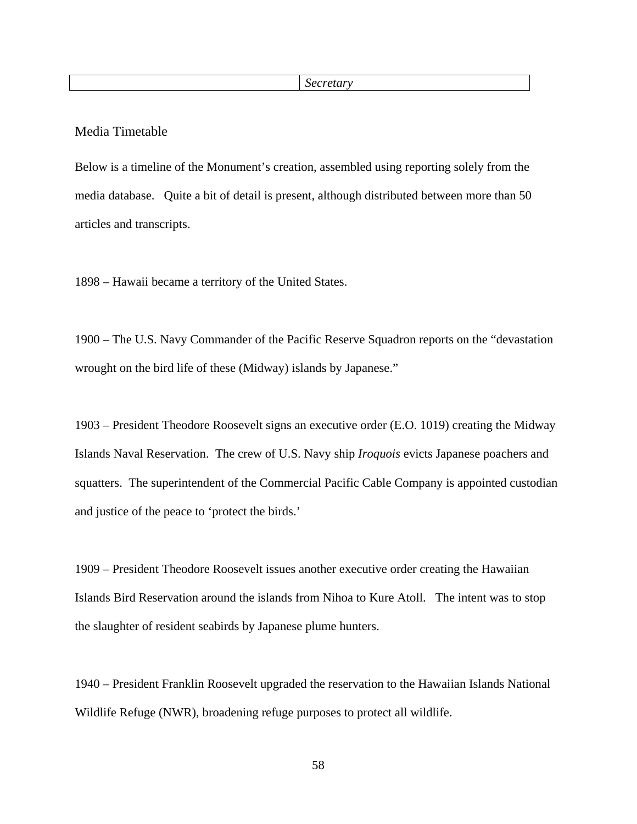## Media Timetable

Below is a timeline of the Monument's creation, assembled using reporting solely from the media database. Quite a bit of detail is present, although distributed between more than 50 articles and transcripts.

1898 – Hawaii became a territory of the United States.

1900 – The U.S. Navy Commander of the Pacific Reserve Squadron reports on the "devastation wrought on the bird life of these (Midway) islands by Japanese."

1903 – President Theodore Roosevelt signs an executive order (E.O. 1019) creating the Midway Islands Naval Reservation. The crew of U.S. Navy ship *Iroquois* evicts Japanese poachers and squatters. The superintendent of the Commercial Pacific Cable Company is appointed custodian and justice of the peace to 'protect the birds.'

1909 – President Theodore Roosevelt issues another executive order creating the Hawaiian Islands Bird Reservation around the islands from Nihoa to Kure Atoll. The intent was to stop the slaughter of resident seabirds by Japanese plume hunters.

1940 – President Franklin Roosevelt upgraded the reservation to the Hawaiian Islands National Wildlife Refuge (NWR), broadening refuge purposes to protect all wildlife.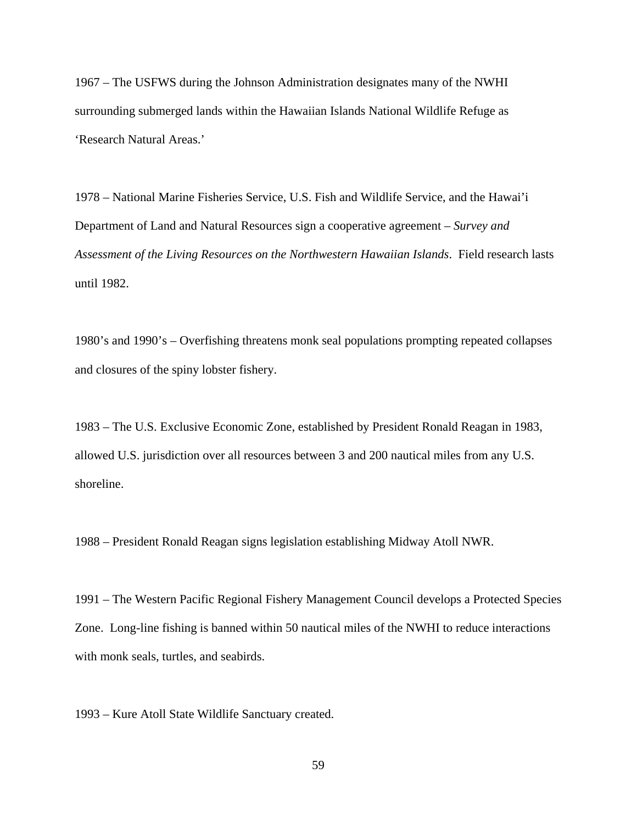1967 – The USFWS during the Johnson Administration designates many of the NWHI surrounding submerged lands within the Hawaiian Islands National Wildlife Refuge as 'Research Natural Areas.'

1978 – National Marine Fisheries Service, U.S. Fish and Wildlife Service, and the Hawai'i Department of Land and Natural Resources sign a cooperative agreement – *Survey and Assessment of the Living Resources on the Northwestern Hawaiian Islands*. Field research lasts until 1982.

1980's and 1990's – Overfishing threatens monk seal populations prompting repeated collapses and closures of the spiny lobster fishery.

1983 – The U.S. Exclusive Economic Zone, established by President Ronald Reagan in 1983, allowed U.S. jurisdiction over all resources between 3 and 200 nautical miles from any U.S. shoreline.

1988 – President Ronald Reagan signs legislation establishing Midway Atoll NWR.

1991 – The Western Pacific Regional Fishery Management Council develops a Protected Species Zone. Long-line fishing is banned within 50 nautical miles of the NWHI to reduce interactions with monk seals, turtles, and seabirds.

1993 – Kure Atoll State Wildlife Sanctuary created.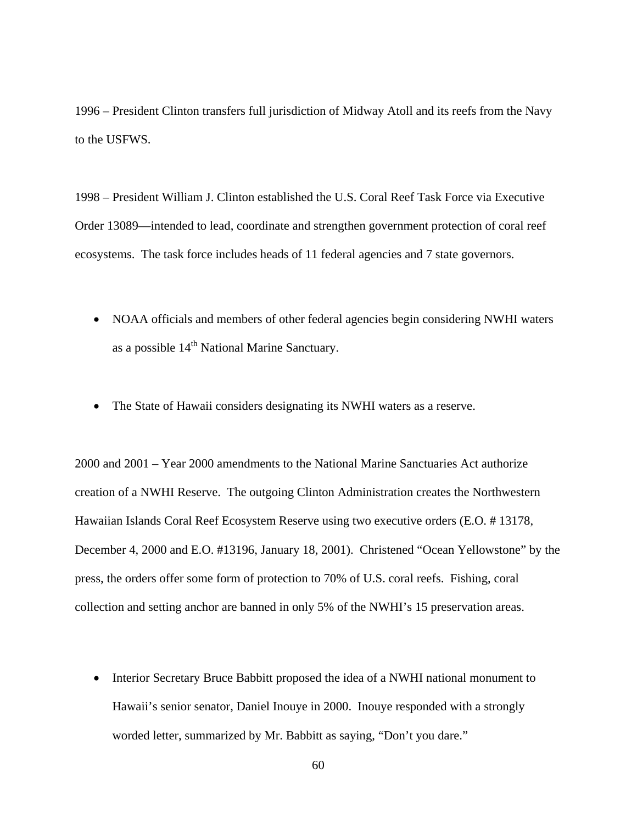1996 – President Clinton transfers full jurisdiction of Midway Atoll and its reefs from the Navy to the USFWS.

1998 – President William J. Clinton established the U.S. Coral Reef Task Force via Executive Order 13089—intended to lead, coordinate and strengthen government protection of coral reef ecosystems. The task force includes heads of 11 federal agencies and 7 state governors.

- NOAA officials and members of other federal agencies begin considering NWHI waters as a possible  $14<sup>th</sup>$  National Marine Sanctuary.
- The State of Hawaii considers designating its NWHI waters as a reserve.

2000 and 2001 – Year 2000 amendments to the National Marine Sanctuaries Act authorize creation of a NWHI Reserve. The outgoing Clinton Administration creates the Northwestern Hawaiian Islands Coral Reef Ecosystem Reserve using two executive orders (E.O. # 13178, December 4, 2000 and E.O. #13196, January 18, 2001). Christened "Ocean Yellowstone" by the press, the orders offer some form of protection to 70% of U.S. coral reefs. Fishing, coral collection and setting anchor are banned in only 5% of the NWHI's 15 preservation areas.

• Interior Secretary Bruce Babbitt proposed the idea of a NWHI national monument to Hawaii's senior senator, Daniel Inouye in 2000. Inouye responded with a strongly worded letter, summarized by Mr. Babbitt as saying, "Don't you dare."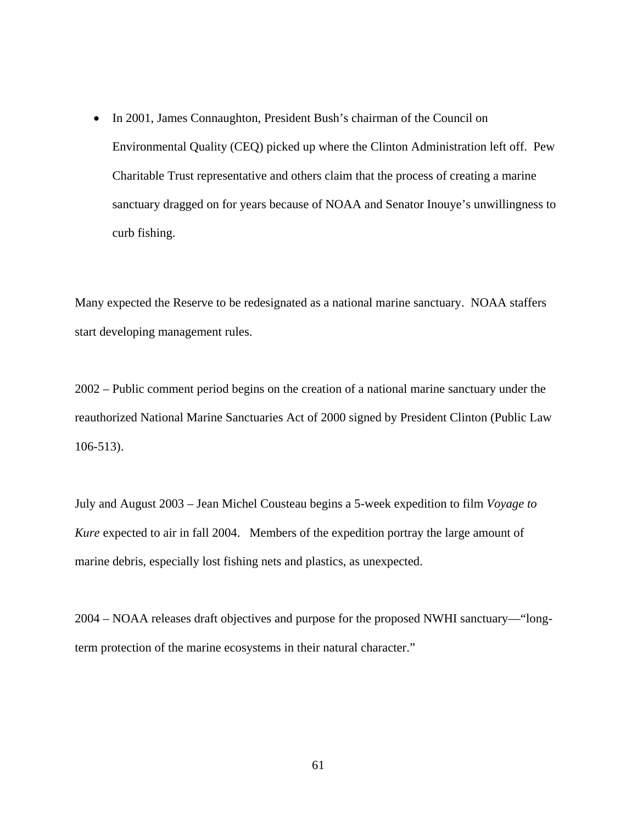• In 2001, James Connaughton, President Bush's chairman of the Council on Environmental Quality (CEQ) picked up where the Clinton Administration left off. Pew Charitable Trust representative and others claim that the process of creating a marine sanctuary dragged on for years because of NOAA and Senator Inouye's unwillingness to curb fishing.

Many expected the Reserve to be redesignated as a national marine sanctuary. NOAA staffers start developing management rules.

2002 – Public comment period begins on the creation of a national marine sanctuary under the reauthorized National Marine Sanctuaries Act of 2000 signed by President Clinton (Public Law 106-513).

July and August 2003 – Jean Michel Cousteau begins a 5-week expedition to film *Voyage to Kure* expected to air in fall 2004. Members of the expedition portray the large amount of marine debris, especially lost fishing nets and plastics, as unexpected.

2004 – NOAA releases draft objectives and purpose for the proposed NWHI sanctuary—"longterm protection of the marine ecosystems in their natural character."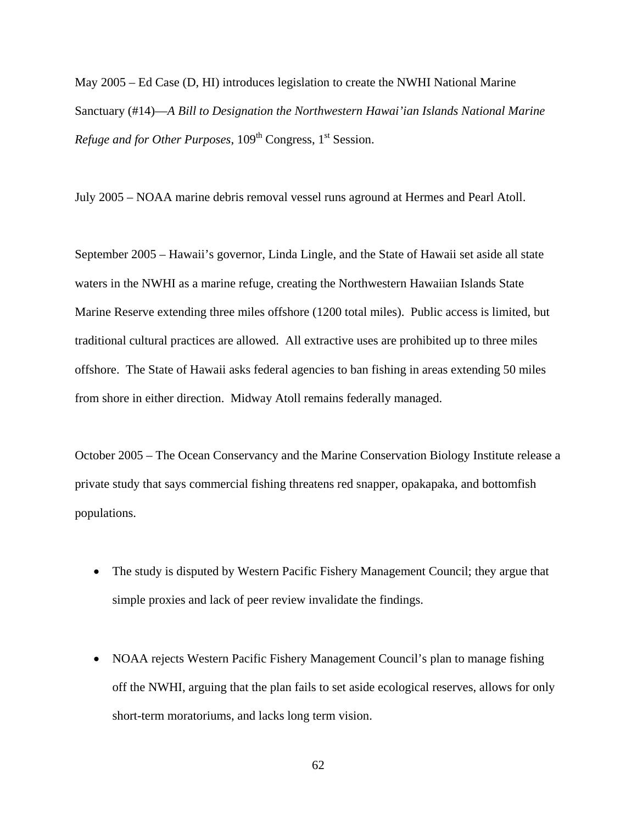May 2005 – Ed Case (D, HI) introduces legislation to create the NWHI National Marine Sanctuary (#14)—*A Bill to Designation the Northwestern Hawai'ian Islands National Marine Refuge and for Other Purposes*, 109<sup>th</sup> Congress, 1<sup>st</sup> Session.

July 2005 – NOAA marine debris removal vessel runs aground at Hermes and Pearl Atoll.

September 2005 – Hawaii's governor, Linda Lingle, and the State of Hawaii set aside all state waters in the NWHI as a marine refuge, creating the Northwestern Hawaiian Islands State Marine Reserve extending three miles offshore (1200 total miles). Public access is limited, but traditional cultural practices are allowed. All extractive uses are prohibited up to three miles offshore. The State of Hawaii asks federal agencies to ban fishing in areas extending 50 miles from shore in either direction. Midway Atoll remains federally managed.

October 2005 – The Ocean Conservancy and the Marine Conservation Biology Institute release a private study that says commercial fishing threatens red snapper, opakapaka, and bottomfish populations.

- The study is disputed by Western Pacific Fishery Management Council; they argue that simple proxies and lack of peer review invalidate the findings.
- NOAA rejects Western Pacific Fishery Management Council's plan to manage fishing off the NWHI, arguing that the plan fails to set aside ecological reserves, allows for only short-term moratoriums, and lacks long term vision.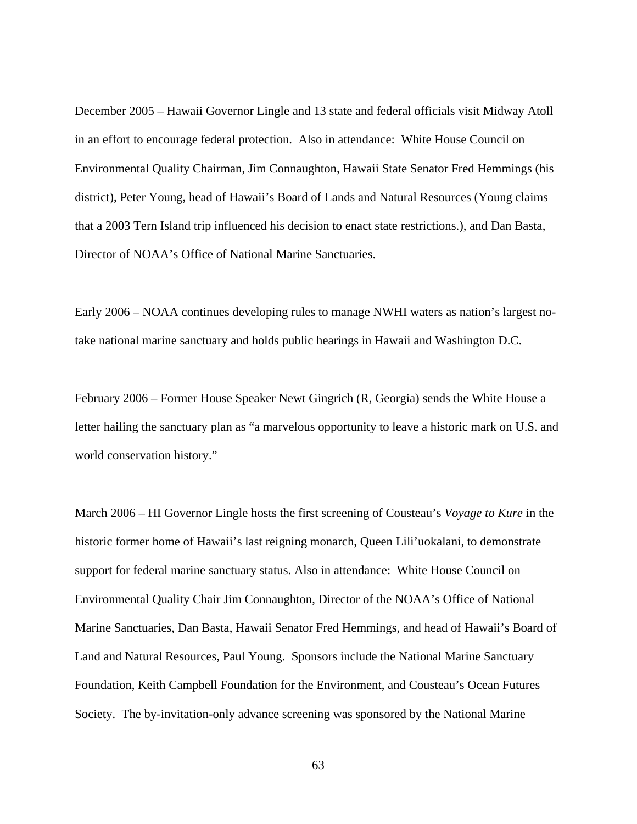December 2005 – Hawaii Governor Lingle and 13 state and federal officials visit Midway Atoll in an effort to encourage federal protection. Also in attendance: White House Council on Environmental Quality Chairman, Jim Connaughton, Hawaii State Senator Fred Hemmings (his district), Peter Young, head of Hawaii's Board of Lands and Natural Resources (Young claims that a 2003 Tern Island trip influenced his decision to enact state restrictions.), and Dan Basta, Director of NOAA's Office of National Marine Sanctuaries.

Early 2006 – NOAA continues developing rules to manage NWHI waters as nation's largest notake national marine sanctuary and holds public hearings in Hawaii and Washington D.C.

February 2006 – Former House Speaker Newt Gingrich (R, Georgia) sends the White House a letter hailing the sanctuary plan as "a marvelous opportunity to leave a historic mark on U.S. and world conservation history."

March 2006 – HI Governor Lingle hosts the first screening of Cousteau's *Voyage to Kure* in the historic former home of Hawaii's last reigning monarch, Queen Lili'uokalani, to demonstrate support for federal marine sanctuary status. Also in attendance: White House Council on Environmental Quality Chair Jim Connaughton, Director of the NOAA's Office of National Marine Sanctuaries, Dan Basta, Hawaii Senator Fred Hemmings, and head of Hawaii's Board of Land and Natural Resources, Paul Young. Sponsors include the National Marine Sanctuary Foundation, Keith Campbell Foundation for the Environment, and Cousteau's Ocean Futures Society. The by-invitation-only advance screening was sponsored by the National Marine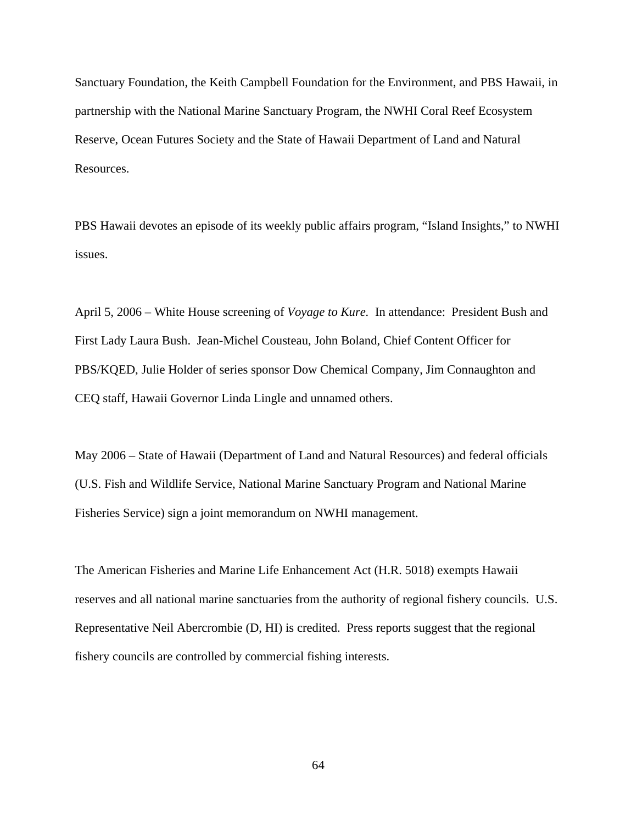Sanctuary Foundation, the Keith Campbell Foundation for the Environment, and PBS Hawaii, in partnership with the National Marine Sanctuary Program, the NWHI Coral Reef Ecosystem Reserve, Ocean Futures Society and the State of Hawaii Department of Land and Natural Resources.

PBS Hawaii devotes an episode of its weekly public affairs program, "Island Insights," to NWHI issues.

April 5, 2006 – White House screening of *Voyage to Kure.* In attendance: President Bush and First Lady Laura Bush. Jean-Michel Cousteau, John Boland, Chief Content Officer for PBS/KQED, Julie Holder of series sponsor Dow Chemical Company, Jim Connaughton and CEQ staff, Hawaii Governor Linda Lingle and unnamed others.

May 2006 – State of Hawaii (Department of Land and Natural Resources) and federal officials (U.S. Fish and Wildlife Service, National Marine Sanctuary Program and National Marine Fisheries Service) sign a joint memorandum on NWHI management.

The American Fisheries and Marine Life Enhancement Act (H.R. 5018) exempts Hawaii reserves and all national marine sanctuaries from the authority of regional fishery councils. U.S. Representative Neil Abercrombie (D, HI) is credited. Press reports suggest that the regional fishery councils are controlled by commercial fishing interests.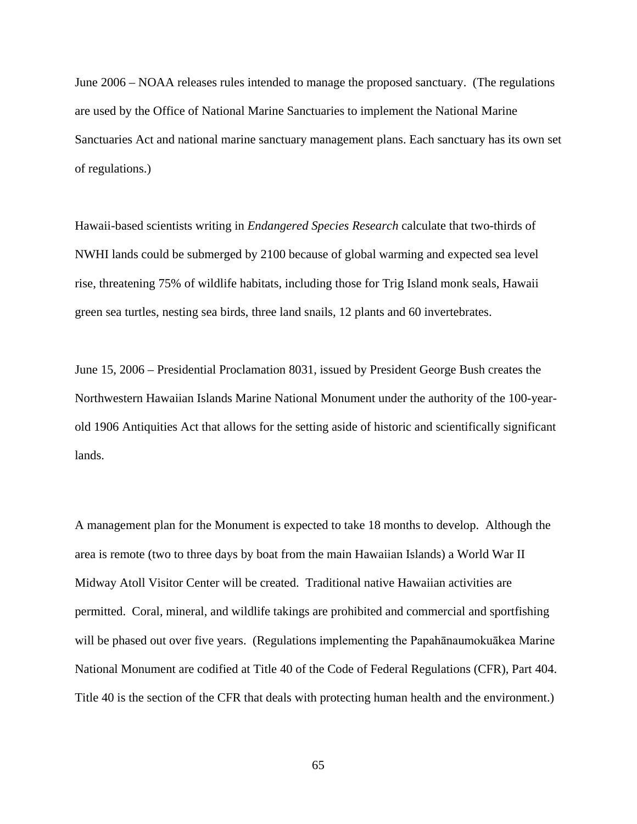June 2006 – NOAA releases rules intended to manage the proposed sanctuary. (The regulations are used by the Office of National Marine Sanctuaries to implement the National Marine Sanctuaries Act and national marine sanctuary management plans. Each sanctuary has its own set of regulations.)

Hawaii-based scientists writing in *Endangered Species Research* calculate that two-thirds of NWHI lands could be submerged by 2100 because of global warming and expected sea level rise, threatening 75% of wildlife habitats, including those for Trig Island monk seals, Hawaii green sea turtles, nesting sea birds, three land snails, 12 plants and 60 invertebrates.

June 15, 2006 – Presidential Proclamation 8031, issued by President George Bush creates the Northwestern Hawaiian Islands Marine National Monument under the authority of the 100-yearold 1906 Antiquities Act that allows for the setting aside of historic and scientifically significant lands.

A management plan for the Monument is expected to take 18 months to develop. Although the area is remote (two to three days by boat from the main Hawaiian Islands) a World War II Midway Atoll Visitor Center will be created. Traditional native Hawaiian activities are permitted. Coral, mineral, and wildlife takings are prohibited and commercial and sportfishing will be phased out over five years. (Regulations implementing the Papahānaumokuākea Marine National Monument are codified at Title 40 of the Code of Federal Regulations (CFR), Part 404. Title 40 is the section of the CFR that deals with protecting human health and the environment.)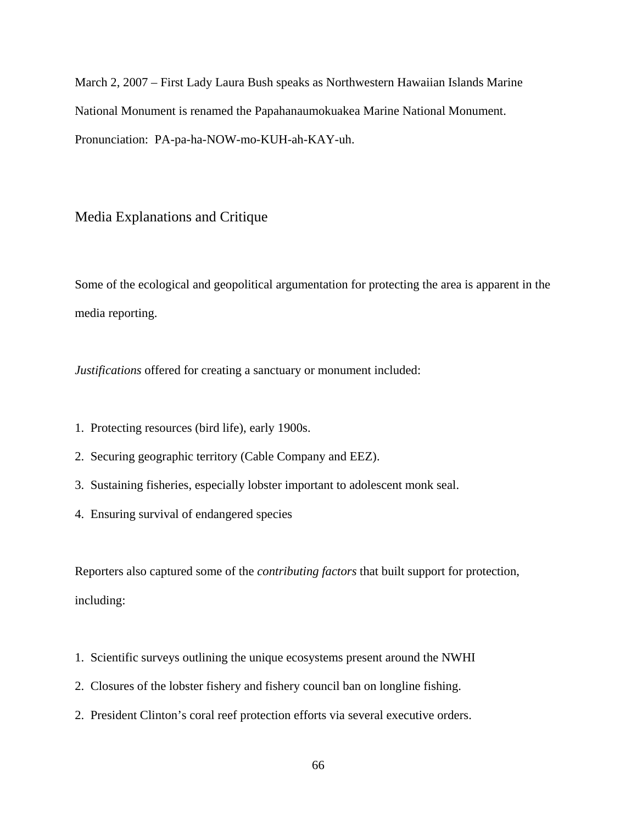March 2, 2007 – First Lady Laura Bush speaks as Northwestern Hawaiian Islands Marine National Monument is renamed the Papahanaumokuakea Marine National Monument. Pronunciation: PA-pa-ha-NOW-mo-KUH-ah-KAY-uh.

# Media Explanations and Critique

Some of the ecological and geopolitical argumentation for protecting the area is apparent in the media reporting.

*Justifications* offered for creating a sanctuary or monument included:

- 1. Protecting resources (bird life), early 1900s.
- 2. Securing geographic territory (Cable Company and EEZ).
- 3. Sustaining fisheries, especially lobster important to adolescent monk seal.
- 4. Ensuring survival of endangered species

Reporters also captured some of the *contributing factors* that built support for protection, including:

- 1. Scientific surveys outlining the unique ecosystems present around the NWHI
- 2. Closures of the lobster fishery and fishery council ban on longline fishing.
- 2. President Clinton's coral reef protection efforts via several executive orders.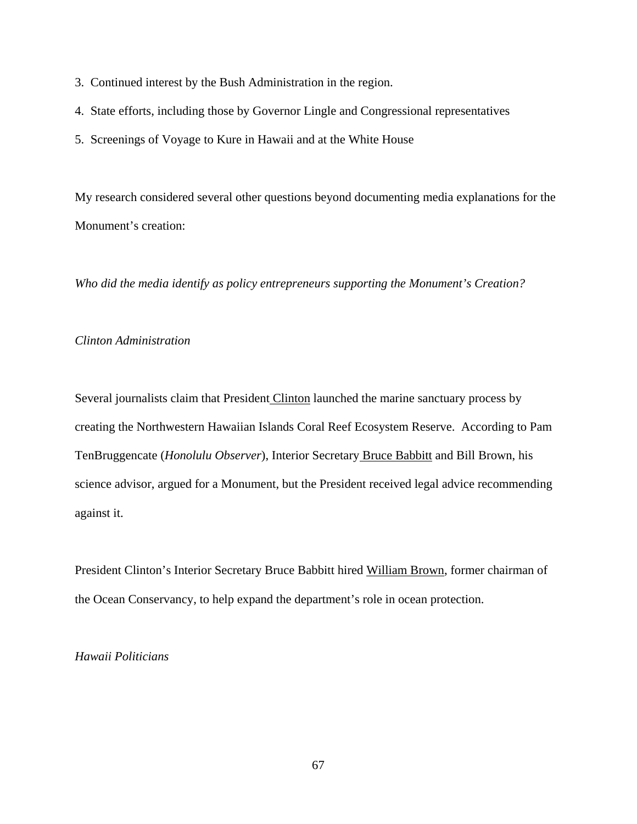- 3. Continued interest by the Bush Administration in the region.
- 4. State efforts, including those by Governor Lingle and Congressional representatives
- 5. Screenings of Voyage to Kure in Hawaii and at the White House

My research considered several other questions beyond documenting media explanations for the Monument's creation:

*Who did the media identify as policy entrepreneurs supporting the Monument's Creation?* 

# *Clinton Administration*

Several journalists claim that President Clinton launched the marine sanctuary process by creating the Northwestern Hawaiian Islands Coral Reef Ecosystem Reserve. According to Pam TenBruggencate (*Honolulu Observer*), Interior Secretary Bruce Babbitt and Bill Brown, his science advisor, argued for a Monument, but the President received legal advice recommending against it.

President Clinton's Interior Secretary Bruce Babbitt hired William Brown, former chairman of the Ocean Conservancy, to help expand the department's role in ocean protection.

# *Hawaii Politicians*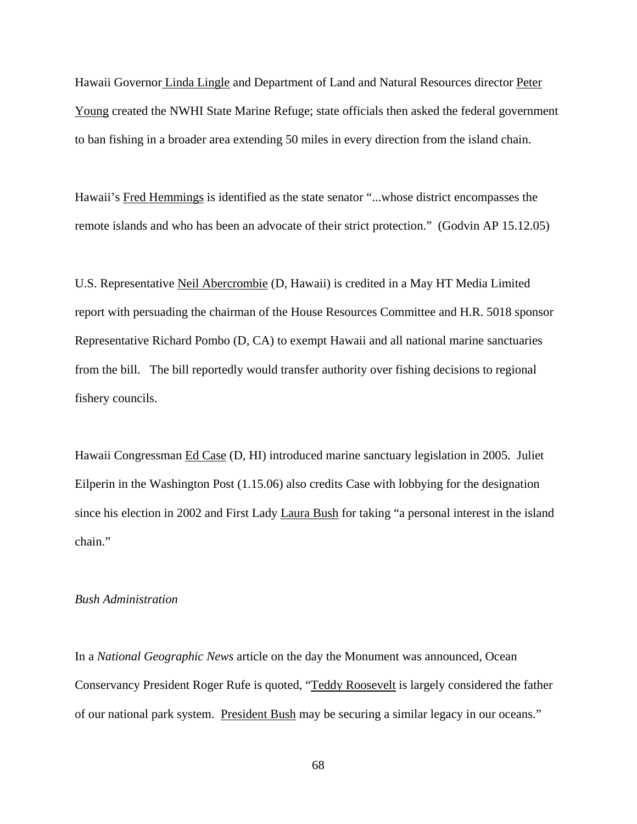Hawaii Governor Linda Lingle and Department of Land and Natural Resources director Peter Young created the NWHI State Marine Refuge; state officials then asked the federal government to ban fishing in a broader area extending 50 miles in every direction from the island chain.

Hawaii's Fred Hemmings is identified as the state senator "...whose district encompasses the remote islands and who has been an advocate of their strict protection." (Godvin AP 15.12.05)

U.S. Representative Neil Abercrombie (D, Hawaii) is credited in a May HT Media Limited report with persuading the chairman of the House Resources Committee and H.R. 5018 sponsor Representative Richard Pombo (D, CA) to exempt Hawaii and all national marine sanctuaries from the bill. The bill reportedly would transfer authority over fishing decisions to regional fishery councils.

Hawaii Congressman Ed Case (D, HI) introduced marine sanctuary legislation in 2005. Juliet Eilperin in the Washington Post (1.15.06) also credits Case with lobbying for the designation since his election in 2002 and First Lady Laura Bush for taking "a personal interest in the island chain."

### *Bush Administration*

In a *National Geographic News* article on the day the Monument was announced, Ocean Conservancy President Roger Rufe is quoted, "Teddy Roosevelt is largely considered the father of our national park system. President Bush may be securing a similar legacy in our oceans."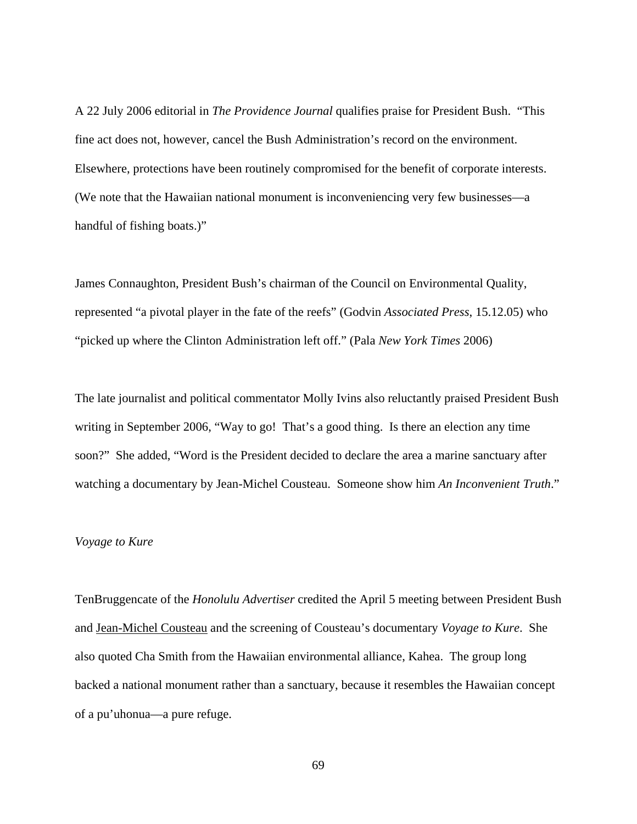A 22 July 2006 editorial in *The Providence Journal* qualifies praise for President Bush. "This fine act does not, however, cancel the Bush Administration's record on the environment. Elsewhere, protections have been routinely compromised for the benefit of corporate interests. (We note that the Hawaiian national monument is inconveniencing very few businesses—a handful of fishing boats.)"

James Connaughton, President Bush's chairman of the Council on Environmental Quality, represented "a pivotal player in the fate of the reefs" (Godvin *Associated Press*, 15.12.05) who "picked up where the Clinton Administration left off." (Pala *New York Times* 2006)

The late journalist and political commentator Molly Ivins also reluctantly praised President Bush writing in September 2006, "Way to go! That's a good thing. Is there an election any time soon?" She added, "Word is the President decided to declare the area a marine sanctuary after watching a documentary by Jean-Michel Cousteau. Someone show him *An Inconvenient Truth*."

# *Voyage to Kure*

TenBruggencate of the *Honolulu Advertiser* credited the April 5 meeting between President Bush and Jean-Michel Cousteau and the screening of Cousteau's documentary *Voyage to Kure*. She also quoted Cha Smith from the Hawaiian environmental alliance, Kahea. The group long backed a national monument rather than a sanctuary, because it resembles the Hawaiian concept of a pu'uhonua—a pure refuge.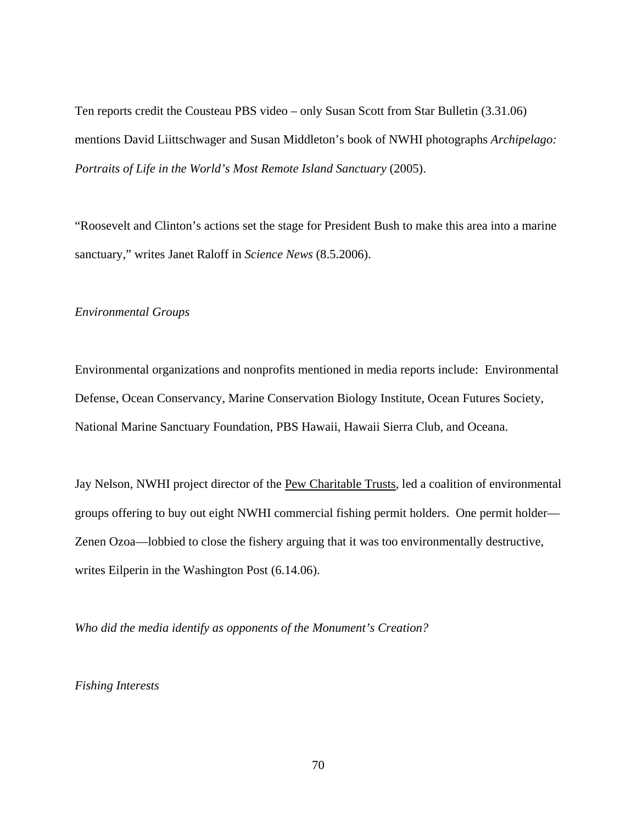Ten reports credit the Cousteau PBS video – only Susan Scott from Star Bulletin (3.31.06) mentions David Liittschwager and Susan Middleton's book of NWHI photographs *Archipelago: Portraits of Life in the World's Most Remote Island Sanctuary* (2005).

"Roosevelt and Clinton's actions set the stage for President Bush to make this area into a marine sanctuary," writes Janet Raloff in *Science News* (8.5.2006).

## *Environmental Groups*

Environmental organizations and nonprofits mentioned in media reports include: Environmental Defense, Ocean Conservancy, Marine Conservation Biology Institute, Ocean Futures Society, National Marine Sanctuary Foundation, PBS Hawaii, Hawaii Sierra Club, and Oceana.

Jay Nelson, NWHI project director of the Pew Charitable Trusts, led a coalition of environmental groups offering to buy out eight NWHI commercial fishing permit holders. One permit holder— Zenen Ozoa—lobbied to close the fishery arguing that it was too environmentally destructive, writes Eilperin in the Washington Post (6.14.06).

*Who did the media identify as opponents of the Monument's Creation?* 

*Fishing Interests*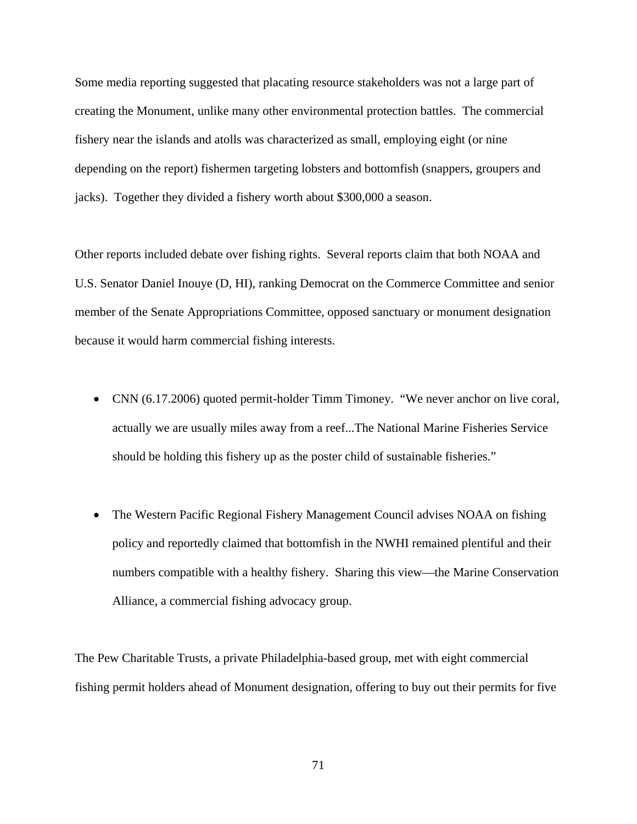Some media reporting suggested that placating resource stakeholders was not a large part of creating the Monument, unlike many other environmental protection battles. The commercial fishery near the islands and atolls was characterized as small, employing eight (or nine depending on the report) fishermen targeting lobsters and bottomfish (snappers, groupers and jacks). Together they divided a fishery worth about \$300,000 a season.

Other reports included debate over fishing rights. Several reports claim that both NOAA and U.S. Senator Daniel Inouye (D, HI), ranking Democrat on the Commerce Committee and senior member of the Senate Appropriations Committee, opposed sanctuary or monument designation because it would harm commercial fishing interests.

- CNN (6.17.2006) quoted permit-holder Timm Timoney. "We never anchor on live coral, actually we are usually miles away from a reef...The National Marine Fisheries Service should be holding this fishery up as the poster child of sustainable fisheries."
- The Western Pacific Regional Fishery Management Council advises NOAA on fishing policy and reportedly claimed that bottomfish in the NWHI remained plentiful and their numbers compatible with a healthy fishery. Sharing this view—the Marine Conservation Alliance, a commercial fishing advocacy group.

The Pew Charitable Trusts, a private Philadelphia-based group, met with eight commercial fishing permit holders ahead of Monument designation, offering to buy out their permits for five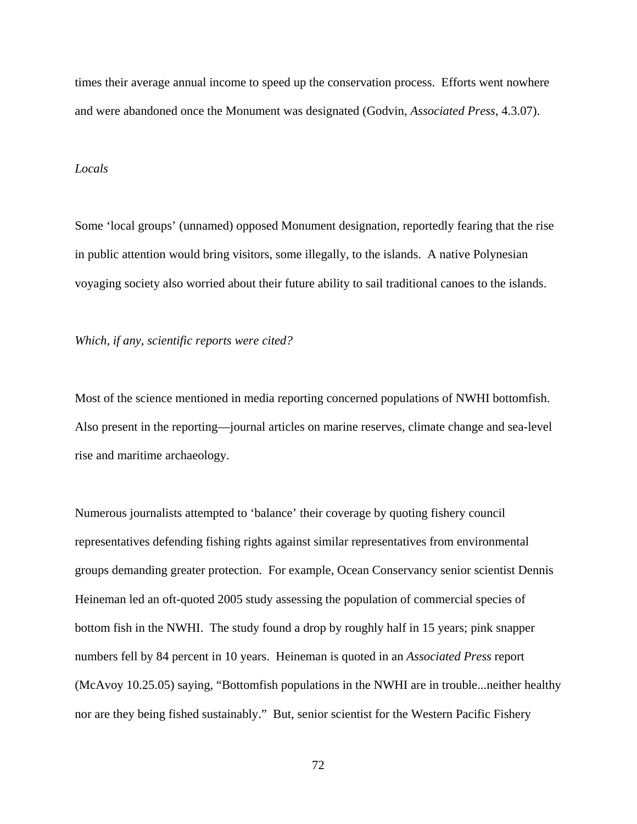times their average annual income to speed up the conservation process. Efforts went nowhere and were abandoned once the Monument was designated (Godvin, *Associated Press*, 4.3.07).

### *Locals*

Some 'local groups' (unnamed) opposed Monument designation, reportedly fearing that the rise in public attention would bring visitors, some illegally, to the islands. A native Polynesian voyaging society also worried about their future ability to sail traditional canoes to the islands.

*Which, if any, scientific reports were cited?* 

Most of the science mentioned in media reporting concerned populations of NWHI bottomfish. Also present in the reporting—journal articles on marine reserves, climate change and sea-level rise and maritime archaeology.

Numerous journalists attempted to 'balance' their coverage by quoting fishery council representatives defending fishing rights against similar representatives from environmental groups demanding greater protection. For example, Ocean Conservancy senior scientist Dennis Heineman led an oft-quoted 2005 study assessing the population of commercial species of bottom fish in the NWHI. The study found a drop by roughly half in 15 years; pink snapper numbers fell by 84 percent in 10 years. Heineman is quoted in an *Associated Press* report (McAvoy 10.25.05) saying, "Bottomfish populations in the NWHI are in trouble...neither healthy nor are they being fished sustainably." But, senior scientist for the Western Pacific Fishery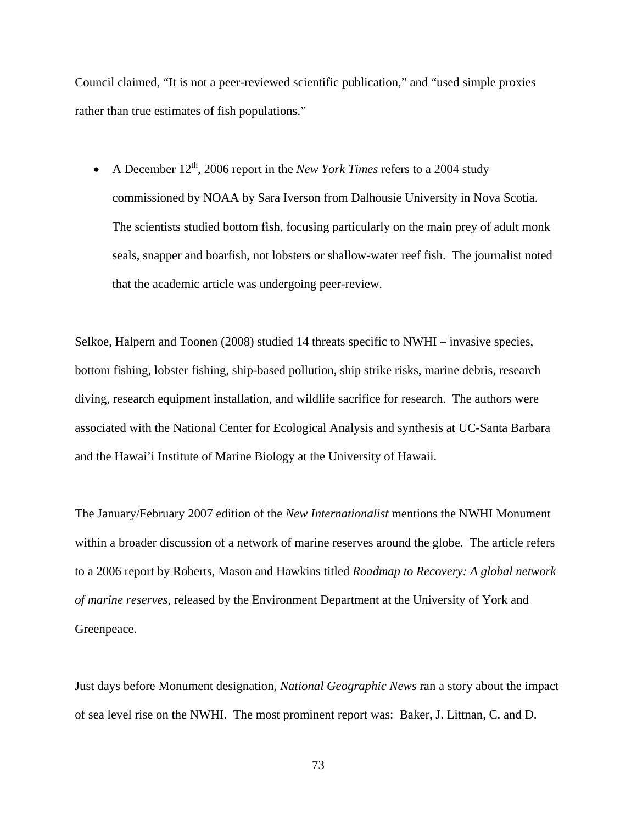Council claimed, "It is not a peer-reviewed scientific publication," and "used simple proxies rather than true estimates of fish populations."

• A December  $12^{th}$ , 2006 report in the *New York Times* refers to a 2004 study commissioned by NOAA by Sara Iverson from Dalhousie University in Nova Scotia. The scientists studied bottom fish, focusing particularly on the main prey of adult monk seals, snapper and boarfish, not lobsters or shallow-water reef fish. The journalist noted that the academic article was undergoing peer-review.

Selkoe, Halpern and Toonen (2008) studied 14 threats specific to NWHI – invasive species, bottom fishing, lobster fishing, ship-based pollution, ship strike risks, marine debris, research diving, research equipment installation, and wildlife sacrifice for research. The authors were associated with the National Center for Ecological Analysis and synthesis at UC-Santa Barbara and the Hawai'i Institute of Marine Biology at the University of Hawaii.

The January/February 2007 edition of the *New Internationalist* mentions the NWHI Monument within a broader discussion of a network of marine reserves around the globe. The article refers to a 2006 report by Roberts, Mason and Hawkins titled *Roadmap to Recovery: A global network of marine reserves*, released by the Environment Department at the University of York and Greenpeace.

Just days before Monument designation, *National Geographic News* ran a story about the impact of sea level rise on the NWHI. The most prominent report was: Baker, J. Littnan, C. and D.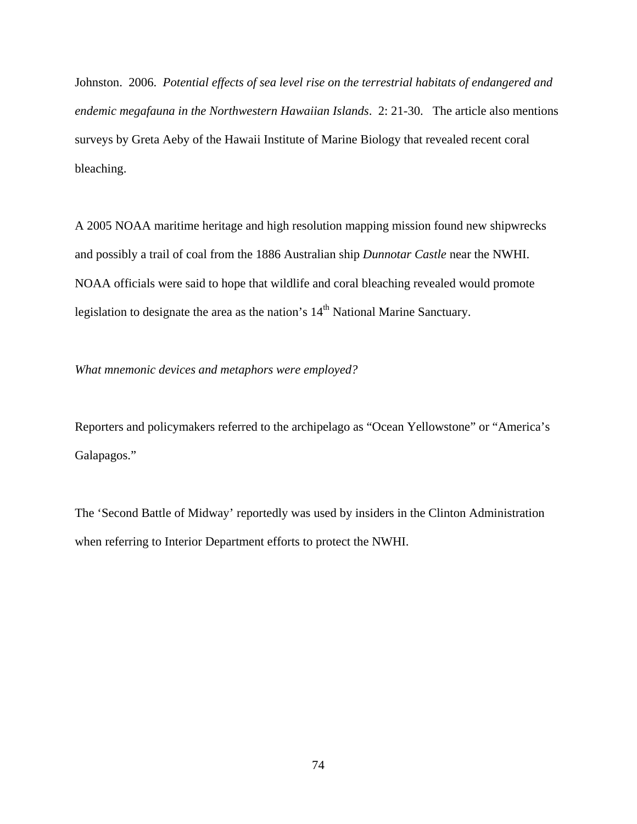Johnston. 2006. *Potential effects of sea level rise on the terrestrial habitats of endangered and endemic megafauna in the Northwestern Hawaiian Islands*. 2: 21-30. The article also mentions surveys by Greta Aeby of the Hawaii Institute of Marine Biology that revealed recent coral bleaching.

A 2005 NOAA maritime heritage and high resolution mapping mission found new shipwrecks and possibly a trail of coal from the 1886 Australian ship *Dunnotar Castle* near the NWHI. NOAA officials were said to hope that wildlife and coral bleaching revealed would promote legislation to designate the area as the nation's 14<sup>th</sup> National Marine Sanctuary.

*What mnemonic devices and metaphors were employed?* 

Reporters and policymakers referred to the archipelago as "Ocean Yellowstone" or "America's Galapagos."

The 'Second Battle of Midway' reportedly was used by insiders in the Clinton Administration when referring to Interior Department efforts to protect the NWHI.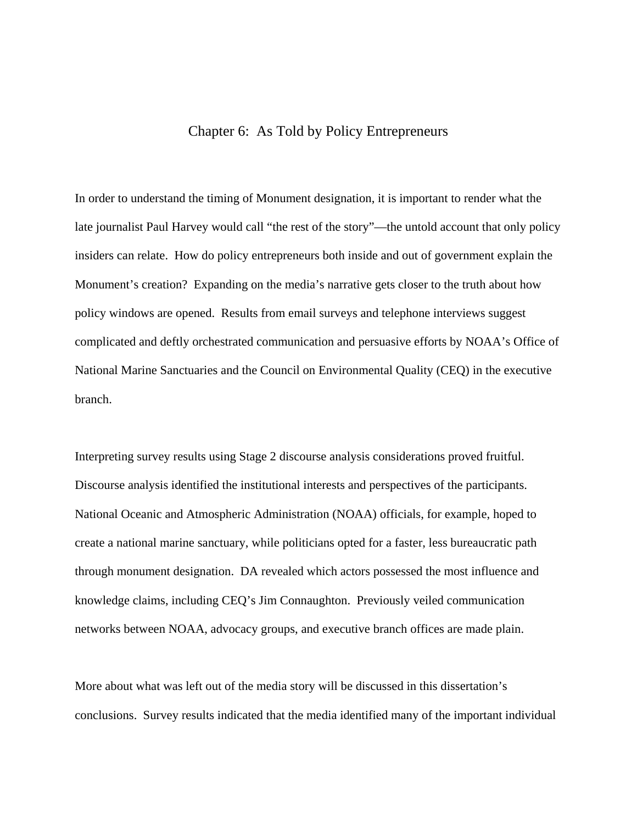# Chapter 6: As Told by Policy Entrepreneurs

In order to understand the timing of Monument designation, it is important to render what the late journalist Paul Harvey would call "the rest of the story"—the untold account that only policy insiders can relate. How do policy entrepreneurs both inside and out of government explain the Monument's creation? Expanding on the media's narrative gets closer to the truth about how policy windows are opened. Results from email surveys and telephone interviews suggest complicated and deftly orchestrated communication and persuasive efforts by NOAA's Office of National Marine Sanctuaries and the Council on Environmental Quality (CEQ) in the executive branch.

Interpreting survey results using Stage 2 discourse analysis considerations proved fruitful. Discourse analysis identified the institutional interests and perspectives of the participants. National Oceanic and Atmospheric Administration (NOAA) officials, for example, hoped to create a national marine sanctuary, while politicians opted for a faster, less bureaucratic path through monument designation. DA revealed which actors possessed the most influence and knowledge claims, including CEQ's Jim Connaughton. Previously veiled communication networks between NOAA, advocacy groups, and executive branch offices are made plain.

More about what was left out of the media story will be discussed in this dissertation's conclusions. Survey results indicated that the media identified many of the important individual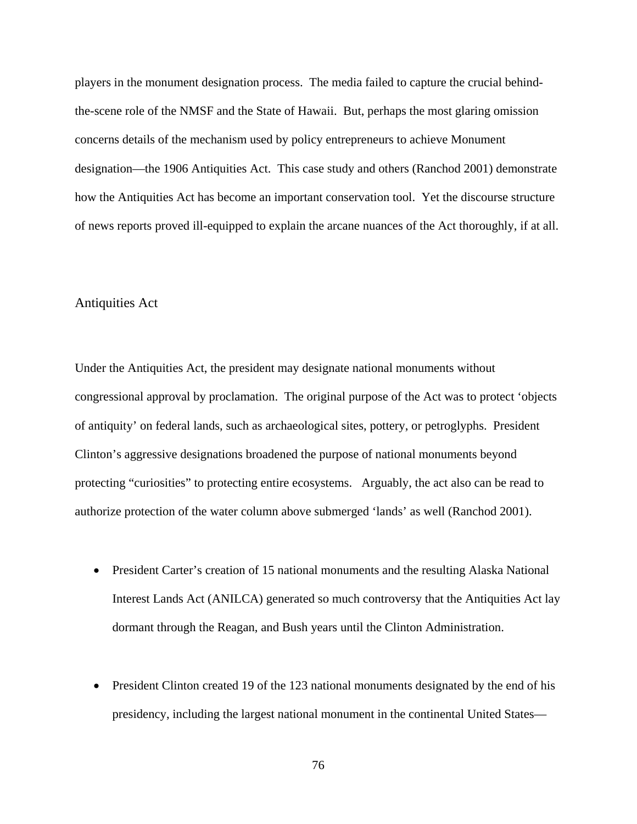players in the monument designation process. The media failed to capture the crucial behindthe-scene role of the NMSF and the State of Hawaii. But, perhaps the most glaring omission concerns details of the mechanism used by policy entrepreneurs to achieve Monument designation—the 1906 Antiquities Act. This case study and others (Ranchod 2001) demonstrate how the Antiquities Act has become an important conservation tool. Yet the discourse structure of news reports proved ill-equipped to explain the arcane nuances of the Act thoroughly, if at all.

## Antiquities Act

Under the Antiquities Act, the president may designate national monuments without congressional approval by proclamation. The original purpose of the Act was to protect 'objects of antiquity' on federal lands, such as archaeological sites, pottery, or petroglyphs. President Clinton's aggressive designations broadened the purpose of national monuments beyond protecting "curiosities" to protecting entire ecosystems. Arguably, the act also can be read to authorize protection of the water column above submerged 'lands' as well (Ranchod 2001).

- President Carter's creation of 15 national monuments and the resulting Alaska National Interest Lands Act (ANILCA) generated so much controversy that the Antiquities Act lay dormant through the Reagan, and Bush years until the Clinton Administration.
- President Clinton created 19 of the 123 national monuments designated by the end of his presidency, including the largest national monument in the continental United States—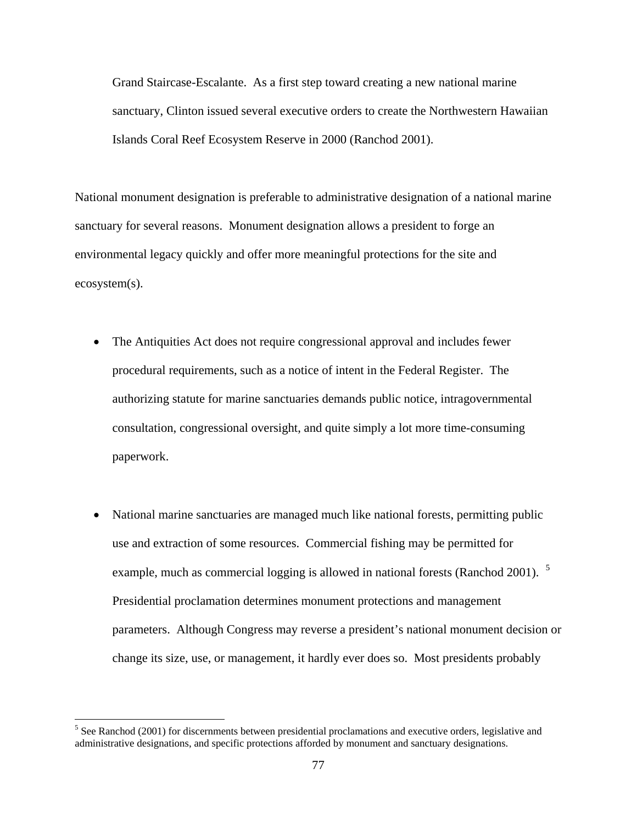Grand Staircase-Escalante. As a first step toward creating a new national marine sanctuary, Clinton issued several executive orders to create the Northwestern Hawaiian Islands Coral Reef Ecosystem Reserve in 2000 (Ranchod 2001).

National monument designation is preferable to administrative designation of a national marine sanctuary for several reasons. Monument designation allows a president to forge an environmental legacy quickly and offer more meaningful protections for the site and ecosystem(s).

- The Antiquities Act does not require congressional approval and includes fewer procedural requirements, such as a notice of intent in the Federal Register. The authorizing statute for marine sanctuaries demands public notice, intragovernmental consultation, congressional oversight, and quite simply a lot more time-consuming paperwork.
- National marine sanctuaries are managed much like national forests, permitting public use and extraction of some resources. Commercial fishing may be permitted for example, much as commercial logging is allowed in national forests (Ranchod 2001). <sup>[5](#page-87-0)</sup> Presidential proclamation determines monument protections and management parameters. Although Congress may reverse a president's national monument decision or change its size, use, or management, it hardly ever does so. Most presidents probably

<span id="page-87-0"></span> <sup>5</sup> See Ranchod (2001) for discernments between presidential proclamations and executive orders, legislative and administrative designations, and specific protections afforded by monument and sanctuary designations.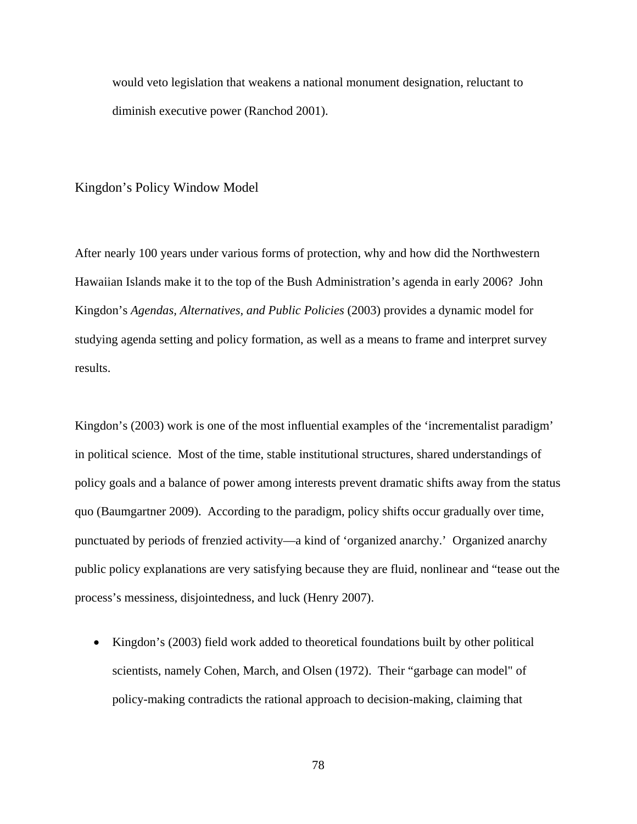would veto legislation that weakens a national monument designation, reluctant to diminish executive power (Ranchod 2001).

### Kingdon's Policy Window Model

After nearly 100 years under various forms of protection, why and how did the Northwestern Hawaiian Islands make it to the top of the Bush Administration's agenda in early 2006? John Kingdon's *Agendas, Alternatives, and Public Policies* (2003) provides a dynamic model for studying agenda setting and policy formation, as well as a means to frame and interpret survey results.

Kingdon's (2003) work is one of the most influential examples of the 'incrementalist paradigm' in political science. Most of the time, stable institutional structures, shared understandings of policy goals and a balance of power among interests prevent dramatic shifts away from the status quo (Baumgartner 2009). According to the paradigm, policy shifts occur gradually over time, punctuated by periods of frenzied activity—a kind of 'organized anarchy.' Organized anarchy public policy explanations are very satisfying because they are fluid, nonlinear and "tease out the process's messiness, disjointedness, and luck (Henry 2007).

• Kingdon's (2003) field work added to theoretical foundations built by other political scientists, namely Cohen, March, and Olsen (1972). Their "garbage can model" of policy-making contradicts the rational approach to decision-making, claiming that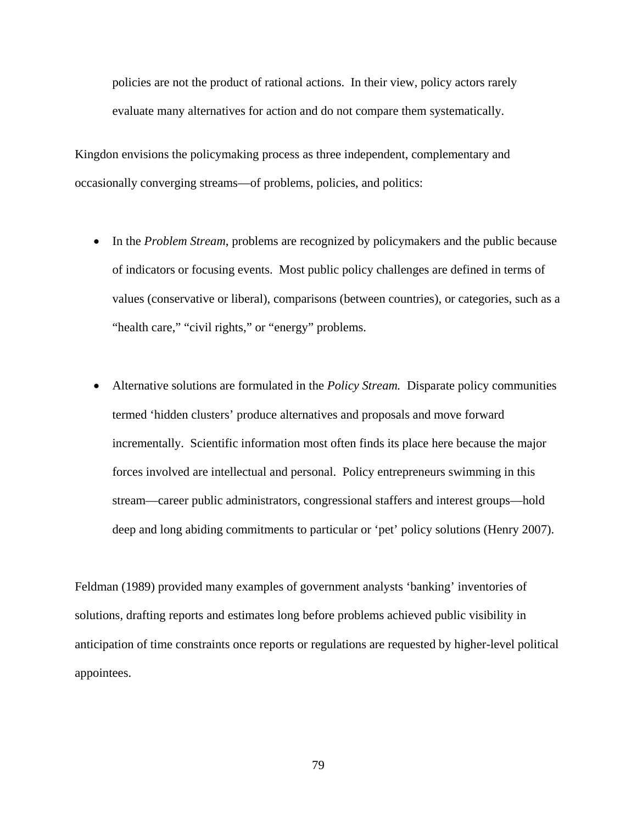policies are not the product of rational actions. In their view, policy actors rarely evaluate many alternatives for action and do not compare them systematically.

Kingdon envisions the policymaking process as three independent, complementary and occasionally converging streams—of problems, policies, and politics:

- In the *Problem Stream*, problems are recognized by policymakers and the public because of indicators or focusing events. Most public policy challenges are defined in terms of values (conservative or liberal), comparisons (between countries), or categories, such as a "health care," "civil rights," or "energy" problems.
- Alternative solutions are formulated in the *Policy Stream.* Disparate policy communities termed 'hidden clusters' produce alternatives and proposals and move forward incrementally. Scientific information most often finds its place here because the major forces involved are intellectual and personal. Policy entrepreneurs swimming in this stream—career public administrators, congressional staffers and interest groups—hold deep and long abiding commitments to particular or 'pet' policy solutions (Henry 2007).

Feldman (1989) provided many examples of government analysts 'banking' inventories of solutions, drafting reports and estimates long before problems achieved public visibility in anticipation of time constraints once reports or regulations are requested by higher-level political appointees.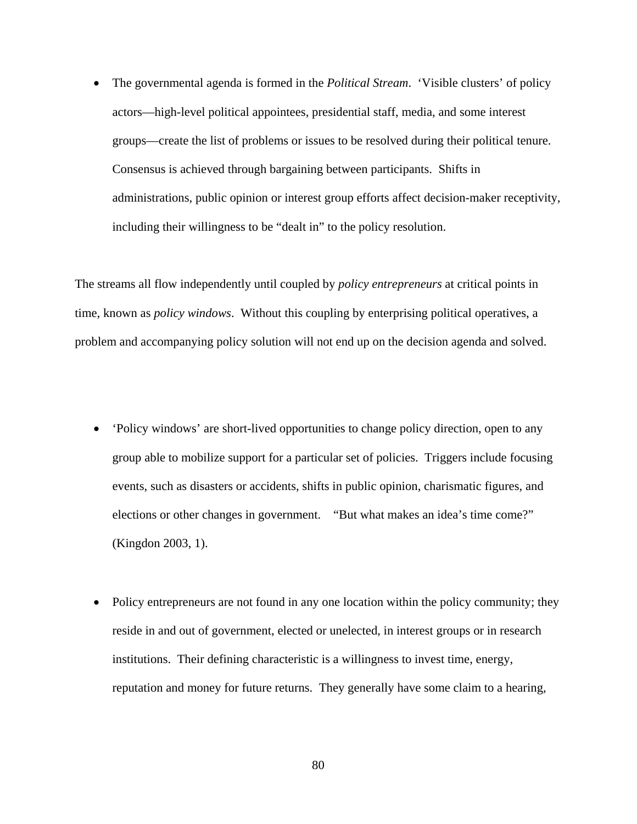• The governmental agenda is formed in the *Political Stream*. 'Visible clusters' of policy actors—high-level political appointees, presidential staff, media, and some interest groups—create the list of problems or issues to be resolved during their political tenure. Consensus is achieved through bargaining between participants. Shifts in administrations, public opinion or interest group efforts affect decision-maker receptivity, including their willingness to be "dealt in" to the policy resolution.

The streams all flow independently until coupled by *policy entrepreneurs* at critical points in time, known as *policy windows*. Without this coupling by enterprising political operatives, a problem and accompanying policy solution will not end up on the decision agenda and solved.

- 'Policy windows' are short-lived opportunities to change policy direction, open to any group able to mobilize support for a particular set of policies. Triggers include focusing events, such as disasters or accidents, shifts in public opinion, charismatic figures, and elections or other changes in government. "But what makes an idea's time come?" (Kingdon 2003, 1).
- Policy entrepreneurs are not found in any one location within the policy community; they reside in and out of government, elected or unelected, in interest groups or in research institutions. Their defining characteristic is a willingness to invest time, energy, reputation and money for future returns. They generally have some claim to a hearing,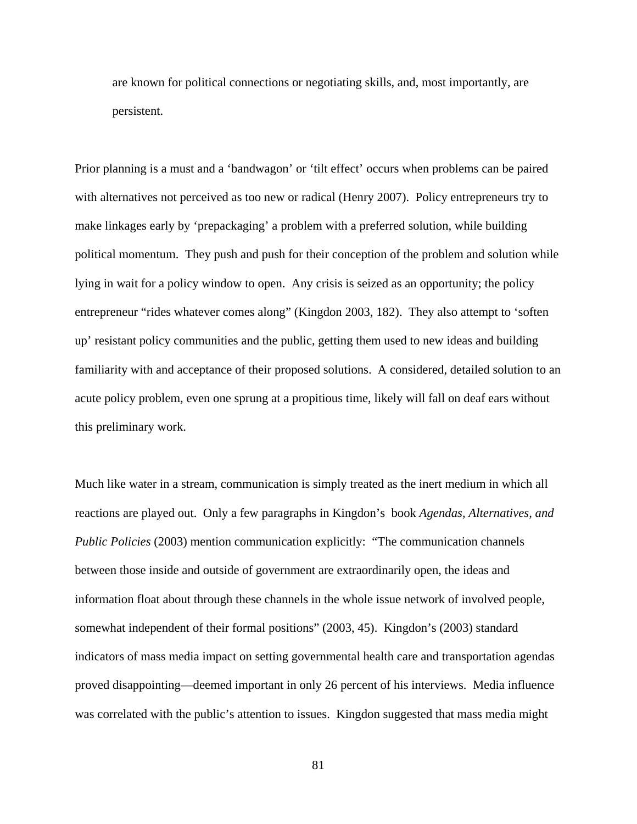are known for political connections or negotiating skills, and, most importantly, are persistent.

Prior planning is a must and a 'bandwagon' or 'tilt effect' occurs when problems can be paired with alternatives not perceived as too new or radical (Henry 2007). Policy entrepreneurs try to make linkages early by 'prepackaging' a problem with a preferred solution, while building political momentum. They push and push for their conception of the problem and solution while lying in wait for a policy window to open. Any crisis is seized as an opportunity; the policy entrepreneur "rides whatever comes along" (Kingdon 2003, 182). They also attempt to 'soften up' resistant policy communities and the public, getting them used to new ideas and building familiarity with and acceptance of their proposed solutions. A considered, detailed solution to an acute policy problem, even one sprung at a propitious time, likely will fall on deaf ears without this preliminary work.

Much like water in a stream, communication is simply treated as the inert medium in which all reactions are played out. Only a few paragraphs in Kingdon's book *Agendas, Alternatives, and Public Policies* (2003) mention communication explicitly: "The communication channels between those inside and outside of government are extraordinarily open, the ideas and information float about through these channels in the whole issue network of involved people, somewhat independent of their formal positions" (2003, 45). Kingdon's (2003) standard indicators of mass media impact on setting governmental health care and transportation agendas proved disappointing—deemed important in only 26 percent of his interviews. Media influence was correlated with the public's attention to issues. Kingdon suggested that mass media might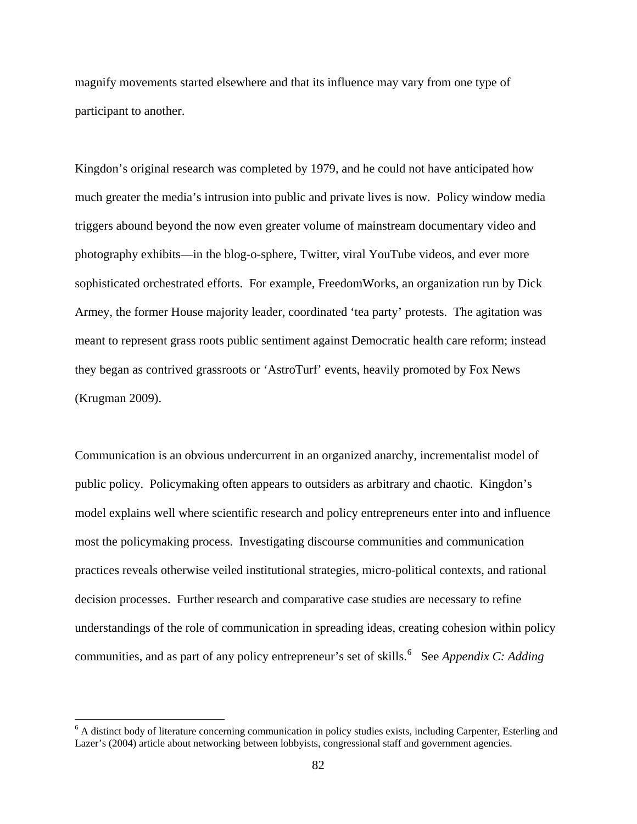magnify movements started elsewhere and that its influence may vary from one type of participant to another.

Kingdon's original research was completed by 1979, and he could not have anticipated how much greater the media's intrusion into public and private lives is now. Policy window media triggers abound beyond the now even greater volume of mainstream documentary video and photography exhibits—in the blog-o-sphere, Twitter, viral YouTube videos, and ever more sophisticated orchestrated efforts. For example, FreedomWorks, an organization run by Dick Armey, the former House majority leader, coordinated 'tea party' protests. The agitation was meant to represent grass roots public sentiment against Democratic health care reform; instead they began as contrived grassroots or 'AstroTurf' events, heavily promoted by Fox News (Krugman 2009).

Communication is an obvious undercurrent in an organized anarchy, incrementalist model of public policy. Policymaking often appears to outsiders as arbitrary and chaotic. Kingdon's model explains well where scientific research and policy entrepreneurs enter into and influence most the policymaking process. Investigating discourse communities and communication practices reveals otherwise veiled institutional strategies, micro-political contexts, and rational decision processes. Further research and comparative case studies are necessary to refine understandings of the role of communication in spreading ideas, creating cohesion within policy communities, and as part of any policy entrepreneur's set of skills.<sup>[6](#page-92-0)</sup> See *Appendix C: Adding* 

<span id="page-92-0"></span><sup>&</sup>lt;sup>6</sup> A distinct body of literature concerning communication in policy studies exists, including Carpenter, Esterling and Lazer's (2004) article about networking between lobbyists, congressional staff and government agencies.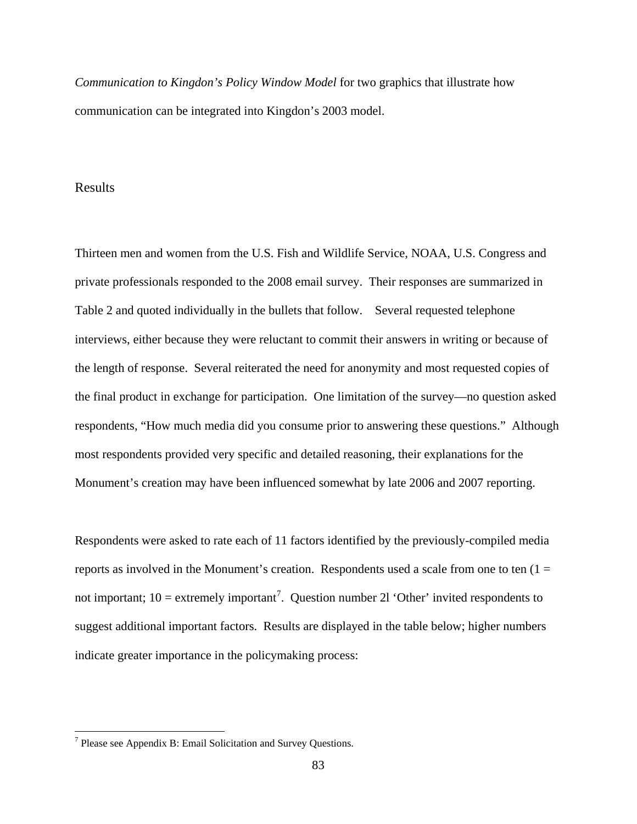*Communication to Kingdon's Policy Window Model* for two graphics that illustrate how communication can be integrated into Kingdon's 2003 model.

## Results

Thirteen men and women from the U.S. Fish and Wildlife Service, NOAA, U.S. Congress and private professionals responded to the 2008 email survey. Their responses are summarized in Table 2 and quoted individually in the bullets that follow. Several requested telephone interviews, either because they were reluctant to commit their answers in writing or because of the length of response. Several reiterated the need for anonymity and most requested copies of the final product in exchange for participation. One limitation of the survey—no question asked respondents, "How much media did you consume prior to answering these questions." Although most respondents provided very specific and detailed reasoning, their explanations for the Monument's creation may have been influenced somewhat by late 2006 and 2007 reporting.

Respondents were asked to rate each of 11 factors identified by the previously-compiled media reports as involved in the Monument's creation. Respondents used a scale from one to ten  $(1 =$ not important;  $10 =$  extremely important<sup>[7](#page-93-0)</sup>. Question number 21 'Other' invited respondents to suggest additional important factors. Results are displayed in the table below; higher numbers indicate greater importance in the policymaking process:

<span id="page-93-0"></span> $<sup>7</sup>$  Please see Appendix B: Email Solicitation and Survey Questions.</sup>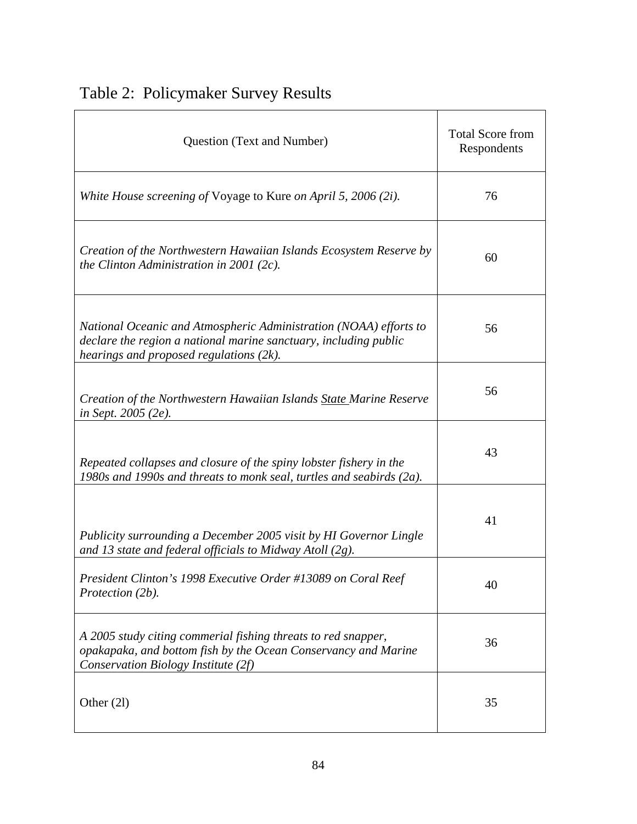| Table 2: Policymaker Survey Results |  |
|-------------------------------------|--|
|-------------------------------------|--|

| Question (Text and Number)                                                                                                                                                       | <b>Total Score from</b><br>Respondents |
|----------------------------------------------------------------------------------------------------------------------------------------------------------------------------------|----------------------------------------|
| White House screening of Voyage to Kure on April 5, 2006 (2i).                                                                                                                   | 76                                     |
| Creation of the Northwestern Hawaiian Islands Ecosystem Reserve by<br>the Clinton Administration in 2001 (2c).                                                                   | 60                                     |
| National Oceanic and Atmospheric Administration (NOAA) efforts to<br>declare the region a national marine sanctuary, including public<br>hearings and proposed regulations (2k). | 56                                     |
| Creation of the Northwestern Hawaiian Islands State Marine Reserve<br>in Sept. 2005 (2e).                                                                                        | 56                                     |
| Repeated collapses and closure of the spiny lobster fishery in the<br>1980s and 1990s and threats to monk seal, turtles and seabirds (2a).                                       | 43                                     |
| Publicity surrounding a December 2005 visit by HI Governor Lingle<br>and 13 state and federal officials to Midway Atoll $(2g)$ .                                                 | 41                                     |
| President Clinton's 1998 Executive Order #13089 on Coral Reef<br>Protection (2b).                                                                                                | 40                                     |
| A 2005 study citing commerial fishing threats to red snapper,<br>opakapaka, and bottom fish by the Ocean Conservancy and Marine<br>Conservation Biology Institute (2f)           | 36                                     |
| Other $(2l)$                                                                                                                                                                     | 35                                     |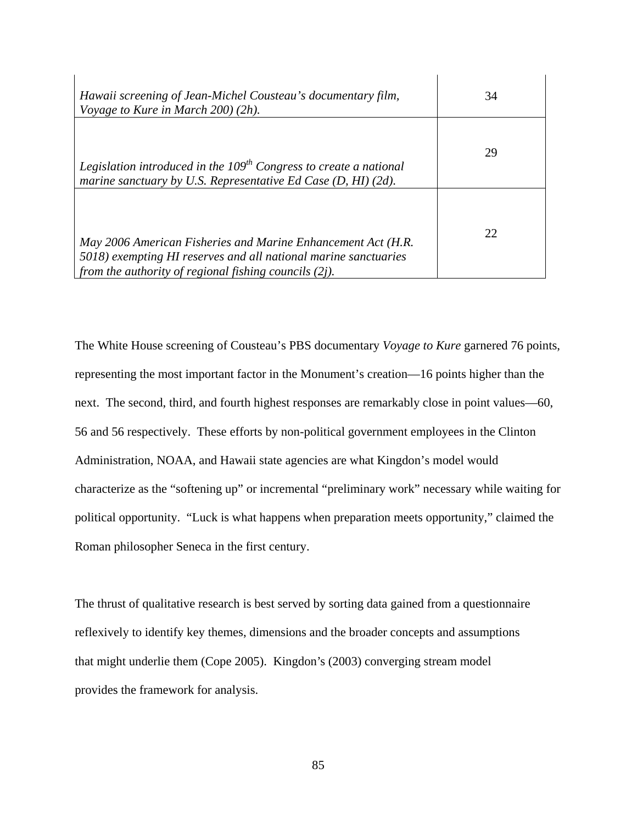| Hawaii screening of Jean-Michel Cousteau's documentary film,<br>Voyage to Kure in March $200(2h)$ .                                                                                         | 34 |
|---------------------------------------------------------------------------------------------------------------------------------------------------------------------------------------------|----|
| Legislation introduced in the $109th$ Congress to create a national<br>marine sanctuary by U.S. Representative Ed Case (D, HI) (2d).                                                        | 29 |
| May 2006 American Fisheries and Marine Enhancement Act (H.R.<br>5018) exempting HI reserves and all national marine sanctuaries<br>from the authority of regional fishing councils $(2j)$ . | 22 |

The White House screening of Cousteau's PBS documentary *Voyage to Kure* garnered 76 points, representing the most important factor in the Monument's creation—16 points higher than the next. The second, third, and fourth highest responses are remarkably close in point values—60, 56 and 56 respectively. These efforts by non-political government employees in the Clinton Administration, NOAA, and Hawaii state agencies are what Kingdon's model would characterize as the "softening up" or incremental "preliminary work" necessary while waiting for political opportunity. "Luck is what happens when preparation meets opportunity," claimed the Roman philosopher Seneca in the first century.

The thrust of qualitative research is best served by sorting data gained from a questionnaire reflexively to identify key themes, dimensions and the broader concepts and assumptions that might underlie them (Cope 2005). Kingdon's (2003) converging stream model provides the framework for analysis.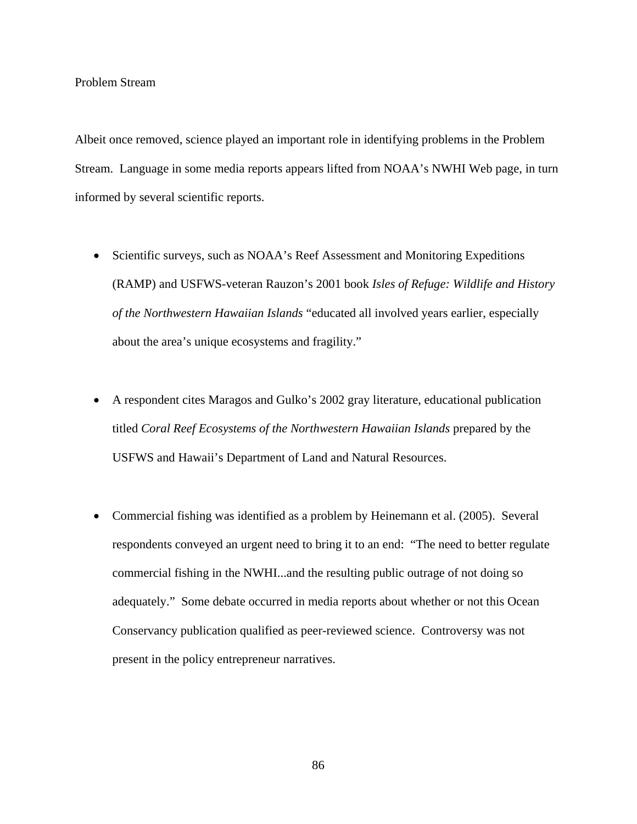## Problem Stream

Albeit once removed, science played an important role in identifying problems in the Problem Stream. Language in some media reports appears lifted from NOAA's NWHI Web page, in turn informed by several scientific reports.

- Scientific surveys, such as NOAA's Reef Assessment and Monitoring Expeditions (RAMP) and USFWS-veteran Rauzon's 2001 book *Isles of Refuge: Wildlife and History of the Northwestern Hawaiian Islands* "educated all involved years earlier, especially about the area's unique ecosystems and fragility."
- A respondent cites Maragos and Gulko's 2002 gray literature, educational publication titled *Coral Reef Ecosystems of the Northwestern Hawaiian Islands* prepared by the USFWS and Hawaii's Department of Land and Natural Resources.
- Commercial fishing was identified as a problem by Heinemann et al. (2005). Several respondents conveyed an urgent need to bring it to an end: "The need to better regulate commercial fishing in the NWHI...and the resulting public outrage of not doing so adequately." Some debate occurred in media reports about whether or not this Ocean Conservancy publication qualified as peer-reviewed science. Controversy was not present in the policy entrepreneur narratives.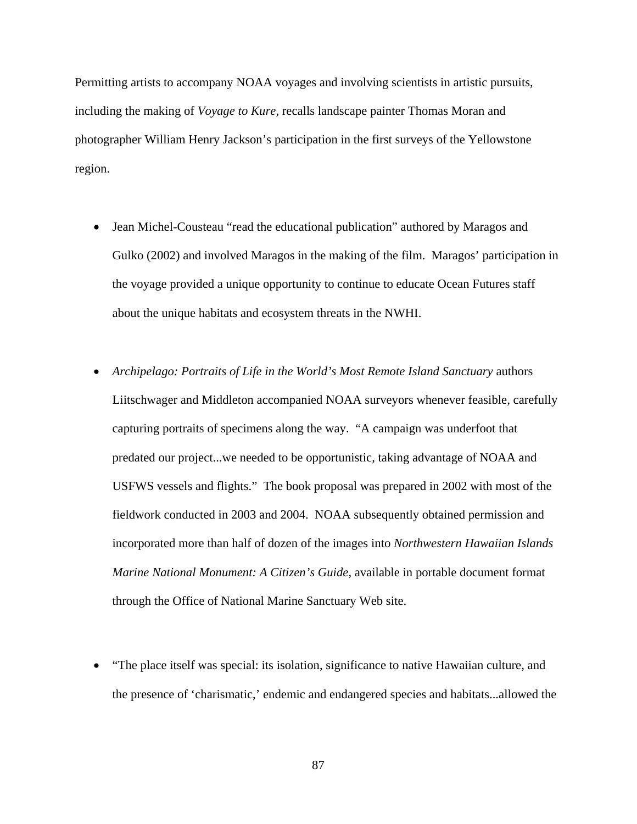Permitting artists to accompany NOAA voyages and involving scientists in artistic pursuits, including the making of *Voyage to Kure,* recalls landscape painter Thomas Moran and photographer William Henry Jackson's participation in the first surveys of the Yellowstone region.

- Jean Michel-Cousteau "read the educational publication" authored by Maragos and Gulko (2002) and involved Maragos in the making of the film. Maragos' participation in the voyage provided a unique opportunity to continue to educate Ocean Futures staff about the unique habitats and ecosystem threats in the NWHI.
- *Archipelago: Portraits of Life in the World's Most Remote Island Sanctuary* authors Liitschwager and Middleton accompanied NOAA surveyors whenever feasible, carefully capturing portraits of specimens along the way. "A campaign was underfoot that predated our project...we needed to be opportunistic, taking advantage of NOAA and USFWS vessels and flights." The book proposal was prepared in 2002 with most of the fieldwork conducted in 2003 and 2004. NOAA subsequently obtained permission and incorporated more than half of dozen of the images into *Northwestern Hawaiian Islands Marine National Monument: A Citizen's Guide*, available in portable document format through the Office of National Marine Sanctuary Web site.
- "The place itself was special: its isolation, significance to native Hawaiian culture, and the presence of 'charismatic,' endemic and endangered species and habitats...allowed the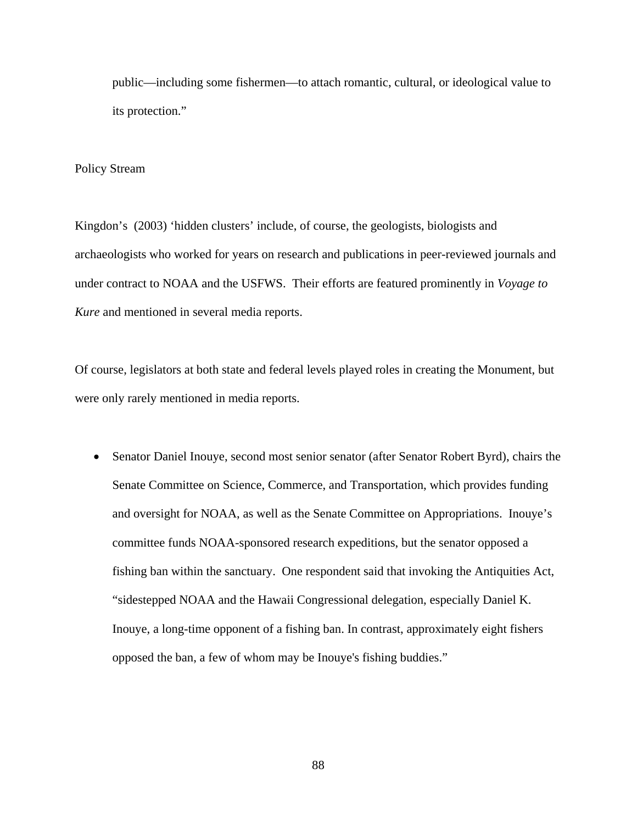public—including some fishermen—to attach romantic, cultural, or ideological value to its protection."

### Policy Stream

Kingdon's (2003) 'hidden clusters' include, of course, the geologists, biologists and archaeologists who worked for years on research and publications in peer-reviewed journals and under contract to NOAA and the USFWS. Their efforts are featured prominently in *Voyage to Kure* and mentioned in several media reports.

Of course, legislators at both state and federal levels played roles in creating the Monument, but were only rarely mentioned in media reports.

• Senator Daniel Inouye, second most senior senator (after Senator Robert Byrd), chairs the Senate Committee on Science, Commerce, and Transportation, which provides funding and oversight for NOAA, as well as the Senate Committee on Appropriations. Inouye's committee funds NOAA-sponsored research expeditions, but the senator opposed a fishing ban within the sanctuary. One respondent said that invoking the Antiquities Act, "sidestepped NOAA and the Hawaii Congressional delegation, especially Daniel K. Inouye, a long-time opponent of a fishing ban. In contrast, approximately eight fishers opposed the ban, a few of whom may be Inouye's fishing buddies."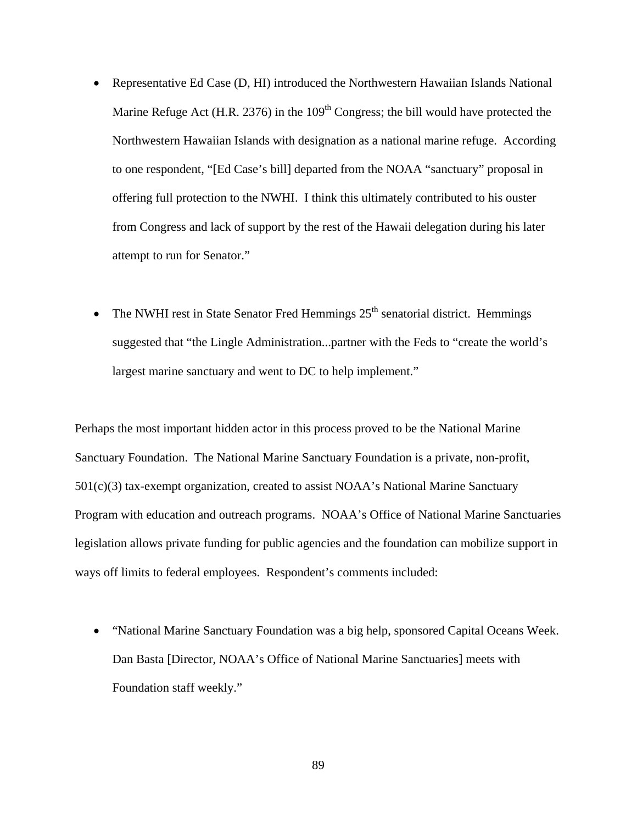- Representative Ed Case (D, HI) introduced the Northwestern Hawaiian Islands National Marine Refuge Act (H.R. 2376) in the  $109<sup>th</sup>$  Congress; the bill would have protected the Northwestern Hawaiian Islands with designation as a national marine refuge. According to one respondent, "[Ed Case's bill] departed from the NOAA "sanctuary" proposal in offering full protection to the NWHI. I think this ultimately contributed to his ouster from Congress and lack of support by the rest of the Hawaii delegation during his later attempt to run for Senator."
- The NWHI rest in State Senator Fred Hemmings  $25<sup>th</sup>$  senatorial district. Hemmings suggested that "the Lingle Administration...partner with the Feds to "create the world's largest marine sanctuary and went to DC to help implement."

Perhaps the most important hidden actor in this process proved to be the National Marine Sanctuary Foundation. The National Marine Sanctuary Foundation is a private, non-profit, 501(c)(3) tax-exempt organization, created to assist NOAA's National Marine Sanctuary Program with education and outreach programs. NOAA's Office of National Marine Sanctuaries legislation allows private funding for public agencies and the foundation can mobilize support in ways off limits to federal employees. Respondent's comments included:

• "National Marine Sanctuary Foundation was a big help, sponsored Capital Oceans Week. Dan Basta [Director, NOAA's Office of National Marine Sanctuaries] meets with Foundation staff weekly."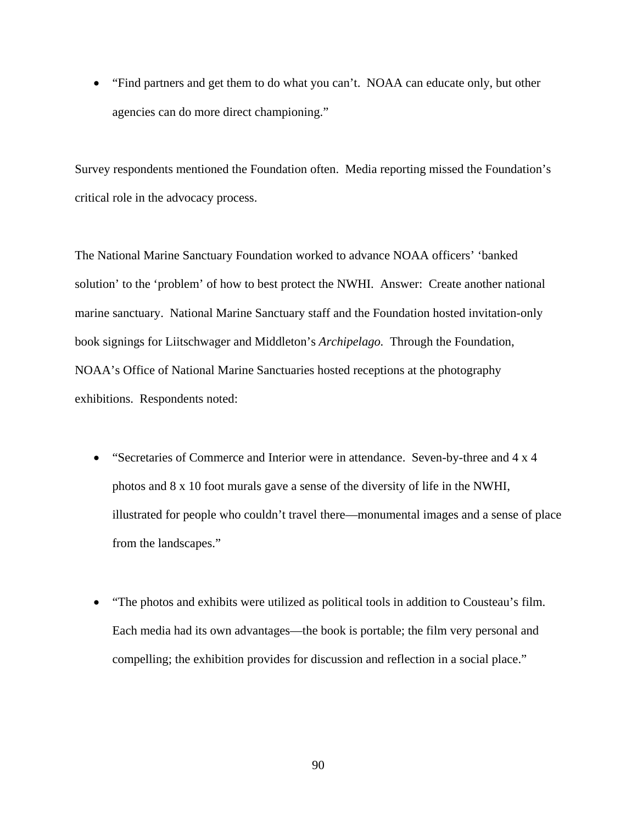• "Find partners and get them to do what you can't. NOAA can educate only, but other agencies can do more direct championing."

Survey respondents mentioned the Foundation often. Media reporting missed the Foundation's critical role in the advocacy process.

The National Marine Sanctuary Foundation worked to advance NOAA officers' 'banked solution' to the 'problem' of how to best protect the NWHI. Answer: Create another national marine sanctuary. National Marine Sanctuary staff and the Foundation hosted invitation-only book signings for Liitschwager and Middleton's *Archipelago.* Through the Foundation, NOAA's Office of National Marine Sanctuaries hosted receptions at the photography exhibitions. Respondents noted:

- "Secretaries of Commerce and Interior were in attendance. Seven-by-three and 4 x 4 photos and 8 x 10 foot murals gave a sense of the diversity of life in the NWHI, illustrated for people who couldn't travel there—monumental images and a sense of place from the landscapes."
- "The photos and exhibits were utilized as political tools in addition to Cousteau's film. Each media had its own advantages—the book is portable; the film very personal and compelling; the exhibition provides for discussion and reflection in a social place."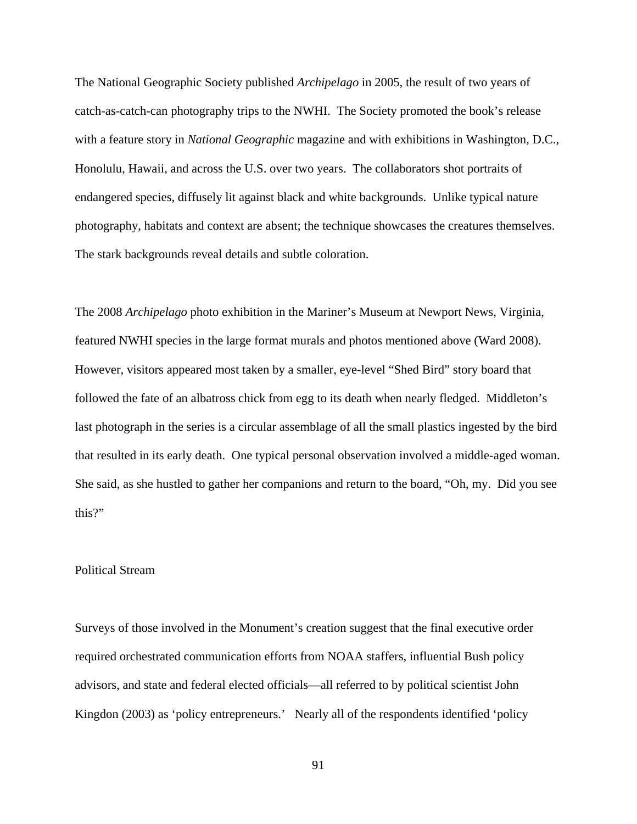The National Geographic Society published *Archipelago* in 2005, the result of two years of catch-as-catch-can photography trips to the NWHI. The Society promoted the book's release with a feature story in *National Geographic* magazine and with exhibitions in Washington, D.C., Honolulu, Hawaii, and across the U.S. over two years. The collaborators shot portraits of endangered species, diffusely lit against black and white backgrounds. Unlike typical nature photography, habitats and context are absent; the technique showcases the creatures themselves. The stark backgrounds reveal details and subtle coloration.

The 2008 *Archipelago* photo exhibition in the Mariner's Museum at Newport News, Virginia, featured NWHI species in the large format murals and photos mentioned above (Ward 2008). However, visitors appeared most taken by a smaller, eye-level "Shed Bird" story board that followed the fate of an albatross chick from egg to its death when nearly fledged. Middleton's last photograph in the series is a circular assemblage of all the small plastics ingested by the bird that resulted in its early death. One typical personal observation involved a middle-aged woman. She said, as she hustled to gather her companions and return to the board, "Oh, my. Did you see this?"

## Political Stream

Surveys of those involved in the Monument's creation suggest that the final executive order required orchestrated communication efforts from NOAA staffers, influential Bush policy advisors, and state and federal elected officials—all referred to by political scientist John Kingdon (2003) as 'policy entrepreneurs.' Nearly all of the respondents identified 'policy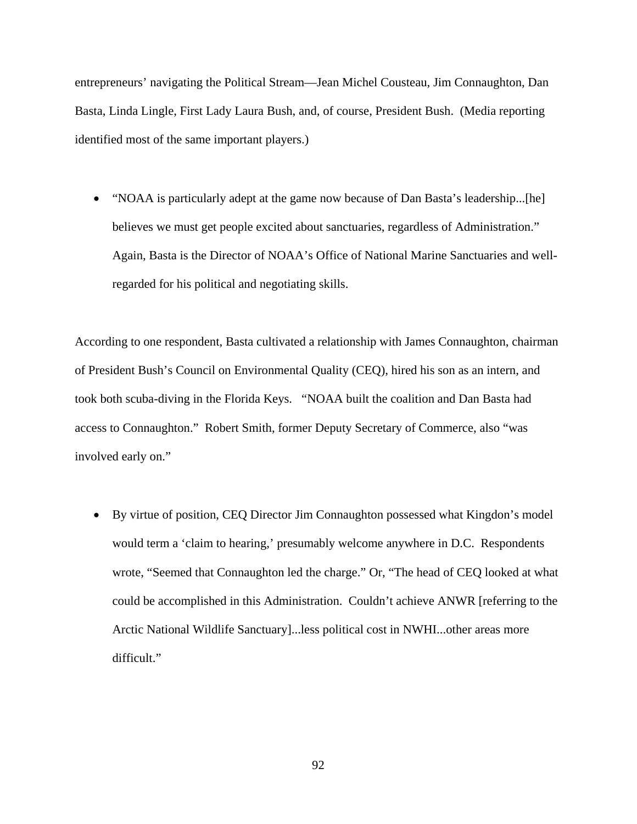entrepreneurs' navigating the Political Stream—Jean Michel Cousteau, Jim Connaughton, Dan Basta, Linda Lingle, First Lady Laura Bush, and, of course, President Bush. (Media reporting identified most of the same important players.)

• "NOAA is particularly adept at the game now because of Dan Basta's leadership...[he] believes we must get people excited about sanctuaries, regardless of Administration." Again, Basta is the Director of NOAA's Office of National Marine Sanctuaries and wellregarded for his political and negotiating skills.

According to one respondent, Basta cultivated a relationship with James Connaughton, chairman of President Bush's Council on Environmental Quality (CEQ), hired his son as an intern, and took both scuba-diving in the Florida Keys. "NOAA built the coalition and Dan Basta had access to Connaughton." Robert Smith, former Deputy Secretary of Commerce, also "was involved early on."

• By virtue of position, CEQ Director Jim Connaughton possessed what Kingdon's model would term a 'claim to hearing,' presumably welcome anywhere in D.C. Respondents wrote, "Seemed that Connaughton led the charge." Or, "The head of CEQ looked at what could be accomplished in this Administration. Couldn't achieve ANWR [referring to the Arctic National Wildlife Sanctuary]...less political cost in NWHI...other areas more difficult."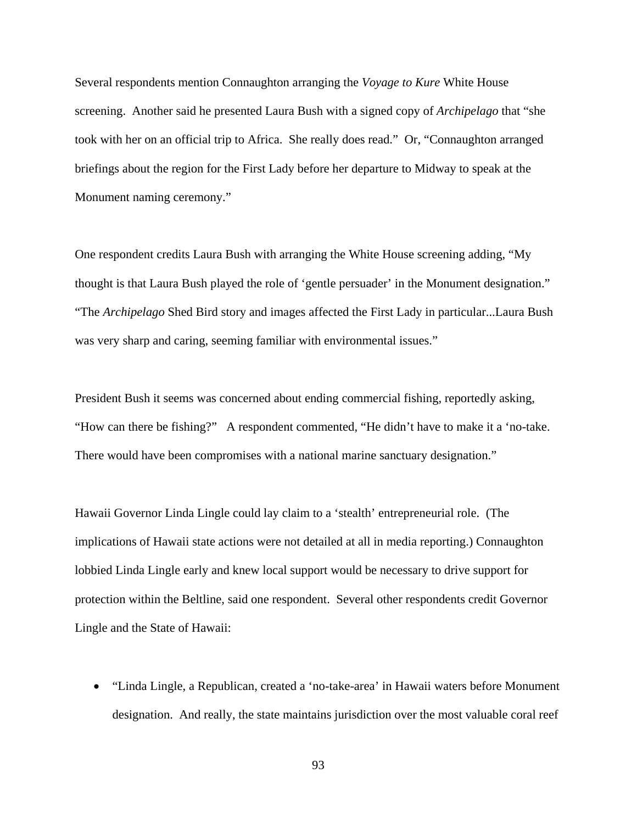Several respondents mention Connaughton arranging the *Voyage to Kure* White House screening. Another said he presented Laura Bush with a signed copy of *Archipelago* that "she took with her on an official trip to Africa. She really does read." Or, "Connaughton arranged briefings about the region for the First Lady before her departure to Midway to speak at the Monument naming ceremony."

One respondent credits Laura Bush with arranging the White House screening adding, "My thought is that Laura Bush played the role of 'gentle persuader' in the Monument designation." "The *Archipelago* Shed Bird story and images affected the First Lady in particular...Laura Bush was very sharp and caring, seeming familiar with environmental issues."

President Bush it seems was concerned about ending commercial fishing, reportedly asking, "How can there be fishing?" A respondent commented, "He didn't have to make it a 'no-take. There would have been compromises with a national marine sanctuary designation."

Hawaii Governor Linda Lingle could lay claim to a 'stealth' entrepreneurial role. (The implications of Hawaii state actions were not detailed at all in media reporting.) Connaughton lobbied Linda Lingle early and knew local support would be necessary to drive support for protection within the Beltline, said one respondent. Several other respondents credit Governor Lingle and the State of Hawaii:

• "Linda Lingle, a Republican, created a 'no-take-area' in Hawaii waters before Monument designation. And really, the state maintains jurisdiction over the most valuable coral reef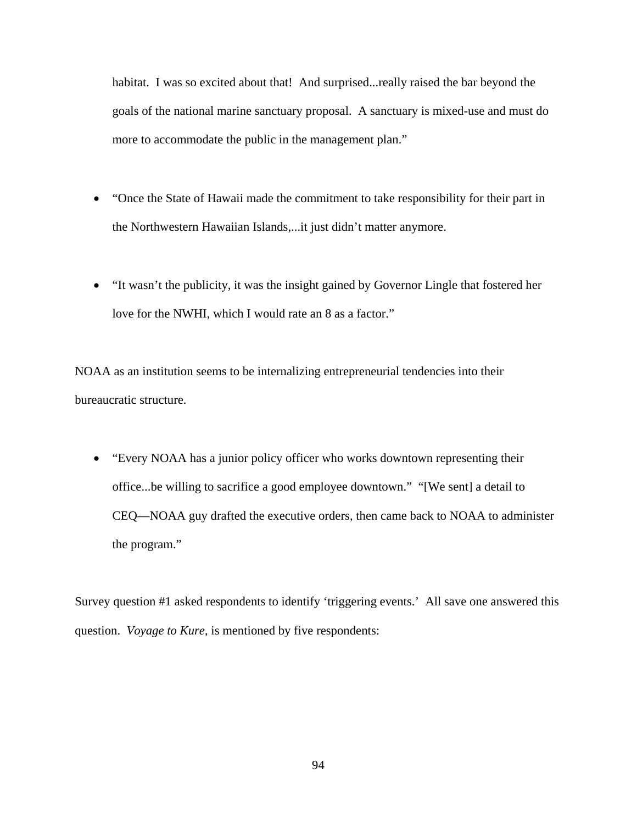habitat. I was so excited about that! And surprised...really raised the bar beyond the goals of the national marine sanctuary proposal. A sanctuary is mixed-use and must do more to accommodate the public in the management plan."

- "Once the State of Hawaii made the commitment to take responsibility for their part in the Northwestern Hawaiian Islands,...it just didn't matter anymore.
- "It wasn't the publicity, it was the insight gained by Governor Lingle that fostered her love for the NWHI, which I would rate an 8 as a factor."

NOAA as an institution seems to be internalizing entrepreneurial tendencies into their bureaucratic structure.

• "Every NOAA has a junior policy officer who works downtown representing their office...be willing to sacrifice a good employee downtown." "[We sent] a detail to CEQ—NOAA guy drafted the executive orders, then came back to NOAA to administer the program."

Survey question #1 asked respondents to identify 'triggering events.' All save one answered this question. *Voyage to Kure*, is mentioned by five respondents: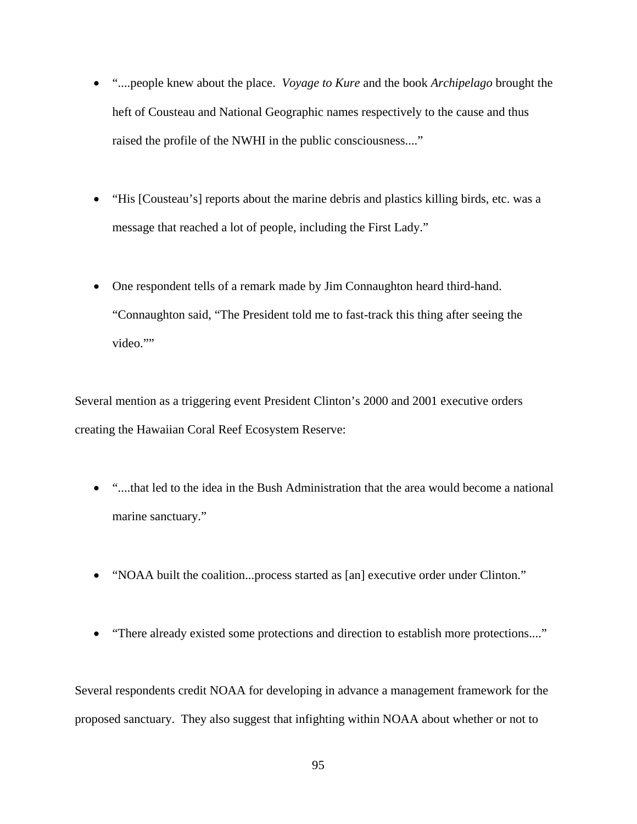- "....people knew about the place. *Voyage to Kure* and the book *Archipelago* brought the heft of Cousteau and National Geographic names respectively to the cause and thus raised the profile of the NWHI in the public consciousness...."
- "His [Cousteau's] reports about the marine debris and plastics killing birds, etc. was a message that reached a lot of people, including the First Lady."
- One respondent tells of a remark made by Jim Connaughton heard third-hand. "Connaughton said, "The President told me to fast-track this thing after seeing the video.""

Several mention as a triggering event President Clinton's 2000 and 2001 executive orders creating the Hawaiian Coral Reef Ecosystem Reserve:

- "....that led to the idea in the Bush Administration that the area would become a national marine sanctuary."
- "NOAA built the coalition...process started as [an] executive order under Clinton."
- "There already existed some protections and direction to establish more protections...."

Several respondents credit NOAA for developing in advance a management framework for the proposed sanctuary. They also suggest that infighting within NOAA about whether or not to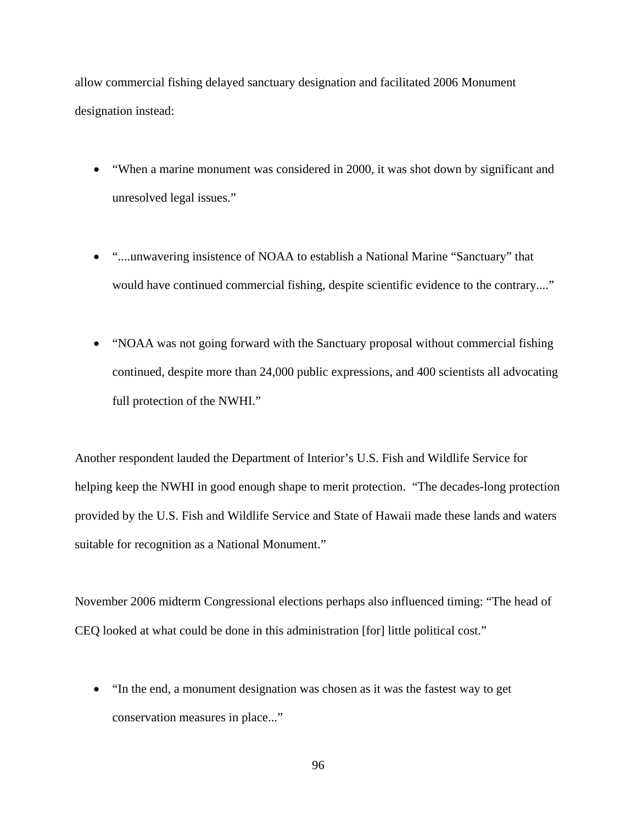allow commercial fishing delayed sanctuary designation and facilitated 2006 Monument designation instead:

- "When a marine monument was considered in 2000, it was shot down by significant and unresolved legal issues."
- "....unwavering insistence of NOAA to establish a National Marine "Sanctuary" that would have continued commercial fishing, despite scientific evidence to the contrary...."
- "NOAA was not going forward with the Sanctuary proposal without commercial fishing continued, despite more than 24,000 public expressions, and 400 scientists all advocating full protection of the NWHI."

Another respondent lauded the Department of Interior's U.S. Fish and Wildlife Service for helping keep the NWHI in good enough shape to merit protection. "The decades-long protection provided by the U.S. Fish and Wildlife Service and State of Hawaii made these lands and waters suitable for recognition as a National Monument."

November 2006 midterm Congressional elections perhaps also influenced timing: "The head of CEQ looked at what could be done in this administration [for] little political cost."

• "In the end, a monument designation was chosen as it was the fastest way to get conservation measures in place..."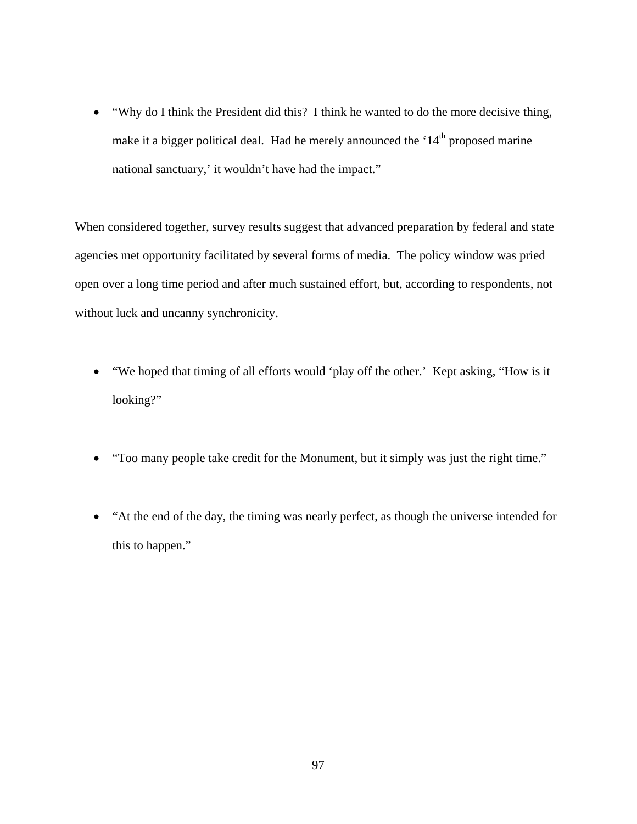• "Why do I think the President did this? I think he wanted to do the more decisive thing, make it a bigger political deal. Had he merely announced the  $14<sup>th</sup>$  proposed marine national sanctuary,' it wouldn't have had the impact."

When considered together, survey results suggest that advanced preparation by federal and state agencies met opportunity facilitated by several forms of media. The policy window was pried open over a long time period and after much sustained effort, but, according to respondents, not without luck and uncanny synchronicity.

- "We hoped that timing of all efforts would 'play off the other.' Kept asking, "How is it looking?"
- "Too many people take credit for the Monument, but it simply was just the right time."
- "At the end of the day, the timing was nearly perfect, as though the universe intended for this to happen."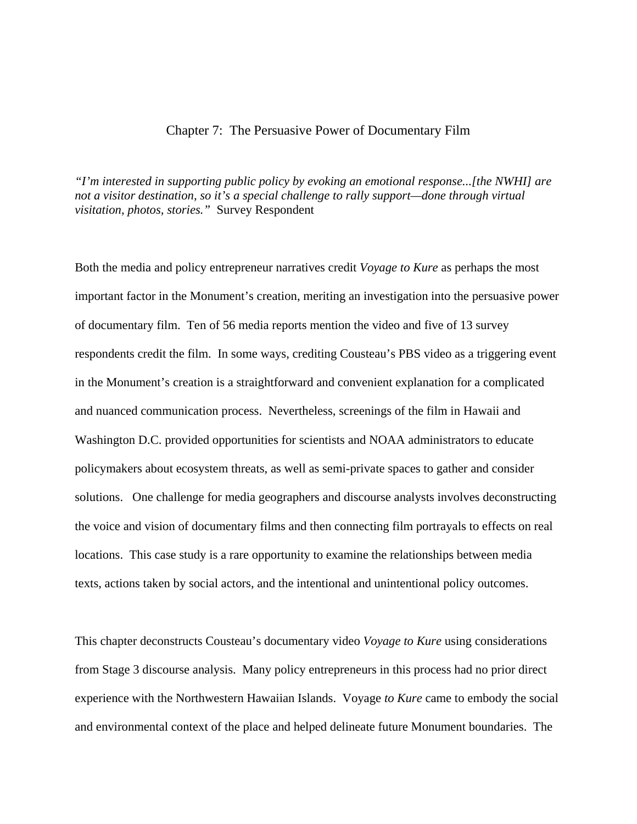#### Chapter 7: The Persuasive Power of Documentary Film

*"I'm interested in supporting public policy by evoking an emotional response...[the NWHI] are not a visitor destination, so it's a special challenge to rally support—done through virtual visitation, photos, stories."* Survey Respondent

Both the media and policy entrepreneur narratives credit *Voyage to Kure* as perhaps the most important factor in the Monument's creation, meriting an investigation into the persuasive power of documentary film. Ten of 56 media reports mention the video and five of 13 survey respondents credit the film. In some ways, crediting Cousteau's PBS video as a triggering event in the Monument's creation is a straightforward and convenient explanation for a complicated and nuanced communication process. Nevertheless, screenings of the film in Hawaii and Washington D.C. provided opportunities for scientists and NOAA administrators to educate policymakers about ecosystem threats, as well as semi-private spaces to gather and consider solutions. One challenge for media geographers and discourse analysts involves deconstructing the voice and vision of documentary films and then connecting film portrayals to effects on real locations. This case study is a rare opportunity to examine the relationships between media texts, actions taken by social actors, and the intentional and unintentional policy outcomes.

This chapter deconstructs Cousteau's documentary video *Voyage to Kure* using considerations from Stage 3 discourse analysis. Many policy entrepreneurs in this process had no prior direct experience with the Northwestern Hawaiian Islands. Voyage *to Kure* came to embody the social and environmental context of the place and helped delineate future Monument boundaries. The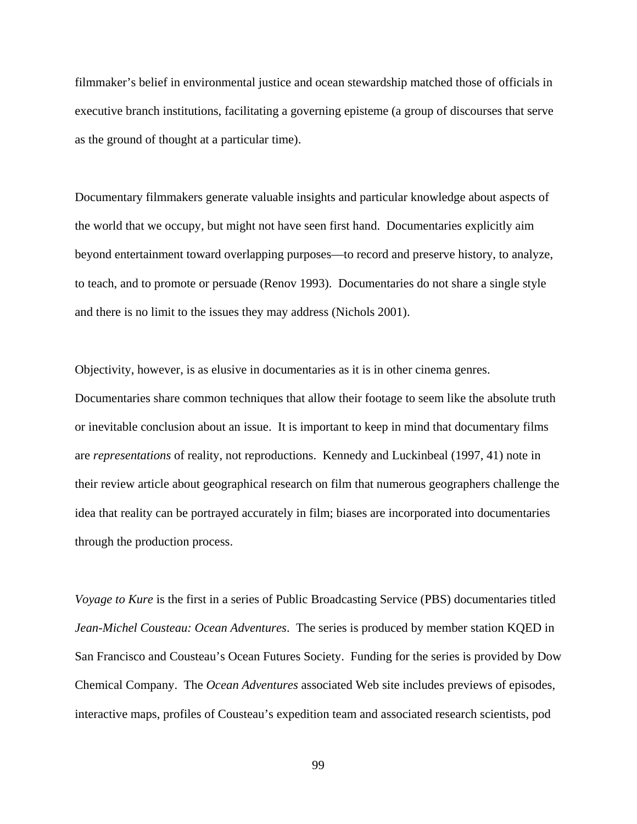filmmaker's belief in environmental justice and ocean stewardship matched those of officials in executive branch institutions, facilitating a governing episteme (a group of discourses that serve as the ground of thought at a particular time).

Documentary filmmakers generate valuable insights and particular knowledge about aspects of the world that we occupy, but might not have seen first hand. Documentaries explicitly aim beyond entertainment toward overlapping purposes—to record and preserve history, to analyze, to teach, and to promote or persuade (Renov 1993). Documentaries do not share a single style and there is no limit to the issues they may address (Nichols 2001).

Objectivity, however, is as elusive in documentaries as it is in other cinema genres. Documentaries share common techniques that allow their footage to seem like the absolute truth or inevitable conclusion about an issue. It is important to keep in mind that documentary films are *representations* of reality, not reproductions. Kennedy and Luckinbeal (1997, 41) note in their review article about geographical research on film that numerous geographers challenge the idea that reality can be portrayed accurately in film; biases are incorporated into documentaries through the production process.

*Voyage to Kure* is the first in a series of Public Broadcasting Service (PBS) documentaries titled *Jean-Michel Cousteau: Ocean Adventures*. The series is produced by member station KQED in San Francisco and Cousteau's Ocean Futures Society. Funding for the series is provided by Dow Chemical Company. The *Ocean Adventures* associated Web site includes previews of episodes, interactive maps, profiles of Cousteau's expedition team and associated research scientists, pod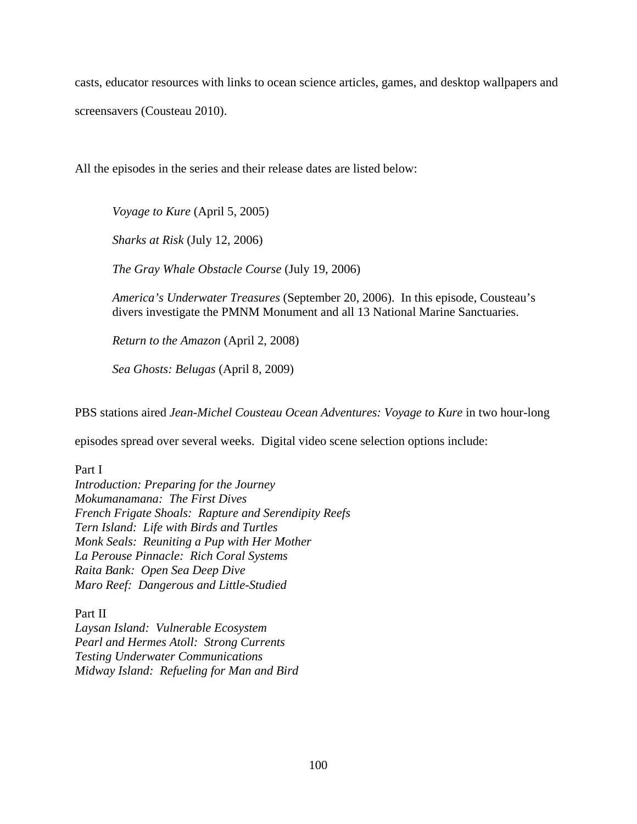casts, educator resources with links to ocean science articles, games, and desktop wallpapers and screensavers (Cousteau 2010).

All the episodes in the series and their release dates are listed below:

*Voyage to Kure* (April 5, 2005)

*Sharks at Risk* (July 12, 2006)

*The Gray Whale Obstacle Course* (July 19, 2006)

*America's Underwater Treasures* (September 20, 2006). In this episode, Cousteau's divers investigate the PMNM Monument and all 13 National Marine Sanctuaries.

*Return to the Amazon* (April 2, 2008)

*Sea Ghosts: Belugas* (April 8, 2009)

PBS stations aired *Jean-Michel Cousteau Ocean Adventures: Voyage to Kure* in two hour-long

episodes spread over several weeks. Digital video scene selection options include:

Part I

*Introduction: Preparing for the Journey Mokumanamana: The First Dives French Frigate Shoals: Rapture and Serendipity Reefs Tern Island: Life with Birds and Turtles Monk Seals: Reuniting a Pup with Her Mother La Perouse Pinnacle: Rich Coral Systems Raita Bank: Open Sea Deep Dive Maro Reef: Dangerous and Little-Studied*

Part II *Laysan Island: Vulnerable Ecosystem Pearl and Hermes Atoll: Strong Currents Testing Underwater Communications Midway Island: Refueling for Man and Bird*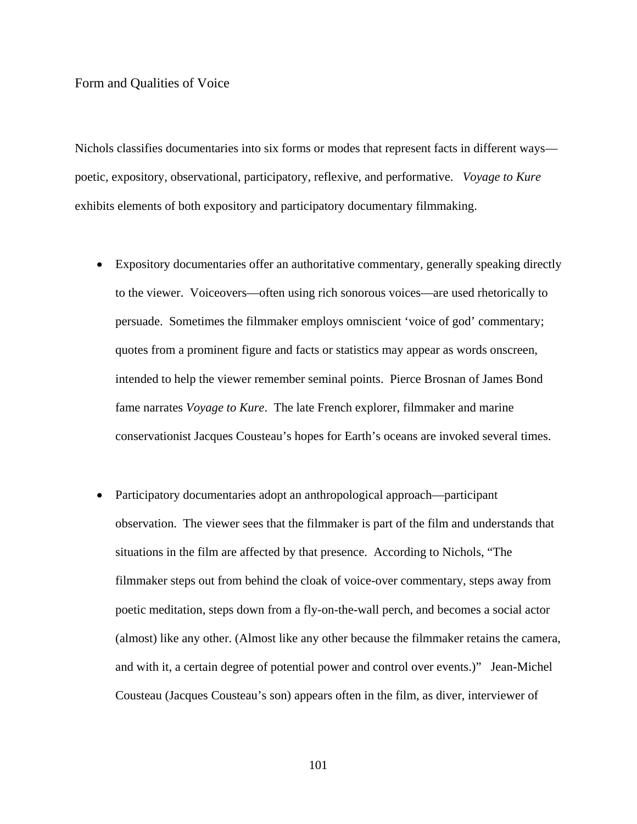#### Form and Qualities of Voice

Nichols classifies documentaries into six forms or modes that represent facts in different ways poetic, expository, observational, participatory, reflexive, and performative. *Voyage to Kure* exhibits elements of both expository and participatory documentary filmmaking.

- Expository documentaries offer an authoritative commentary, generally speaking directly to the viewer. Voiceovers—often using rich sonorous voices—are used rhetorically to persuade. Sometimes the filmmaker employs omniscient 'voice of god' commentary; quotes from a prominent figure and facts or statistics may appear as words onscreen, intended to help the viewer remember seminal points. Pierce Brosnan of James Bond fame narrates *Voyage to Kure*. The late French explorer, filmmaker and marine conservationist Jacques Cousteau's hopes for Earth's oceans are invoked several times.
- Participatory documentaries adopt an anthropological approach—participant observation. The viewer sees that the filmmaker is part of the film and understands that situations in the film are affected by that presence. According to Nichols, "The filmmaker steps out from behind the cloak of voice-over commentary, steps away from poetic meditation, steps down from a fly-on-the-wall perch, and becomes a social actor (almost) like any other. (Almost like any other because the filmmaker retains the camera, and with it, a certain degree of potential power and control over events.)" Jean-Michel Cousteau (Jacques Cousteau's son) appears often in the film, as diver, interviewer of

101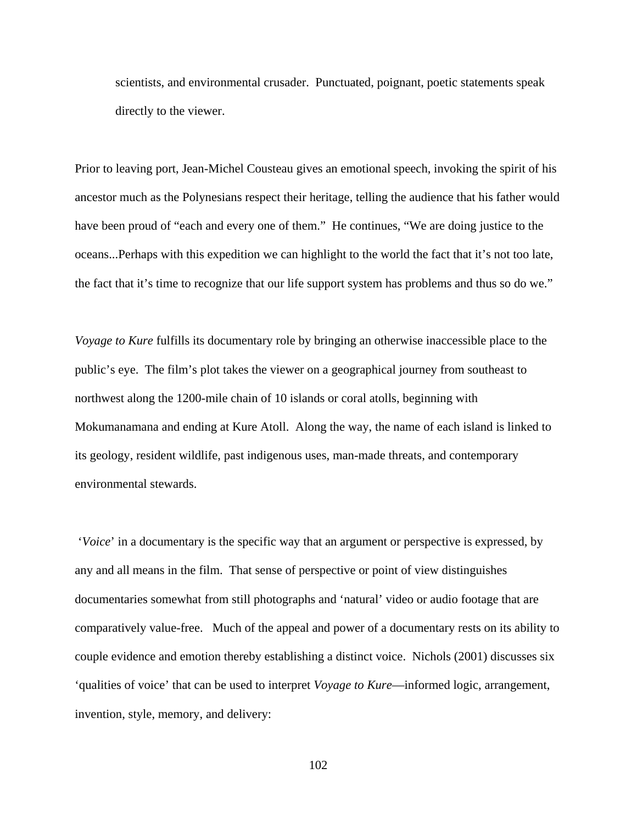scientists, and environmental crusader. Punctuated, poignant, poetic statements speak directly to the viewer.

Prior to leaving port, Jean-Michel Cousteau gives an emotional speech, invoking the spirit of his ancestor much as the Polynesians respect their heritage, telling the audience that his father would have been proud of "each and every one of them." He continues, "We are doing justice to the oceans...Perhaps with this expedition we can highlight to the world the fact that it's not too late, the fact that it's time to recognize that our life support system has problems and thus so do we."

*Voyage to Kure* fulfills its documentary role by bringing an otherwise inaccessible place to the public's eye. The film's plot takes the viewer on a geographical journey from southeast to northwest along the 1200-mile chain of 10 islands or coral atolls, beginning with Mokumanamana and ending at Kure Atoll. Along the way, the name of each island is linked to its geology, resident wildlife, past indigenous uses, man-made threats, and contemporary environmental stewards.

'*Voice*' in a documentary is the specific way that an argument or perspective is expressed, by any and all means in the film. That sense of perspective or point of view distinguishes documentaries somewhat from still photographs and 'natural' video or audio footage that are comparatively value-free. Much of the appeal and power of a documentary rests on its ability to couple evidence and emotion thereby establishing a distinct voice. Nichols (2001) discusses six 'qualities of voice' that can be used to interpret *Voyage to Kure*—informed logic, arrangement, invention, style, memory, and delivery:

102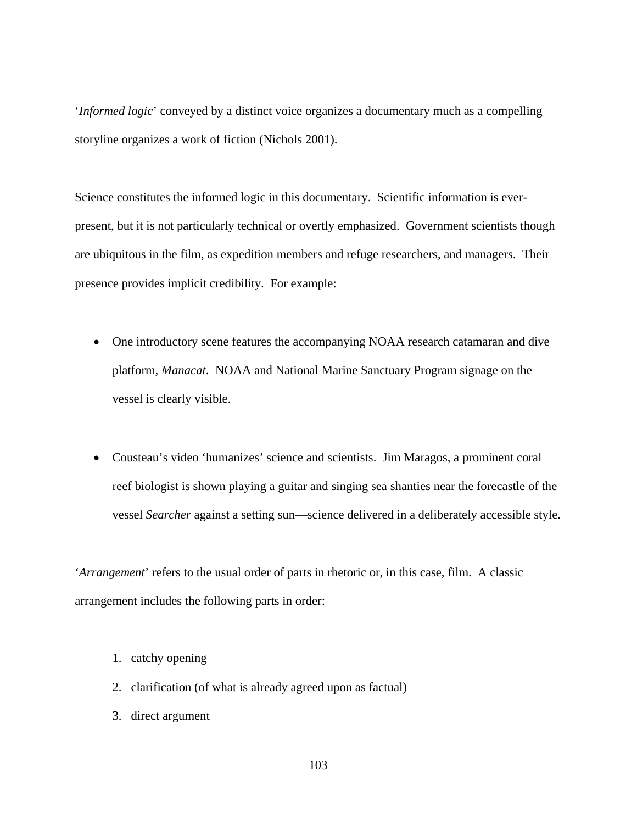'*Informed logic*' conveyed by a distinct voice organizes a documentary much as a compelling storyline organizes a work of fiction (Nichols 2001).

Science constitutes the informed logic in this documentary. Scientific information is everpresent, but it is not particularly technical or overtly emphasized. Government scientists though are ubiquitous in the film, as expedition members and refuge researchers, and managers. Their presence provides implicit credibility. For example:

- One introductory scene features the accompanying NOAA research catamaran and dive platform*, Manacat*. NOAA and National Marine Sanctuary Program signage on the vessel is clearly visible.
- Cousteau's video 'humanizes' science and scientists. Jim Maragos, a prominent coral reef biologist is shown playing a guitar and singing sea shanties near the forecastle of the vessel *Searcher* against a setting sun—science delivered in a deliberately accessible style.

'*Arrangement*' refers to the usual order of parts in rhetoric or, in this case, film. A classic arrangement includes the following parts in order:

- 1. catchy opening
- 2. clarification (of what is already agreed upon as factual)
- 3. direct argument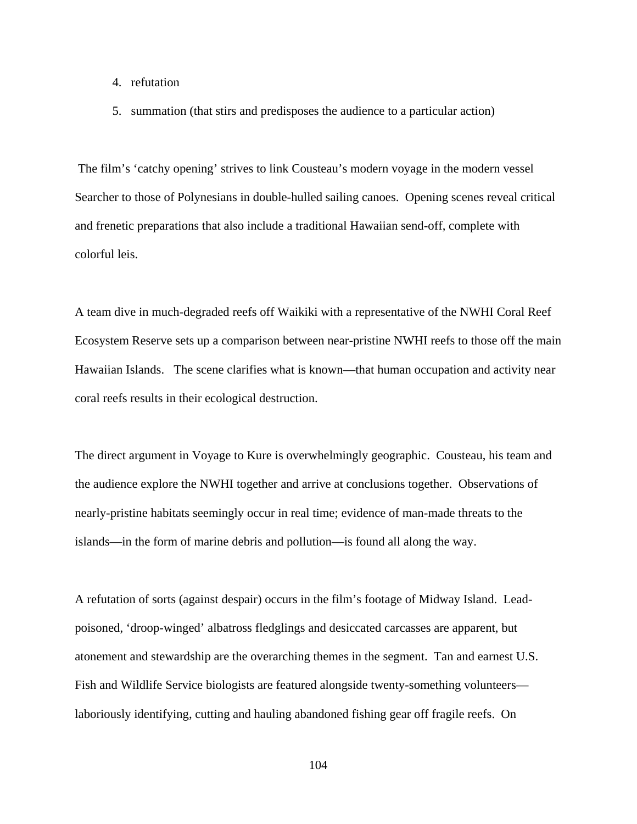- 4. refutation
- 5. summation (that stirs and predisposes the audience to a particular action)

The film's 'catchy opening' strives to link Cousteau's modern voyage in the modern vessel Searcher to those of Polynesians in double-hulled sailing canoes. Opening scenes reveal critical and frenetic preparations that also include a traditional Hawaiian send-off, complete with colorful leis.

A team dive in much-degraded reefs off Waikiki with a representative of the NWHI Coral Reef Ecosystem Reserve sets up a comparison between near-pristine NWHI reefs to those off the main Hawaiian Islands. The scene clarifies what is known—that human occupation and activity near coral reefs results in their ecological destruction.

The direct argument in Voyage to Kure is overwhelmingly geographic. Cousteau, his team and the audience explore the NWHI together and arrive at conclusions together. Observations of nearly-pristine habitats seemingly occur in real time; evidence of man-made threats to the islands—in the form of marine debris and pollution—is found all along the way.

A refutation of sorts (against despair) occurs in the film's footage of Midway Island. Leadpoisoned, 'droop-winged' albatross fledglings and desiccated carcasses are apparent, but atonement and stewardship are the overarching themes in the segment. Tan and earnest U.S. Fish and Wildlife Service biologists are featured alongside twenty-something volunteers laboriously identifying, cutting and hauling abandoned fishing gear off fragile reefs. On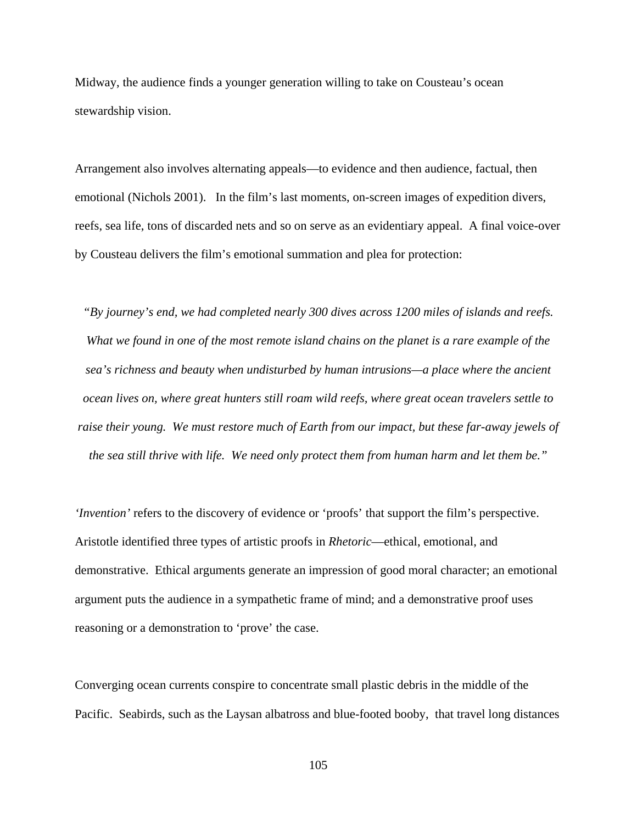Midway, the audience finds a younger generation willing to take on Cousteau's ocean stewardship vision.

Arrangement also involves alternating appeals—to evidence and then audience, factual, then emotional (Nichols 2001). In the film's last moments, on-screen images of expedition divers, reefs, sea life, tons of discarded nets and so on serve as an evidentiary appeal. A final voice-over by Cousteau delivers the film's emotional summation and plea for protection:

*"By journey's end, we had completed nearly 300 dives across 1200 miles of islands and reefs. What we found in one of the most remote island chains on the planet is a rare example of the sea's richness and beauty when undisturbed by human intrusions—a place where the ancient ocean lives on, where great hunters still roam wild reefs, where great ocean travelers settle to raise their young. We must restore much of Earth from our impact, but these far-away jewels of the sea still thrive with life. We need only protect them from human harm and let them be."*

*'Invention'* refers to the discovery of evidence or 'proofs' that support the film's perspective. Aristotle identified three types of artistic proofs in *Rhetoric*—ethical, emotional, and demonstrative. Ethical arguments generate an impression of good moral character; an emotional argument puts the audience in a sympathetic frame of mind; and a demonstrative proof uses reasoning or a demonstration to 'prove' the case.

Converging ocean currents conspire to concentrate small plastic debris in the middle of the Pacific. Seabirds, such as the Laysan albatross and blue-footed booby, that travel long distances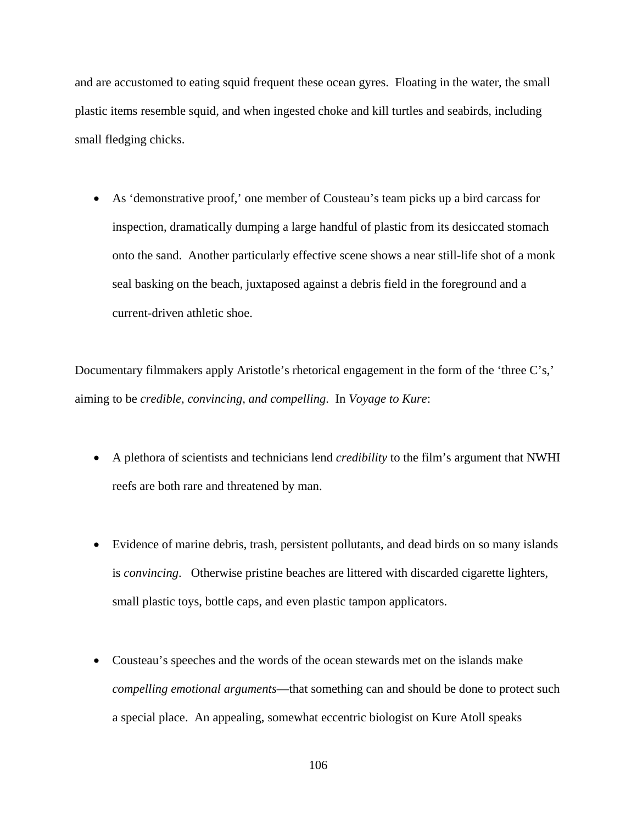and are accustomed to eating squid frequent these ocean gyres. Floating in the water, the small plastic items resemble squid, and when ingested choke and kill turtles and seabirds, including small fledging chicks.

• As 'demonstrative proof,' one member of Cousteau's team picks up a bird carcass for inspection, dramatically dumping a large handful of plastic from its desiccated stomach onto the sand. Another particularly effective scene shows a near still-life shot of a monk seal basking on the beach, juxtaposed against a debris field in the foreground and a current-driven athletic shoe.

Documentary filmmakers apply Aristotle's rhetorical engagement in the form of the 'three C's,' aiming to be *credible, convincing, and compelling*. In *Voyage to Kure*:

- A plethora of scientists and technicians lend *credibility* to the film's argument that NWHI reefs are both rare and threatened by man.
- Evidence of marine debris, trash, persistent pollutants, and dead birds on so many islands is *convincing*. Otherwise pristine beaches are littered with discarded cigarette lighters, small plastic toys, bottle caps, and even plastic tampon applicators.
- Cousteau's speeches and the words of the ocean stewards met on the islands make *compelling emotional arguments*—that something can and should be done to protect such a special place. An appealing, somewhat eccentric biologist on Kure Atoll speaks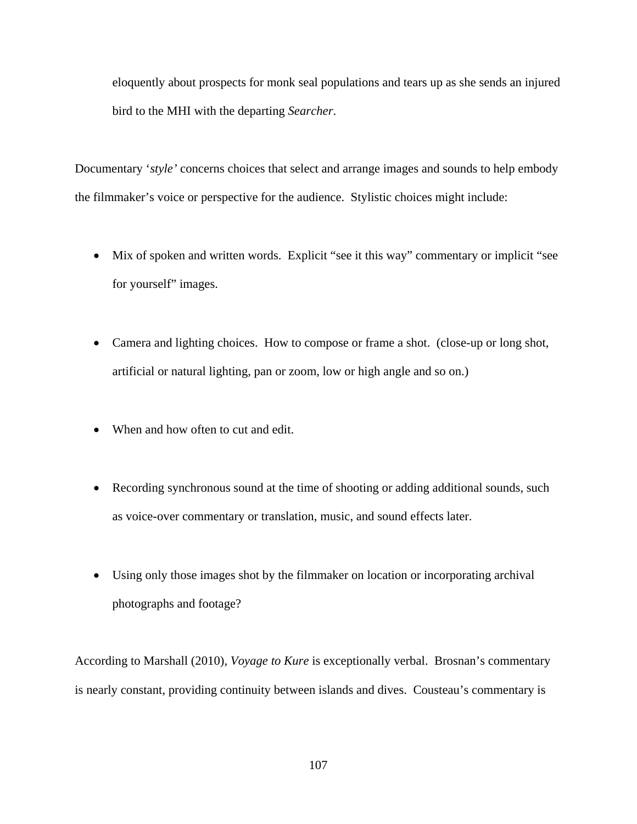eloquently about prospects for monk seal populations and tears up as she sends an injured bird to the MHI with the departing *Searcher*.

Documentary '*style'* concerns choices that select and arrange images and sounds to help embody the filmmaker's voice or perspective for the audience. Stylistic choices might include:

- Mix of spoken and written words. Explicit "see it this way" commentary or implicit "see for yourself" images.
- Camera and lighting choices. How to compose or frame a shot. (close-up or long shot, artificial or natural lighting, pan or zoom, low or high angle and so on.)
- When and how often to cut and edit.
- Recording synchronous sound at the time of shooting or adding additional sounds, such as voice-over commentary or translation, music, and sound effects later.
- Using only those images shot by the filmmaker on location or incorporating archival photographs and footage?

According to Marshall (2010), *Voyage to Kure* is exceptionally verbal. Brosnan's commentary is nearly constant, providing continuity between islands and dives. Cousteau's commentary is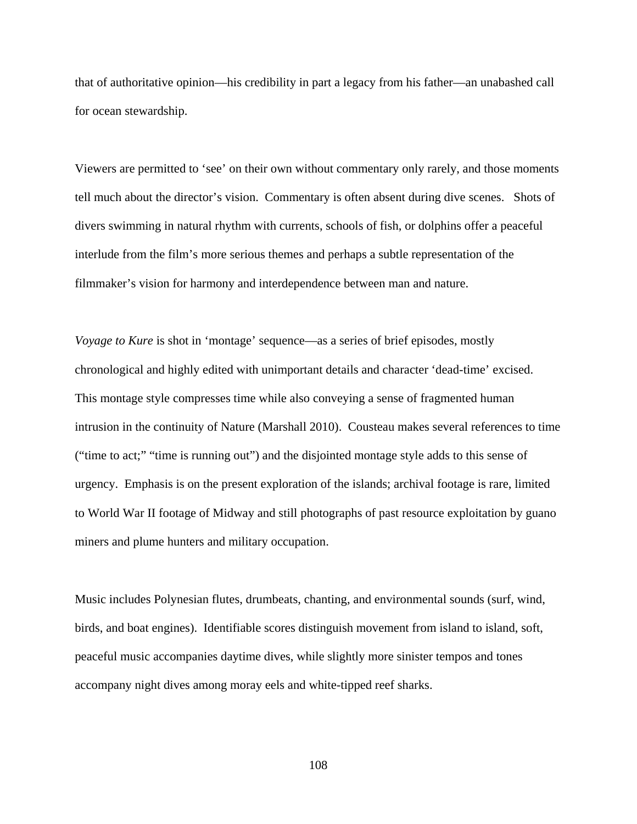that of authoritative opinion—his credibility in part a legacy from his father—an unabashed call for ocean stewardship.

Viewers are permitted to 'see' on their own without commentary only rarely, and those moments tell much about the director's vision. Commentary is often absent during dive scenes. Shots of divers swimming in natural rhythm with currents, schools of fish, or dolphins offer a peaceful interlude from the film's more serious themes and perhaps a subtle representation of the filmmaker's vision for harmony and interdependence between man and nature.

*Voyage to Kure* is shot in 'montage' sequence—as a series of brief episodes, mostly chronological and highly edited with unimportant details and character 'dead-time' excised. This montage style compresses time while also conveying a sense of fragmented human intrusion in the continuity of Nature (Marshall 2010). Cousteau makes several references to time ("time to act;" "time is running out") and the disjointed montage style adds to this sense of urgency. Emphasis is on the present exploration of the islands; archival footage is rare, limited to World War II footage of Midway and still photographs of past resource exploitation by guano miners and plume hunters and military occupation.

Music includes Polynesian flutes, drumbeats, chanting, and environmental sounds (surf, wind, birds, and boat engines). Identifiable scores distinguish movement from island to island, soft, peaceful music accompanies daytime dives, while slightly more sinister tempos and tones accompany night dives among moray eels and white-tipped reef sharks.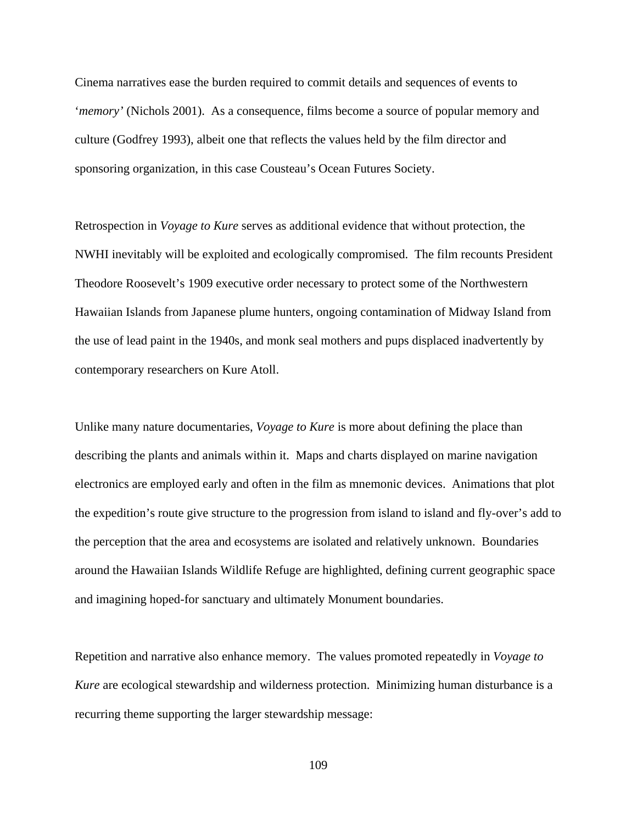Cinema narratives ease the burden required to commit details and sequences of events to '*memory'* (Nichols 2001). As a consequence, films become a source of popular memory and culture (Godfrey 1993), albeit one that reflects the values held by the film director and sponsoring organization, in this case Cousteau's Ocean Futures Society.

Retrospection in *Voyage to Kure* serves as additional evidence that without protection, the NWHI inevitably will be exploited and ecologically compromised. The film recounts President Theodore Roosevelt's 1909 executive order necessary to protect some of the Northwestern Hawaiian Islands from Japanese plume hunters, ongoing contamination of Midway Island from the use of lead paint in the 1940s, and monk seal mothers and pups displaced inadvertently by contemporary researchers on Kure Atoll.

Unlike many nature documentaries, *Voyage to Kure* is more about defining the place than describing the plants and animals within it. Maps and charts displayed on marine navigation electronics are employed early and often in the film as mnemonic devices. Animations that plot the expedition's route give structure to the progression from island to island and fly-over's add to the perception that the area and ecosystems are isolated and relatively unknown. Boundaries around the Hawaiian Islands Wildlife Refuge are highlighted, defining current geographic space and imagining hoped-for sanctuary and ultimately Monument boundaries.

Repetition and narrative also enhance memory. The values promoted repeatedly in *Voyage to Kure* are ecological stewardship and wilderness protection. Minimizing human disturbance is a recurring theme supporting the larger stewardship message: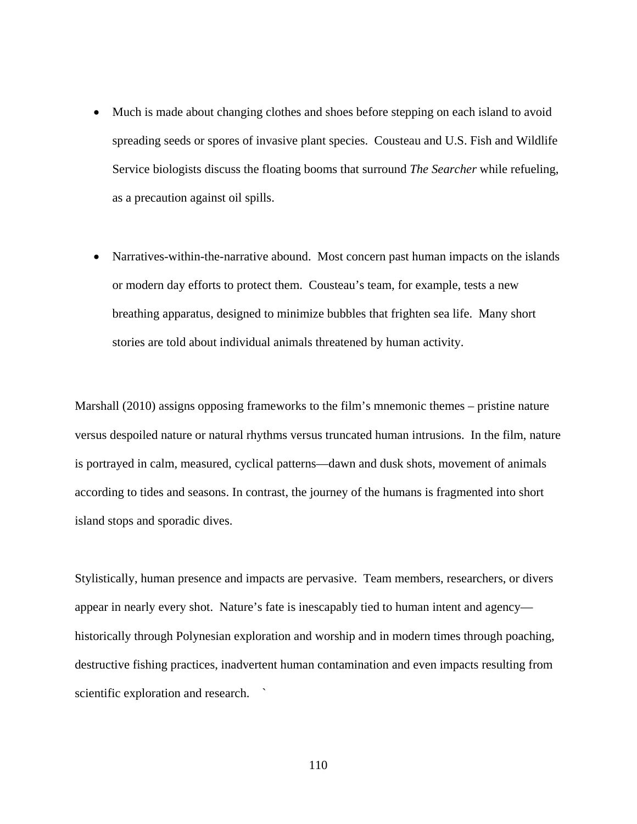- Much is made about changing clothes and shoes before stepping on each island to avoid spreading seeds or spores of invasive plant species. Cousteau and U.S. Fish and Wildlife Service biologists discuss the floating booms that surround *The Searcher* while refueling, as a precaution against oil spills.
- Narratives-within-the-narrative abound. Most concern past human impacts on the islands or modern day efforts to protect them. Cousteau's team, for example, tests a new breathing apparatus, designed to minimize bubbles that frighten sea life. Many short stories are told about individual animals threatened by human activity.

Marshall (2010) assigns opposing frameworks to the film's mnemonic themes – pristine nature versus despoiled nature or natural rhythms versus truncated human intrusions. In the film, nature is portrayed in calm, measured, cyclical patterns—dawn and dusk shots, movement of animals according to tides and seasons. In contrast, the journey of the humans is fragmented into short island stops and sporadic dives.

Stylistically, human presence and impacts are pervasive. Team members, researchers, or divers appear in nearly every shot. Nature's fate is inescapably tied to human intent and agency historically through Polynesian exploration and worship and in modern times through poaching, destructive fishing practices, inadvertent human contamination and even impacts resulting from scientific exploration and research.  $\sim$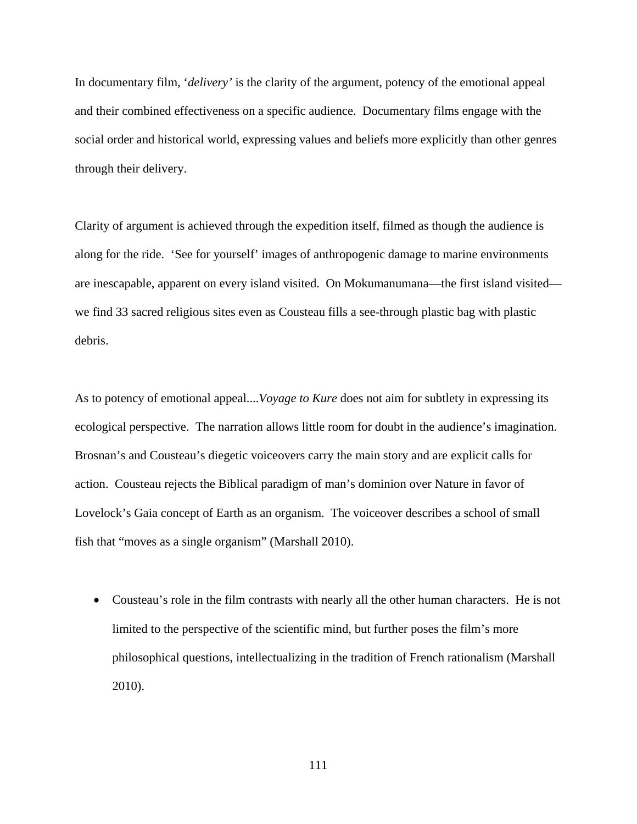In documentary film, '*delivery'* is the clarity of the argument, potency of the emotional appeal and their combined effectiveness on a specific audience. Documentary films engage with the social order and historical world, expressing values and beliefs more explicitly than other genres through their delivery.

Clarity of argument is achieved through the expedition itself, filmed as though the audience is along for the ride. 'See for yourself' images of anthropogenic damage to marine environments are inescapable, apparent on every island visited. On Mokumanumana—the first island visited we find 33 sacred religious sites even as Cousteau fills a see-through plastic bag with plastic debris.

As to potency of emotional appeal....*Voyage to Kure* does not aim for subtlety in expressing its ecological perspective. The narration allows little room for doubt in the audience's imagination. Brosnan's and Cousteau's diegetic voiceovers carry the main story and are explicit calls for action. Cousteau rejects the Biblical paradigm of man's dominion over Nature in favor of Lovelock's Gaia concept of Earth as an organism. The voiceover describes a school of small fish that "moves as a single organism" (Marshall 2010).

• Cousteau's role in the film contrasts with nearly all the other human characters. He is not limited to the perspective of the scientific mind, but further poses the film's more philosophical questions, intellectualizing in the tradition of French rationalism (Marshall 2010).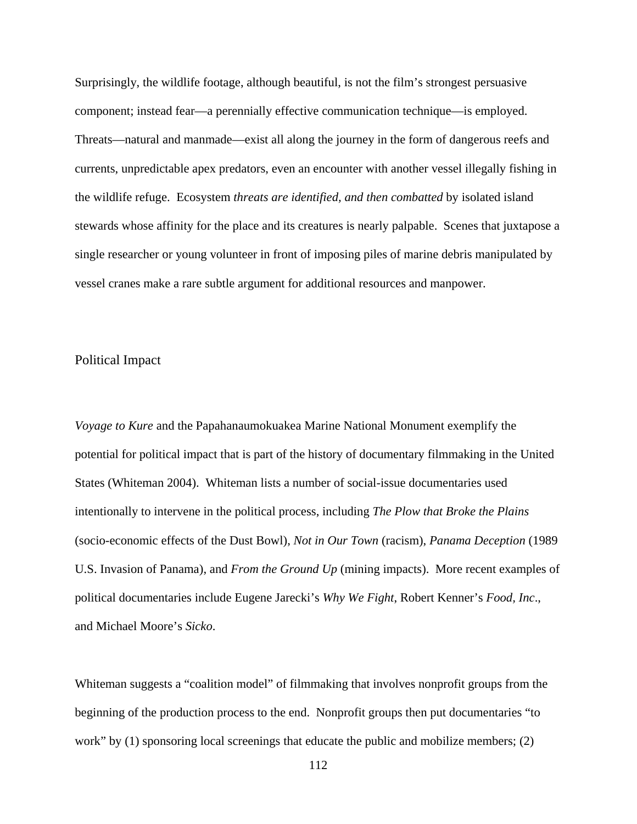Surprisingly, the wildlife footage, although beautiful, is not the film's strongest persuasive component; instead fear—a perennially effective communication technique—is employed. Threats—natural and manmade—exist all along the journey in the form of dangerous reefs and currents, unpredictable apex predators, even an encounter with another vessel illegally fishing in the wildlife refuge. Ecosystem *threats are identified, and then combatted* by isolated island stewards whose affinity for the place and its creatures is nearly palpable. Scenes that juxtapose a single researcher or young volunteer in front of imposing piles of marine debris manipulated by vessel cranes make a rare subtle argument for additional resources and manpower.

# Political Impact

*Voyage to Kure* and the Papahanaumokuakea Marine National Monument exemplify the potential for political impact that is part of the history of documentary filmmaking in the United States (Whiteman 2004). Whiteman lists a number of social-issue documentaries used intentionally to intervene in the political process, including *The Plow that Broke the Plains* (socio-economic effects of the Dust Bowl), *Not in Our Town* (racism), *Panama Deception* (1989 U.S. Invasion of Panama), and *From the Ground Up* (mining impacts). More recent examples of political documentaries include Eugene Jarecki's *Why We Fight*, Robert Kenner's *Food, Inc*., and Michael Moore's *Sicko*.

Whiteman suggests a "coalition model" of filmmaking that involves nonprofit groups from the beginning of the production process to the end. Nonprofit groups then put documentaries "to work" by (1) sponsoring local screenings that educate the public and mobilize members; (2)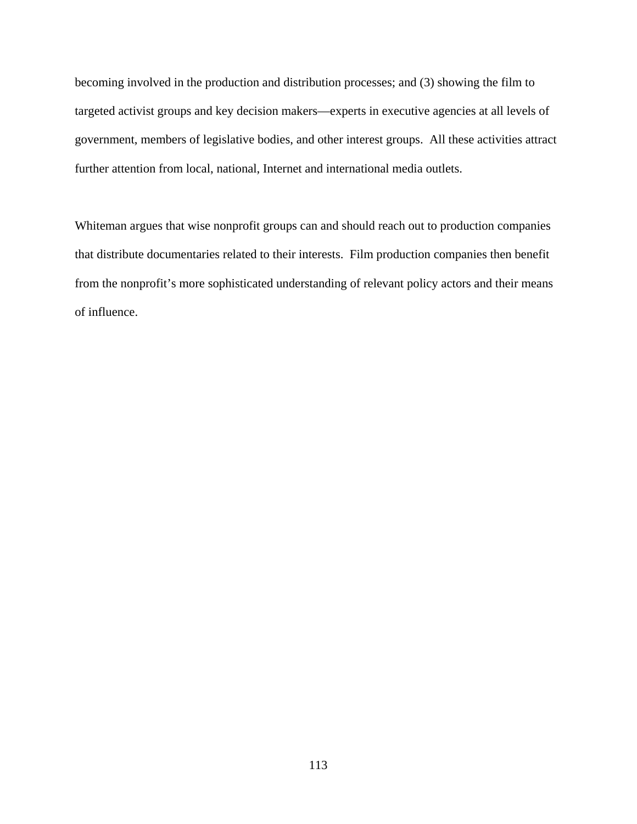becoming involved in the production and distribution processes; and (3) showing the film to targeted activist groups and key decision makers—experts in executive agencies at all levels of government, members of legislative bodies, and other interest groups. All these activities attract further attention from local, national, Internet and international media outlets.

Whiteman argues that wise nonprofit groups can and should reach out to production companies that distribute documentaries related to their interests. Film production companies then benefit from the nonprofit's more sophisticated understanding of relevant policy actors and their means of influence.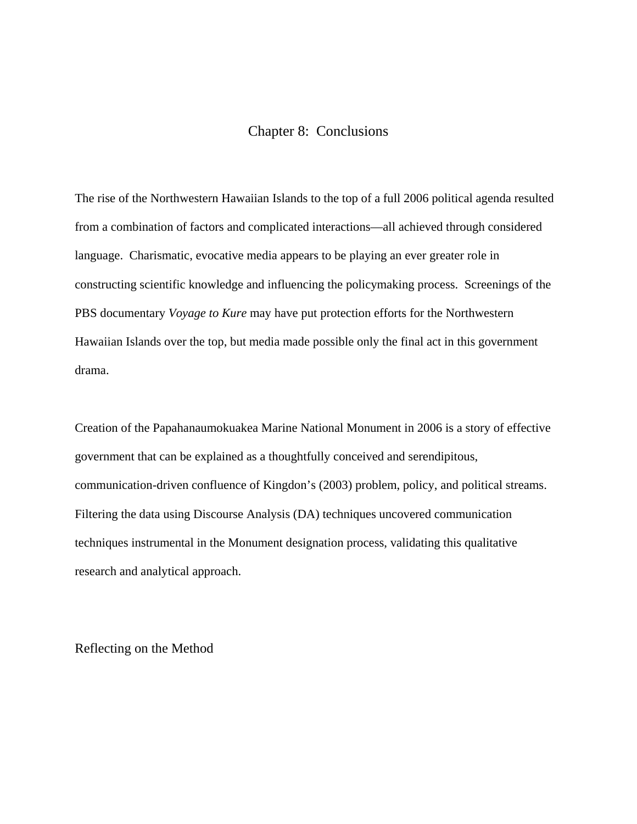# Chapter 8: Conclusions

The rise of the Northwestern Hawaiian Islands to the top of a full 2006 political agenda resulted from a combination of factors and complicated interactions—all achieved through considered language. Charismatic, evocative media appears to be playing an ever greater role in constructing scientific knowledge and influencing the policymaking process. Screenings of the PBS documentary *Voyage to Kure* may have put protection efforts for the Northwestern Hawaiian Islands over the top, but media made possible only the final act in this government drama.

Creation of the Papahanaumokuakea Marine National Monument in 2006 is a story of effective government that can be explained as a thoughtfully conceived and serendipitous, communication-driven confluence of Kingdon's (2003) problem, policy, and political streams. Filtering the data using Discourse Analysis (DA) techniques uncovered communication techniques instrumental in the Monument designation process, validating this qualitative research and analytical approach.

Reflecting on the Method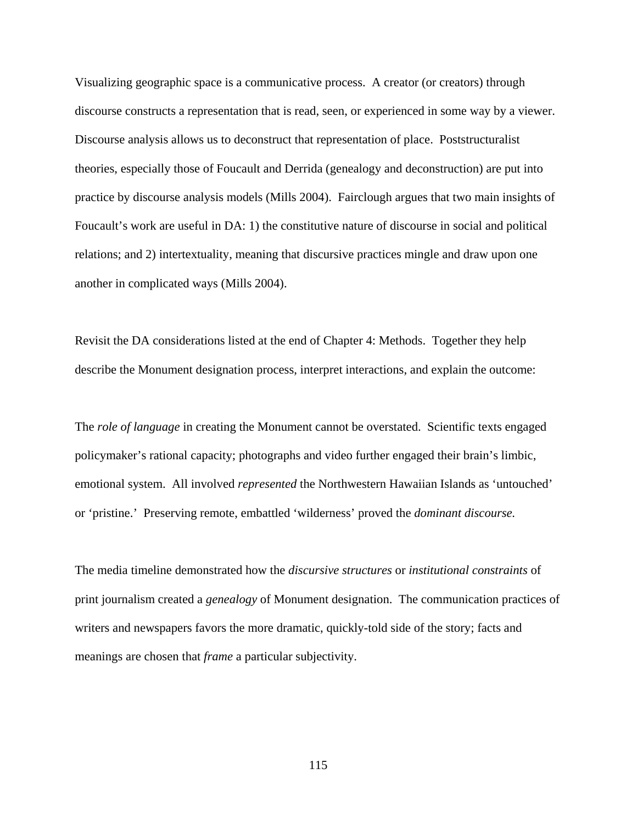Visualizing geographic space is a communicative process. A creator (or creators) through discourse constructs a representation that is read, seen, or experienced in some way by a viewer. Discourse analysis allows us to deconstruct that representation of place. Poststructuralist theories, especially those of Foucault and Derrida (genealogy and deconstruction) are put into practice by discourse analysis models (Mills 2004). Fairclough argues that two main insights of Foucault's work are useful in DA: 1) the constitutive nature of discourse in social and political relations; and 2) intertextuality, meaning that discursive practices mingle and draw upon one another in complicated ways (Mills 2004).

Revisit the DA considerations listed at the end of Chapter 4: Methods. Together they help describe the Monument designation process, interpret interactions, and explain the outcome:

The *role of language* in creating the Monument cannot be overstated. Scientific texts engaged policymaker's rational capacity; photographs and video further engaged their brain's limbic, emotional system. All involved *represented* the Northwestern Hawaiian Islands as 'untouched' or 'pristine.' Preserving remote, embattled 'wilderness' proved the *dominant discourse.*

The media timeline demonstrated how the *discursive structures* or *institutional constraints* of print journalism created a *genealogy* of Monument designation. The communication practices of writers and newspapers favors the more dramatic, quickly-told side of the story; facts and meanings are chosen that *frame* a particular subjectivity.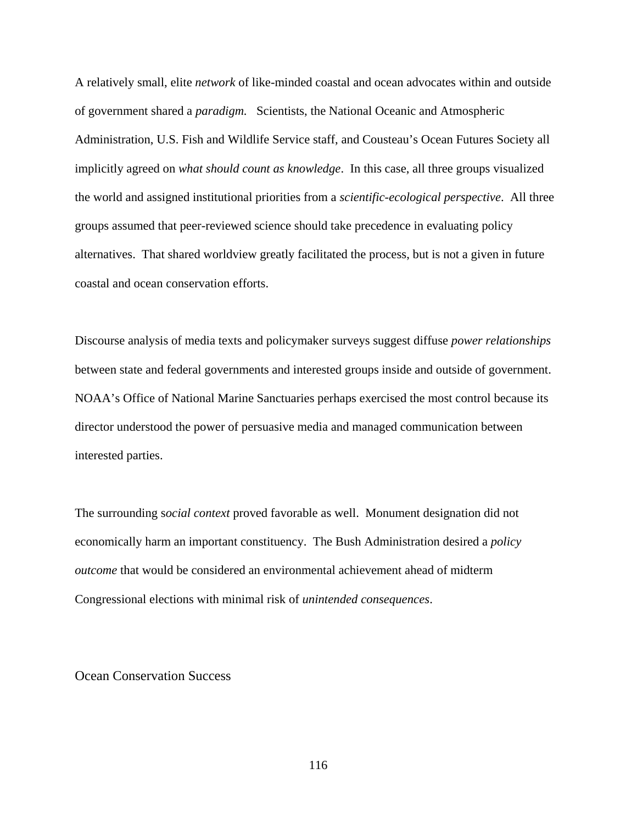A relatively small, elite *network* of like-minded coastal and ocean advocates within and outside of government shared a *paradigm.* Scientists, the National Oceanic and Atmospheric Administration, U.S. Fish and Wildlife Service staff, and Cousteau's Ocean Futures Society all implicitly agreed on *what should count as knowledge*. In this case, all three groups visualized the world and assigned institutional priorities from a *scientific-ecological perspective*. All three groups assumed that peer-reviewed science should take precedence in evaluating policy alternatives. That shared worldview greatly facilitated the process, but is not a given in future coastal and ocean conservation efforts.

Discourse analysis of media texts and policymaker surveys suggest diffuse *power relationships* between state and federal governments and interested groups inside and outside of government. NOAA's Office of National Marine Sanctuaries perhaps exercised the most control because its director understood the power of persuasive media and managed communication between interested parties.

The surrounding s*ocial context* proved favorable as well. Monument designation did not economically harm an important constituency. The Bush Administration desired a *policy outcome* that would be considered an environmental achievement ahead of midterm Congressional elections with minimal risk of *unintended consequences*.

Ocean Conservation Success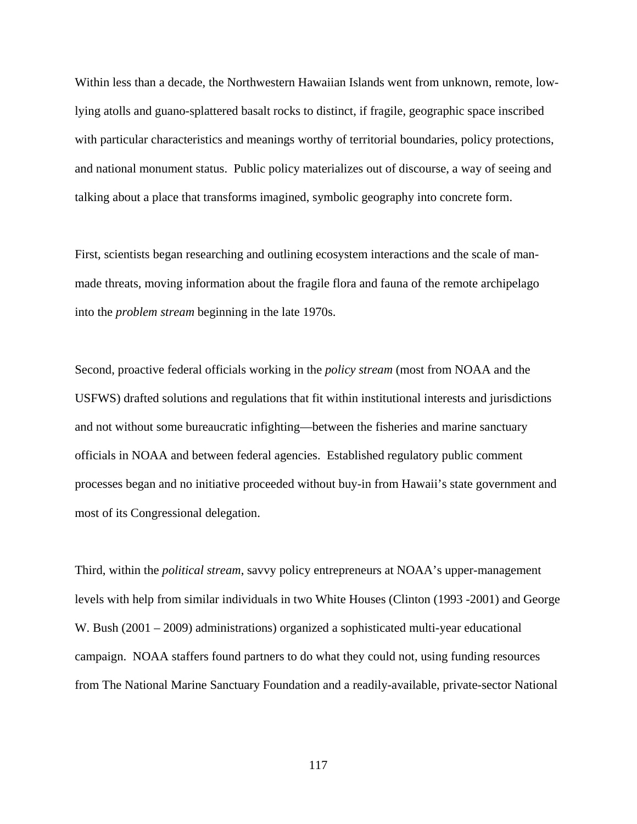Within less than a decade, the Northwestern Hawaiian Islands went from unknown, remote, lowlying atolls and guano-splattered basalt rocks to distinct, if fragile, geographic space inscribed with particular characteristics and meanings worthy of territorial boundaries, policy protections, and national monument status. Public policy materializes out of discourse, a way of seeing and talking about a place that transforms imagined, symbolic geography into concrete form.

First, scientists began researching and outlining ecosystem interactions and the scale of manmade threats, moving information about the fragile flora and fauna of the remote archipelago into the *problem stream* beginning in the late 1970s.

Second, proactive federal officials working in the *policy stream* (most from NOAA and the USFWS) drafted solutions and regulations that fit within institutional interests and jurisdictions and not without some bureaucratic infighting—between the fisheries and marine sanctuary officials in NOAA and between federal agencies. Established regulatory public comment processes began and no initiative proceeded without buy-in from Hawaii's state government and most of its Congressional delegation.

Third, within the *political stream*, savvy policy entrepreneurs at NOAA's upper-management levels with help from similar individuals in two White Houses (Clinton (1993 -2001) and George W. Bush (2001 – 2009) administrations) organized a sophisticated multi-year educational campaign. NOAA staffers found partners to do what they could not, using funding resources from The National Marine Sanctuary Foundation and a readily-available, private-sector National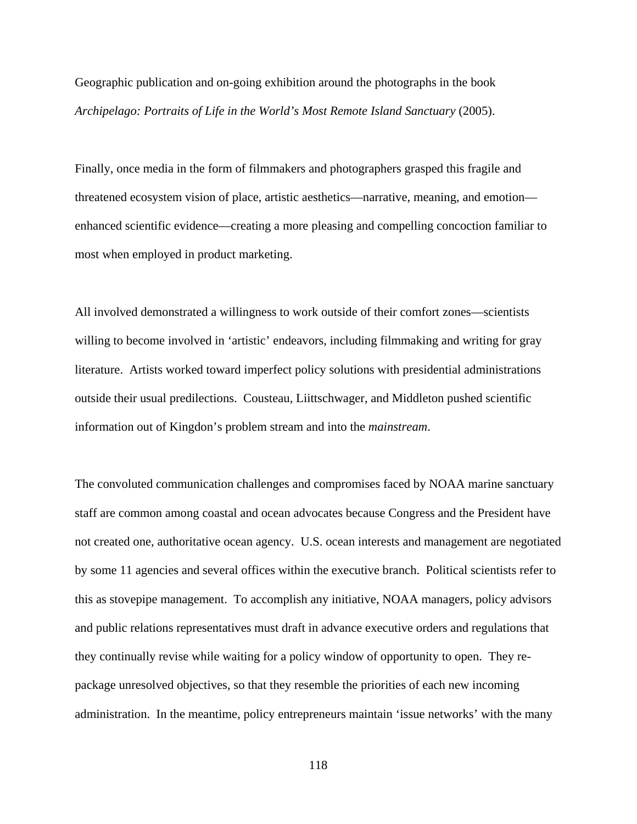Geographic publication and on-going exhibition around the photographs in the book *Archipelago: Portraits of Life in the World's Most Remote Island Sanctuary* (2005).

Finally, once media in the form of filmmakers and photographers grasped this fragile and threatened ecosystem vision of place, artistic aesthetics—narrative, meaning, and emotion enhanced scientific evidence—creating a more pleasing and compelling concoction familiar to most when employed in product marketing.

All involved demonstrated a willingness to work outside of their comfort zones—scientists willing to become involved in 'artistic' endeavors, including filmmaking and writing for gray literature. Artists worked toward imperfect policy solutions with presidential administrations outside their usual predilections. Cousteau, Liittschwager, and Middleton pushed scientific information out of Kingdon's problem stream and into the *mainstream*.

The convoluted communication challenges and compromises faced by NOAA marine sanctuary staff are common among coastal and ocean advocates because Congress and the President have not created one, authoritative ocean agency. U.S. ocean interests and management are negotiated by some 11 agencies and several offices within the executive branch. Political scientists refer to this as stovepipe management. To accomplish any initiative, NOAA managers, policy advisors and public relations representatives must draft in advance executive orders and regulations that they continually revise while waiting for a policy window of opportunity to open. They repackage unresolved objectives, so that they resemble the priorities of each new incoming administration. In the meantime, policy entrepreneurs maintain 'issue networks' with the many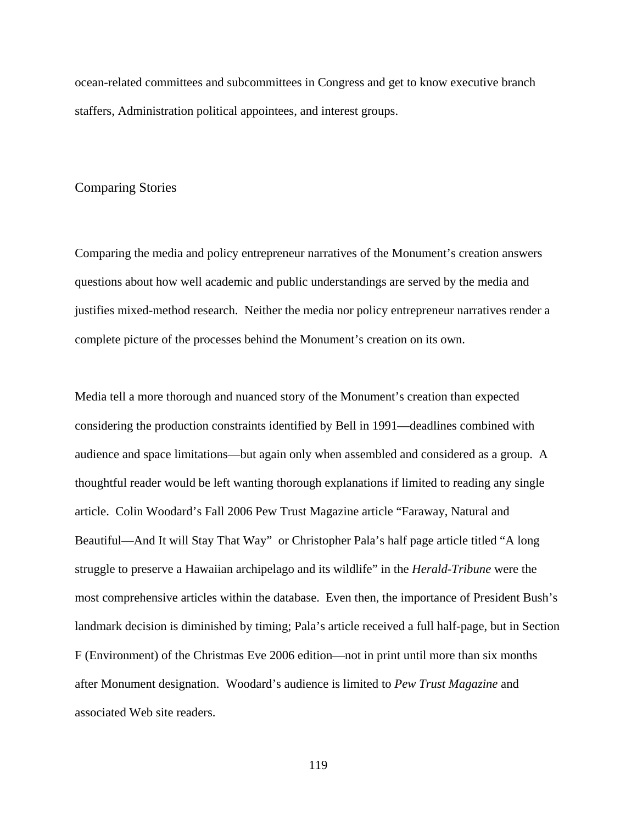ocean-related committees and subcommittees in Congress and get to know executive branch staffers, Administration political appointees, and interest groups.

#### Comparing Stories

Comparing the media and policy entrepreneur narratives of the Monument's creation answers questions about how well academic and public understandings are served by the media and justifies mixed-method research. Neither the media nor policy entrepreneur narratives render a complete picture of the processes behind the Monument's creation on its own.

Media tell a more thorough and nuanced story of the Monument's creation than expected considering the production constraints identified by Bell in 1991—deadlines combined with audience and space limitations—but again only when assembled and considered as a group. A thoughtful reader would be left wanting thorough explanations if limited to reading any single article. Colin Woodard's Fall 2006 Pew Trust Magazine article "Faraway, Natural and Beautiful—And It will Stay That Way" or Christopher Pala's half page article titled "A long struggle to preserve a Hawaiian archipelago and its wildlife" in the *Herald-Tribune* were the most comprehensive articles within the database. Even then, the importance of President Bush's landmark decision is diminished by timing; Pala's article received a full half-page, but in Section F (Environment) of the Christmas Eve 2006 edition—not in print until more than six months after Monument designation. Woodard's audience is limited to *Pew Trust Magazine* and associated Web site readers.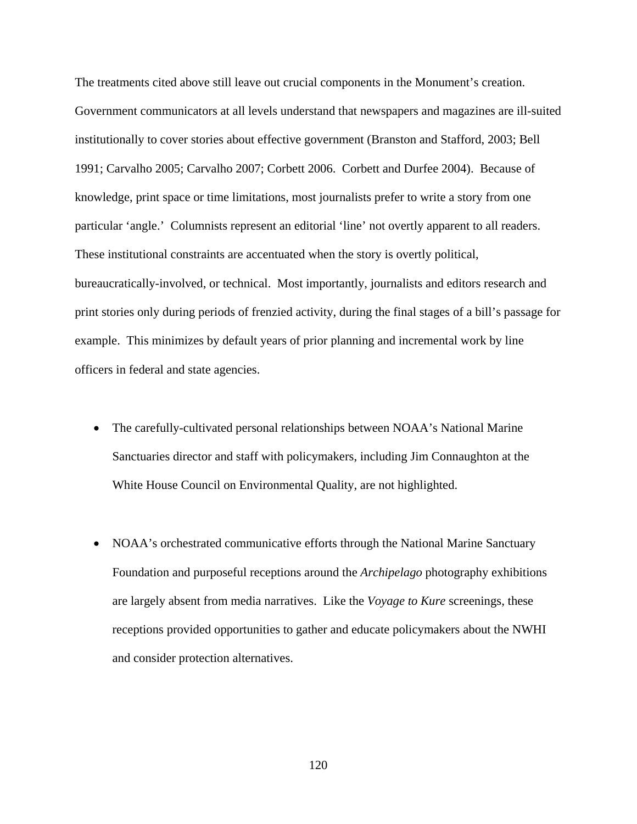The treatments cited above still leave out crucial components in the Monument's creation. Government communicators at all levels understand that newspapers and magazines are ill-suited institutionally to cover stories about effective government (Branston and Stafford, 2003; Bell 1991; Carvalho 2005; Carvalho 2007; Corbett 2006. Corbett and Durfee 2004). Because of knowledge, print space or time limitations, most journalists prefer to write a story from one particular 'angle.' Columnists represent an editorial 'line' not overtly apparent to all readers. These institutional constraints are accentuated when the story is overtly political, bureaucratically-involved, or technical. Most importantly, journalists and editors research and print stories only during periods of frenzied activity, during the final stages of a bill's passage for example. This minimizes by default years of prior planning and incremental work by line officers in federal and state agencies.

- The carefully-cultivated personal relationships between NOAA's National Marine Sanctuaries director and staff with policymakers, including Jim Connaughton at the White House Council on Environmental Quality, are not highlighted.
- NOAA's orchestrated communicative efforts through the National Marine Sanctuary Foundation and purposeful receptions around the *Archipelago* photography exhibitions are largely absent from media narratives. Like the *Voyage to Kure* screenings, these receptions provided opportunities to gather and educate policymakers about the NWHI and consider protection alternatives.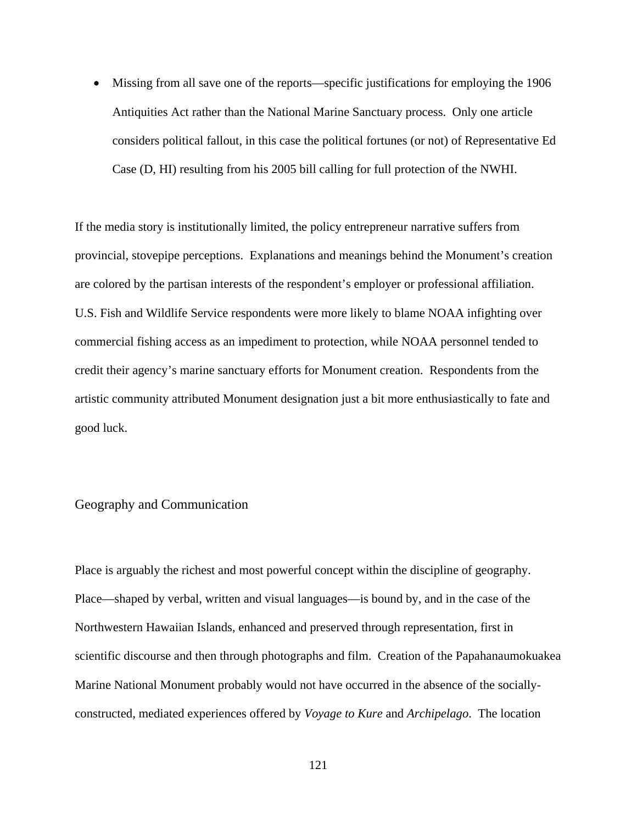• Missing from all save one of the reports—specific justifications for employing the 1906 Antiquities Act rather than the National Marine Sanctuary process. Only one article considers political fallout, in this case the political fortunes (or not) of Representative Ed Case (D, HI) resulting from his 2005 bill calling for full protection of the NWHI.

If the media story is institutionally limited, the policy entrepreneur narrative suffers from provincial, stovepipe perceptions. Explanations and meanings behind the Monument's creation are colored by the partisan interests of the respondent's employer or professional affiliation. U.S. Fish and Wildlife Service respondents were more likely to blame NOAA infighting over commercial fishing access as an impediment to protection, while NOAA personnel tended to credit their agency's marine sanctuary efforts for Monument creation. Respondents from the artistic community attributed Monument designation just a bit more enthusiastically to fate and good luck.

## Geography and Communication

Place is arguably the richest and most powerful concept within the discipline of geography. Place—shaped by verbal, written and visual languages—is bound by, and in the case of the Northwestern Hawaiian Islands, enhanced and preserved through representation, first in scientific discourse and then through photographs and film. Creation of the Papahanaumokuakea Marine National Monument probably would not have occurred in the absence of the sociallyconstructed, mediated experiences offered by *Voyage to Kure* and *Archipelago*. The location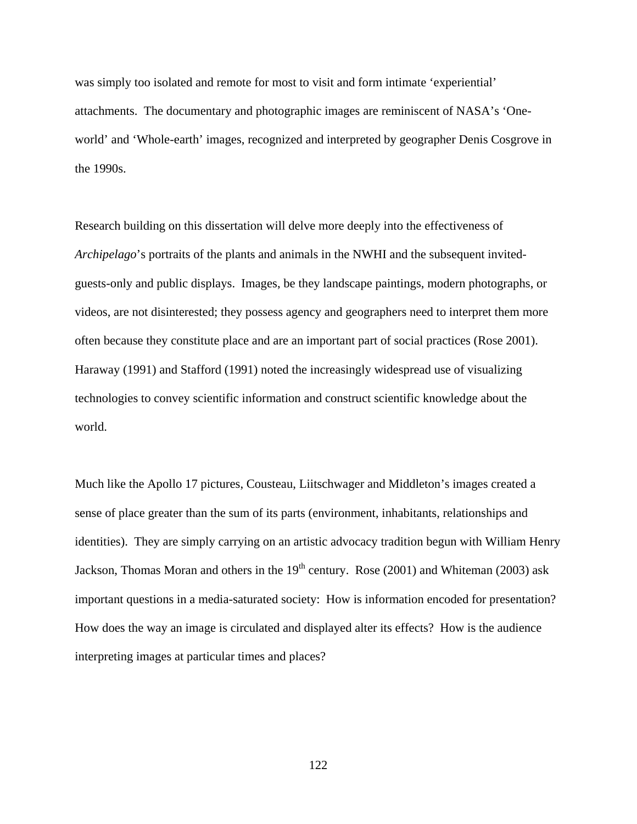was simply too isolated and remote for most to visit and form intimate 'experiential' attachments. The documentary and photographic images are reminiscent of NASA's 'Oneworld' and 'Whole-earth' images, recognized and interpreted by geographer Denis Cosgrove in the 1990s.

Research building on this dissertation will delve more deeply into the effectiveness of *Archipelago*'s portraits of the plants and animals in the NWHI and the subsequent invitedguests-only and public displays. Images, be they landscape paintings, modern photographs, or videos, are not disinterested; they possess agency and geographers need to interpret them more often because they constitute place and are an important part of social practices (Rose 2001). Haraway (1991) and Stafford (1991) noted the increasingly widespread use of visualizing technologies to convey scientific information and construct scientific knowledge about the world.

Much like the Apollo 17 pictures, Cousteau, Liitschwager and Middleton's images created a sense of place greater than the sum of its parts (environment, inhabitants, relationships and identities). They are simply carrying on an artistic advocacy tradition begun with William Henry Jackson, Thomas Moran and others in the  $19<sup>th</sup>$  century. Rose (2001) and Whiteman (2003) ask important questions in a media-saturated society: How is information encoded for presentation? How does the way an image is circulated and displayed alter its effects? How is the audience interpreting images at particular times and places?

122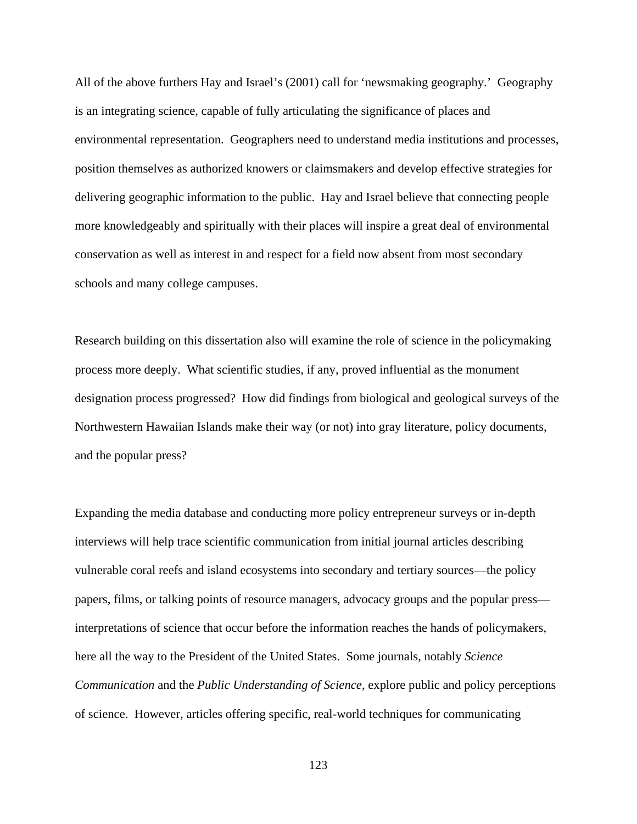All of the above furthers Hay and Israel's (2001) call for 'newsmaking geography.' Geography is an integrating science, capable of fully articulating the significance of places and environmental representation. Geographers need to understand media institutions and processes, position themselves as authorized knowers or claimsmakers and develop effective strategies for delivering geographic information to the public. Hay and Israel believe that connecting people more knowledgeably and spiritually with their places will inspire a great deal of environmental conservation as well as interest in and respect for a field now absent from most secondary schools and many college campuses.

Research building on this dissertation also will examine the role of science in the policymaking process more deeply. What scientific studies, if any, proved influential as the monument designation process progressed? How did findings from biological and geological surveys of the Northwestern Hawaiian Islands make their way (or not) into gray literature, policy documents, and the popular press?

Expanding the media database and conducting more policy entrepreneur surveys or in-depth interviews will help trace scientific communication from initial journal articles describing vulnerable coral reefs and island ecosystems into secondary and tertiary sources—the policy papers, films, or talking points of resource managers, advocacy groups and the popular press interpretations of science that occur before the information reaches the hands of policymakers, here all the way to the President of the United States. Some journals, notably *Science Communication* and the *Public Understanding of Science*, explore public and policy perceptions of science. However, articles offering specific, real-world techniques for communicating

123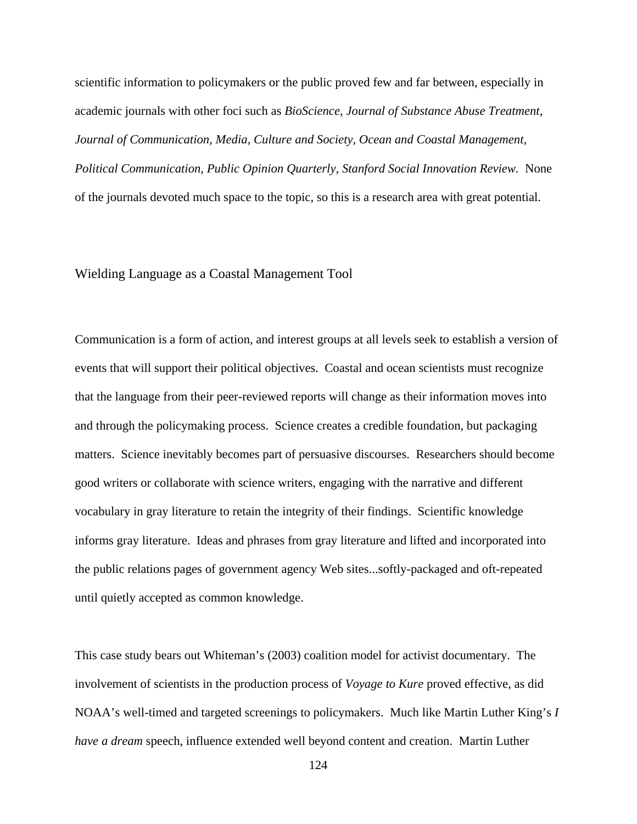scientific information to policymakers or the public proved few and far between, especially in academic journals with other foci such as *BioScience, Journal of Substance Abuse Treatment, Journal of Communication, Media, Culture and Society, Ocean and Coastal Management, Political Communication, Public Opinion Quarterly, Stanford Social Innovation Review.* None of the journals devoted much space to the topic, so this is a research area with great potential.

### Wielding Language as a Coastal Management Tool

Communication is a form of action, and interest groups at all levels seek to establish a version of events that will support their political objectives. Coastal and ocean scientists must recognize that the language from their peer-reviewed reports will change as their information moves into and through the policymaking process. Science creates a credible foundation, but packaging matters. Science inevitably becomes part of persuasive discourses. Researchers should become good writers or collaborate with science writers, engaging with the narrative and different vocabulary in gray literature to retain the integrity of their findings. Scientific knowledge informs gray literature. Ideas and phrases from gray literature and lifted and incorporated into the public relations pages of government agency Web sites...softly-packaged and oft-repeated until quietly accepted as common knowledge.

This case study bears out Whiteman's (2003) coalition model for activist documentary. The involvement of scientists in the production process of *Voyage to Kure* proved effective, as did NOAA's well-timed and targeted screenings to policymakers. Much like Martin Luther King's *I have a dream* speech, influence extended well beyond content and creation. Martin Luther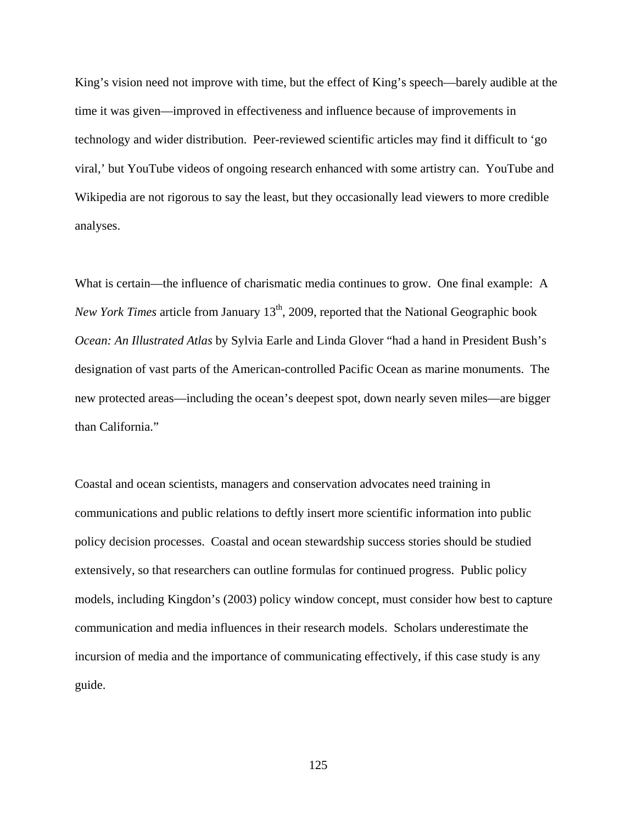King's vision need not improve with time, but the effect of King's speech—barely audible at the time it was given—improved in effectiveness and influence because of improvements in technology and wider distribution. Peer-reviewed scientific articles may find it difficult to 'go viral,' but YouTube videos of ongoing research enhanced with some artistry can. YouTube and Wikipedia are not rigorous to say the least, but they occasionally lead viewers to more credible analyses.

What is certain—the influence of charismatic media continues to grow. One final example: A *New York Times* article from January 13<sup>th</sup>, 2009, reported that the National Geographic book *Ocean: An Illustrated Atlas* by Sylvia Earle and Linda Glover "had a hand in President Bush's designation of vast parts of the American-controlled Pacific Ocean as marine monuments. The new protected areas—including the ocean's deepest spot, down nearly seven miles—are bigger than California."

Coastal and ocean scientists, managers and conservation advocates need training in communications and public relations to deftly insert more scientific information into public policy decision processes. Coastal and ocean stewardship success stories should be studied extensively, so that researchers can outline formulas for continued progress. Public policy models, including Kingdon's (2003) policy window concept, must consider how best to capture communication and media influences in their research models. Scholars underestimate the incursion of media and the importance of communicating effectively, if this case study is any guide.

125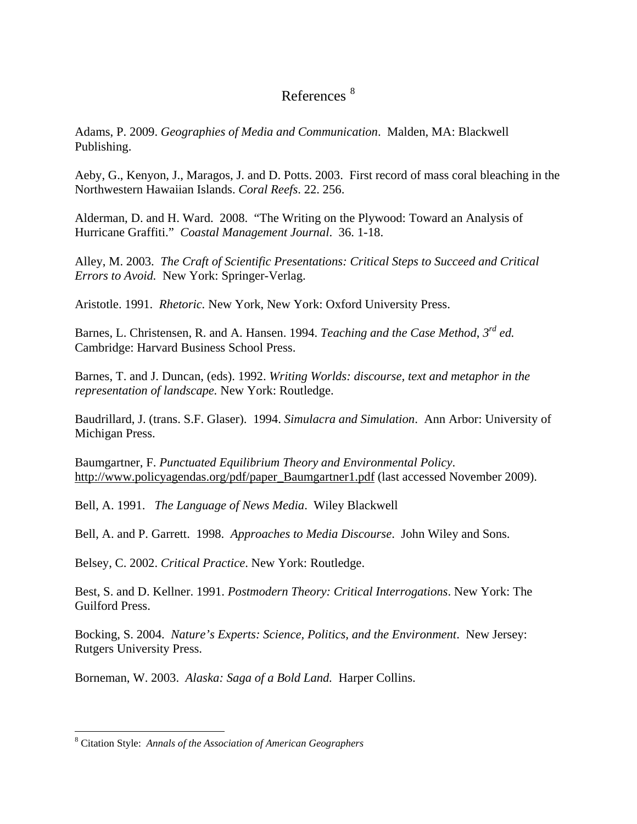# References [8](#page-136-0)

Adams, P. 2009. *Geographies of Media and Communication*. Malden, MA: Blackwell Publishing.

Aeby, G., Kenyon, J., Maragos, J. and D. Potts. 2003. First record of mass coral bleaching in the Northwestern Hawaiian Islands. *Coral Reefs*. 22. 256.

Alderman, D. and H. Ward. 2008. "The Writing on the Plywood: Toward an Analysis of Hurricane Graffiti." *Coastal Management Journal*. 36. 1-18.

Alley, M. 2003. *The Craft of Scientific Presentations: Critical Steps to Succeed and Critical Errors to Avoid.* New York: Springer-Verlag.

Aristotle. 1991. *Rhetoric.* New York, New York: Oxford University Press.

Barnes, L. Christensen, R. and A. Hansen. 1994. *Teaching and the Case Method*, *3rd ed.* Cambridge: Harvard Business School Press.

Barnes, T. and J. Duncan, (eds). 1992. *Writing Worlds: discourse, text and metaphor in the representation of landscape.* New York: Routledge.

Baudrillard, J. (trans. S.F. Glaser). 1994. *Simulacra and Simulation*. Ann Arbor: University of Michigan Press.

Baumgartner, F. *Punctuated Equilibrium Theory and Environmental Policy*. [http://www.policyagendas.org/pdf/paper\\_Baumgartner1.pdf](http://www.policyagendas.org/pdf/paper_Baumgartner1.pdf) (last accessed November 2009).

Bell, A. 1991. *The Language of News Media*. Wiley Blackwell

Bell, A. and P. Garrett. 1998. *Approaches to Media Discourse*. John Wiley and Sons.

Belsey, C. 2002. *Critical Practice*. New York: Routledge.

Best, S. and D. Kellner. 1991. *Postmodern Theory: Critical Interrogations*. New York: The Guilford Press.

Bocking, S. 2004. *Nature's Experts: Science, Politics, and the Environment*. New Jersey: Rutgers University Press.

Borneman, W. 2003. *Alaska: Saga of a Bold Land.* Harper Collins.

<span id="page-136-0"></span> <sup>8</sup> Citation Style: *Annals of the Association of American Geographers*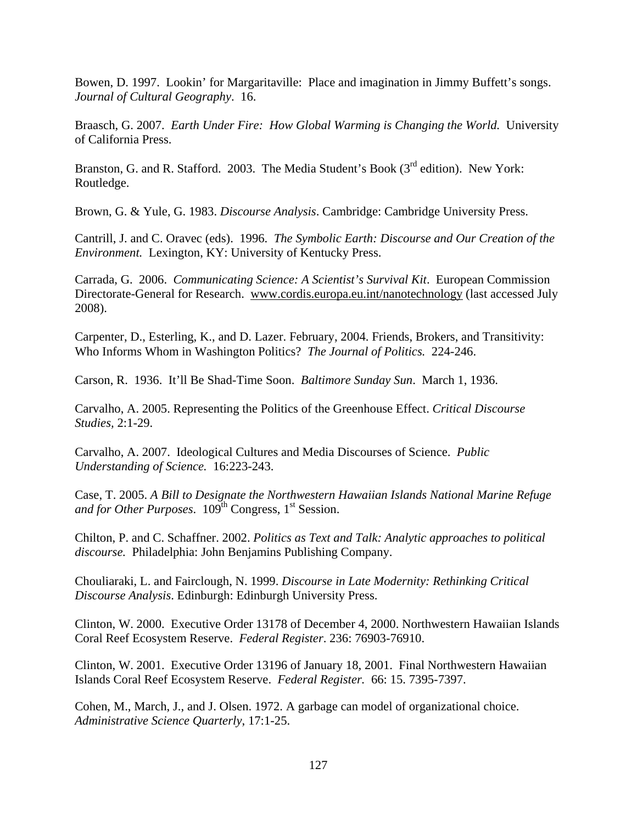Bowen, D. 1997. Lookin' for Margaritaville: Place and imagination in Jimmy Buffett's songs. *Journal of Cultural Geography*. 16.

Braasch, G. 2007. *Earth Under Fire: How Global Warming is Changing the World.* University of California Press.

Branston, G. and R. Stafford. 2003. The Media Student's Book (3<sup>rd</sup> edition). New York: Routledge.

Brown, G. & Yule, G. 1983. *Discourse Analysis*. Cambridge: Cambridge University Press.

Cantrill, J. and C. Oravec (eds). 1996. *The Symbolic Earth: Discourse and Our Creation of the Environment.* Lexington, KY: University of Kentucky Press.

Carrada, G. 2006. *Communicating Science: A Scientist's Survival Kit*. European Commission Directorate-General for Research. [www.cordis.europa.eu.int/nanotechnology](http://www.cordis.europa.eu.int/nanotechnology) (last accessed July 2008).

Carpenter, D., Esterling, K., and D. Lazer. February, 2004. Friends, Brokers, and Transitivity: Who Informs Whom in Washington Politics? *The Journal of Politics.* 224-246.

Carson, R. 1936. It'll Be Shad-Time Soon. *Baltimore Sunday Sun*. March 1, 1936.

Carvalho, A. 2005. Representing the Politics of the Greenhouse Effect. *Critical Discourse Studies,* 2:1-29.

Carvalho, A. 2007. Ideological Cultures and Media Discourses of Science. *Public Understanding of Science.* 16:223-243.

Case, T. 2005. *A Bill to Designate the Northwestern Hawaiian Islands National Marine Refuge*  and for Other Purposes.  $109<sup>th</sup>$  Congress,  $1<sup>st</sup>$  Session.

Chilton, P. and C. Schaffner. 2002. *Politics as Text and Talk: Analytic approaches to political discourse.* Philadelphia: John Benjamins Publishing Company.

Chouliaraki, L. and Fairclough, N. 1999. *Discourse in Late Modernity: Rethinking Critical Discourse Analysis*. Edinburgh: Edinburgh University Press.

Clinton, W. 2000. Executive Order 13178 of December 4, 2000. Northwestern Hawaiian Islands Coral Reef Ecosystem Reserve. *Federal Register*. 236: 76903-76910.

Clinton, W. 2001. Executive Order 13196 of January 18, 2001. Final Northwestern Hawaiian Islands Coral Reef Ecosystem Reserve. *Federal Register.* 66: 15. 7395-7397.

Cohen, M., March, J., and J. Olsen. 1972. A garbage can model of organizational choice. *Administrative Science Quarterly*, 17:1-25.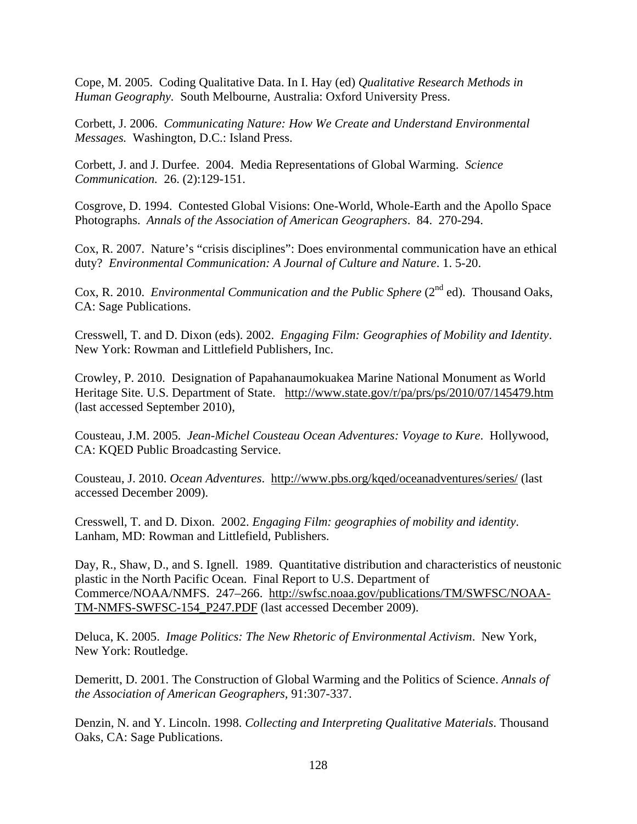Cope, M. 2005. Coding Qualitative Data. In I. Hay (ed) *Qualitative Research Methods in Human Geography.* South Melbourne, Australia: Oxford University Press.

Corbett, J. 2006. *Communicating Nature: How We Create and Understand Environmental Messages.* Washington, D.C.: Island Press.

Corbett, J. and J. Durfee. 2004. Media Representations of Global Warming. *Science Communication.* 26. (2):129-151.

Cosgrove, D. 1994. Contested Global Visions: One-World, Whole-Earth and the Apollo Space Photographs. *Annals of the Association of American Geographers*. 84. 270-294.

Cox, R. 2007. Nature's "crisis disciplines": Does environmental communication have an ethical duty? *Environmental Communication: A Journal of Culture and Nature*. 1. 5-20.

Cox, R. 2010. *Environmental Communication and the Public Sphere* (2<sup>nd</sup> ed). Thousand Oaks, CA: Sage Publications.

Cresswell, T. and D. Dixon (eds). 2002. *Engaging Film: Geographies of Mobility and Identity*. New York: Rowman and Littlefield Publishers, Inc.

Crowley, P. 2010. Designation of Papahanaumokuakea Marine National Monument as World Heritage Site. U.S. Department of State. <http://www.state.gov/r/pa/prs/ps/2010/07/145479.htm> (last accessed September 2010),

Cousteau, J.M. 2005. *Jean-Michel Cousteau Ocean Adventures: Voyage to Kure*. Hollywood, CA: KQED Public Broadcasting Service.

Cousteau, J. 2010. *Ocean Adventures*. <http://www.pbs.org/kqed/oceanadventures/series/> (last accessed December 2009).

Cresswell, T. and D. Dixon. 2002. *Engaging Film: geographies of mobility and identity*. Lanham, MD: Rowman and Littlefield, Publishers.

Day, R., Shaw, D., and S. Ignell. 1989. Quantitative distribution and characteristics of neustonic plastic in the North Pacific Ocean. Final Report to U.S. Department of Commerce/NOAA/NMFS. 247–266. [http://swfsc.noaa.gov/publications/TM/SWFSC/NOAA-](http://swfsc.noaa.gov/publications/TM/SWFSC/NOAA-TM-NMFS-SWFSC-154_P247.PDF)[TM-NMFS-SWFSC-154\\_P247.PDF](http://swfsc.noaa.gov/publications/TM/SWFSC/NOAA-TM-NMFS-SWFSC-154_P247.PDF) (last accessed December 2009).

Deluca, K. 2005. *Image Politics: The New Rhetoric of Environmental Activism*. New York, New York: Routledge.

Demeritt, D. 2001. The Construction of Global Warming and the Politics of Science. *Annals of the Association of American Geographers,* 91:307-337.

Denzin, N. and Y. Lincoln. 1998. *Collecting and Interpreting Qualitative Materials*. Thousand Oaks, CA: Sage Publications.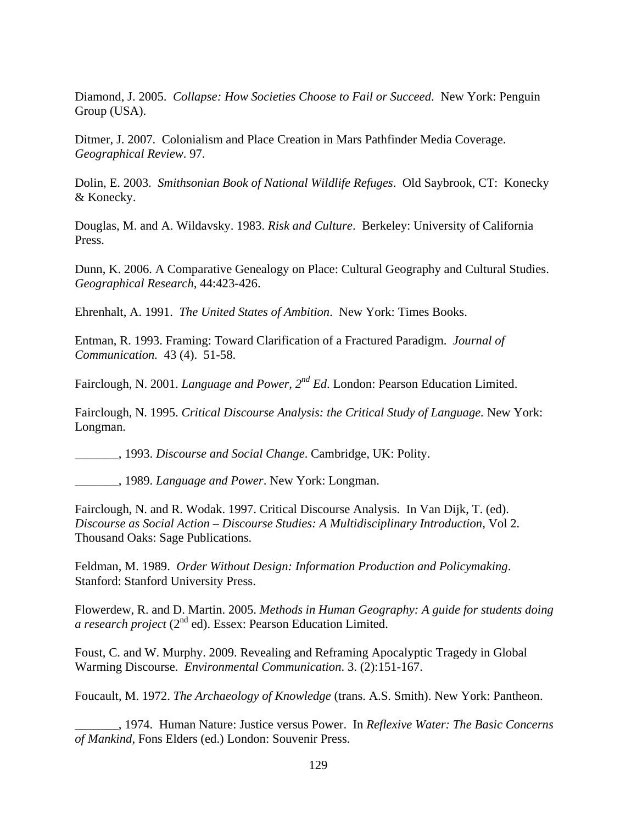Diamond, J. 2005. *Collapse: How Societies Choose to Fail or Succeed*. New York: Penguin Group (USA).

Ditmer, J. 2007. Colonialism and Place Creation in Mars Pathfinder Media Coverage. *Geographical Review*. 97.

Dolin, E. 2003. *Smithsonian Book of National Wildlife Refuges*. Old Saybrook, CT: Konecky & Konecky.

Douglas, M. and A. Wildavsky. 1983. *Risk and Culture*. Berkeley: University of California Press.

Dunn, K. 2006. A Comparative Genealogy on Place: Cultural Geography and Cultural Studies. *Geographical Research*, 44:423-426.

Ehrenhalt, A. 1991. *The United States of Ambition*. New York: Times Books.

Entman, R. 1993. Framing: Toward Clarification of a Fractured Paradigm. *Journal of Communication.* 43 (4). 51-58.

Fairclough, N. 2001. *Language and Power, 2nd Ed*. London: Pearson Education Limited.

Fairclough, N. 1995. *Critical Discourse Analysis: the Critical Study of Language.* New York: Longman.

\_\_\_\_\_\_\_, 1993. *Discourse and Social Change*. Cambridge, UK: Polity.

\_\_\_\_\_\_\_, 1989. *Language and Power*. New York: Longman.

Fairclough, N. and R. Wodak. 1997. Critical Discourse Analysis. In Van Dijk, T. (ed). *Discourse as Social Action* – *Discourse Studies: A Multidisciplinary Introduction*, Vol 2. Thousand Oaks: Sage Publications.

Feldman, M. 1989. *Order Without Design: Information Production and Policymaking*. Stanford: Stanford University Press.

Flowerdew, R. and D. Martin. 2005. *Methods in Human Geography: A guide for students doing a research project* (2nd ed). Essex: Pearson Education Limited.

Foust, C. and W. Murphy. 2009. Revealing and Reframing Apocalyptic Tragedy in Global Warming Discourse. *Environmental Communication*. 3. (2):151-167.

Foucault, M. 1972. *The Archaeology of Knowledge* (trans. A.S. Smith). New York: Pantheon.

\_\_\_\_\_\_\_, 1974. Human Nature: Justice versus Power. In *Reflexive Water: The Basic Concerns of Mankind,* Fons Elders (ed.) London: Souvenir Press.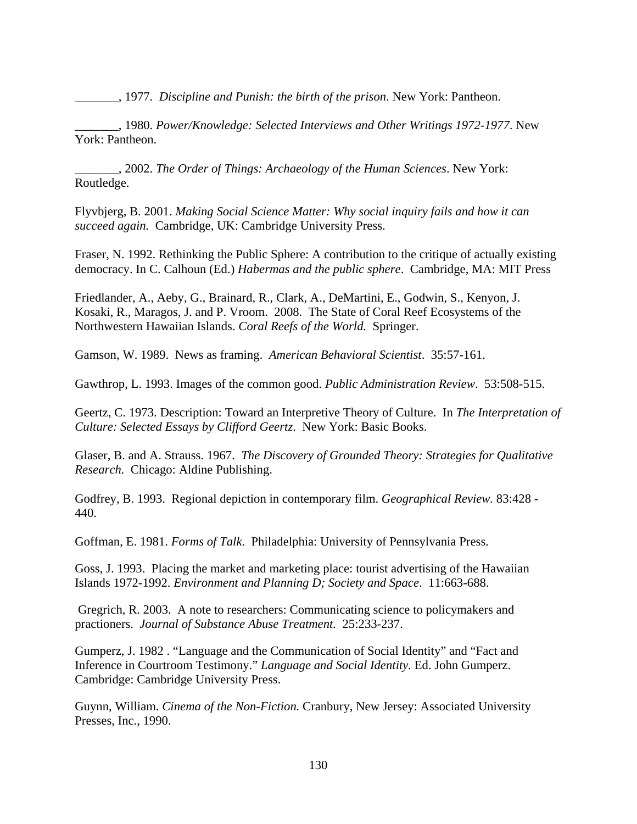\_\_\_\_\_\_\_, 1977. *Discipline and Punish: the birth of the prison*. New York: Pantheon.

\_\_\_\_\_\_\_, 1980. *Power/Knowledge: Selected Interviews and Other Writings 1972-1977*. New York: Pantheon.

\_\_\_\_\_\_\_, 2002. *The Order of Things: Archaeology of the Human Sciences*. New York: Routledge.

Flyvbjerg, B. 2001. *Making Social Science Matter: Why social inquiry fails and how it can succeed again.* Cambridge, UK: Cambridge University Press.

Fraser, N. 1992. Rethinking the Public Sphere: A contribution to the critique of actually existing democracy. In C. Calhoun (Ed.) *Habermas and the public sphere*. Cambridge, MA: MIT Press

Friedlander, A., Aeby, G., Brainard, R., Clark, A., DeMartini, E., Godwin, S., Kenyon, J. Kosaki, R., Maragos, J. and P. Vroom. 2008. The State of Coral Reef Ecosystems of the Northwestern Hawaiian Islands. *Coral Reefs of the World.* Springer.

Gamson, W. 1989. News as framing. *American Behavioral Scientist*. 35:57-161.

Gawthrop, L. 1993. Images of the common good. *Public Administration Review*. 53:508-515.

Geertz, C. 1973. Description: Toward an Interpretive Theory of Culture. In *The Interpretation of Culture: Selected Essays by Clifford Geertz*. New York: Basic Books.

Glaser, B. and A. Strauss. 1967. *The Discovery of Grounded Theory: Strategies for Qualitative Research.* Chicago: Aldine Publishing.

Godfrey, B. 1993. Regional depiction in contemporary film. *Geographical Review.* 83:428 - 440.

Goffman, E. 1981. *Forms of Talk*. Philadelphia: University of Pennsylvania Press.

Goss, J. 1993. Placing the market and marketing place: tourist advertising of the Hawaiian Islands 1972-1992. *Environment and Planning D; Society and Space*. 11:663-688.

Gregrich, R. 2003. A note to researchers: Communicating science to policymakers and practioners. *Journal of Substance Abuse Treatment.* 25:233-237.

Gumperz, J. 1982 . "Language and the Communication of Social Identity" and "Fact and Inference in Courtroom Testimony." *Language and Social Identity.* Ed. John Gumperz. Cambridge: Cambridge University Press.

Guynn, William. *Cinema of the Non-Fiction.* Cranbury, New Jersey: Associated University Presses, Inc., 1990.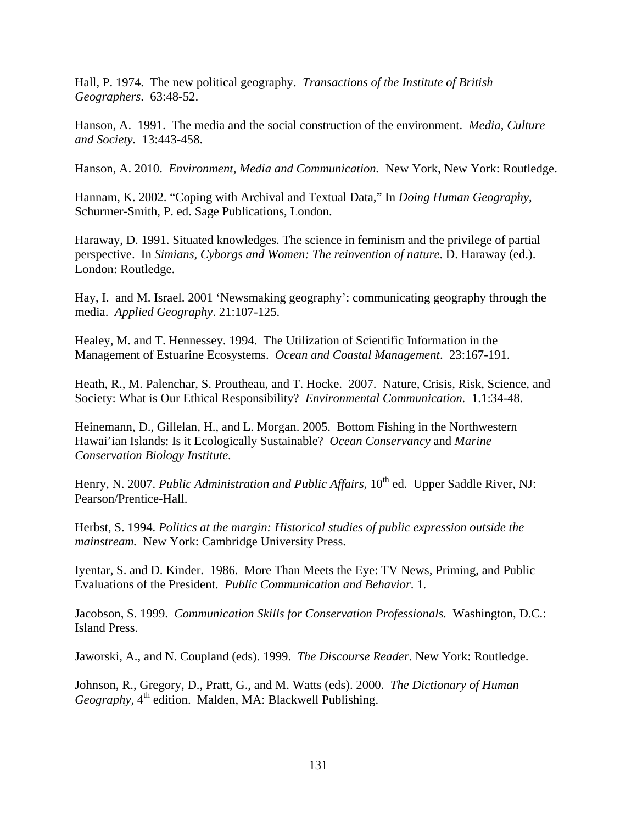Hall, P. 1974. The new political geography. *Transactions of the Institute of British Geographers*. 63:48-52.

Hanson, A. 1991. The media and the social construction of the environment. *Media, Culture and Society.* 13:443-458.

Hanson, A. 2010. *Environment, Media and Communication.* New York, New York: Routledge.

Hannam, K. 2002. "Coping with Archival and Textual Data," In *Doing Human Geography*, Schurmer-Smith, P. ed. Sage Publications, London.

Haraway, D. 1991. Situated knowledges. The science in feminism and the privilege of partial perspective. In *Simians, Cyborgs and Women: The reinvention of nature*. D. Haraway (ed.). London: Routledge.

Hay, I. and M. Israel. 2001 'Newsmaking geography': communicating geography through the media. *Applied Geography*. 21:107-125.

Healey, M. and T. Hennessey. 1994. The Utilization of Scientific Information in the Management of Estuarine Ecosystems. *Ocean and Coastal Management*. 23:167-191.

Heath, R., M. Palenchar, S. Proutheau, and T. Hocke. 2007. Nature, Crisis, Risk, Science, and Society: What is Our Ethical Responsibility? *Environmental Communication.* 1.1:34-48.

Heinemann, D., Gillelan, H., and L. Morgan. 2005. Bottom Fishing in the Northwestern Hawai'ian Islands: Is it Ecologically Sustainable? *Ocean Conservancy* and *Marine Conservation Biology Institute.* 

Henry, N. 2007. *Public Administration and Public Affairs*, 10<sup>th</sup> ed. Upper Saddle River, NJ: Pearson/Prentice-Hall.

Herbst, S. 1994. *Politics at the margin: Historical studies of public expression outside the mainstream.* New York: Cambridge University Press.

Iyentar, S. and D. Kinder. 1986. More Than Meets the Eye: TV News, Priming, and Public Evaluations of the President. *Public Communication and Behavior*. 1.

Jacobson, S. 1999. *Communication Skills for Conservation Professionals.* Washington, D.C.: Island Press.

Jaworski, A., and N. Coupland (eds). 1999. *The Discourse Reader*. New York: Routledge.

Johnson, R., Gregory, D., Pratt, G., and M. Watts (eds). 2000. *The Dictionary of Human Geography*, 4<sup>th</sup> edition. Malden, MA: Blackwell Publishing.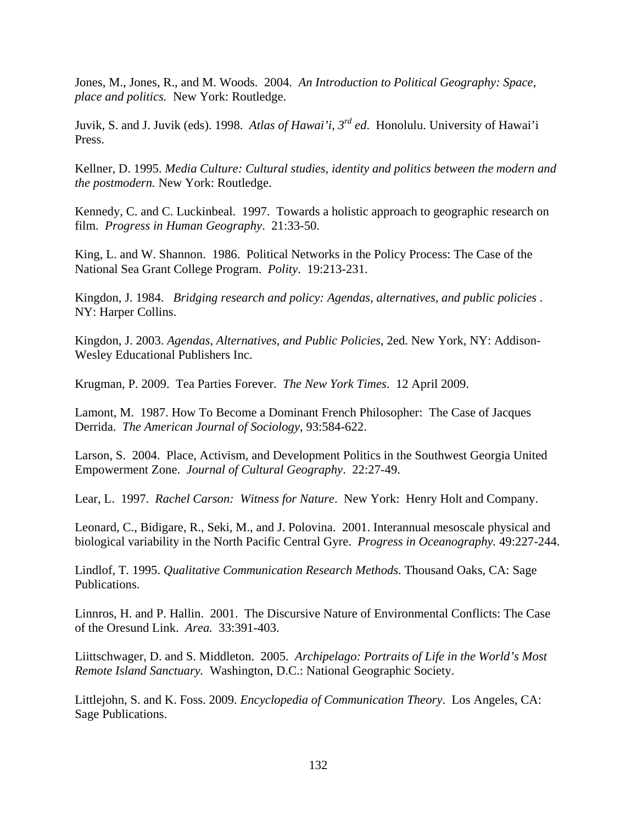Jones, M., Jones, R., and M. Woods. 2004. *An Introduction to Political Geography: Space, place and politics.* New York: Routledge.

Juvik, S. and J. Juvik (eds). 1998. *Atlas of Hawai'i, 3rd ed*. Honolulu. University of Hawai'i Press.

Kellner, D. 1995. *Media Culture: Cultural studies, identity and politics between the modern and the postmodern.* New York: Routledge.

Kennedy, C. and C. Luckinbeal. 1997. Towards a holistic approach to geographic research on film. *Progress in Human Geography*. 21:33-50.

King, L. and W. Shannon. 1986. Political Networks in the Policy Process: The Case of the National Sea Grant College Program. *Polity*. 19:213-231.

Kingdon, J. 1984. *Bridging research and policy: Agendas, alternatives, and public policies* . NY: Harper Collins.

Kingdon, J. 2003. *Agendas, Alternatives, and Public Policies*, 2ed. New York, NY: Addison-Wesley Educational Publishers Inc.

Krugman, P. 2009. Tea Parties Forever. *The New York Times*. 12 April 2009.

Lamont, M. 1987. How To Become a Dominant French Philosopher: The Case of Jacques Derrida. *The American Journal of Sociology*, 93:584-622.

Larson, S. 2004. Place, Activism, and Development Politics in the Southwest Georgia United Empowerment Zone. *Journal of Cultural Geography*. 22:27-49.

Lear, L. 1997. *Rachel Carson: Witness for Nature*. New York: Henry Holt and Company.

Leonard, C., Bidigare, R., Seki, M., and J. Polovina. 2001. Interannual mesoscale physical and biological variability in the North Pacific Central Gyre. *Progress in Oceanography.* 49:227-244.

Lindlof, T*.* 1995. *Qualitative Communication Research Methods*. Thousand Oaks, CA: Sage Publications.

Linnros, H. and P. Hallin. 2001. The Discursive Nature of Environmental Conflicts: The Case of the Oresund Link. *Area.* 33:391-403.

Liittschwager, D. and S. Middleton. 2005. *Archipelago: Portraits of Life in the World's Most Remote Island Sanctuary.* Washington, D.C.: National Geographic Society.

Littlejohn, S. and K. Foss. 2009. *Encyclopedia of Communication Theory*. Los Angeles, CA: Sage Publications.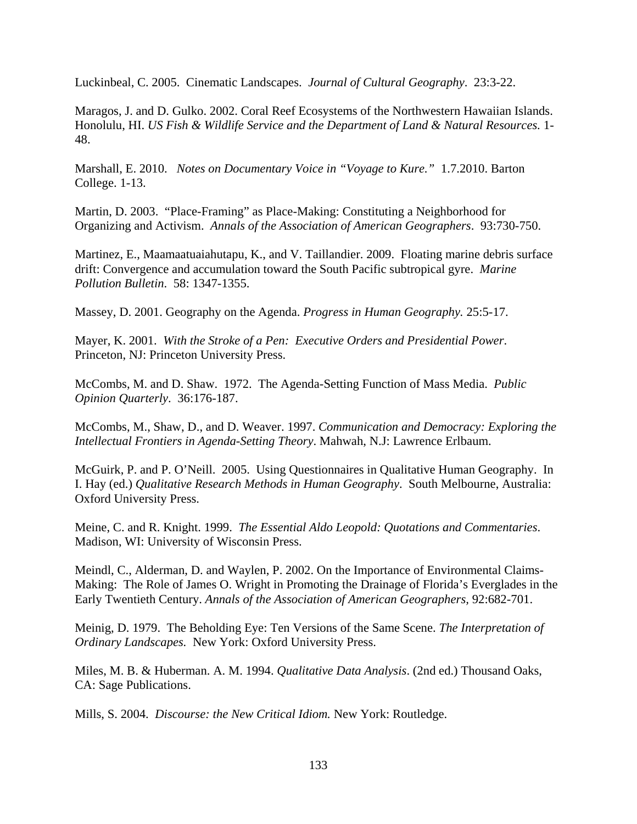Luckinbeal, C. 2005. Cinematic Landscapes. *Journal of Cultural Geography*. 23:3-22.

Maragos, J. and D. Gulko. 2002. Coral Reef Ecosystems of the Northwestern Hawaiian Islands. Honolulu, HI. *US Fish & Wildlife Service and the Department of Land & Natural Resources.* 1- 48.

Marshall, E. 2010. *Notes on Documentary Voice in "Voyage to Kure."* 1.7.2010. Barton College. 1-13.

Martin, D. 2003. "Place-Framing" as Place-Making: Constituting a Neighborhood for Organizing and Activism. *Annals of the Association of American Geographers*. 93:730-750.

Martinez, E., Maamaatuaiahutapu, K., and V. Taillandier. 2009. Floating marine debris surface drift: Convergence and accumulation toward the South Pacific subtropical gyre. *Marine Pollution Bulletin*. 58: 1347-1355.

Massey, D. 2001. Geography on the Agenda. *Progress in Human Geography.* 25:5-17.

Mayer, K. 2001. *With the Stroke of a Pen: Executive Orders and Presidential Power*. Princeton, NJ: Princeton University Press.

McCombs, M. and D. Shaw. 1972. The Agenda-Setting Function of Mass Media. *Public Opinion Quarterly*. 36:176-187.

McCombs, M., Shaw, D., and D. Weaver. 1997. *Communication and Democracy: Exploring the Intellectual Frontiers in Agenda-Setting Theory*. Mahwah, N.J: Lawrence Erlbaum.

McGuirk, P. and P. O'Neill. 2005. Using Questionnaires in Qualitative Human Geography. In I. Hay (ed.) *Qualitative Research Methods in Human Geography*. South Melbourne, Australia: Oxford University Press.

Meine, C. and R. Knight. 1999. *The Essential Aldo Leopold: Quotations and Commentaries*. Madison, WI: University of Wisconsin Press.

Meindl, C., Alderman, D. and Waylen, P. 2002. On the Importance of Environmental Claims-Making: The Role of James O. Wright in Promoting the Drainage of Florida's Everglades in the Early Twentieth Century. *Annals of the Association of American Geographers,* 92:682-701.

Meinig, D. 1979. The Beholding Eye: Ten Versions of the Same Scene. *The Interpretation of Ordinary Landscapes.* New York: Oxford University Press.

Miles, M. B. & Huberman. A. M. 1994. *Qualitative Data Analysis*. (2nd ed.) Thousand Oaks, CA: Sage Publications.

Mills, S. 2004. *Discourse: the New Critical Idiom.* New York: Routledge.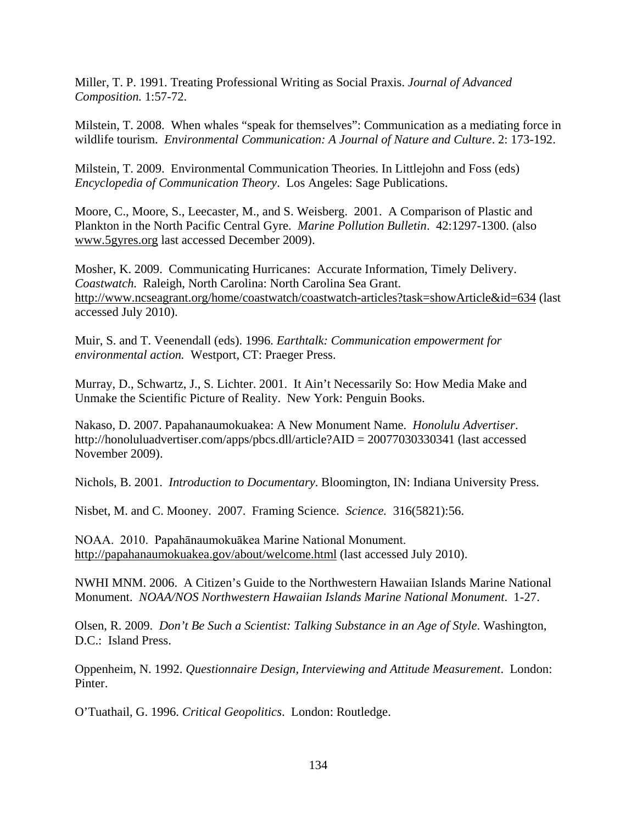Miller, T. P. 1991. Treating Professional Writing as Social Praxis. *Journal of Advanced Composition.* 1:57-72.

Milstein, T. 2008. When whales "speak for themselves": Communication as a mediating force in wildlife tourism. *Environmental Communication: A Journal of Nature and Culture*. 2: 173-192.

Milstein, T. 2009. Environmental Communication Theories. In Littlejohn and Foss (eds) *Encyclopedia of Communication Theory*. Los Angeles: Sage Publications.

Moore, C., Moore, S., Leecaster, M., and S. Weisberg. 2001. A Comparison of Plastic and Plankton in the North Pacific Central Gyre. *Marine Pollution Bulletin*. 42:1297-1300. (also [www.5gyres.org](http://www.5gyres.org/) last accessed December 2009).

Mosher, K. 2009. Communicating Hurricanes: Accurate Information, Timely Delivery. *Coastwatch.* Raleigh, North Carolina: North Carolina Sea Grant. <http://www.ncseagrant.org/home/coastwatch/coastwatch-articles?task=showArticle&id=634> (last accessed July 2010).

Muir, S. and T. Veenendall (eds). 1996. *Earthtalk: Communication empowerment for environmental action.* Westport, CT: Praeger Press.

Murray, D., Schwartz, J., S. Lichter. 2001. It Ain't Necessarily So: How Media Make and Unmake the Scientific Picture of Reality. New York: Penguin Books.

Nakaso, D. 2007. Papahanaumokuakea: A New Monument Name. *Honolulu Advertiser*. http://honoluluadvertiser.com/apps/pbcs.dll/article?AID = 20077030330341 (last accessed November 2009).

Nichols, B. 2001. *Introduction to Documentary*. Bloomington, IN: Indiana University Press.

Nisbet, M. and C. Mooney. 2007. Framing Science. *Science.* 316(5821):56.

NOAA. 2010. Papahānaumokuākea Marine National Monument. <http://papahanaumokuakea.gov/about/welcome.html> (last accessed July 2010).

NWHI MNM. 2006. A Citizen's Guide to the Northwestern Hawaiian Islands Marine National Monument. *NOAA/NOS Northwestern Hawaiian Islands Marine National Monument*. 1-27.

Olsen, R. 2009. *Don't Be Such a Scientist: Talking Substance in an Age of Style*. Washington, D.C.: Island Press.

Oppenheim, N. 1992. *Questionnaire Design, Interviewing and Attitude Measurement*. London: Pinter.

O'Tuathail, G. 1996. *Critical Geopolitics*. London: Routledge.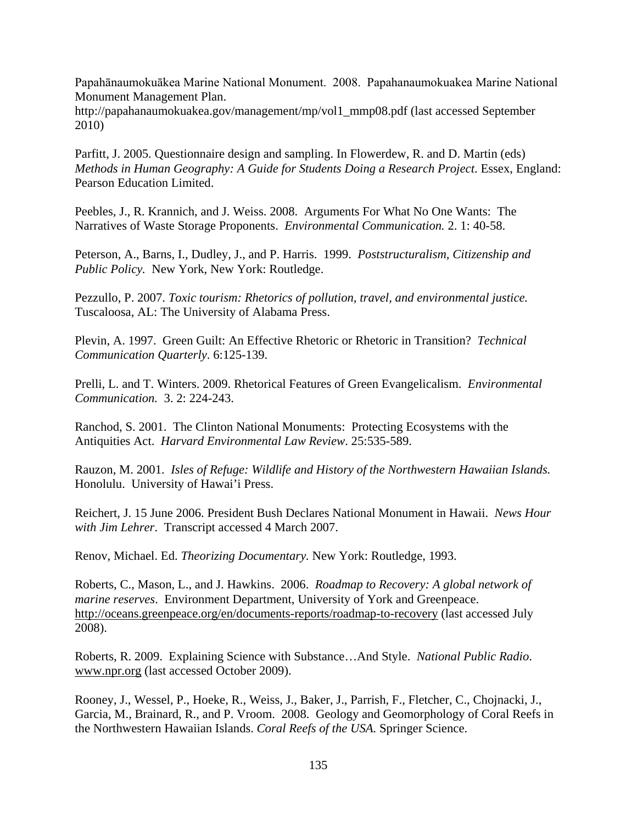Papahānaumokuākea Marine National Monument. 2008. Papahanaumokuakea Marine National Monument Management Plan.

http://papahanaumokuakea.gov/management/mp/vol1\_mmp08.pdf (last accessed September 2010)

Parfitt, J. 2005. Questionnaire design and sampling. In Flowerdew, R. and D. Martin (eds) *Methods in Human Geography: A Guide for Students Doing a Research Project*. Essex, England: Pearson Education Limited.

Peebles, J., R. Krannich, and J. Weiss. 2008. Arguments For What No One Wants: The Narratives of Waste Storage Proponents. *Environmental Communication.* 2. 1: 40-58.

Peterson, A., Barns, I., Dudley, J., and P. Harris. 1999. *Poststructuralism, Citizenship and Public Policy.* New York, New York: Routledge.

Pezzullo, P. 2007. *Toxic tourism: Rhetorics of pollution, travel, and environmental justice.* Tuscaloosa, AL: The University of Alabama Press.

Plevin, A. 1997. Green Guilt: An Effective Rhetoric or Rhetoric in Transition? *Technical Communication Quarterly*. 6:125-139.

Prelli, L. and T. Winters. 2009. Rhetorical Features of Green Evangelicalism. *Environmental Communication.* 3. 2: 224-243.

Ranchod, S. 2001. The Clinton National Monuments: Protecting Ecosystems with the Antiquities Act. *Harvard Environmental Law Review*. 25:535-589.

Rauzon, M. 2001. *Isles of Refuge: Wildlife and History of the Northwestern Hawaiian Islands.* Honolulu. University of Hawai'i Press.

Reichert, J. 15 June 2006. President Bush Declares National Monument in Hawaii. *News Hour with Jim Lehrer*. Transcript accessed 4 March 2007.

Renov, Michael. Ed. *Theorizing Documentary.* New York: Routledge, 1993.

Roberts, C., Mason, L., and J. Hawkins. 2006. *Roadmap to Recovery: A global network of marine reserves*. Environment Department, University of York and Greenpeace. <http://oceans.greenpeace.org/en/documents-reports/roadmap-to-recovery> (last accessed July 2008).

Roberts, R. 2009. Explaining Science with Substance…And Style. *National Public Radio*. [www.npr.org](http://www.npr.org/) (last accessed October 2009).

Rooney, J., Wessel, P., Hoeke, R., Weiss, J., Baker, J., Parrish, F., Fletcher, C., Chojnacki, J., Garcia, M., Brainard, R., and P. Vroom. 2008. Geology and Geomorphology of Coral Reefs in the Northwestern Hawaiian Islands. *Coral Reefs of the USA.* Springer Science.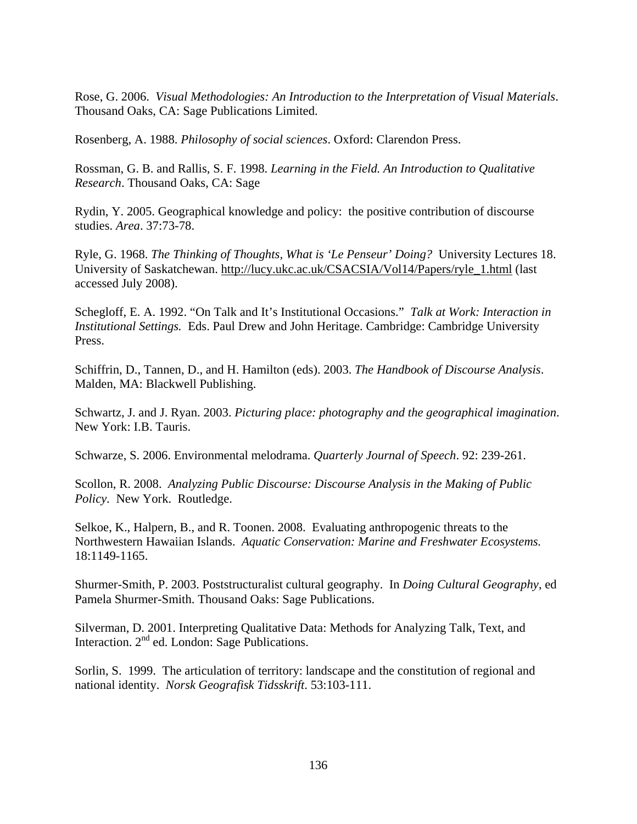Rose, G. 2006. *Visual Methodologies: An Introduction to the Interpretation of Visual Materials*. Thousand Oaks, CA: Sage Publications Limited.

Rosenberg, A. 1988. *Philosophy of social sciences*. Oxford: Clarendon Press.

Rossman, G. B. and Rallis, S. F. 1998. *Learning in the Field. An Introduction to Qualitative Research*. Thousand Oaks, CA: Sage

Rydin, Y. 2005. Geographical knowledge and policy: the positive contribution of discourse studies. *Area*. 37:73-78.

Ryle, G. 1968. *The Thinking of Thoughts, What is 'Le Penseur' Doing?* University Lectures 18. University of Saskatchewan. [http://lucy.ukc.ac.uk/CSACSIA/Vol14/Papers/ryle\\_1.html](http://lucy.ukc.ac.uk/CSACSIA/Vol14/Papers/ryle_1.html) (last accessed July 2008).

Schegloff, E. A. 1992. "On Talk and It's Institutional Occasions." *Talk at Work: Interaction in Institutional Settings.* Eds. Paul Drew and John Heritage. Cambridge: Cambridge University Press.

Schiffrin, D., Tannen, D., and H. Hamilton (eds). 2003. *The Handbook of Discourse Analysis*. Malden, MA: Blackwell Publishing.

Schwartz, J. and J. Ryan. 2003. *Picturing place: photography and the geographical imagination*. New York: I.B. Tauris.

Schwarze, S. 2006. Environmental melodrama. *Quarterly Journal of Speech*. 92: 239-261.

Scollon, R. 2008. *Analyzing Public Discourse: Discourse Analysis in the Making of Public Policy.* New York. Routledge.

Selkoe, K., Halpern, B., and R. Toonen. 2008. Evaluating anthropogenic threats to the Northwestern Hawaiian Islands. *Aquatic Conservation: Marine and Freshwater Ecosystems.* 18:1149-1165.

Shurmer-Smith, P. 2003. Poststructuralist cultural geography. In *Doing Cultural Geography*, ed Pamela Shurmer-Smith. Thousand Oaks: Sage Publications.

Silverman, D. 2001. Interpreting Qualitative Data: Methods for Analyzing Talk, Text, and Interaction. 2nd ed. London: Sage Publications.

Sorlin, S. 1999. The articulation of territory: landscape and the constitution of regional and national identity. *Norsk Geografisk Tidsskrift*. 53:103-111.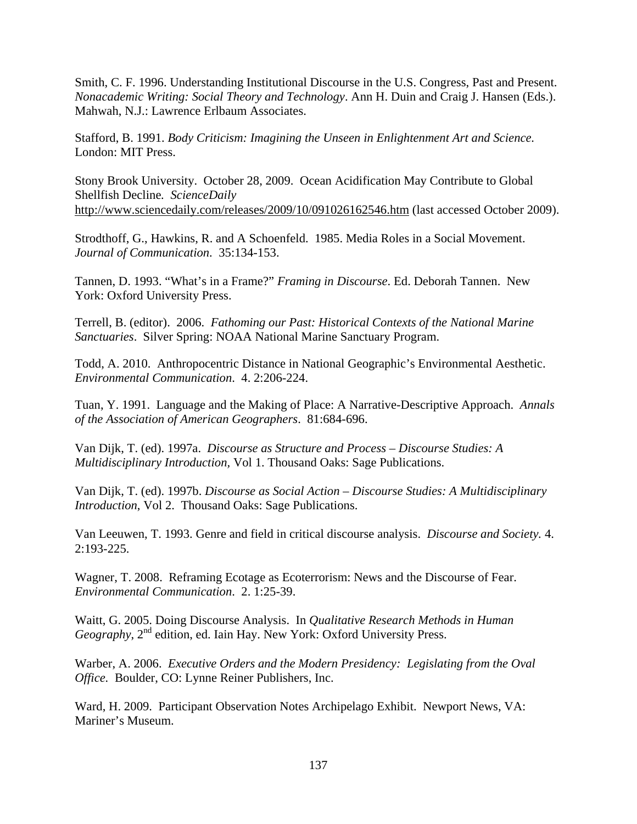Smith, C. F. 1996. Understanding Institutional Discourse in the U.S. Congress, Past and Present. *Nonacademic Writing: Social Theory and Technology*. Ann H. Duin and Craig J. Hansen (Eds.). Mahwah, N.J.: Lawrence Erlbaum Associates.

Stafford, B. 1991. *Body Criticism: Imagining the Unseen in Enlightenment Art and Science.* London: MIT Press.

Stony Brook University. October 28, 2009. Ocean Acidification May Contribute to Global Shellfish Decline*. ScienceDaily* <http://www.sciencedaily.com/releases/2009/10/091026162546.htm> (last accessed October 2009).

Strodthoff, G., Hawkins, R. and A Schoenfeld. 1985. Media Roles in a Social Movement. *Journal of Communication*. 35:134-153.

Tannen, D. 1993. "What's in a Frame?" *Framing in Discourse*. Ed. Deborah Tannen. New York: Oxford University Press.

Terrell, B. (editor). 2006. *Fathoming our Past: Historical Contexts of the National Marine Sanctuaries*. Silver Spring: NOAA National Marine Sanctuary Program.

Todd, A. 2010. Anthropocentric Distance in National Geographic's Environmental Aesthetic. *Environmental Communication*. 4. 2:206-224.

Tuan, Y. 1991. Language and the Making of Place: A Narrative-Descriptive Approach. *Annals of the Association of American Geographers*. 81:684-696.

Van Dijk, T. (ed). 1997a. *Discourse as Structure and Process – Discourse Studies: A Multidisciplinary Introduction,* Vol 1. Thousand Oaks: Sage Publications.

Van Dijk, T. (ed). 1997b. *Discourse as Social Action* – *Discourse Studies: A Multidisciplinary Introduction*, Vol 2. Thousand Oaks: Sage Publications.

Van Leeuwen, T. 1993. Genre and field in critical discourse analysis. *Discourse and Society.* 4. 2:193-225.

Wagner, T. 2008. Reframing Ecotage as Ecoterrorism: News and the Discourse of Fear. *Environmental Communication*. 2. 1:25-39.

Waitt, G. 2005. Doing Discourse Analysis. In *Qualitative Research Methods in Human Geography*, 2nd edition, ed. Iain Hay. New York: Oxford University Press.

Warber, A. 2006. *Executive Orders and the Modern Presidency: Legislating from the Oval Office.* Boulder, CO: Lynne Reiner Publishers, Inc.

Ward, H. 2009. Participant Observation Notes Archipelago Exhibit. Newport News, VA: Mariner's Museum.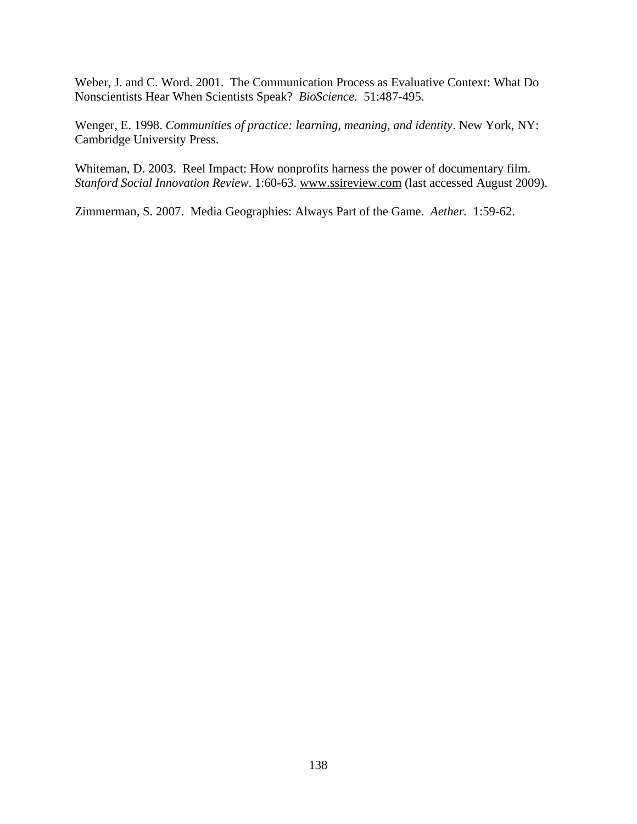Weber, J. and C. Word. 2001. The Communication Process as Evaluative Context: What Do Nonscientists Hear When Scientists Speak? *BioScience*. 51:487-495.

Wenger, E. 1998. *Communities of practice: learning, meaning, and identity*. New York, NY: Cambridge University Press.

Whiteman, D. 2003. Reel Impact: How nonprofits harness the power of documentary film. *Stanford Social Innovation Review*. 1:60-63. [www.ssireview.com](http://www.ssireview.com/) (last accessed August 2009).

Zimmerman, S. 2007. Media Geographies: Always Part of the Game. *Aether.* 1:59-62.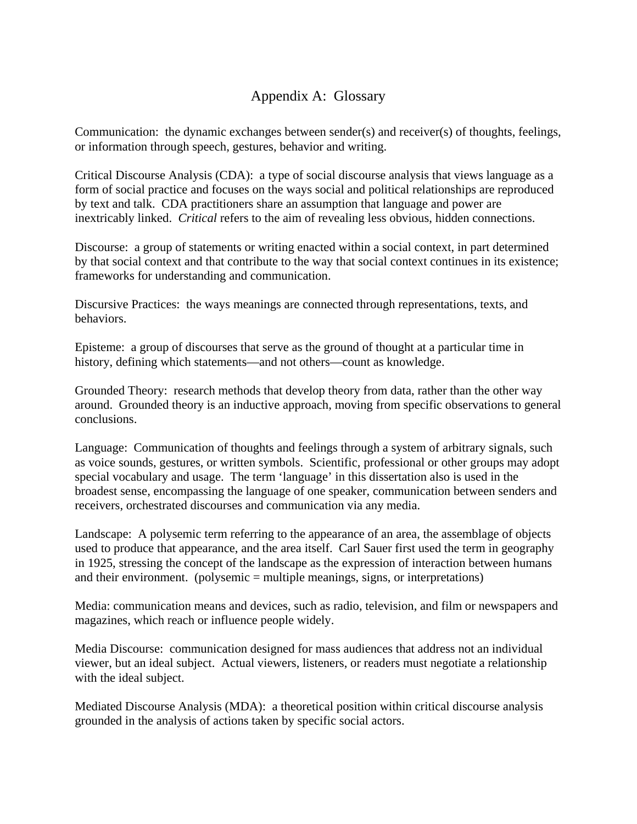# Appendix A: Glossary

Communication: the dynamic exchanges between sender(s) and receiver(s) of thoughts, feelings, or information through speech, gestures, behavior and writing.

Critical Discourse Analysis (CDA): a type of social discourse analysis that views language as a form of social practice and focuses on the ways social and political relationships are reproduced by text and talk. CDA practitioners share an assumption that language and power are inextricably linked. *Critical* refers to the aim of revealing less obvious, hidden connections.

Discourse: a group of statements or writing enacted within a social context, in part determined by that social context and that contribute to the way that social context continues in its existence; frameworks for understanding and communication.

Discursive Practices: the ways meanings are connected through representations, texts, and behaviors.

Episteme: a group of discourses that serve as the ground of thought at a particular time in history, defining which statements—and not others—count as knowledge.

Grounded Theory: research methods that develop theory from data, rather than the other way around. Grounded theory is an inductive approach, moving from specific observations to general conclusions.

Language: Communication of thoughts and feelings through a system of arbitrary signals, such as voice sounds, gestures, or written symbols. Scientific, professional or other groups may adopt special vocabulary and usage. The term 'language' in this dissertation also is used in the broadest sense, encompassing the language of one speaker, communication between senders and receivers, orchestrated discourses and communication via any media.

Landscape: A polysemic term referring to the appearance of an area, the assemblage of objects used to produce that appearance, and the area itself. Carl Sauer first used the term in geography in 1925, stressing the concept of the landscape as the expression of interaction between humans and their environment. (polysemic = multiple meanings, signs, or interpretations)

Media: communication means and devices, such as radio, television, and film or newspapers and magazines, which reach or influence people widely.

Media Discourse: communication designed for mass audiences that address not an individual viewer, but an ideal subject. Actual viewers, listeners, or readers must negotiate a relationship with the ideal subject.

Mediated Discourse Analysis (MDA): a theoretical position within critical discourse analysis grounded in the analysis of actions taken by specific social actors.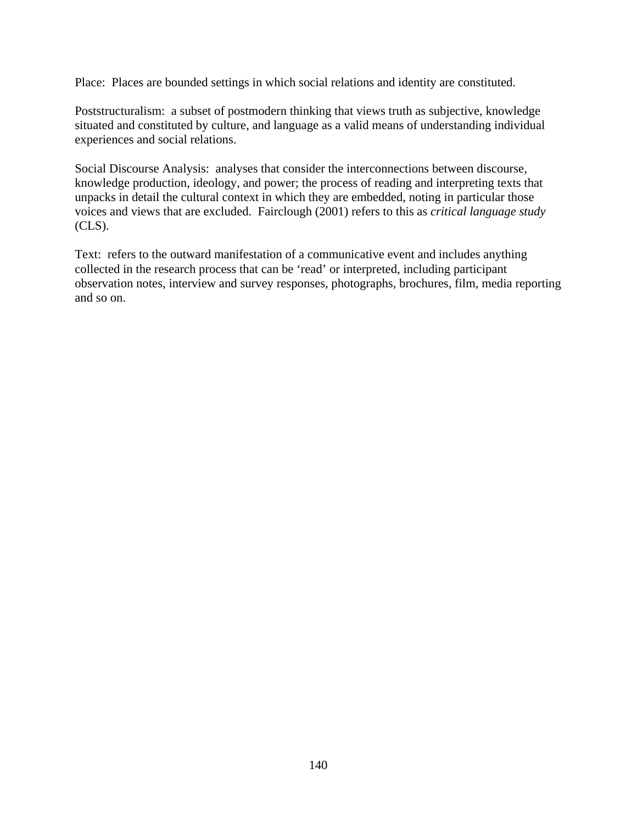Place: Places are bounded settings in which social relations and identity are constituted.

Poststructuralism: a subset of postmodern thinking that views truth as subjective, knowledge situated and constituted by culture, and language as a valid means of understanding individual experiences and social relations.

Social Discourse Analysis: analyses that consider the interconnections between discourse, knowledge production, ideology, and power; the process of reading and interpreting texts that unpacks in detail the cultural context in which they are embedded, noting in particular those voices and views that are excluded. Fairclough (2001) refers to this as *critical language study* (CLS).

Text: refers to the outward manifestation of a communicative event and includes anything collected in the research process that can be 'read' or interpreted, including participant observation notes, interview and survey responses, photographs, brochures, film, media reporting and so on.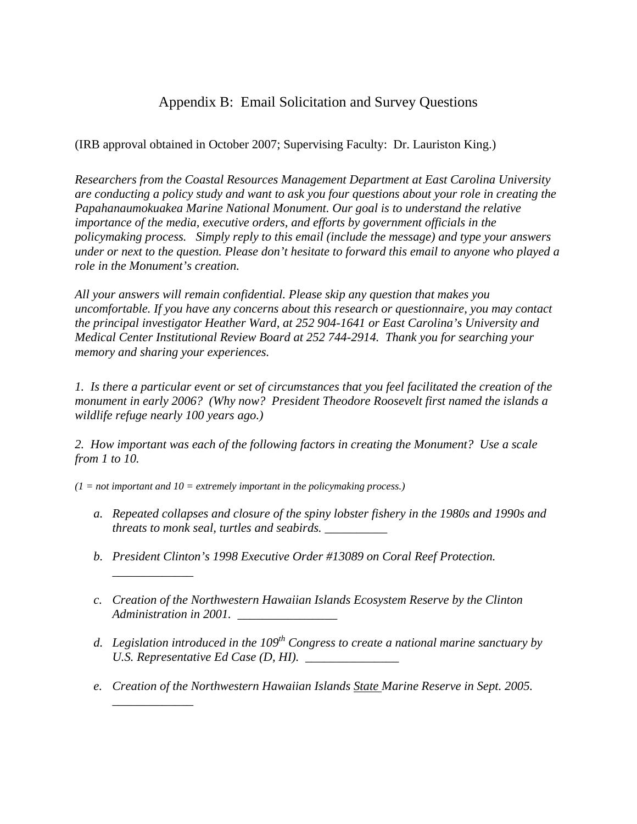# Appendix B: Email Solicitation and Survey Questions

(IRB approval obtained in October 2007; Supervising Faculty: Dr. Lauriston King.)

*Researchers from the Coastal Resources Management Department at East Carolina University are conducting a policy study and want to ask you four questions about your role in creating the Papahanaumokuakea Marine National Monument. Our goal is to understand the relative importance of the media, executive orders, and efforts by government officials in the policymaking process. Simply reply to this email (include the message) and type your answers under or next to the question. Please don't hesitate to forward this email to anyone who played a role in the Monument's creation.* 

*All your answers will remain confidential. Please skip any question that makes you uncomfortable. If you have any concerns about this research or questionnaire, you may contact the principal investigator Heather Ward, at 252 904-1641 or East Carolina's University and Medical Center Institutional Review Board at 252 744-2914. Thank you for searching your memory and sharing your experiences.*

*1. Is there a particular event or set of circumstances that you feel facilitated the creation of the monument in early 2006? (Why now? President Theodore Roosevelt first named the islands a wildlife refuge nearly 100 years ago.)*

*2. How important was each of the following factors in creating the Monument? Use a scale from 1 to 10.* 

 $(1 = not important and 10 = extremely important in the policy making process.)$ 

*\_\_\_\_\_\_\_\_\_\_\_\_\_*

*\_\_\_\_\_\_\_\_\_\_\_\_\_*

- *a. Repeated collapses and closure of the spiny lobster fishery in the 1980s and 1990s and threats to monk seal, turtles and seabirds. \_\_\_\_\_\_\_\_\_\_*
- *b. President Clinton's 1998 Executive Order #13089 on Coral Reef Protection.*
- *c. Creation of the Northwestern Hawaiian Islands Ecosystem Reserve by the Clinton Administration in 2001.*
- *d. Legislation introduced in the 109th Congress to create a national marine sanctuary by U.S. Representative Ed Case (D, HI). \_\_\_\_\_\_\_\_\_\_\_\_\_\_\_*
- *e. Creation of the Northwestern Hawaiian Islands State Marine Reserve in Sept. 2005.*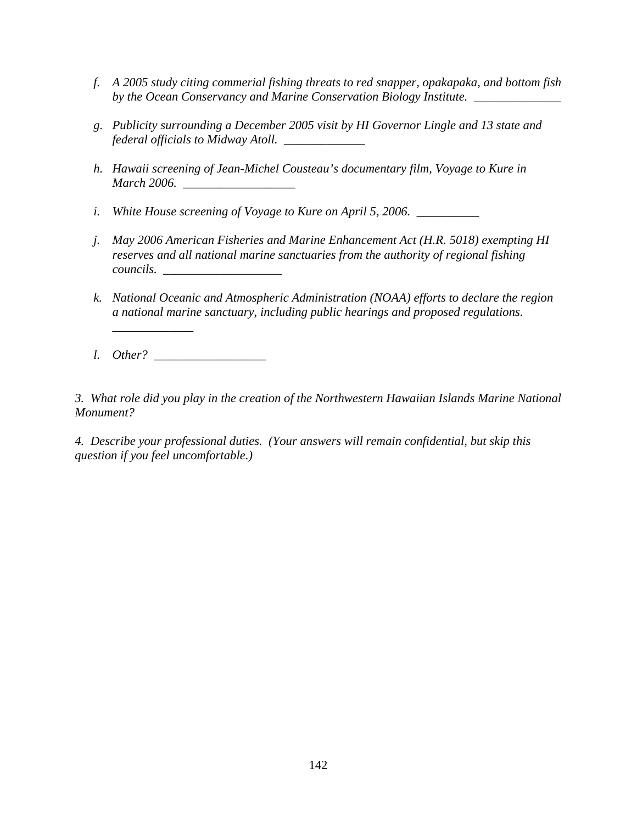- *f. A 2005 study citing commerial fishing threats to red snapper, opakapaka, and bottom fish by the Ocean Conservancy and Marine Conservation Biology Institute. \_\_\_\_\_\_\_\_\_\_\_\_\_\_*
- *g. Publicity surrounding a December 2005 visit by HI Governor Lingle and 13 state and federal officials to Midway Atoll. \_\_\_\_\_\_\_\_\_\_\_\_\_*
- *h. Hawaii screening of Jean-Michel Cousteau's documentary film, Voyage to Kure in March 2006. \_\_\_\_\_\_\_\_\_\_\_\_\_\_\_\_\_\_*
- *i. White House screening of Voyage to Kure on April 5, 2006. \_\_\_\_\_\_\_\_\_\_*
- *j. May 2006 American Fisheries and Marine Enhancement Act (H.R. 5018) exempting HI reserves and all national marine sanctuaries from the authority of regional fishing*   $$
- *k. National Oceanic and Atmospheric Administration (NOAA) efforts to declare the region a national marine sanctuary, including public hearings and proposed regulations.*
- *l. Other? \_\_\_\_\_\_\_\_\_\_\_\_\_\_\_\_\_\_*

*\_\_\_\_\_\_\_\_\_\_\_\_\_*

*3. What role did you play in the creation of the Northwestern Hawaiian Islands Marine National Monument?* 

*4. Describe your professional duties. (Your answers will remain confidential, but skip this question if you feel uncomfortable.)*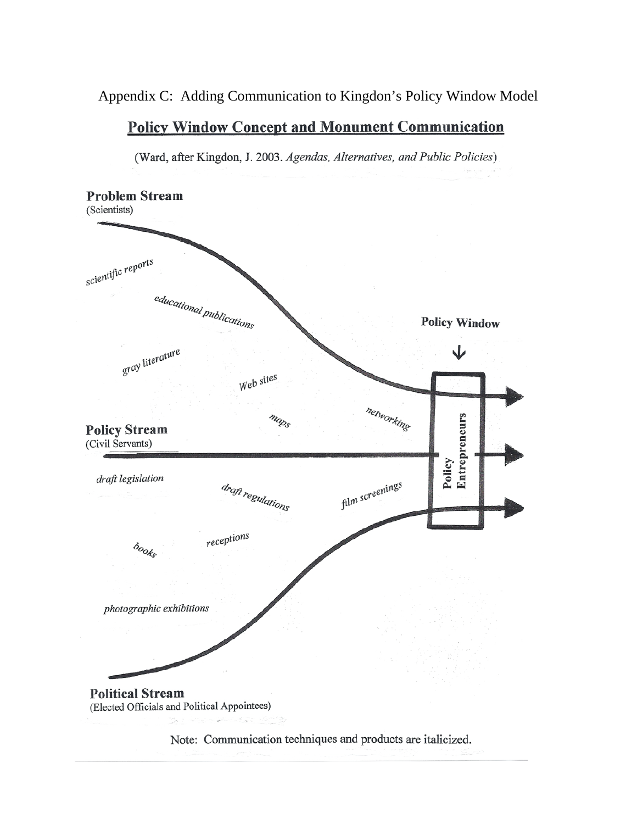### Appendix C: Adding Communication to Kingdon's Policy Window Model

#### **Policy Window Concept and Monument Communication**

(Ward, after Kingdon, J. 2003. Agendas, Alternatives, and Public Policies)

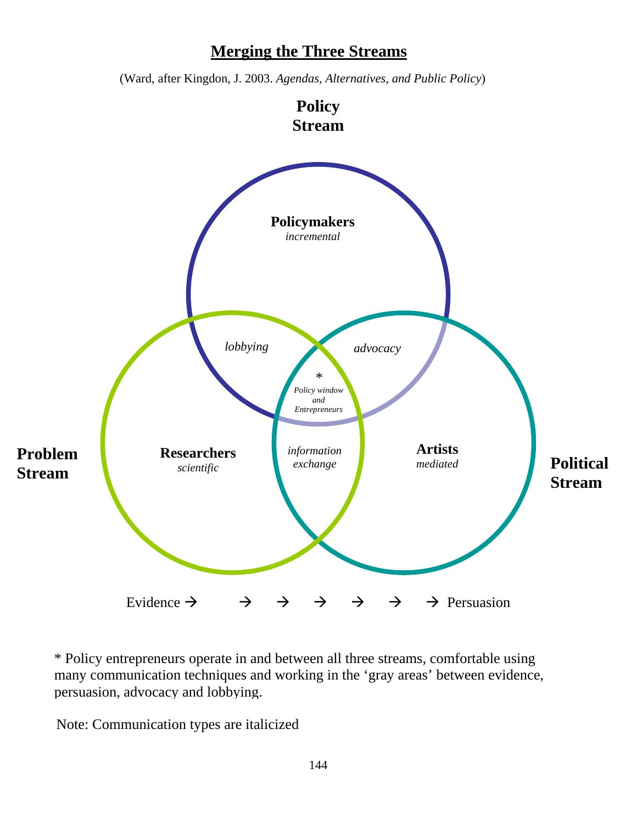# **Merging the Three Streams**

(Ward, after Kingdon, J. 2003. *Agendas, Alternatives, and Public Policy*)



\* Policy entrepreneurs operate in and between all three streams, comfortable using many communication techniques and working in the 'gray areas' between evidence, persuasion, advocacy and lobbying.

Note: Communication types are italicized